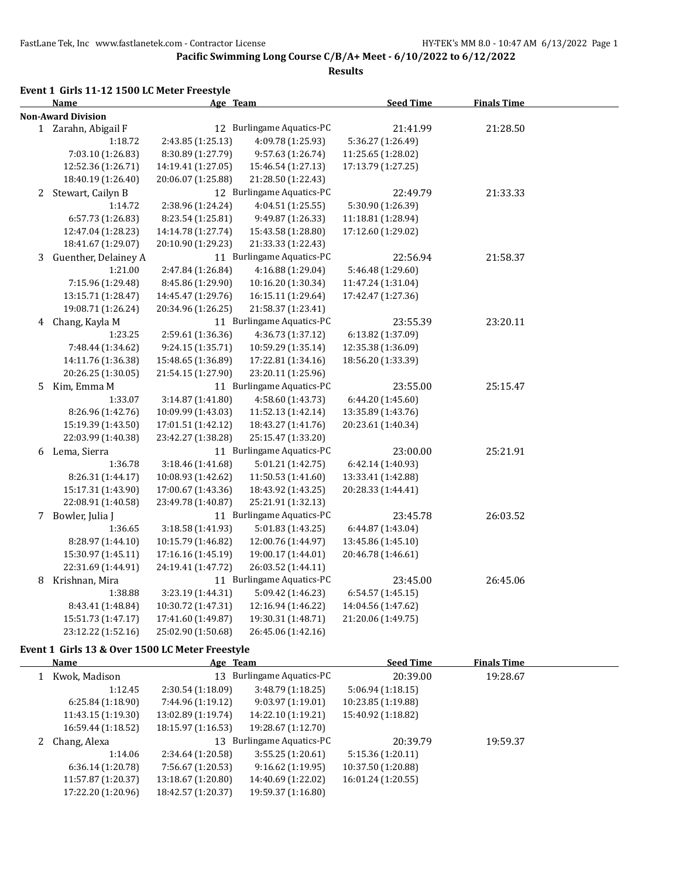**Results**

#### **Event 1 Girls 11-12 1500 LC Meter Freestyle**

|   | Name                      | Age Team           |                           | <b>Seed Time</b>   | <b>Finals Time</b> |  |
|---|---------------------------|--------------------|---------------------------|--------------------|--------------------|--|
|   | <b>Non-Award Division</b> |                    |                           |                    |                    |  |
|   | 1 Zarahn, Abigail F       |                    | 12 Burlingame Aquatics-PC | 21:41.99           | 21:28.50           |  |
|   | 1:18.72                   | 2:43.85 (1:25.13)  | 4:09.78 (1:25.93)         | 5:36.27 (1:26.49)  |                    |  |
|   | 7:03.10 (1:26.83)         | 8:30.89 (1:27.79)  | 9:57.63 (1:26.74)         | 11:25.65 (1:28.02) |                    |  |
|   | 12:52.36 (1:26.71)        | 14:19.41 (1:27.05) | 15:46.54 (1:27.13)        | 17:13.79 (1:27.25) |                    |  |
|   | 18:40.19 (1:26.40)        | 20:06.07 (1:25.88) | 21:28.50 (1:22.43)        |                    |                    |  |
|   | 2 Stewart, Cailyn B       |                    | 12 Burlingame Aquatics-PC | 22:49.79           | 21:33.33           |  |
|   | 1:14.72                   | 2:38.96 (1:24.24)  | 4:04.51 (1:25.55)         | 5:30.90 (1:26.39)  |                    |  |
|   | 6:57.73 (1:26.83)         | 8:23.54 (1:25.81)  | 9:49.87 (1:26.33)         | 11:18.81 (1:28.94) |                    |  |
|   | 12:47.04 (1:28.23)        | 14:14.78 (1:27.74) | 15:43.58 (1:28.80)        | 17:12.60 (1:29.02) |                    |  |
|   | 18:41.67 (1:29.07)        | 20:10.90 (1:29.23) | 21:33.33 (1:22.43)        |                    |                    |  |
| 3 | Guenther, Delainey A      |                    | 11 Burlingame Aquatics-PC | 22:56.94           | 21:58.37           |  |
|   | 1:21.00                   | 2:47.84 (1:26.84)  | 4:16.88 (1:29.04)         | 5:46.48 (1:29.60)  |                    |  |
|   | 7:15.96 (1:29.48)         | 8:45.86 (1:29.90)  | 10:16.20 (1:30.34)        | 11:47.24 (1:31.04) |                    |  |
|   | 13:15.71 (1:28.47)        | 14:45.47 (1:29.76) | 16:15.11 (1:29.64)        | 17:42.47 (1:27.36) |                    |  |
|   | 19:08.71 (1:26.24)        | 20:34.96 (1:26.25) | 21:58.37 (1:23.41)        |                    |                    |  |
|   | 4 Chang, Kayla M          |                    | 11 Burlingame Aquatics-PC | 23:55.39           | 23:20.11           |  |
|   | 1:23.25                   | 2:59.61 (1:36.36)  | 4:36.73 (1:37.12)         | 6:13.82 (1:37.09)  |                    |  |
|   | 7:48.44 (1:34.62)         | 9:24.15 (1:35.71)  | 10:59.29 (1:35.14)        | 12:35.38 (1:36.09) |                    |  |
|   | 14:11.76 (1:36.38)        | 15:48.65 (1:36.89) | 17:22.81 (1:34.16)        | 18:56.20 (1:33.39) |                    |  |
|   | 20:26.25 (1:30.05)        | 21:54.15 (1:27.90) | 23:20.11 (1:25.96)        |                    |                    |  |
| 5 | Kim, Emma M               |                    | 11 Burlingame Aquatics-PC | 23:55.00           | 25:15.47           |  |
|   | 1:33.07                   | 3:14.87 (1:41.80)  | 4:58.60 (1:43.73)         | 6:44.20 (1:45.60)  |                    |  |
|   | 8:26.96 (1:42.76)         | 10:09.99 (1:43.03) | 11:52.13 (1:42.14)        | 13:35.89 (1:43.76) |                    |  |
|   | 15:19.39 (1:43.50)        | 17:01.51 (1:42.12) | 18:43.27 (1:41.76)        | 20:23.61 (1:40.34) |                    |  |
|   | 22:03.99 (1:40.38)        | 23:42.27 (1:38.28) | 25:15.47 (1:33.20)        |                    |                    |  |
|   | 6 Lema, Sierra            |                    | 11 Burlingame Aquatics-PC | 23:00.00           | 25:21.91           |  |
|   | 1:36.78                   | 3:18.46 (1:41.68)  | 5:01.21 (1:42.75)         | 6:42.14 (1:40.93)  |                    |  |
|   | 8:26.31 (1:44.17)         | 10:08.93 (1:42.62) | 11:50.53 (1:41.60)        | 13:33.41 (1:42.88) |                    |  |
|   | 15:17.31 (1:43.90)        | 17:00.67 (1:43.36) | 18:43.92 (1:43.25)        | 20:28.33 (1:44.41) |                    |  |
|   | 22:08.91 (1:40.58)        | 23:49.78 (1:40.87) | 25:21.91 (1:32.13)        |                    |                    |  |
|   | 7 Bowler, Julia J         |                    | 11 Burlingame Aquatics-PC | 23:45.78           | 26:03.52           |  |
|   | 1:36.65                   | 3:18.58 (1:41.93)  | 5:01.83 (1:43.25)         | 6:44.87 (1:43.04)  |                    |  |
|   | 8:28.97 (1:44.10)         | 10:15.79 (1:46.82) | 12:00.76 (1:44.97)        | 13:45.86 (1:45.10) |                    |  |
|   | 15:30.97 (1:45.11)        | 17:16.16 (1:45.19) | 19:00.17 (1:44.01)        | 20:46.78 (1:46.61) |                    |  |
|   | 22:31.69 (1:44.91)        | 24:19.41 (1:47.72) | 26:03.52 (1:44.11)        |                    |                    |  |
|   | 8 Krishnan, Mira          |                    | 11 Burlingame Aquatics-PC | 23:45.00           | 26:45.06           |  |
|   | 1:38.88                   | 3:23.19 (1:44.31)  | 5:09.42 (1:46.23)         | 6:54.57 (1:45.15)  |                    |  |
|   | 8:43.41 (1:48.84)         | 10:30.72 (1:47.31) | 12:16.94 (1:46.22)        | 14:04.56 (1:47.62) |                    |  |
|   | 15:51.73 (1:47.17)        | 17:41.60 (1:49.87) | 19:30.31 (1:48.71)        | 21:20.06 (1:49.75) |                    |  |
|   | 23:12.22 (1:52.16)        | 25:02.90 (1:50.68) | 26:45.06 (1:42.16)        |                    |                    |  |

#### **Event 1 Girls 13 & Over 1500 LC Meter Freestyle**

|  | Name               | Age Team           |                               | <b>Seed Time</b>   | <b>Finals Time</b> |  |
|--|--------------------|--------------------|-------------------------------|--------------------|--------------------|--|
|  | Kwok, Madison      | 13                 | <b>Burlingame Aquatics-PC</b> | 20:39.00           | 19:28.67           |  |
|  | 1:12.45            | 2:30.54(1:18.09)   | 3:48.79(1:18.25)              | 5:06.94(1:18.15)   |                    |  |
|  | 6:25.84(1:18.90)   | 7:44.96 (1:19.12)  | 9:03.97 (1:19.01)             | 10:23.85 (1:19.88) |                    |  |
|  | 11:43.15 (1:19.30) | 13:02.89 (1:19.74) | 14:22.10 (1:19.21)            | 15:40.92 (1:18.82) |                    |  |
|  | 16:59.44 (1:18.52) | 18:15.97 (1:16.53) | 19:28.67 (1:12.70)            |                    |                    |  |
|  | 2 Chang, Alexa     | 13                 | Burlingame Aquatics-PC        | 20:39.79           | 19:59.37           |  |
|  | 1:14.06            | 2:34.64 (1:20.58)  | 3:55.25(1:20.61)              | 5:15.36(1:20.11)   |                    |  |
|  | 6:36.14(1:20.78)   | 7:56.67 (1:20.53)  | 9:16.62(1:19.95)              | 10:37.50 (1:20.88) |                    |  |
|  | 11:57.87 (1:20.37) | 13:18.67 (1:20.80) | 14:40.69 (1:22.02)            | 16:01.24 (1:20.55) |                    |  |
|  | 17:22.20 (1:20.96) | 18:42.57 (1:20.37) | 19:59.37 (1:16.80)            |                    |                    |  |
|  |                    |                    |                               |                    |                    |  |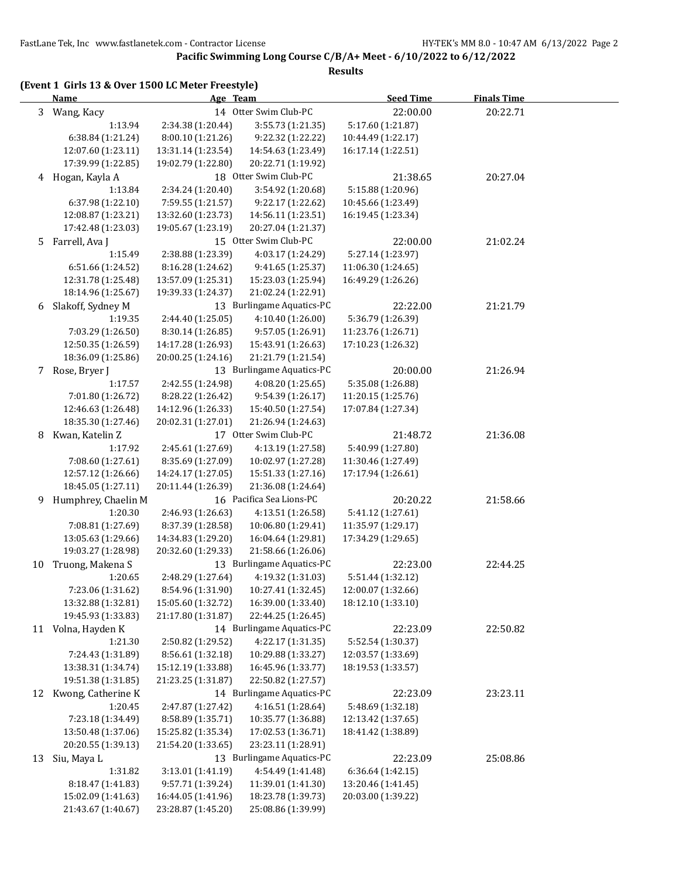|    | (Event 1 Girls 13 & Over 1500 LC Meter Freestyle)<br><b>Name</b> | Age Team           |                           | <b>Seed Time</b>   | <b>Finals Time</b> |
|----|------------------------------------------------------------------|--------------------|---------------------------|--------------------|--------------------|
| 3  | Wang, Kacy                                                       |                    | 14 Otter Swim Club-PC     | 22:00.00           | 20:22.71           |
|    | 1:13.94                                                          | 2:34.38 (1:20.44)  | 3:55.73 (1:21.35)         | 5:17.60 (1:21.87)  |                    |
|    | 6:38.84 (1:21.24)                                                | 8:00.10 (1:21.26)  | 9:22.32 (1:22.22)         | 10:44.49 (1:22.17) |                    |
|    | 12:07.60 (1:23.11)                                               | 13:31.14 (1:23.54) | 14:54.63 (1:23.49)        | 16:17.14 (1:22.51) |                    |
|    | 17:39.99 (1:22.85)                                               | 19:02.79 (1:22.80) | 20:22.71 (1:19.92)        |                    |                    |
|    | 4 Hogan, Kayla A                                                 |                    | 18 Otter Swim Club-PC     | 21:38.65           | 20:27.04           |
|    | 1:13.84                                                          | 2:34.24 (1:20.40)  | 3:54.92 (1:20.68)         | 5:15.88 (1:20.96)  |                    |
|    | 6:37.98 (1:22.10)                                                | 7:59.55 (1:21.57)  | 9:22.17 (1:22.62)         | 10:45.66 (1:23.49) |                    |
|    | 12:08.87 (1:23.21)                                               | 13:32.60 (1:23.73) | 14:56.11 (1:23.51)        | 16:19.45 (1:23.34) |                    |
|    | 17:42.48 (1:23.03)                                               | 19:05.67 (1:23.19) | 20:27.04 (1:21.37)        |                    |                    |
| 5  | Farrell, Ava J                                                   |                    | 15 Otter Swim Club-PC     | 22:00.00           | 21:02.24           |
|    | 1:15.49                                                          | 2:38.88 (1:23.39)  | 4:03.17 (1:24.29)         | 5:27.14 (1:23.97)  |                    |
|    | 6:51.66 (1:24.52)                                                | 8:16.28 (1:24.62)  | 9:41.65 (1:25.37)         | 11:06.30 (1:24.65) |                    |
|    | 12:31.78 (1:25.48)                                               | 13:57.09 (1:25.31) | 15:23.03 (1:25.94)        | 16:49.29 (1:26.26) |                    |
|    | 18:14.96 (1:25.67)                                               | 19:39.33 (1:24.37) | 21:02.24 (1:22.91)        |                    |                    |
| 6  | Slakoff, Sydney M                                                |                    | 13 Burlingame Aquatics-PC | 22:22.00           | 21:21.79           |
|    | 1:19.35                                                          | 2:44.40 (1:25.05)  | 4:10.40(1:26.00)          | 5:36.79 (1:26.39)  |                    |
|    | 7:03.29 (1:26.50)                                                | 8:30.14 (1:26.85)  | 9:57.05 (1:26.91)         | 11:23.76 (1:26.71) |                    |
|    | 12:50.35 (1:26.59)                                               | 14:17.28 (1:26.93) | 15:43.91 (1:26.63)        | 17:10.23 (1:26.32) |                    |
|    | 18:36.09 (1:25.86)                                               | 20:00.25 (1:24.16) | 21:21.79 (1:21.54)        |                    |                    |
|    | 7 Rose, Bryer J                                                  |                    | 13 Burlingame Aquatics-PC | 20:00.00           | 21:26.94           |
|    | 1:17.57                                                          | 2:42.55 (1:24.98)  | 4:08.20 (1:25.65)         | 5:35.08 (1:26.88)  |                    |
|    | 7:01.80 (1:26.72)                                                | 8:28.22 (1:26.42)  | 9:54.39 (1:26.17)         | 11:20.15 (1:25.76) |                    |
|    | 12:46.63 (1:26.48)                                               | 14:12.96 (1:26.33) | 15:40.50 (1:27.54)        | 17:07.84 (1:27.34) |                    |
|    | 18:35.30 (1:27.46)                                               | 20:02.31 (1:27.01) | 21:26.94 (1:24.63)        |                    |                    |
| 8  | Kwan, Katelin Z                                                  |                    | 17 Otter Swim Club-PC     | 21:48.72           | 21:36.08           |
|    | 1:17.92                                                          | 2:45.61 (1:27.69)  | 4:13.19 (1:27.58)         | 5:40.99 (1:27.80)  |                    |
|    | 7:08.60 (1:27.61)                                                | 8:35.69 (1:27.09)  | 10:02.97 (1:27.28)        | 11:30.46 (1:27.49) |                    |
|    | 12:57.12 (1:26.66)                                               | 14:24.17 (1:27.05) | 15:51.33 (1:27.16)        | 17:17.94 (1:26.61) |                    |
|    | 18:45.05 (1:27.11)                                               | 20:11.44 (1:26.39) | 21:36.08 (1:24.64)        |                    |                    |
| 9. | Humphrey, Chaelin M                                              |                    | 16 Pacifica Sea Lions-PC  | 20:20.22           | 21:58.66           |
|    | 1:20.30                                                          | 2:46.93 (1:26.63)  | 4:13.51 (1:26.58)         | 5:41.12 (1:27.61)  |                    |
|    | 7:08.81 (1:27.69)                                                | 8:37.39 (1:28.58)  | 10:06.80 (1:29.41)        | 11:35.97 (1:29.17) |                    |
|    | 13:05.63 (1:29.66)                                               | 14:34.83 (1:29.20) | 16:04.64 (1:29.81)        | 17:34.29 (1:29.65) |                    |
|    | 19:03.27 (1:28.98)                                               | 20:32.60 (1:29.33) | 21:58.66 (1:26.06)        |                    |                    |
|    | 10 Truong, Makena S                                              |                    | 13 Burlingame Aquatics-PC | 22:23.00           | 22:44.25           |
|    | 1:20.65                                                          | 2:48.29 (1:27.64)  | 4:19.32 (1:31.03)         | 5:51.44 (1:32.12)  |                    |
|    | 7:23.06 (1:31.62)                                                | 8:54.96 (1:31.90)  | 10:27.41 (1:32.45)        | 12:00.07 (1:32.66) |                    |
|    | 13:32.88 (1:32.81)                                               | 15:05.60 (1:32.72) | 16:39.00 (1:33.40)        | 18:12.10 (1:33.10) |                    |
|    | 19:45.93 (1:33.83)                                               | 21:17.80 (1:31.87) | 22:44.25 (1:26.45)        |                    |                    |
|    | 11 Volna, Hayden K                                               |                    | 14 Burlingame Aquatics-PC | 22:23.09           | 22:50.82           |
|    | 1:21.30                                                          | 2:50.82 (1:29.52)  | 4:22.17 (1:31.35)         | 5:52.54 (1:30.37)  |                    |
|    | 7:24.43 (1:31.89)                                                | 8:56.61 (1:32.18)  | 10:29.88 (1:33.27)        | 12:03.57 (1:33.69) |                    |
|    | 13:38.31 (1:34.74)                                               | 15:12.19 (1:33.88) | 16:45.96 (1:33.77)        | 18:19.53 (1:33.57) |                    |
|    | 19:51.38 (1:31.85)                                               | 21:23.25 (1:31.87) | 22:50.82 (1:27.57)        |                    |                    |
|    | 12 Kwong, Catherine K                                            |                    | 14 Burlingame Aquatics-PC | 22:23.09           | 23:23.11           |
|    | 1:20.45                                                          | 2:47.87 (1:27.42)  | 4:16.51 (1:28.64)         | 5:48.69 (1:32.18)  |                    |
|    | 7:23.18 (1:34.49)                                                | 8:58.89 (1:35.71)  | 10:35.77 (1:36.88)        | 12:13.42 (1:37.65) |                    |
|    | 13:50.48 (1:37.06)                                               | 15:25.82 (1:35.34) | 17:02.53 (1:36.71)        | 18:41.42 (1:38.89) |                    |
|    | 20:20.55 (1:39.13)                                               | 21:54.20 (1:33.65) | 23:23.11 (1:28.91)        |                    |                    |
| 13 | Siu, Maya L                                                      |                    | 13 Burlingame Aquatics-PC | 22:23.09           | 25:08.86           |
|    | 1:31.82                                                          | 3:13.01 (1:41.19)  | 4:54.49 (1:41.48)         | 6:36.64 (1:42.15)  |                    |
|    | 8:18.47 (1:41.83)                                                | 9:57.71 (1:39.24)  | 11:39.01 (1:41.30)        | 13:20.46 (1:41.45) |                    |
|    | 15:02.09 (1:41.63)                                               | 16:44.05 (1:41.96) | 18:23.78 (1:39.73)        | 20:03.00 (1:39.22) |                    |
|    | 21:43.67 (1:40.67)                                               | 23:28.87 (1:45.20) | 25:08.86 (1:39.99)        |                    |                    |
|    |                                                                  |                    |                           |                    |                    |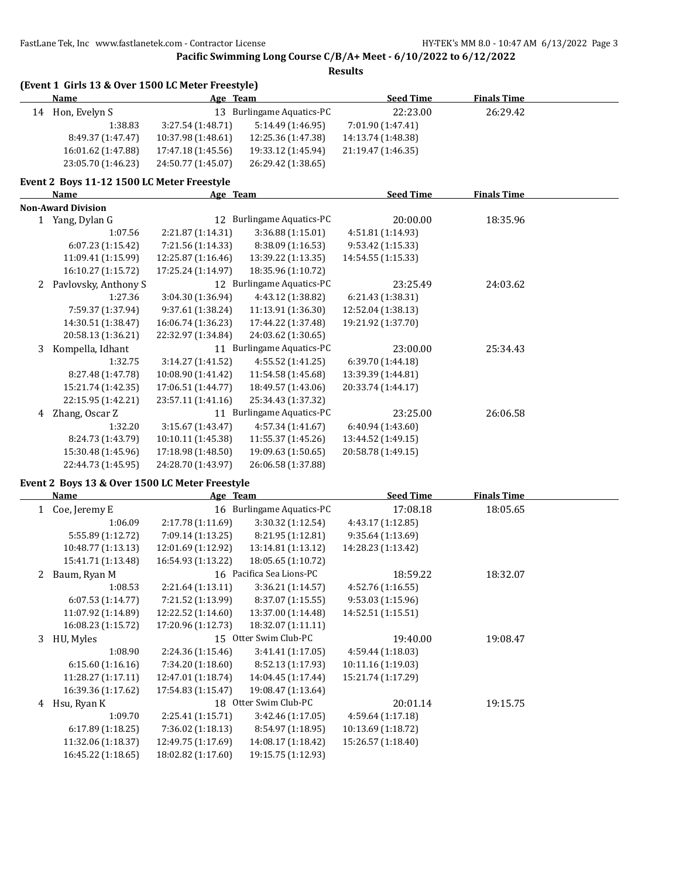**Pacific Swimming Long Course C/B/A+ Meet - 6/10/2022 to 6/12/2022**

**Results**

| (Event 1 Girls 13 & Over 1500 LC Meter Freestyle) |                    |                           |                    |                    |  |
|---------------------------------------------------|--------------------|---------------------------|--------------------|--------------------|--|
| <b>Name</b>                                       | Age Team           |                           | <b>Seed Time</b>   | <b>Finals Time</b> |  |
| 14 Hon, Evelyn S                                  |                    | 13 Burlingame Aquatics-PC | 22:23.00           | 26:29.42           |  |
| 1:38.83                                           | 3:27.54 (1:48.71)  | 5:14.49 (1:46.95)         | 7:01.90 (1:47.41)  |                    |  |
| 8:49.37 (1:47.47)                                 | 10:37.98 (1:48.61) | 12:25.36 (1:47.38)        | 14:13.74 (1:48.38) |                    |  |
| 16:01.62 (1:47.88)                                | 17:47.18 (1:45.56) | 19:33.12 (1:45.94)        | 21:19.47 (1:46.35) |                    |  |
| 23:05.70 (1:46.23)                                | 24:50.77 (1:45.07) | 26:29.42 (1:38.65)        |                    |                    |  |
| Event 2 Boys 11-12 1500 LC Meter Freestyle        |                    |                           |                    |                    |  |
| Name                                              | Age Team           |                           | <b>Seed Time</b>   | <b>Finals Time</b> |  |
| <b>Non-Award Division</b>                         |                    |                           |                    |                    |  |
| 1 Yang, Dylan G                                   |                    | 12 Burlingame Aquatics-PC | 20:00.00           | 18:35.96           |  |
| 1:07.56                                           | 2:21.87 (1:14.31)  | 3:36.88 (1:15.01)         | 4:51.81 (1:14.93)  |                    |  |
| 6:07.23 (1:15.42)                                 | 7:21.56 (1:14.33)  | 8:38.09 (1:16.53)         | 9:53.42 (1:15.33)  |                    |  |
| 11:09.41 (1:15.99)                                | 12:25.87 (1:16.46) | 13:39.22 (1:13.35)        | 14:54.55 (1:15.33) |                    |  |
| 16:10.27 (1:15.72)                                | 17:25.24 (1:14.97) | 18:35.96 (1:10.72)        |                    |                    |  |
| 2 Pavlovsky, Anthony S                            |                    | 12 Burlingame Aquatics-PC | 23:25.49           | 24:03.62           |  |
| 1:27.36                                           | 3:04.30 (1:36.94)  | 4:43.12 (1:38.82)         | 6:21.43 (1:38.31)  |                    |  |
| 7:59.37 (1:37.94)                                 | 9:37.61 (1:38.24)  | 11:13.91 (1:36.30)        | 12:52.04 (1:38.13) |                    |  |
| 14:30.51 (1:38.47)                                | 16:06.74 (1:36.23) | 17:44.22 (1:37.48)        | 19:21.92 (1:37.70) |                    |  |
| 20:58.13 (1:36.21)                                | 22:32.97 (1:34.84) | 24:03.62 (1:30.65)        |                    |                    |  |
| 3 Kompella, Idhant                                |                    | 11 Burlingame Aquatics-PC | 23:00.00           | 25:34.43           |  |
| 1:32.75                                           | 3:14.27 (1:41.52)  | 4:55.52 (1:41.25)         | 6:39.70 (1:44.18)  |                    |  |
| 8:27.48 (1:47.78)                                 | 10:08.90 (1:41.42) | 11:54.58 (1:45.68)        | 13:39.39 (1:44.81) |                    |  |
| 15:21.74 (1:42.35)                                | 17:06.51 (1:44.77) | 18:49.57 (1:43.06)        | 20:33.74 (1:44.17) |                    |  |
| 22:15.95 (1:42.21)                                | 23:57.11 (1:41.16) | 25:34.43 (1:37.32)        |                    |                    |  |
| 4 Zhang, Oscar Z                                  |                    | 11 Burlingame Aquatics-PC | 23:25.00           | 26:06.58           |  |
| 1:32.20                                           | 3:15.67 (1:43.47)  | 4:57.34 (1:41.67)         | 6:40.94 (1:43.60)  |                    |  |
| 8:24.73 (1:43.79)                                 | 10:10.11 (1:45.38) | 11:55.37 (1:45.26)        | 13:44.52 (1:49.15) |                    |  |
| 15:30.48 (1:45.96)                                | 17:18.98 (1:48.50) | 19:09.63 (1:50.65)        | 20:58.78 (1:49.15) |                    |  |
| 22:44.73 (1:45.95)                                | 24:28.70 (1:43.97) | 26:06.58 (1:37.88)        |                    |                    |  |
| Event 2 Boys 13 & Over 1500 LC Meter Freestyle    |                    |                           |                    |                    |  |
| <b>Name</b>                                       | Age Team           |                           | <b>Seed Time</b>   | <b>Finals Time</b> |  |
| 1 Coe, Jeremy E                                   |                    | 16 Burlingame Aquatics-PC | 17:08.18           | 18:05.65           |  |
| 1:06.09                                           | 2:17.78 (1:11.69)  | 3:30.32 (1:12.54)         | 4:43.17 (1:12.85)  |                    |  |
| 5:55.89 (1:12.72)                                 | 7:09.14 (1:13.25)  | 8:21.95 (1:12.81)         | 9:35.64 (1:13.69)  |                    |  |
| 10:48.77 (1:13.13)                                | 12:01.69 (1:12.92) | 13:14.81 (1:13.12)        | 14:28.23 (1:13.42) |                    |  |
| 15:41.71 (1:13.48)                                | 16:54.93 (1:13.22) | 18:05.65 (1:10.72)        |                    |                    |  |
| 2 Baum, Ryan M                                    |                    | 16 Pacifica Sea Lions-PC  | 18:59.22           | 18:32.07           |  |
| 1:08.53                                           | 2:21.64 (1:13.11)  | 3:36.21 (1:14.57)         | 4:52.76 (1:16.55)  |                    |  |
| 6:07.53 (1:14.77)                                 | 7:21.52 (1:13.99)  | 8:37.07 (1:15.55)         | 9:53.03 (1:15.96)  |                    |  |
| 11:07.92 (1:14.89)                                | 12:22.52 (1:14.60) | 13:37.00 (1:14.48)        | 14:52.51 (1:15.51) |                    |  |
| 16:08.23 (1:15.72)                                | 17:20.96 (1:12.73) | 18:32.07 (1:11.11)        |                    |                    |  |
| 3 HU, Myles                                       |                    | 15 Otter Swim Club-PC     | 19:40.00           | 19:08.47           |  |
| 1:08.90                                           | 2:24.36 (1:15.46)  | 3:41.41 (1:17.05)         | 4:59.44 (1:18.03)  |                    |  |
| 6:15.60 (1:16.16)                                 | 7:34.20 (1:18.60)  | 8:52.13 (1:17.93)         | 10:11.16 (1:19.03) |                    |  |
| 11:28.27 (1:17.11)                                | 12:47.01 (1:18.74) | 14:04.45 (1:17.44)        | 15:21.74 (1:17.29) |                    |  |
| 16:39.36 (1:17.62)                                | 17:54.83 (1:15.47) | 19:08.47 (1:13.64)        |                    |                    |  |
| 4 Hsu, Ryan K                                     |                    | 18 Otter Swim Club-PC     | 20:01.14           | 19:15.75           |  |
| 1:09.70                                           | 2:25.41 (1:15.71)  | 3:42.46 (1:17.05)         | 4:59.64 (1:17.18)  |                    |  |
| 6:17.89 (1:18.25)                                 | 7:36.02 (1:18.13)  | 8:54.97 (1:18.95)         | 10:13.69 (1:18.72) |                    |  |

11:32.06 (1:18.37) 12:49.75 (1:17.69) 14:08.17 (1:18.42) 15:26.57 (1:18.40)

16:45.22 (1:18.65) 18:02.82 (1:17.60) 19:15.75 (1:12.93)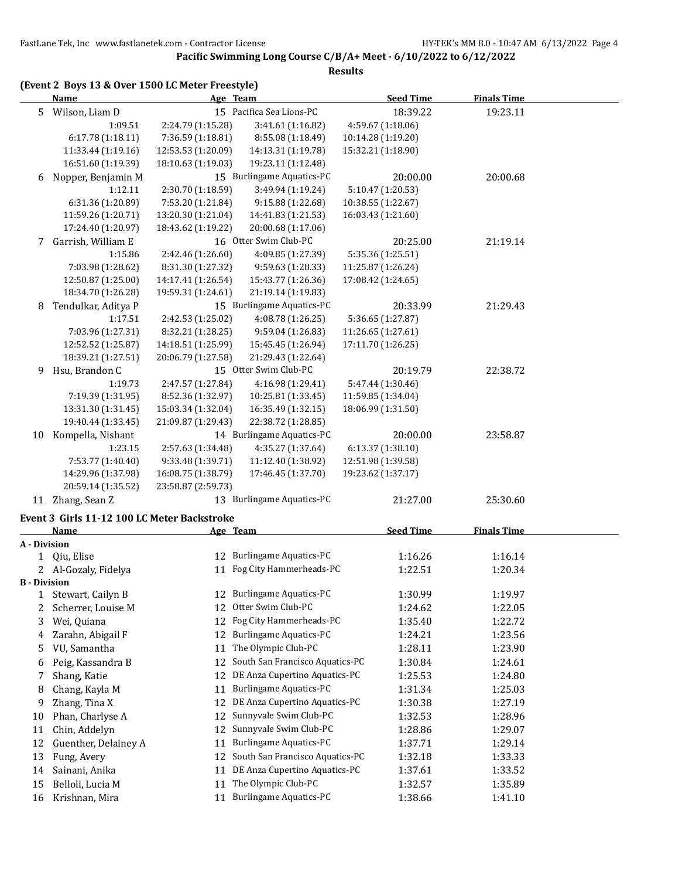## **Pacific Swimming Long Course C/B/A+ Meet - 6/10/2022 to 6/12/2022**

|              | (Event 2 Boys 13 & Over 1500 LC Meter Freestyle)<br><b>Name</b> | Age Team           |                                             | <b>Seed Time</b>                        | <b>Finals Time</b> |  |
|--------------|-----------------------------------------------------------------|--------------------|---------------------------------------------|-----------------------------------------|--------------------|--|
| 5            | Wilson, Liam D                                                  |                    | 15 Pacifica Sea Lions-PC                    | 18:39.22                                | 19:23.11           |  |
|              | 1:09.51                                                         | 2:24.79 (1:15.28)  | 3:41.61 (1:16.82)                           | 4:59.67 (1:18.06)                       |                    |  |
|              | 6:17.78 (1:18.11)                                               | 7:36.59 (1:18.81)  | 8:55.08 (1:18.49)                           | 10:14.28 (1:19.20)                      |                    |  |
|              | 11:33.44 (1:19.16)                                              | 12:53.53 (1:20.09) | 14:13.31 (1:19.78)                          | 15:32.21 (1:18.90)                      |                    |  |
|              | 16:51.60 (1:19.39)                                              | 18:10.63 (1:19.03) | 19:23.11 (1:12.48)                          |                                         |                    |  |
| 6            | Nopper, Benjamin M                                              |                    | 15 Burlingame Aquatics-PC                   | 20:00.00                                | 20:00.68           |  |
|              | 1:12.11                                                         | 2:30.70 (1:18.59)  | 3:49.94 (1:19.24)                           | 5:10.47 (1:20.53)                       |                    |  |
|              | 6:31.36 (1:20.89)                                               | 7:53.20 (1:21.84)  | 9:15.88 (1:22.68)                           | 10:38.55 (1:22.67)                      |                    |  |
|              | 11:59.26 (1:20.71)                                              | 13:20.30 (1:21.04) | 14:41.83 (1:21.53)                          | 16:03.43 (1:21.60)                      |                    |  |
|              | 17:24.40 (1:20.97)                                              | 18:43.62 (1:19.22) | 20:00.68 (1:17.06)                          |                                         |                    |  |
| 7            | Garrish, William E                                              |                    | 16 Otter Swim Club-PC                       | 20:25.00                                | 21:19.14           |  |
|              | 1:15.86                                                         | 2:42.46 (1:26.60)  | 4:09.85 (1:27.39)                           | 5:35.36 (1:25.51)                       |                    |  |
|              | 7:03.98 (1:28.62)                                               | 8:31.30 (1:27.32)  | 9:59.63 (1:28.33)                           | 11:25.87 (1:26.24)                      |                    |  |
|              | 12:50.87 (1:25.00)                                              | 14:17.41 (1:26.54) | 15:43.77 (1:26.36)                          | 17:08.42 (1:24.65)                      |                    |  |
|              | 18:34.70 (1:26.28)                                              | 19:59.31 (1:24.61) | 21:19.14 (1:19.83)                          |                                         |                    |  |
| 8            | Tendulkar, Aditya P                                             |                    | 15 Burlingame Aquatics-PC                   | 20:33.99                                | 21:29.43           |  |
|              | 1:17.51                                                         | 2:42.53 (1:25.02)  | 4:08.78 (1:26.25)                           | 5:36.65 (1:27.87)                       |                    |  |
|              | 7:03.96 (1:27.31)                                               | 8:32.21 (1:28.25)  | 9:59.04 (1:26.83)                           | 11:26.65 (1:27.61)                      |                    |  |
|              | 12:52.52 (1:25.87)<br>18:39.21 (1:27.51)                        | 14:18.51 (1:25.99) | 15:45.45 (1:26.94)                          | 17:11.70 (1:26.25)                      |                    |  |
|              |                                                                 | 20:06.79 (1:27.58) | 21:29.43 (1:22.64)<br>15 Otter Swim Club-PC | 20:19.79                                |                    |  |
| 9            | Hsu, Brandon C<br>1:19.73                                       | 2:47.57 (1:27.84)  | 4:16.98 (1:29.41)                           |                                         | 22:38.72           |  |
|              | 7:19.39 (1:31.95)                                               | 8:52.36 (1:32.97)  | 10:25.81 (1:33.45)                          | 5:47.44 (1:30.46)<br>11:59.85 (1:34.04) |                    |  |
|              | 13:31.30 (1:31.45)                                              | 15:03.34 (1:32.04) | 16:35.49 (1:32.15)                          | 18:06.99 (1:31.50)                      |                    |  |
|              | 19:40.44 (1:33.45)                                              | 21:09.87 (1:29.43) | 22:38.72 (1:28.85)                          |                                         |                    |  |
| 10           | Kompella, Nishant                                               |                    | 14 Burlingame Aquatics-PC                   | 20:00.00                                | 23:58.87           |  |
|              | 1:23.15                                                         | 2:57.63 (1:34.48)  | 4:35.27 (1:37.64)                           | 6:13.37 (1:38.10)                       |                    |  |
|              | 7:53.77 (1:40.40)                                               | 9:33.48 (1:39.71)  | 11:12.40 (1:38.92)                          | 12:51.98 (1:39.58)                      |                    |  |
|              | 14:29.96 (1:37.98)                                              | 16:08.75 (1:38.79) | 17:46.45 (1:37.70)                          | 19:23.62 (1:37.17)                      |                    |  |
|              | 20:59.14 (1:35.52)                                              | 23:58.87 (2:59.73) |                                             |                                         |                    |  |
| 11           | Zhang, Sean Z                                                   |                    | 13 Burlingame Aquatics-PC                   | 21:27.00                                | 25:30.60           |  |
|              | Event 3 Girls 11-12 100 LC Meter Backstroke                     |                    |                                             |                                         |                    |  |
|              | Name                                                            | Age Team           |                                             | <b>Seed Time</b>                        | <b>Finals Time</b> |  |
|              | A - Division                                                    |                    |                                             |                                         |                    |  |
| 1            | Qiu, Elise                                                      |                    | 12 Burlingame Aquatics-PC                   | 1:16.26                                 | 1:16.14            |  |
| $\mathbf{2}$ | Al-Gozaly, Fidelya                                              |                    | 11 Fog City Hammerheads-PC                  | 1:22.51                                 | 1:20.34            |  |
|              | <b>B</b> - Division                                             |                    |                                             |                                         |                    |  |
| $\mathbf{1}$ | Stewart, Cailyn B                                               | 12                 | <b>Burlingame Aquatics-PC</b>               | 1:30.99                                 | 1:19.97            |  |
| 2            | Scherrer, Louise M                                              | 12                 | Otter Swim Club-PC                          | 1:24.62                                 | 1:22.05            |  |
| 3            | Wei, Quiana                                                     | 12                 | Fog City Hammerheads-PC                     | 1:35.40                                 | 1:22.72            |  |
| 4            | Zarahn, Abigail F                                               | 12                 | <b>Burlingame Aquatics-PC</b>               | 1:24.21                                 | 1:23.56            |  |
| 5            | VU, Samantha                                                    | 11                 | The Olympic Club-PC                         | 1:28.11                                 | 1:23.90            |  |
| 6            | Peig, Kassandra B                                               | 12                 | South San Francisco Aquatics-PC             | 1:30.84                                 | 1:24.61            |  |
| 7            | Shang, Katie                                                    | 12                 | DE Anza Cupertino Aquatics-PC               | 1:25.53                                 | 1:24.80            |  |
| 8            | Chang, Kayla M                                                  | 11                 | <b>Burlingame Aquatics-PC</b>               | 1:31.34                                 | 1:25.03            |  |
| 9            | Zhang, Tina X                                                   | 12                 | DE Anza Cupertino Aquatics-PC               | 1:30.38                                 | 1:27.19            |  |
| 10           | Phan, Charlyse A                                                | 12                 | Sunnyvale Swim Club-PC                      | 1:32.53                                 | 1:28.96            |  |
| 11           | Chin, Addelyn                                                   | 12                 | Sunnyvale Swim Club-PC                      | 1:28.86                                 | 1:29.07            |  |
| 12           | Guenther, Delainey A                                            | 11                 | <b>Burlingame Aquatics-PC</b>               | 1:37.71                                 | 1:29.14            |  |
| 13           | Fung, Avery                                                     | 12                 | South San Francisco Aquatics-PC             | 1:32.18                                 | 1:33.33            |  |
| 14           | Sainani, Anika                                                  | 11                 | DE Anza Cupertino Aquatics-PC               | 1:37.61                                 | 1:33.52            |  |
| 15           | Belloli, Lucia M                                                | 11                 | The Olympic Club-PC                         | 1:32.57                                 | 1:35.89            |  |
| 16           | Krishnan, Mira                                                  | 11                 | <b>Burlingame Aquatics-PC</b>               | 1:38.66                                 | 1:41.10            |  |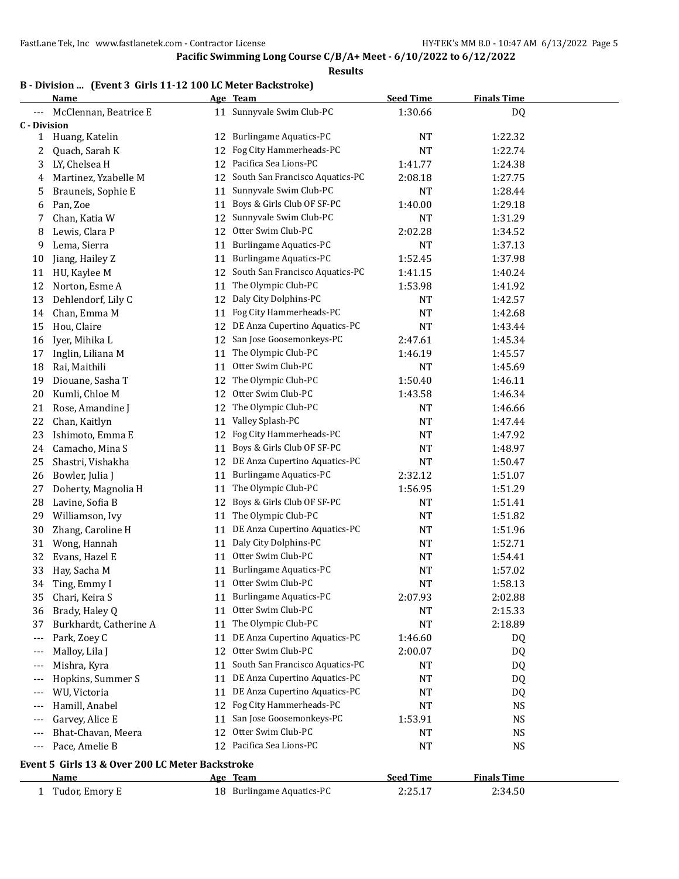**Results**

### **B - Division ... (Event 3 Girls 11-12 100 LC Meter Backstroke)**

|                     | Name                                            |          | Age Team                        | <b>Seed Time</b> | <b>Finals Time</b> |  |
|---------------------|-------------------------------------------------|----------|---------------------------------|------------------|--------------------|--|
|                     | McClennan, Beatrice E                           |          | 11 Sunnyvale Swim Club-PC       | 1:30.66          | DQ                 |  |
| <b>C</b> - Division |                                                 |          |                                 |                  |                    |  |
| $\mathbf{1}$        | Huang, Katelin                                  | 12       | <b>Burlingame Aquatics-PC</b>   | NT               | 1:22.32            |  |
| 2                   | Quach, Sarah K                                  | 12       | Fog City Hammerheads-PC         | <b>NT</b>        | 1:22.74            |  |
| 3                   | LY, Chelsea H                                   | 12       | Pacifica Sea Lions-PC           | 1:41.77          | 1:24.38            |  |
| 4                   | Martinez, Yzabelle M                            | 12       | South San Francisco Aquatics-PC | 2:08.18          | 1:27.75            |  |
| 5                   | Brauneis, Sophie E                              | 11       | Sunnyvale Swim Club-PC          | NT               | 1:28.44            |  |
| 6                   | Pan, Zoe                                        | 11       | Boys & Girls Club OF SF-PC      | 1:40.00          | 1:29.18            |  |
| 7                   | Chan, Katia W                                   | 12       | Sunnyvale Swim Club-PC          | NT               | 1:31.29            |  |
| 8                   | Lewis, Clara P                                  | 12       | Otter Swim Club-PC              | 2:02.28          | 1:34.52            |  |
| 9                   | Lema, Sierra                                    | 11       | <b>Burlingame Aquatics-PC</b>   | <b>NT</b>        | 1:37.13            |  |
| 10                  | Jiang, Hailey Z                                 | 11       | Burlingame Aquatics-PC          | 1:52.45          | 1:37.98            |  |
| 11                  | HU, Kaylee M                                    | 12       | South San Francisco Aquatics-PC | 1:41.15          | 1:40.24            |  |
| 12                  | Norton, Esme A                                  | 11       | The Olympic Club-PC             | 1:53.98          | 1:41.92            |  |
| 13                  | Dehlendorf, Lily C                              | 12       | Daly City Dolphins-PC           | <b>NT</b>        | 1:42.57            |  |
| 14                  | Chan, Emma M                                    | 11       | Fog City Hammerheads-PC         | <b>NT</b>        | 1:42.68            |  |
| 15                  | Hou, Claire                                     | 12       | DE Anza Cupertino Aquatics-PC   | <b>NT</b>        | 1:43.44            |  |
| 16                  | Iyer, Mihika L                                  | 12       | San Jose Goosemonkeys-PC        | 2:47.61          | 1:45.34            |  |
| 17                  | Inglin, Liliana M                               | 11       | The Olympic Club-PC             | 1:46.19          | 1:45.57            |  |
| 18                  | Rai, Maithili                                   | 11       | Otter Swim Club-PC              | <b>NT</b>        | 1:45.69            |  |
| 19                  | Diouane, Sasha T                                | 12       | The Olympic Club-PC             | 1:50.40          | 1:46.11            |  |
| 20                  | Kumli, Chloe M                                  | 12       | Otter Swim Club-PC              | 1:43.58          | 1:46.34            |  |
| 21                  | Rose, Amandine J                                | 12       | The Olympic Club-PC             | <b>NT</b>        | 1:46.66            |  |
| 22                  | Chan, Kaitlyn                                   | 11       | Valley Splash-PC                | <b>NT</b>        | 1:47.44            |  |
| 23                  | Ishimoto, Emma E                                | 12       | Fog City Hammerheads-PC         | NT               | 1:47.92            |  |
| 24                  | Camacho, Mina S                                 | 11       | Boys & Girls Club OF SF-PC      | NT               | 1:48.97            |  |
| 25                  | Shastri, Vishakha                               | 12       | DE Anza Cupertino Aquatics-PC   | <b>NT</b>        | 1:50.47            |  |
| 26                  | Bowler, Julia J                                 | 11       | <b>Burlingame Aquatics-PC</b>   | 2:32.12          | 1:51.07            |  |
| 27                  | Doherty, Magnolia H                             | 11       | The Olympic Club-PC             | 1:56.95          | 1:51.29            |  |
| 28                  | Lavine, Sofia B                                 | 12       | Boys & Girls Club OF SF-PC      | <b>NT</b>        | 1:51.41            |  |
| 29                  | Williamson, Ivy                                 | 11       | The Olympic Club-PC             | NT               | 1:51.82            |  |
| 30                  | Zhang, Caroline H                               | 11       | DE Anza Cupertino Aquatics-PC   | NT               | 1:51.96            |  |
| 31                  | Wong, Hannah                                    | 11       | Daly City Dolphins-PC           | NT               | 1:52.71            |  |
| 32                  | Evans, Hazel E                                  | 11       | Otter Swim Club-PC              | NT               | 1:54.41            |  |
| 33                  | Hay, Sacha M                                    | 11       | <b>Burlingame Aquatics-PC</b>   | NT               | 1:57.02            |  |
| 34                  | Ting, Emmy I                                    | 11       | Otter Swim Club-PC              | NT               | 1:58.13            |  |
| 35                  | Chari, Keira S                                  | 11       | <b>Burlingame Aquatics-PC</b>   | 2:07.93          | 2:02.88            |  |
| 36                  | Brady, Haley Q                                  | 11       | Otter Swim Club-PC              | <b>NT</b>        | 2:15.33            |  |
| 37                  | Burkhardt, Catherine A                          | 11       | The Olympic Club-PC             | <b>NT</b>        | 2:18.89            |  |
| ---                 | Park, Zoey C                                    | 11       | DE Anza Cupertino Aquatics-PC   | 1:46.60          | DQ                 |  |
| ---                 | Malloy, Lila J                                  | 12       | Otter Swim Club-PC              | 2:00.07          | DQ                 |  |
|                     |                                                 |          | South San Francisco Aquatics-PC | NT               |                    |  |
| $---$<br>---        | Mishra, Kyra<br>Hopkins, Summer S               | 11<br>11 | DE Anza Cupertino Aquatics-PC   | <b>NT</b>        | DQ<br>DQ           |  |
|                     | WU, Victoria                                    | 11       | DE Anza Cupertino Aquatics-PC   | NT               | DQ                 |  |
| ---                 | Hamill, Anabel                                  | 12       | Fog City Hammerheads-PC         | <b>NT</b>        | <b>NS</b>          |  |
|                     | Garvey, Alice E                                 | 11       | San Jose Goosemonkeys-PC        | 1:53.91          | <b>NS</b>          |  |
|                     | Bhat-Chavan, Meera                              | 12       | Otter Swim Club-PC              |                  |                    |  |
| ---                 |                                                 |          | Pacifica Sea Lions-PC           | NT               | <b>NS</b>          |  |
| ---                 | Pace, Amelie B                                  | 12       |                                 | NT               | <b>NS</b>          |  |
|                     | Event 5 Girls 13 & Over 200 LC Meter Backstroke |          |                                 |                  |                    |  |
|                     | Name                                            |          | Age Team                        | <b>Seed Time</b> | <b>Finals Time</b> |  |
| 1                   | Tudor, Emory E                                  |          | 18 Burlingame Aquatics-PC       | 2:25.17          | 2:34.50            |  |
|                     |                                                 |          |                                 |                  |                    |  |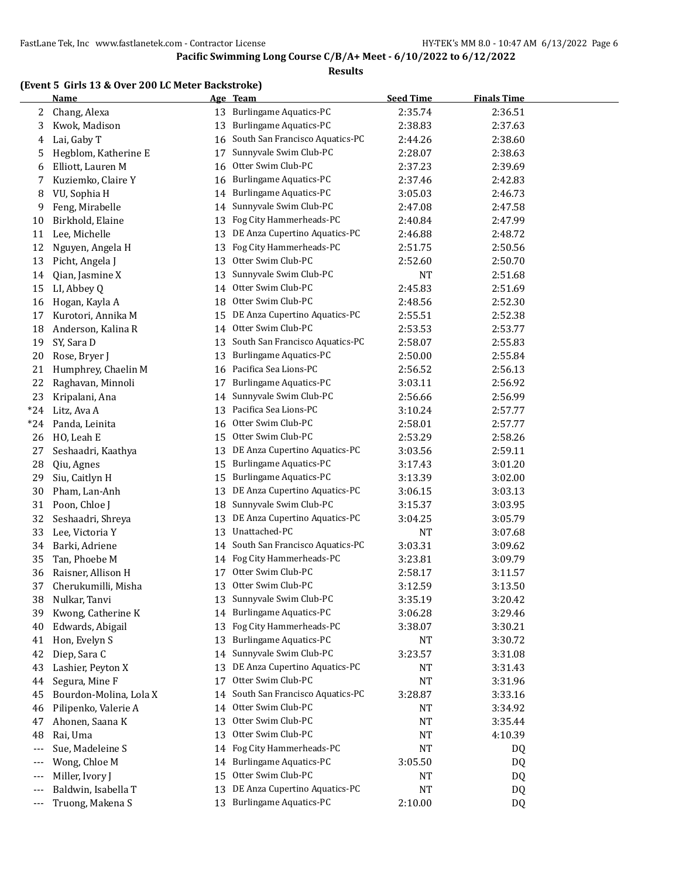#### **Results**

#### **(Event 5 Girls 13 & Over 200 LC Meter Backstroke)**

|                          | <b>Name</b>            |          | Age Team                                 | <b>Seed Time</b> | <b>Finals Time</b> |  |
|--------------------------|------------------------|----------|------------------------------------------|------------------|--------------------|--|
| 2                        | Chang, Alexa           | 13       | <b>Burlingame Aquatics-PC</b>            | 2:35.74          | 2:36.51            |  |
| 3                        | Kwok, Madison          | 13       | <b>Burlingame Aquatics-PC</b>            | 2:38.83          | 2:37.63            |  |
| 4                        | Lai, Gaby T            | 16       | South San Francisco Aquatics-PC          | 2:44.26          | 2:38.60            |  |
| 5                        | Hegblom, Katherine E   | 17       | Sunnyvale Swim Club-PC                   | 2:28.07          | 2:38.63            |  |
| 6                        | Elliott, Lauren M      | 16       | Otter Swim Club-PC                       | 2:37.23          | 2:39.69            |  |
| 7                        | Kuziemko, Claire Y     | 16       | Burlingame Aquatics-PC                   | 2:37.46          | 2:42.83            |  |
| 8                        | VU, Sophia H           | 14       | <b>Burlingame Aquatics-PC</b>            | 3:05.03          | 2:46.73            |  |
| 9                        | Feng, Mirabelle        | 14       | Sunnyvale Swim Club-PC                   | 2:47.08          | 2:47.58            |  |
| 10                       | Birkhold, Elaine       | 13       | Fog City Hammerheads-PC                  | 2:40.84          | 2:47.99            |  |
| 11                       | Lee, Michelle          | 13       | DE Anza Cupertino Aquatics-PC            | 2:46.88          | 2:48.72            |  |
| 12                       | Nguyen, Angela H       | 13       | Fog City Hammerheads-PC                  | 2:51.75          | 2:50.56            |  |
| 13                       | Picht, Angela J        | 13       | Otter Swim Club-PC                       | 2:52.60          | 2:50.70            |  |
| 14                       | Qian, Jasmine X        | 13       | Sunnyvale Swim Club-PC                   | NT               | 2:51.68            |  |
| 15                       | LI, Abbey Q            | 14       | Otter Swim Club-PC                       | 2:45.83          | 2:51.69            |  |
| 16                       | Hogan, Kayla A         | 18       | Otter Swim Club-PC                       | 2:48.56          | 2:52.30            |  |
| 17                       | Kurotori, Annika M     | 15       | DE Anza Cupertino Aquatics-PC            | 2:55.51          | 2:52.38            |  |
| 18                       | Anderson, Kalina R     | 14       | Otter Swim Club-PC                       | 2:53.53          | 2:53.77            |  |
| 19                       | SY, Sara D             | 13       | South San Francisco Aquatics-PC          | 2:58.07          | 2:55.83            |  |
| 20                       | Rose, Bryer J          | 13       | <b>Burlingame Aquatics-PC</b>            | 2:50.00          | 2:55.84            |  |
| 21                       | Humphrey, Chaelin M    | 16       | Pacifica Sea Lions-PC                    | 2:56.52          | 2:56.13            |  |
| 22                       | Raghavan, Minnoli      | 17       | Burlingame Aquatics-PC                   | 3:03.11          | 2:56.92            |  |
| 23                       | Kripalani, Ana         | 14       | Sunnyvale Swim Club-PC                   | 2:56.66          | 2:56.99            |  |
| $*24$                    | Litz, Ava A            | 13       | Pacifica Sea Lions-PC                    | 3:10.24          | 2:57.77            |  |
| $*24$                    | Panda, Leinita         | 16       | Otter Swim Club-PC                       | 2:58.01          | 2:57.77            |  |
| 26                       | HO, Leah E             | 15       | Otter Swim Club-PC                       | 2:53.29          | 2:58.26            |  |
| 27                       | Seshaadri, Kaathya     | 13       | DE Anza Cupertino Aquatics-PC            | 3:03.56          | 2:59.11            |  |
| 28                       | Qiu, Agnes             | 15       | <b>Burlingame Aquatics-PC</b>            | 3:17.43          | 3:01.20            |  |
| 29                       | Siu, Caitlyn H         | 15       | <b>Burlingame Aquatics-PC</b>            | 3:13.39          | 3:02.00            |  |
| 30                       | Pham, Lan-Anh          | 13       | DE Anza Cupertino Aquatics-PC            | 3:06.15          | 3:03.13            |  |
| 31                       | Poon, Chloe J          | 18       | Sunnyvale Swim Club-PC                   | 3:15.37          | 3:03.95            |  |
| 32                       | Seshaadri, Shreya      | 13       | DE Anza Cupertino Aquatics-PC            | 3:04.25          | 3:05.79            |  |
| 33                       | Lee, Victoria Y        | 13       | Unattached-PC                            | <b>NT</b>        | 3:07.68            |  |
| 34                       | Barki, Adriene         | 14       | South San Francisco Aquatics-PC          | 3:03.31          | 3:09.62            |  |
| 35                       | Tan, Phoebe M          | 14       | Fog City Hammerheads-PC                  | 3:23.81          | 3:09.79            |  |
| 36                       | Raisner, Allison H     | 17       | Otter Swim Club-PC                       | 2:58.17          | 3:11.57            |  |
| 37                       | Cherukumilli, Misha    | 13       | Otter Swim Club-PC                       | 3:12.59          | 3:13.50            |  |
| 38                       | Nulkar, Tanvi          | 13       | Sunnyvale Swim Club-PC                   | 3:35.19          | 3:20.42            |  |
| 39                       | Kwong, Catherine K     | 14       | <b>Burlingame Aquatics-PC</b>            | 3:06.28          | 3:29.46            |  |
| 40                       | Edwards, Abigail       | 13       | Fog City Hammerheads-PC                  | 3:38.07          | 3:30.21            |  |
| 41                       | Hon, Evelyn S          | 13       | <b>Burlingame Aquatics-PC</b>            | NT               | 3:30.72            |  |
|                          | Diep, Sara C           |          | Sunnyvale Swim Club-PC                   |                  |                    |  |
| 42<br>43                 | Lashier, Peyton X      | 14<br>13 | DE Anza Cupertino Aquatics-PC            | 3:23.57<br>NT    | 3:31.08<br>3:31.43 |  |
|                          |                        | 17       | Otter Swim Club-PC                       |                  | 3:31.96            |  |
| 44                       | Segura, Mine F         |          | South San Francisco Aquatics-PC          | NT               |                    |  |
| 45                       | Bourdon-Molina, Lola X | 14       |                                          | 3:28.87          | 3:33.16            |  |
| 46                       | Pilipenko, Valerie A   | 14       | Otter Swim Club-PC<br>Otter Swim Club-PC | NT               | 3:34.92            |  |
| 47                       | Ahonen, Saana K        | 13       | Otter Swim Club-PC                       | NT               | 3:35.44            |  |
| 48                       | Rai, Uma               | 13       | Fog City Hammerheads-PC                  | NT               | 4:10.39            |  |
| ---                      | Sue, Madeleine S       | 14       |                                          | NT               | DQ                 |  |
| ---                      | Wong, Chloe M          | 14       | <b>Burlingame Aquatics-PC</b>            | 3:05.50          | DQ                 |  |
| ---                      | Miller, Ivory J        | 15       | Otter Swim Club-PC                       | NT               | DQ                 |  |
| $---$                    | Baldwin, Isabella T    | 13       | DE Anza Cupertino Aquatics-PC            | <b>NT</b>        | DQ                 |  |
| $\hspace{0.05cm} \cdots$ | Truong, Makena S       |          | 13 Burlingame Aquatics-PC                | 2:10.00          | DQ                 |  |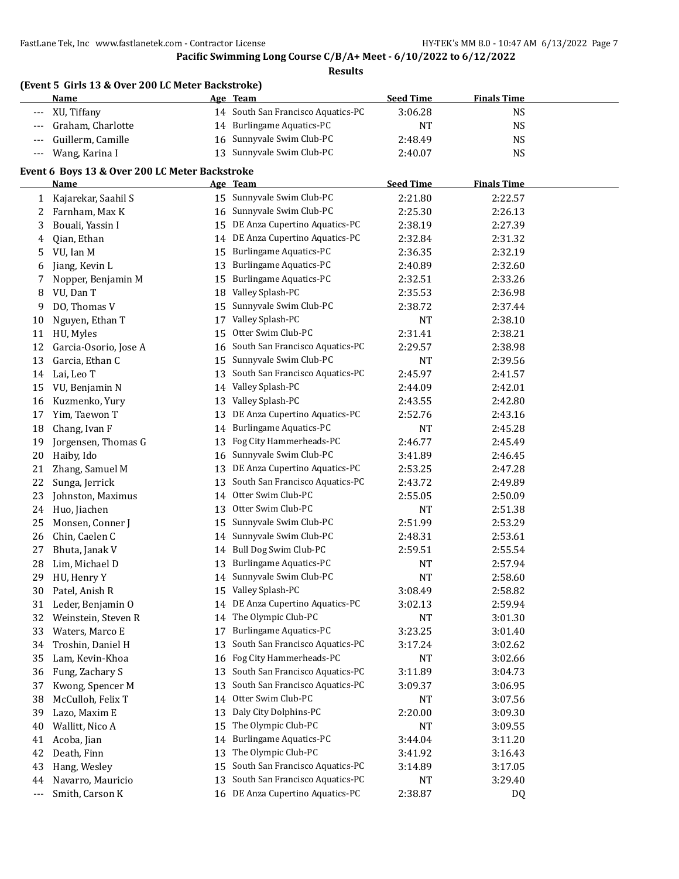|       | (Event 5 Girls 13 & Over 200 LC Meter Backstroke)<br><b>Name</b> |    | Age Team                           | <b>Seed Time</b> | <b>Finals Time</b> |  |
|-------|------------------------------------------------------------------|----|------------------------------------|------------------|--------------------|--|
| ---   | XU, Tiffany                                                      |    | 14 South San Francisco Aquatics-PC | 3:06.28          | $_{\rm NS}$        |  |
| ---   | Graham, Charlotte                                                |    | 14 Burlingame Aquatics-PC          | NT               | <b>NS</b>          |  |
| $---$ | Guillerm, Camille                                                | 16 | Sunnyvale Swim Club-PC             | 2:48.49          | <b>NS</b>          |  |
| $---$ | Wang, Karina I                                                   |    | 13 Sunnyvale Swim Club-PC          | 2:40.07          | <b>NS</b>          |  |
|       |                                                                  |    |                                    |                  |                    |  |
|       | Event 6 Boys 13 & Over 200 LC Meter Backstroke                   |    |                                    |                  |                    |  |
|       | Name                                                             |    | Age Team                           | <b>Seed Time</b> | <b>Finals Time</b> |  |
| 1     | Kajarekar, Saahil S                                              |    | 15 Sunnyvale Swim Club-PC          | 2:21.80          | 2:22.57            |  |
| 2     | Farnham, Max K                                                   |    | 16 Sunnyvale Swim Club-PC          | 2:25.30          | 2:26.13            |  |
| 3     | Bouali, Yassin I                                                 | 15 | DE Anza Cupertino Aquatics-PC      | 2:38.19          | 2:27.39            |  |
| 4     | Qian, Ethan                                                      | 14 | DE Anza Cupertino Aquatics-PC      | 2:32.84          | 2:31.32            |  |
| 5     | VU, Ian M                                                        | 15 | <b>Burlingame Aquatics-PC</b>      | 2:36.35          | 2:32.19            |  |
| 6     | Jiang, Kevin L                                                   | 13 | <b>Burlingame Aquatics-PC</b>      | 2:40.89          | 2:32.60            |  |
| 7     | Nopper, Benjamin M                                               | 15 | Burlingame Aquatics-PC             | 2:32.51          | 2:33.26            |  |
| 8     | VU, Dan T                                                        | 18 | Valley Splash-PC                   | 2:35.53          | 2:36.98            |  |
| 9     | DO, Thomas V                                                     | 15 | Sunnyvale Swim Club-PC             | 2:38.72          | 2:37.44            |  |
| 10    | Nguyen, Ethan T                                                  | 17 | Valley Splash-PC                   | <b>NT</b>        | 2:38.10            |  |
| 11    | HU, Myles                                                        | 15 | Otter Swim Club-PC                 | 2:31.41          | 2:38.21            |  |
| 12    | Garcia-Osorio, Jose A                                            | 16 | South San Francisco Aquatics-PC    | 2:29.57          | 2:38.98            |  |
| 13    | Garcia, Ethan C                                                  | 15 | Sunnyvale Swim Club-PC             | NT               | 2:39.56            |  |
| 14    | Lai, Leo T                                                       | 13 | South San Francisco Aquatics-PC    | 2:45.97          | 2:41.57            |  |
| 15    | VU, Benjamin N                                                   | 14 | Valley Splash-PC                   | 2:44.09          | 2:42.01            |  |
| 16    | Kuzmenko, Yury                                                   | 13 | Valley Splash-PC                   | 2:43.55          | 2:42.80            |  |
| 17    | Yim, Taewon T                                                    | 13 | DE Anza Cupertino Aquatics-PC      | 2:52.76          | 2:43.16            |  |
| 18    | Chang, Ivan F                                                    | 14 | <b>Burlingame Aquatics-PC</b>      | <b>NT</b>        | 2:45.28            |  |
| 19    | Jorgensen, Thomas G                                              | 13 | Fog City Hammerheads-PC            | 2:46.77          | 2:45.49            |  |
| 20    | Haiby, Ido                                                       | 16 | Sunnyvale Swim Club-PC             | 3:41.89          | 2:46.45            |  |
| 21    | Zhang, Samuel M                                                  | 13 | DE Anza Cupertino Aquatics-PC      | 2:53.25          | 2:47.28            |  |
| 22    | Sunga, Jerrick                                                   | 13 | South San Francisco Aquatics-PC    | 2:43.72          | 2:49.89            |  |
| 23    | Johnston, Maximus                                                | 14 | Otter Swim Club-PC                 | 2:55.05          | 2:50.09            |  |
| 24    | Huo, Jiachen                                                     | 13 | Otter Swim Club-PC                 | NT               | 2:51.38            |  |
| 25    | Monsen, Conner J                                                 | 15 | Sunnyvale Swim Club-PC             | 2:51.99          | 2:53.29            |  |
| 26    | Chin, Caelen C                                                   | 14 | Sunnyvale Swim Club-PC             | 2:48.31          | 2:53.61            |  |
| 27    | Bhuta, Janak V                                                   | 14 | Bull Dog Swim Club-PC              | 2:59.51          | 2:55.54            |  |
| 28    | Lim, Michael D                                                   |    | 13 Burlingame Aquatics-PC          | NT               | 2:57.94            |  |
| 29    | HU, Henry Y                                                      | 14 | Sunnyvale Swim Club-PC             | <b>NT</b>        | 2:58.60            |  |
| 30    | Patel, Anish R                                                   | 15 | Valley Splash-PC                   | 3:08.49          | 2:58.82            |  |
| 31    | Leder, Benjamin O                                                | 14 | DE Anza Cupertino Aquatics-PC      | 3:02.13          | 2:59.94            |  |
| 32    | Weinstein, Steven R                                              | 14 | The Olympic Club-PC                | NT               | 3:01.30            |  |
| 33    | Waters, Marco E                                                  | 17 | <b>Burlingame Aquatics-PC</b>      | 3:23.25          | 3:01.40            |  |
| 34    | Troshin, Daniel H                                                | 13 | South San Francisco Aquatics-PC    | 3:17.24          | 3:02.62            |  |
| 35    | Lam, Kevin-Khoa                                                  | 16 | Fog City Hammerheads-PC            | NT               | 3:02.66            |  |
| 36    | Fung, Zachary S                                                  | 13 | South San Francisco Aquatics-PC    | 3:11.89          | 3:04.73            |  |
| 37    | Kwong, Spencer M                                                 | 13 | South San Francisco Aquatics-PC    | 3:09.37          | 3:06.95            |  |
| 38    | McCulloh, Felix T                                                | 14 | Otter Swim Club-PC                 | NT               | 3:07.56            |  |
| 39    | Lazo, Maxim E                                                    | 13 | Daly City Dolphins-PC              | 2:20.00          | 3:09.30            |  |
| 40    | Wallitt, Nico A                                                  | 15 | The Olympic Club-PC                | NT               | 3:09.55            |  |
| 41    | Acoba, Jian                                                      | 14 | Burlingame Aquatics-PC             | 3:44.04          | 3:11.20            |  |
| 42    | Death, Finn                                                      | 13 | The Olympic Club-PC                | 3:41.92          | 3:16.43            |  |
| 43    | Hang, Wesley                                                     | 15 | South San Francisco Aquatics-PC    | 3:14.89          | 3:17.05            |  |
| 44    | Navarro, Mauricio                                                | 13 | South San Francisco Aquatics-PC    | <b>NT</b>        | 3:29.40            |  |
| ---   | Smith, Carson K                                                  |    | 16 DE Anza Cupertino Aquatics-PC   | 2:38.87          | DQ                 |  |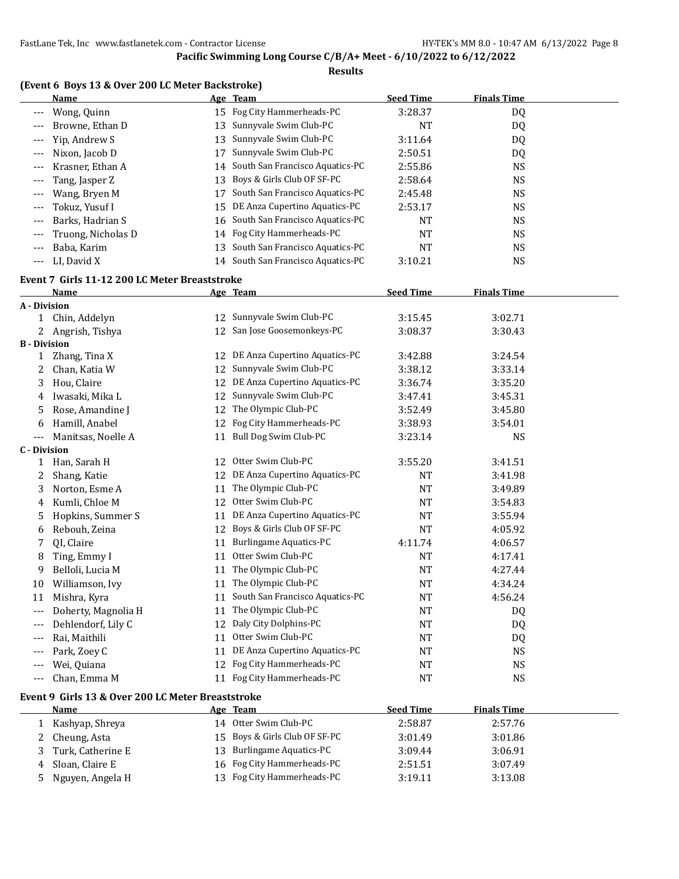#### **Results**

|                     | (Event 6 Boys 13 & Over 200 LC Meter Backstroke)  |    |                                    |                  |                    |  |
|---------------------|---------------------------------------------------|----|------------------------------------|------------------|--------------------|--|
|                     | <b>Name</b>                                       |    | Age Team                           | <b>Seed Time</b> | <b>Finals Time</b> |  |
| ---                 | Wong, Quinn                                       |    | 15 Fog City Hammerheads-PC         | 3:28.37          | DQ                 |  |
|                     | Browne, Ethan D                                   | 13 | Sunnyvale Swim Club-PC             | <b>NT</b>        | DQ                 |  |
| $---$               | Yip, Andrew S                                     | 13 | Sunnyvale Swim Club-PC             | 3:11.64          | DQ                 |  |
| $---$               | Nixon, Jacob D                                    | 17 | Sunnyvale Swim Club-PC             | 2:50.51          | DQ                 |  |
| $---$               | Krasner, Ethan A                                  | 14 | South San Francisco Aquatics-PC    | 2:55.86          | <b>NS</b>          |  |
| $---$               | Tang, Jasper Z                                    | 13 | Boys & Girls Club OF SF-PC         | 2:58.64          | <b>NS</b>          |  |
| $---$               | Wang, Bryen M                                     | 17 | South San Francisco Aquatics-PC    | 2:45.48          | <b>NS</b>          |  |
| $---$               | Tokuz, Yusuf I                                    | 15 | DE Anza Cupertino Aquatics-PC      | 2:53.17          | <b>NS</b>          |  |
| ---                 | Barks, Hadrian S                                  | 16 | South San Francisco Aquatics-PC    | <b>NT</b>        | <b>NS</b>          |  |
| ---                 | Truong, Nicholas D                                | 14 | Fog City Hammerheads-PC            | <b>NT</b>        | <b>NS</b>          |  |
| $---$               | Baba, Karim                                       | 13 | South San Francisco Aquatics-PC    | <b>NT</b>        | <b>NS</b>          |  |
| $---$               | LI, David X                                       |    | 14 South San Francisco Aquatics-PC | 3:10.21          | <b>NS</b>          |  |
|                     | Event 7 Girls 11-12 200 LC Meter Breaststroke     |    |                                    |                  |                    |  |
|                     | Name                                              |    | Age Team                           | <b>Seed Time</b> | <b>Finals Time</b> |  |
| A - Division        |                                                   |    |                                    |                  |                    |  |
| 1                   | Chin, Addelyn                                     |    | 12 Sunnyvale Swim Club-PC          | 3:15.45          | 3:02.71            |  |
| 2                   | Angrish, Tishya                                   |    | 12 San Jose Goosemonkeys-PC        | 3:08.37          | 3:30.43            |  |
| <b>B</b> - Division |                                                   |    |                                    |                  |                    |  |
| 1                   | Zhang, Tina X                                     |    | 12 DE Anza Cupertino Aquatics-PC   | 3:42.88          | 3:24.54            |  |
| 2                   | Chan, Katia W                                     | 12 | Sunnyvale Swim Club-PC             | 3:38.12          | 3:33.14            |  |
| 3                   | Hou, Claire                                       | 12 | DE Anza Cupertino Aquatics-PC      | 3:36.74          | 3:35.20            |  |
| 4                   | Iwasaki, Mika L                                   | 12 | Sunnyvale Swim Club-PC             | 3:47.41          | 3:45.31            |  |
| 5                   | Rose, Amandine J                                  | 12 | The Olympic Club-PC                | 3:52.49          | 3:45.80            |  |
| 6                   | Hamill, Anabel                                    | 12 | Fog City Hammerheads-PC            | 3:38.93          | 3:54.01            |  |
| $---$               | Manitsas, Noelle A                                | 11 | Bull Dog Swim Club-PC              | 3:23.14          | <b>NS</b>          |  |
| <b>C</b> - Division |                                                   |    |                                    |                  |                    |  |
| $\mathbf{1}$        | Han, Sarah H                                      |    | 12 Otter Swim Club-PC              | 3:55.20          | 3:41.51            |  |
| 2                   | Shang, Katie                                      | 12 | DE Anza Cupertino Aquatics-PC      | NT               | 3:41.98            |  |
| 3                   | Norton, Esme A                                    | 11 | The Olympic Club-PC                | <b>NT</b>        | 3:49.89            |  |
| 4                   | Kumli, Chloe M                                    | 12 | Otter Swim Club-PC                 | <b>NT</b>        | 3:54.83            |  |
| 5                   | Hopkins, Summer S                                 | 11 | DE Anza Cupertino Aquatics-PC      | NT               | 3:55.94            |  |
| 6                   | Rebouh, Zeina                                     | 12 | Boys & Girls Club OF SF-PC         | <b>NT</b>        | 4:05.92            |  |
| 7                   | QI, Claire                                        | 11 | <b>Burlingame Aquatics-PC</b>      | 4:11.74          | 4:06.57            |  |
| 8                   | Ting, Emmy I                                      | 11 | Otter Swim Club-PC                 | <b>NT</b>        | 4:17.41            |  |
| 9                   | Belloli, Lucia M                                  |    | 11 The Olympic Club-PC             | <b>NT</b>        | 4:27.44            |  |
| 10                  | Williamson, Ivy                                   |    | 11 The Olympic Club-PC             | NT               | 4:34.24            |  |
| 11                  | Mishra, Kyra                                      | 11 | South San Francisco Aquatics-PC    | NT               | 4:56.24            |  |
| $---$               | Doherty, Magnolia H                               | 11 | The Olympic Club-PC                | NT               | DQ                 |  |
| $---$               | Dehlendorf, Lily C                                | 12 | Daly City Dolphins-PC              | NT               | DQ                 |  |
| $---$               | Rai, Maithili                                     | 11 | Otter Swim Club-PC                 | <b>NT</b>        | DQ                 |  |
| ---                 | Park, Zoey C                                      | 11 | DE Anza Cupertino Aquatics-PC      | <b>NT</b>        | <b>NS</b>          |  |
| ---                 | Wei, Quiana                                       | 12 | Fog City Hammerheads-PC            | <b>NT</b>        | <b>NS</b>          |  |
|                     | Chan, Emma M                                      |    | 11 Fog City Hammerheads-PC         | NT               | <b>NS</b>          |  |
|                     | Event 9 Girls 13 & Over 200 LC Meter Breaststroke |    |                                    |                  |                    |  |
|                     | <b>Name</b>                                       |    | Age Team                           | <b>Seed Time</b> | <b>Finals Time</b> |  |
| 1                   | Kashyap, Shreya                                   |    | 14 Otter Swim Club-PC              | 2:58.87          | 2:57.76            |  |
| 2                   | Cheung, Asta                                      | 15 | Boys & Girls Club OF SF-PC         | 3:01.49          | 3:01.86            |  |
| 3                   | Turk, Catherine E                                 |    | 13 Burlingame Aquatics-PC          | 3:09.44          | 3:06.91            |  |

4 Sloan, Claire E 16 Fog City Hammerheads-PC 2:51.51 3:07.49 5 Nguyen, Angela H 13 Fog City Hammerheads-PC 3:19.11 3:13.08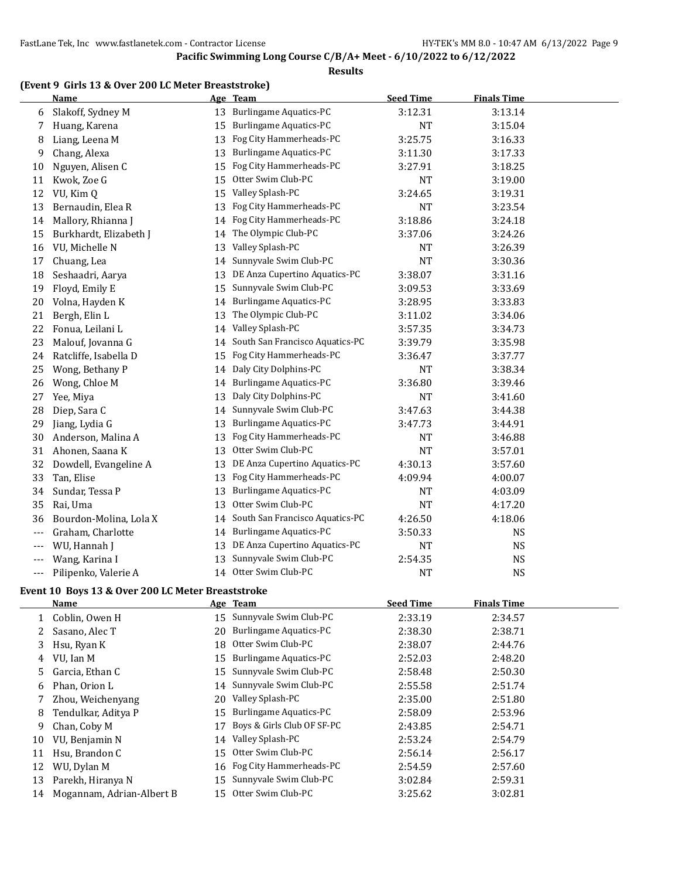#### **Results**

#### **(Event 9 Girls 13 & Over 200 LC Meter Breaststroke)**

|       | <b>Name</b>            |    | Age Team                        | <b>Seed Time</b> | <b>Finals Time</b> |  |
|-------|------------------------|----|---------------------------------|------------------|--------------------|--|
| 6     | Slakoff, Sydney M      | 13 | <b>Burlingame Aquatics-PC</b>   | 3:12.31          | 3:13.14            |  |
| 7     | Huang, Karena          | 15 | <b>Burlingame Aquatics-PC</b>   | <b>NT</b>        | 3:15.04            |  |
| 8     | Liang, Leena M         | 13 | Fog City Hammerheads-PC         | 3:25.75          | 3:16.33            |  |
| 9     | Chang, Alexa           | 13 | <b>Burlingame Aquatics-PC</b>   | 3:11.30          | 3:17.33            |  |
| 10    | Nguyen, Alisen C       | 15 | Fog City Hammerheads-PC         | 3:27.91          | 3:18.25            |  |
| 11    | Kwok, Zoe G            | 15 | Otter Swim Club-PC              | <b>NT</b>        | 3:19.00            |  |
| 12    | VU, Kim Q              | 15 | Valley Splash-PC                | 3:24.65          | 3:19.31            |  |
| 13    | Bernaudin, Elea R      | 13 | Fog City Hammerheads-PC         | <b>NT</b>        | 3:23.54            |  |
| 14    | Mallory, Rhianna J     | 14 | Fog City Hammerheads-PC         | 3:18.86          | 3:24.18            |  |
| 15    | Burkhardt, Elizabeth J | 14 | The Olympic Club-PC             | 3:37.06          | 3:24.26            |  |
| 16    | VU, Michelle N         | 13 | Valley Splash-PC                | NT               | 3:26.39            |  |
| 17    | Chuang, Lea            | 14 | Sunnyvale Swim Club-PC          | <b>NT</b>        | 3:30.36            |  |
| 18    | Seshaadri, Aarya       | 13 | DE Anza Cupertino Aquatics-PC   | 3:38.07          | 3:31.16            |  |
| 19    | Floyd, Emily E         | 15 | Sunnyvale Swim Club-PC          | 3:09.53          | 3:33.69            |  |
| 20    | Volna, Hayden K        | 14 | <b>Burlingame Aquatics-PC</b>   | 3:28.95          | 3:33.83            |  |
| 21    | Bergh, Elin L          | 13 | The Olympic Club-PC             | 3:11.02          | 3:34.06            |  |
| 22    | Fonua, Leilani L       | 14 | Valley Splash-PC                | 3:57.35          | 3:34.73            |  |
| 23    | Malouf, Jovanna G      | 14 | South San Francisco Aquatics-PC | 3:39.79          | 3:35.98            |  |
| 24    | Ratcliffe, Isabella D  | 15 | Fog City Hammerheads-PC         | 3:36.47          | 3:37.77            |  |
| 25    | Wong, Bethany P        | 14 | Daly City Dolphins-PC           | <b>NT</b>        | 3:38.34            |  |
| 26    | Wong, Chloe M          | 14 | <b>Burlingame Aquatics-PC</b>   | 3:36.80          | 3:39.46            |  |
| 27    | Yee, Miya              | 13 | Daly City Dolphins-PC           | <b>NT</b>        | 3:41.60            |  |
| 28    | Diep, Sara C           | 14 | Sunnyvale Swim Club-PC          | 3:47.63          | 3:44.38            |  |
| 29    | Jiang, Lydia G         | 13 | <b>Burlingame Aquatics-PC</b>   | 3:47.73          | 3:44.91            |  |
| 30    | Anderson, Malina A     | 13 | Fog City Hammerheads-PC         | NT               | 3:46.88            |  |
| 31    | Ahonen, Saana K        | 13 | Otter Swim Club-PC              | <b>NT</b>        | 3:57.01            |  |
| 32    | Dowdell, Evangeline A  | 13 | DE Anza Cupertino Aquatics-PC   | 4:30.13          | 3:57.60            |  |
| 33    | Tan, Elise             | 13 | Fog City Hammerheads-PC         | 4:09.94          | 4:00.07            |  |
| 34    | Sundar, Tessa P        | 13 | <b>Burlingame Aquatics-PC</b>   | NT               | 4:03.09            |  |
| 35    | Rai, Uma               | 13 | Otter Swim Club-PC              | NT               | 4:17.20            |  |
| 36    | Bourdon-Molina, Lola X | 14 | South San Francisco Aquatics-PC | 4:26.50          | 4:18.06            |  |
| ---   | Graham, Charlotte      | 14 | <b>Burlingame Aquatics-PC</b>   | 3:50.33          | <b>NS</b>          |  |
| $---$ | WU, Hannah J           | 13 | DE Anza Cupertino Aquatics-PC   | <b>NT</b>        | <b>NS</b>          |  |
|       | Wang, Karina I         | 13 | Sunnyvale Swim Club-PC          | 2:54.35          | <b>NS</b>          |  |
| ---   | Pilipenko, Valerie A   | 14 | Otter Swim Club-PC              | <b>NT</b>        | <b>NS</b>          |  |

#### **Event 10 Boys 13 & Over 200 LC Meter Breaststroke**

|    | <b>Name</b>               |    | Age Team                      | <b>Seed Time</b> | <b>Finals Time</b> |  |
|----|---------------------------|----|-------------------------------|------------------|--------------------|--|
|    | Coblin, Owen H            | 15 | Sunnyvale Swim Club-PC        | 2:33.19          | 2:34.57            |  |
|    | Sasano, Alec T            | 20 | <b>Burlingame Aquatics-PC</b> | 2:38.30          | 2:38.71            |  |
| 3  | Hsu, Ryan K               | 18 | Otter Swim Club-PC            | 2:38.07          | 2:44.76            |  |
| 4  | VU, Ian M                 | 15 | <b>Burlingame Aquatics-PC</b> | 2:52.03          | 2:48.20            |  |
| 5. | Garcia, Ethan C           | 15 | Sunnyvale Swim Club-PC        | 2:58.48          | 2:50.30            |  |
| 6  | Phan, Orion L             | 14 | Sunnyvale Swim Club-PC        | 2:55.58          | 2:51.74            |  |
|    | Zhou, Weichenyang         | 20 | Valley Splash-PC              | 2:35.00          | 2:51.80            |  |
| 8  | Tendulkar, Aditya P       | 15 | Burlingame Aquatics-PC        | 2:58.09          | 2:53.96            |  |
| 9  | Chan, Coby M              | 17 | Boys & Girls Club OF SF-PC    | 2:43.85          | 2:54.71            |  |
| 10 | VU, Benjamin N            | 14 | Valley Splash-PC              | 2:53.24          | 2:54.79            |  |
| 11 | Hsu, Brandon C            | 15 | Otter Swim Club-PC            | 2:56.14          | 2:56.17            |  |
| 12 | WU, Dylan M               |    | 16 Fog City Hammerheads-PC    | 2:54.59          | 2:57.60            |  |
| 13 | Parekh, Hiranya N         | 15 | Sunnyvale Swim Club-PC        | 3:02.84          | 2:59.31            |  |
| 14 | Mogannam, Adrian-Albert B | 15 | Otter Swim Club-PC            | 3:25.62          | 3:02.81            |  |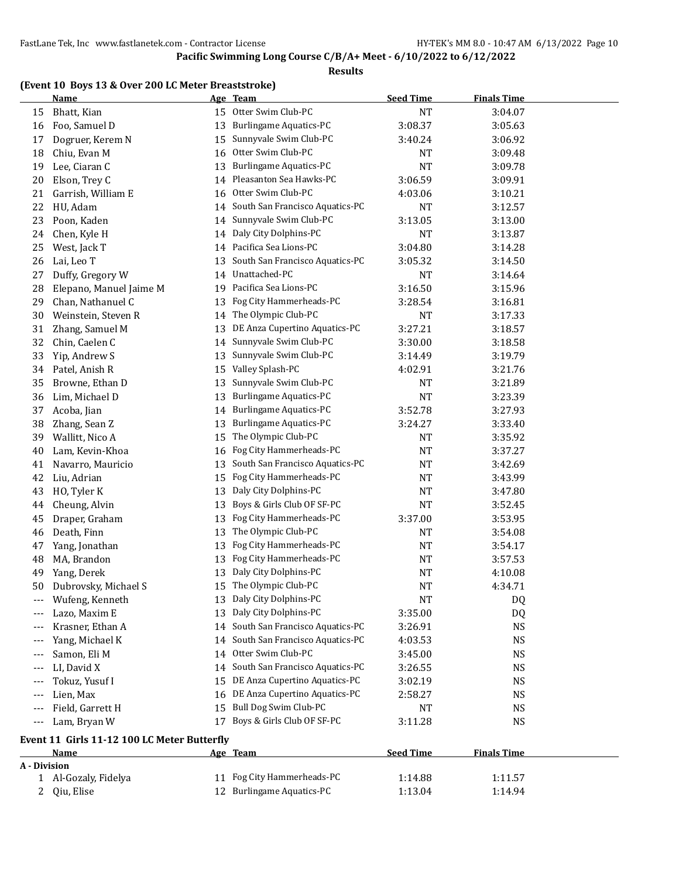#### **Results**

#### **(Event 10 Boys 13 & Over 200 LC Meter Breaststroke)**

|              | <b>Name</b>                                 |    | Age Team                        | <b>Seed Time</b> | <b>Finals Time</b> |  |
|--------------|---------------------------------------------|----|---------------------------------|------------------|--------------------|--|
| 15           | Bhatt, Kian                                 | 15 | Otter Swim Club-PC              | <b>NT</b>        | 3:04.07            |  |
| 16           | Foo, Samuel D                               | 13 | <b>Burlingame Aquatics-PC</b>   | 3:08.37          | 3:05.63            |  |
| 17           | Dogruer, Kerem N                            | 15 | Sunnyvale Swim Club-PC          | 3:40.24          | 3:06.92            |  |
| 18           | Chiu, Evan M                                | 16 | Otter Swim Club-PC              | <b>NT</b>        | 3:09.48            |  |
| 19           | Lee, Ciaran C                               | 13 | <b>Burlingame Aquatics-PC</b>   | <b>NT</b>        | 3:09.78            |  |
| 20           | Elson, Trey C                               | 14 | Pleasanton Sea Hawks-PC         | 3:06.59          | 3:09.91            |  |
| 21           | Garrish, William E                          | 16 | Otter Swim Club-PC              | 4:03.06          | 3:10.21            |  |
| 22           | HU, Adam                                    | 14 | South San Francisco Aquatics-PC | <b>NT</b>        | 3:12.57            |  |
| 23           | Poon, Kaden                                 | 14 | Sunnyvale Swim Club-PC          | 3:13.05          | 3:13.00            |  |
| 24           | Chen, Kyle H                                | 14 | Daly City Dolphins-PC           | <b>NT</b>        | 3:13.87            |  |
| 25           | West, Jack T                                | 14 | Pacifica Sea Lions-PC           | 3:04.80          | 3:14.28            |  |
| 26           | Lai, Leo T                                  | 13 | South San Francisco Aquatics-PC | 3:05.32          | 3:14.50            |  |
| 27           | Duffy, Gregory W                            | 14 | Unattached-PC                   | <b>NT</b>        | 3:14.64            |  |
| 28           | Elepano, Manuel Jaime M                     | 19 | Pacifica Sea Lions-PC           | 3:16.50          | 3:15.96            |  |
| 29           | Chan, Nathanuel C                           | 13 | Fog City Hammerheads-PC         | 3:28.54          | 3:16.81            |  |
| 30           | Weinstein, Steven R                         | 14 | The Olympic Club-PC             | NT               | 3:17.33            |  |
| 31           | Zhang, Samuel M                             | 13 | DE Anza Cupertino Aquatics-PC   | 3:27.21          | 3:18.57            |  |
| 32           | Chin, Caelen C                              | 14 | Sunnyvale Swim Club-PC          | 3:30.00          | 3:18.58            |  |
| 33           | Yip, Andrew S                               | 13 | Sunnyvale Swim Club-PC          | 3:14.49          | 3:19.79            |  |
| 34           | Patel, Anish R                              | 15 | Valley Splash-PC                | 4:02.91          | 3:21.76            |  |
| 35           | Browne, Ethan D                             | 13 | Sunnyvale Swim Club-PC          | NT               | 3:21.89            |  |
| 36           | Lim, Michael D                              | 13 | <b>Burlingame Aquatics-PC</b>   | <b>NT</b>        | 3:23.39            |  |
| 37           | Acoba, Jian                                 | 14 | <b>Burlingame Aquatics-PC</b>   | 3:52.78          | 3:27.93            |  |
| 38           | Zhang, Sean Z                               | 13 | <b>Burlingame Aquatics-PC</b>   | 3:24.27          | 3:33.40            |  |
| 39           | Wallitt, Nico A                             | 15 | The Olympic Club-PC             | NT               | 3:35.92            |  |
| 40           | Lam, Kevin-Khoa                             | 16 | Fog City Hammerheads-PC         | NT               | 3:37.27            |  |
| 41           | Navarro, Mauricio                           | 13 | South San Francisco Aquatics-PC | NT               | 3:42.69            |  |
| 42           | Liu, Adrian                                 | 15 | Fog City Hammerheads-PC         | <b>NT</b>        | 3:43.99            |  |
| 43           | HO, Tyler K                                 | 13 | Daly City Dolphins-PC           | NT               | 3:47.80            |  |
| 44           | Cheung, Alvin                               | 13 | Boys & Girls Club OF SF-PC      | NT               | 3:52.45            |  |
| 45           | Draper, Graham                              | 13 | Fog City Hammerheads-PC         | 3:37.00          | 3:53.95            |  |
| 46           | Death, Finn                                 | 13 | The Olympic Club-PC             | NT               | 3:54.08            |  |
| 47           | Yang, Jonathan                              | 13 | Fog City Hammerheads-PC         | NT               | 3:54.17            |  |
| 48           | MA, Brandon                                 | 13 | Fog City Hammerheads-PC         | NT               | 3:57.53            |  |
| 49           | Yang, Derek                                 | 13 | Daly City Dolphins-PC           | NT               | 4:10.08            |  |
| 50           | Dubrovsky, Michael S                        | 15 | The Olympic Club-PC             | <b>NT</b>        | 4:34.71            |  |
|              | Wufeng, Kenneth                             |    | 13 Daly City Dolphins-PC        | <b>NT</b>        | DQ                 |  |
|              | Lazo, Maxim E                               |    | 13 Daly City Dolphins-PC        | 3:35.00          | DQ                 |  |
|              | Krasner, Ethan A                            | 14 | South San Francisco Aquatics-PC | 3:26.91          | <b>NS</b>          |  |
|              | Yang, Michael K                             | 14 | South San Francisco Aquatics-PC | 4:03.53          | <b>NS</b>          |  |
| ---          | Samon, Eli M                                | 14 | Otter Swim Club-PC              | 3:45.00          | <b>NS</b>          |  |
| ---          | LI, David X                                 | 14 | South San Francisco Aquatics-PC | 3:26.55          | <b>NS</b>          |  |
|              | Tokuz, Yusuf I                              | 15 | DE Anza Cupertino Aquatics-PC   | 3:02.19          | <b>NS</b>          |  |
|              | Lien, Max                                   | 16 | DE Anza Cupertino Aquatics-PC   | 2:58.27          | <b>NS</b>          |  |
| $---$        | Field, Garrett H                            | 15 | Bull Dog Swim Club-PC           | <b>NT</b>        | <b>NS</b>          |  |
| ---          |                                             | 17 | Boys & Girls Club OF SF-PC      |                  | <b>NS</b>          |  |
| $---$        | Lam, Bryan W                                |    |                                 | 3:11.28          |                    |  |
|              | Event 11 Girls 11-12 100 LC Meter Butterfly |    |                                 |                  |                    |  |
|              | Name                                        |    | Age Team                        | <b>Seed Time</b> | <b>Finals Time</b> |  |
| A - Division |                                             |    |                                 |                  |                    |  |
|              | 1 Al-Gozaly, Fidelya                        | 11 | Fog City Hammerheads-PC         | 1:14.88          | 1:11.57            |  |
| 2            | Qiu, Elise                                  |    | 12 Burlingame Aquatics-PC       | 1:13.04          | 1:14.94            |  |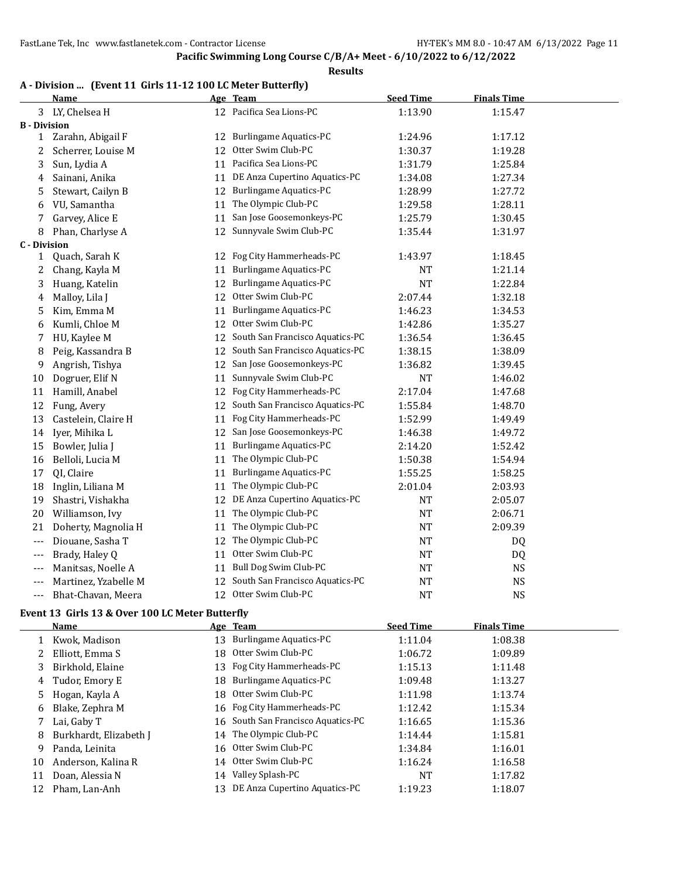#### **Results**

### **A - Division ... (Event 11 Girls 11-12 100 LC Meter Butterfly)**

|                     | Name                 |    | Age Team                           | <b>Seed Time</b> | <b>Finals Time</b> |  |
|---------------------|----------------------|----|------------------------------------|------------------|--------------------|--|
|                     | 3 LY, Chelsea H      |    | 12 Pacifica Sea Lions-PC           | 1:13.90          | 1:15.47            |  |
| <b>B</b> - Division |                      |    |                                    |                  |                    |  |
| 1                   | Zarahn, Abigail F    | 12 | <b>Burlingame Aquatics-PC</b>      | 1:24.96          | 1:17.12            |  |
| 2                   | Scherrer, Louise M   | 12 | Otter Swim Club-PC                 | 1:30.37          | 1:19.28            |  |
| 3                   | Sun, Lydia A         | 11 | Pacifica Sea Lions-PC              | 1:31.79          | 1:25.84            |  |
| 4                   | Sainani, Anika       |    | 11 DE Anza Cupertino Aquatics-PC   | 1:34.08          | 1:27.34            |  |
| 5                   | Stewart, Cailyn B    | 12 | <b>Burlingame Aquatics-PC</b>      | 1:28.99          | 1:27.72            |  |
| 6                   | VU, Samantha         | 11 | The Olympic Club-PC                | 1:29.58          | 1:28.11            |  |
| 7                   | Garvey, Alice E      | 11 | San Jose Goosemonkeys-PC           | 1:25.79          | 1:30.45            |  |
| 8                   | Phan, Charlyse A     | 12 | Sunnyvale Swim Club-PC             | 1:35.44          | 1:31.97            |  |
| <b>C</b> - Division |                      |    |                                    |                  |                    |  |
| 1                   | Quach, Sarah K       | 12 | Fog City Hammerheads-PC            | 1:43.97          | 1:18.45            |  |
| 2                   | Chang, Kayla M       | 11 | <b>Burlingame Aquatics-PC</b>      | <b>NT</b>        | 1:21.14            |  |
| 3                   | Huang, Katelin       |    | 12 Burlingame Aquatics-PC          | <b>NT</b>        | 1:22.84            |  |
| 4                   | Malloy, Lila J       | 12 | Otter Swim Club-PC                 | 2:07.44          | 1:32.18            |  |
| 5                   | Kim, Emma M          | 11 | <b>Burlingame Aquatics-PC</b>      | 1:46.23          | 1:34.53            |  |
| 6                   | Kumli, Chloe M       | 12 | Otter Swim Club-PC                 | 1:42.86          | 1:35.27            |  |
| 7                   | HU, Kaylee M         | 12 | South San Francisco Aquatics-PC    | 1:36.54          | 1:36.45            |  |
| 8                   | Peig, Kassandra B    | 12 | South San Francisco Aquatics-PC    | 1:38.15          | 1:38.09            |  |
| 9                   | Angrish, Tishya      | 12 | San Jose Goosemonkeys-PC           | 1:36.82          | 1:39.45            |  |
| 10                  | Dogruer, Elif N      | 11 | Sunnyvale Swim Club-PC             | <b>NT</b>        | 1:46.02            |  |
| 11                  | Hamill, Anabel       |    | 12 Fog City Hammerheads-PC         | 2:17.04          | 1:47.68            |  |
| 12                  | Fung, Avery          |    | 12 South San Francisco Aquatics-PC | 1:55.84          | 1:48.70            |  |
| 13                  | Castelein, Claire H  | 11 | Fog City Hammerheads-PC            | 1:52.99          | 1:49.49            |  |
| 14                  | Iyer, Mihika L       |    | 12 San Jose Goosemonkeys-PC        | 1:46.38          | 1:49.72            |  |
| 15                  | Bowler, Julia J      |    | 11 Burlingame Aquatics-PC          | 2:14.20          | 1:52.42            |  |
| 16                  | Belloli, Lucia M     |    | 11 The Olympic Club-PC             | 1:50.38          | 1:54.94            |  |
| 17                  | QI, Claire           |    | 11 Burlingame Aquatics-PC          | 1:55.25          | 1:58.25            |  |
| 18                  | Inglin, Liliana M    |    | 11 The Olympic Club-PC             | 2:01.04          | 2:03.93            |  |
| 19                  | Shastri, Vishakha    |    | 12 DE Anza Cupertino Aquatics-PC   | <b>NT</b>        | 2:05.07            |  |
| 20                  | Williamson, Ivy      |    | 11 The Olympic Club-PC             | <b>NT</b>        | 2:06.71            |  |
| 21                  | Doherty, Magnolia H  | 11 | The Olympic Club-PC                | <b>NT</b>        | 2:09.39            |  |
| $---$               | Diouane, Sasha T     | 12 | The Olympic Club-PC                | <b>NT</b>        | DQ                 |  |
| ---                 | Brady, Haley Q       | 11 | Otter Swim Club-PC                 | NT               | DQ                 |  |
| ---                 | Manitsas, Noelle A   | 11 | Bull Dog Swim Club-PC              | <b>NT</b>        | <b>NS</b>          |  |
| ---                 | Martinez, Yzabelle M | 12 | South San Francisco Aquatics-PC    | <b>NT</b>        | <b>NS</b>          |  |
| ---                 | Bhat-Chavan, Meera   |    | 12 Otter Swim Club-PC              | <b>NT</b>        | <b>NS</b>          |  |

#### **Event 13 Girls 13 & Over 100 LC Meter Butterfly**

|    | Name                   | Age Team                           | <b>Seed Time</b> | <b>Finals Time</b> |
|----|------------------------|------------------------------------|------------------|--------------------|
|    | Kwok, Madison          | 13 Burlingame Aquatics-PC          | 1:11.04          | 1:08.38            |
|    | Elliott, Emma S        | 18 Otter Swim Club-PC              | 1:06.72          | 1:09.89            |
| 3  | Birkhold, Elaine       | 13 Fog City Hammerheads-PC         | 1:15.13          | 1:11.48            |
| 4  | Tudor, Emory E         | 18 Burlingame Aquatics-PC          | 1:09.48          | 1:13.27            |
| 5. | Hogan, Kayla A         | 18 Otter Swim Club-PC              | 1:11.98          | 1:13.74            |
| 6  | Blake, Zephra M        | 16 Fog City Hammerheads-PC         | 1:12.42          | 1:15.34            |
|    | 7 Lai, Gaby T          | 16 South San Francisco Aquatics-PC | 1:16.65          | 1:15.36            |
| 8  | Burkhardt, Elizabeth J | 14 The Olympic Club-PC             | 1:14.44          | 1:15.81            |
| 9  | Panda, Leinita         | 16 Otter Swim Club-PC              | 1:34.84          | 1:16.01            |
| 10 | Anderson, Kalina R     | 14 Otter Swim Club-PC              | 1:16.24          | 1:16.58            |
| 11 | Doan, Alessia N        | 14 Valley Splash-PC                | NT               | 1:17.82            |
| 12 | Pham, Lan-Anh          | 13 DE Anza Cupertino Aquatics-PC   | 1:19.23          | 1:18.07            |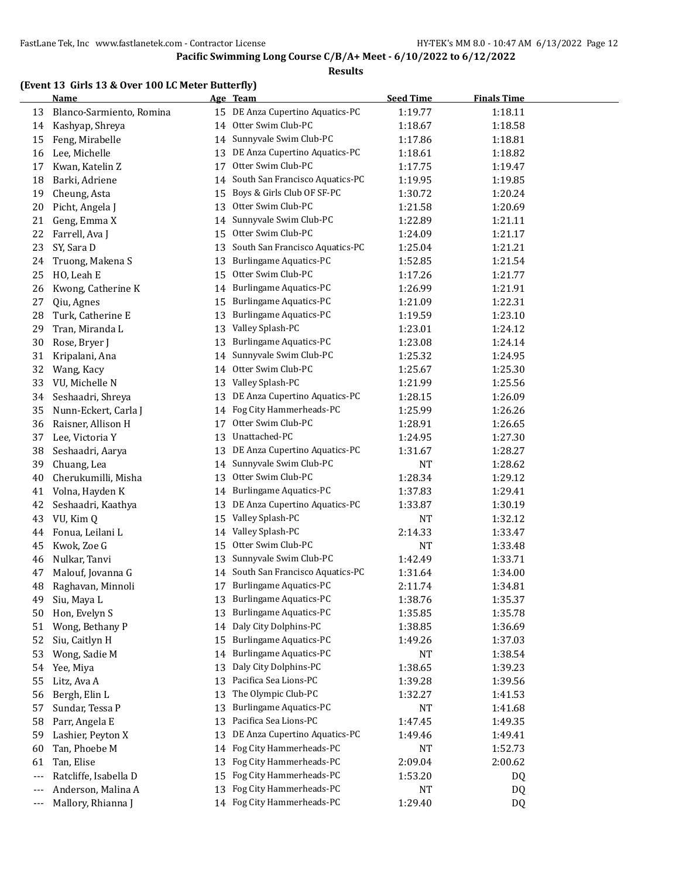#### **Results**

#### **(Event 13 Girls 13 & Over 100 LC Meter Butterfly)**

|       | <b>Name</b>              |    | Age Team                                                     | <b>Seed Time</b> | <b>Finals Time</b> |  |
|-------|--------------------------|----|--------------------------------------------------------------|------------------|--------------------|--|
| 13    | Blanco-Sarmiento, Romina |    | 15 DE Anza Cupertino Aquatics-PC                             | 1:19.77          | 1:18.11            |  |
| 14    | Kashyap, Shreya          | 14 | Otter Swim Club-PC                                           | 1:18.67          | 1:18.58            |  |
| 15    | Feng, Mirabelle          | 14 | Sunnyvale Swim Club-PC                                       | 1:17.86          | 1:18.81            |  |
| 16    | Lee, Michelle            | 13 | DE Anza Cupertino Aquatics-PC                                | 1:18.61          | 1:18.82            |  |
| 17    | Kwan, Katelin Z          | 17 | Otter Swim Club-PC                                           | 1:17.75          | 1:19.47            |  |
| 18    | Barki, Adriene           | 14 | South San Francisco Aquatics-PC                              | 1:19.95          | 1:19.85            |  |
| 19    | Cheung, Asta             | 15 | Boys & Girls Club OF SF-PC                                   | 1:30.72          | 1:20.24            |  |
| 20    | Picht, Angela J          | 13 | Otter Swim Club-PC                                           | 1:21.58          | 1:20.69            |  |
| 21    | Geng, Emma X             | 14 | Sunnyvale Swim Club-PC                                       | 1:22.89          | 1:21.11            |  |
| 22    | Farrell, Ava J           | 15 | Otter Swim Club-PC                                           | 1:24.09          | 1:21.17            |  |
| 23    | SY, Sara D               | 13 | South San Francisco Aquatics-PC                              | 1:25.04          | 1:21.21            |  |
| 24    | Truong, Makena S         | 13 | <b>Burlingame Aquatics-PC</b>                                | 1:52.85          | 1:21.54            |  |
| 25    | HO, Leah E               | 15 | Otter Swim Club-PC                                           | 1:17.26          | 1:21.77            |  |
| 26    | Kwong, Catherine K       |    | 14 Burlingame Aquatics-PC                                    | 1:26.99          | 1:21.91            |  |
| 27    | Qiu, Agnes               | 15 | Burlingame Aquatics-PC                                       | 1:21.09          | 1:22.31            |  |
| 28    | Turk, Catherine E        | 13 | Burlingame Aquatics-PC                                       | 1:19.59          | 1:23.10            |  |
| 29    | Tran, Miranda L          | 13 | Valley Splash-PC                                             | 1:23.01          | 1:24.12            |  |
| 30    | Rose, Bryer J            | 13 | <b>Burlingame Aquatics-PC</b>                                | 1:23.08          | 1:24.14            |  |
| 31    | Kripalani, Ana           | 14 | Sunnyvale Swim Club-PC                                       | 1:25.32          | 1:24.95            |  |
| 32    | Wang, Kacy               | 14 | Otter Swim Club-PC                                           | 1:25.67          | 1:25.30            |  |
| 33    | VU, Michelle N           | 13 | Valley Splash-PC                                             | 1:21.99          | 1:25.56            |  |
| 34    | Seshaadri, Shreya        | 13 | DE Anza Cupertino Aquatics-PC                                | 1:28.15          | 1:26.09            |  |
| 35    | Nunn-Eckert, Carla J     | 14 | Fog City Hammerheads-PC                                      | 1:25.99          | 1:26.26            |  |
| 36    | Raisner, Allison H       | 17 | Otter Swim Club-PC                                           | 1:28.91          | 1:26.65            |  |
| 37    | Lee, Victoria Y          | 13 | Unattached-PC                                                | 1:24.95          | 1:27.30            |  |
| 38    | Seshaadri, Aarya         | 13 | DE Anza Cupertino Aquatics-PC                                | 1:31.67          | 1:28.27            |  |
| 39    | Chuang, Lea              |    | 14 Sunnyvale Swim Club-PC                                    | NT               | 1:28.62            |  |
| 40    | Cherukumilli, Misha      | 13 | Otter Swim Club-PC                                           | 1:28.34          | 1:29.12            |  |
| 41    | Volna, Hayden K          | 14 | <b>Burlingame Aquatics-PC</b>                                | 1:37.83          | 1:29.41            |  |
| 42    | Seshaadri, Kaathya       | 13 | DE Anza Cupertino Aquatics-PC                                |                  |                    |  |
| 43    | VU, Kim Q                | 15 | Valley Splash-PC                                             | 1:33.87          | 1:30.19<br>1:32.12 |  |
|       |                          |    |                                                              | NT               |                    |  |
| 44    | Fonua, Leilani L         | 14 | Valley Splash-PC                                             | 2:14.33          | 1:33.47            |  |
| 45    | Kwok, Zoe G              | 15 | Otter Swim Club-PC                                           | <b>NT</b>        | 1:33.48            |  |
| 46    | Nulkar, Tanvi            | 13 | Sunnyvale Swim Club-PC<br>14 South San Francisco Aquatics-PC | 1:42.49          | 1:33.71            |  |
| 47    | Malouf, Jovanna G        |    |                                                              | 1:31.64          | 1:34.00            |  |
| 48    | Raghavan, Minnoli        | 17 | <b>Burlingame Aquatics-PC</b>                                | 2:11.74          | 1:34.81            |  |
| 49    | Siu, Maya L              | 13 | <b>Burlingame Aquatics-PC</b>                                | 1:38.76          | 1:35.37            |  |
| 50    | Hon, Evelyn S            | 13 | <b>Burlingame Aquatics-PC</b>                                | 1:35.85          | 1:35.78            |  |
| 51    | Wong, Bethany P          | 14 | Daly City Dolphins-PC                                        | 1:38.85          | 1:36.69            |  |
| 52    | Siu, Caitlyn H           | 15 | Burlingame Aquatics-PC                                       | 1:49.26          | 1:37.03            |  |
| 53    | Wong, Sadie M            | 14 | <b>Burlingame Aquatics-PC</b>                                | NT               | 1:38.54            |  |
| 54    | Yee, Miya                | 13 | Daly City Dolphins-PC                                        | 1:38.65          | 1:39.23            |  |
| 55    | Litz, Ava A              | 13 | Pacifica Sea Lions-PC                                        | 1:39.28          | 1:39.56            |  |
| 56    | Bergh, Elin L            | 13 | The Olympic Club-PC                                          | 1:32.27          | 1:41.53            |  |
| 57    | Sundar, Tessa P          | 13 | Burlingame Aquatics-PC                                       | NT               | 1:41.68            |  |
| 58    | Parr, Angela E           | 13 | Pacifica Sea Lions-PC                                        | 1:47.45          | 1:49.35            |  |
| 59    | Lashier, Peyton X        | 13 | DE Anza Cupertino Aquatics-PC                                | 1:49.46          | 1:49.41            |  |
| 60    | Tan, Phoebe M            | 14 | Fog City Hammerheads-PC                                      | NT               | 1:52.73            |  |
| 61    | Tan, Elise               | 13 | Fog City Hammerheads-PC                                      | 2:09.04          | 2:00.62            |  |
| $---$ | Ratcliffe, Isabella D    | 15 | Fog City Hammerheads-PC                                      | 1:53.20          | DQ                 |  |
| $---$ | Anderson, Malina A       | 13 | Fog City Hammerheads-PC                                      | <b>NT</b>        | DQ                 |  |
| ---   | Mallory, Rhianna J       |    | 14 Fog City Hammerheads-PC                                   | 1:29.40          | DQ                 |  |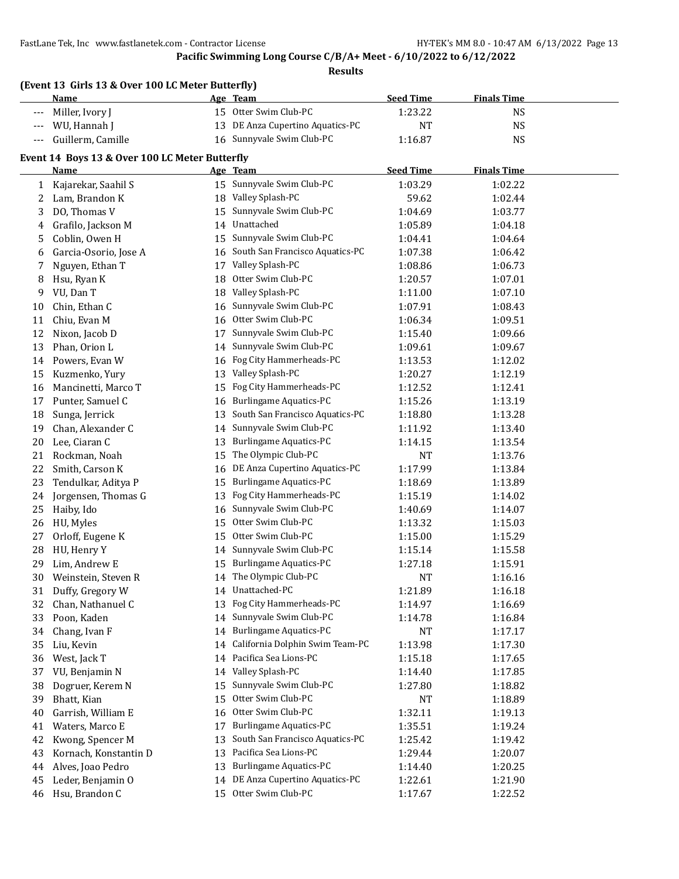#### **Pacific Swimming Long Course C/B/A+ Meet - 6/10/2022 to 6/12/2022**

|              | (Event 13 Girls 13 & Over 100 LC Meter Butterfly)<br><u>Name</u> |          | Age Team                                                  | <b>Seed Time</b>   | <b>Finals Time</b> |  |
|--------------|------------------------------------------------------------------|----------|-----------------------------------------------------------|--------------------|--------------------|--|
|              | Miller, Ivory J                                                  |          | 15 Otter Swim Club-PC                                     | 1:23.22            | <b>NS</b>          |  |
|              | WU, Hannah J                                                     | 13       | DE Anza Cupertino Aquatics-PC                             | <b>NT</b>          | <b>NS</b>          |  |
| $---$        | Guillerm, Camille                                                |          | 16 Sunnyvale Swim Club-PC                                 | 1:16.87            | <b>NS</b>          |  |
|              |                                                                  |          |                                                           |                    |                    |  |
|              | Event 14 Boys 13 & Over 100 LC Meter Butterfly<br>Name           |          |                                                           | <b>Seed Time</b>   | <b>Finals Time</b> |  |
|              |                                                                  |          | Age Team<br>15 Sunnyvale Swim Club-PC                     | 1:03.29            | 1:02.22            |  |
| $\mathbf{1}$ | Kajarekar, Saahil S                                              | 18       | Valley Splash-PC                                          |                    |                    |  |
| 2<br>3       | Lam, Brandon K<br>DO, Thomas V                                   | 15       | Sunnyvale Swim Club-PC                                    | 59.62              | 1:02.44            |  |
|              |                                                                  |          | Unattached                                                | 1:04.69            | 1:03.77            |  |
| 4            | Grafilo, Jackson M<br>Coblin, Owen H                             | 14<br>15 | Sunnyvale Swim Club-PC                                    | 1:05.89            | 1:04.18            |  |
| 5            |                                                                  |          | South San Francisco Aquatics-PC                           | 1:04.41            | 1:04.64<br>1:06.42 |  |
| 6<br>7       | Garcia-Osorio, Jose A<br>Nguyen, Ethan T                         | 16<br>17 | Valley Splash-PC                                          | 1:07.38<br>1:08.86 | 1:06.73            |  |
|              |                                                                  | 18       | Otter Swim Club-PC                                        |                    |                    |  |
| 8            | Hsu, Ryan K<br>VU, Dan T                                         |          | Valley Splash-PC                                          | 1:20.57            | 1:07.01            |  |
| 9            | Chin, Ethan C                                                    | 18       | Sunnyvale Swim Club-PC                                    | 1:11.00            | 1:07.10            |  |
| 10           |                                                                  | 16       | Otter Swim Club-PC                                        | 1:07.91            | 1:08.43            |  |
| 11           | Chiu, Evan M                                                     | 16       | Sunnyvale Swim Club-PC                                    | 1:06.34            | 1:09.51            |  |
| 12           | Nixon, Jacob D<br>Phan, Orion L                                  | 17       | Sunnyvale Swim Club-PC                                    | 1:15.40            | 1:09.66            |  |
| 13           |                                                                  | 14       | Fog City Hammerheads-PC                                   | 1:09.61            | 1:09.67            |  |
| 14           | Powers, Evan W                                                   | 16       | Valley Splash-PC                                          | 1:13.53            | 1:12.02            |  |
| 15           | Kuzmenko, Yury                                                   | 13       | Fog City Hammerheads-PC                                   | 1:20.27            | 1:12.19            |  |
| 16           | Mancinetti, Marco T                                              | 15       |                                                           | 1:12.52            | 1:12.41            |  |
| 17           | Punter, Samuel C                                                 | 16       | Burlingame Aquatics-PC<br>South San Francisco Aquatics-PC | 1:15.26            | 1:13.19            |  |
| 18           | Sunga, Jerrick                                                   | 13       | Sunnyvale Swim Club-PC                                    | 1:18.80            | 1:13.28            |  |
| 19           | Chan, Alexander C                                                | 14       |                                                           | 1:11.92            | 1:13.40            |  |
| 20           | Lee, Ciaran C                                                    | 13       | <b>Burlingame Aquatics-PC</b><br>The Olympic Club-PC      | 1:14.15            | 1:13.54            |  |
| 21           | Rockman, Noah                                                    | 15       |                                                           | NT                 | 1:13.76            |  |
| 22           | Smith, Carson K                                                  | 16       | DE Anza Cupertino Aquatics-PC                             | 1:17.99            | 1:13.84            |  |
| 23           | Tendulkar, Aditya P                                              | 15       | Burlingame Aquatics-PC                                    | 1:18.69            | 1:13.89            |  |
| 24           | Jorgensen, Thomas G                                              | 13       | Fog City Hammerheads-PC                                   | 1:15.19            | 1:14.02            |  |
| 25           | Haiby, Ido                                                       | 16       | Sunnyvale Swim Club-PC<br>Otter Swim Club-PC              | 1:40.69            | 1:14.07            |  |
| 26           | HU, Myles                                                        | 15<br>15 | Otter Swim Club-PC                                        | 1:13.32            | 1:15.03            |  |
| 27           | Orloff, Eugene K                                                 |          | Sunnyvale Swim Club-PC                                    | 1:15.00            | 1:15.29            |  |
| 28           | HU, Henry Y<br>Lim, Andrew E                                     | 14       | 15 Burlingame Aquatics-PC                                 | 1:15.14            | 1:15.58            |  |
| 29           |                                                                  |          | The Olympic Club-PC                                       | 1:27.18            | 1:15.91            |  |
| 30           | Weinstein, Steven R                                              |          |                                                           | <b>NT</b>          | 1:16.16            |  |
| 31           | Duffy, Gregory W                                                 | 14       | Unattached-PC<br>Fog City Hammerheads-PC                  | 1:21.89            | 1:16.18            |  |
| 32           | Chan, Nathanuel C                                                | 13       |                                                           | 1:14.97            | 1:16.69            |  |
| 33           | Poon, Kaden                                                      | 14       | Sunnyvale Swim Club-PC                                    | 1:14.78            | 1:16.84            |  |
| 34           | Chang, Ivan F                                                    | 14       | <b>Burlingame Aquatics-PC</b>                             | NT                 | 1:17.17            |  |
| 35           | Liu, Kevin                                                       | 14       | California Dolphin Swim Team-PC                           | 1:13.98            | 1:17.30            |  |
| 36           | West, Jack T                                                     | 14       | Pacifica Sea Lions-PC                                     | 1:15.18            | 1:17.65            |  |
| 37           | VU, Benjamin N                                                   | 14       | Valley Splash-PC                                          | 1:14.40            | 1:17.85            |  |
| 38           | Dogruer, Kerem N                                                 | 15       | Sunnyvale Swim Club-PC                                    | 1:27.80            | 1:18.82            |  |
| 39           | Bhatt, Kian                                                      | 15       | Otter Swim Club-PC                                        | NT                 | 1:18.89            |  |
| 40           | Garrish, William E                                               | 16       | Otter Swim Club-PC                                        | 1:32.11            | 1:19.13            |  |
| 41           | Waters, Marco E                                                  | 17       | <b>Burlingame Aquatics-PC</b>                             | 1:35.51            | 1:19.24            |  |
| 42           | Kwong, Spencer M                                                 | 13       | South San Francisco Aquatics-PC                           | 1:25.42            | 1:19.42            |  |
| 43           | Kornach, Konstantin D                                            | 13       | Pacifica Sea Lions-PC                                     | 1:29.44            | 1:20.07            |  |
| 44           | Alves, Joao Pedro                                                | 13       | <b>Burlingame Aquatics-PC</b>                             | 1:14.40            | 1:20.25            |  |
| 45           | Leder, Benjamin O                                                | 14       | DE Anza Cupertino Aquatics-PC                             | 1:22.61            | 1:21.90            |  |
| 46           | Hsu, Brandon C                                                   | 15       | Otter Swim Club-PC                                        | 1:17.67            | 1:22.52            |  |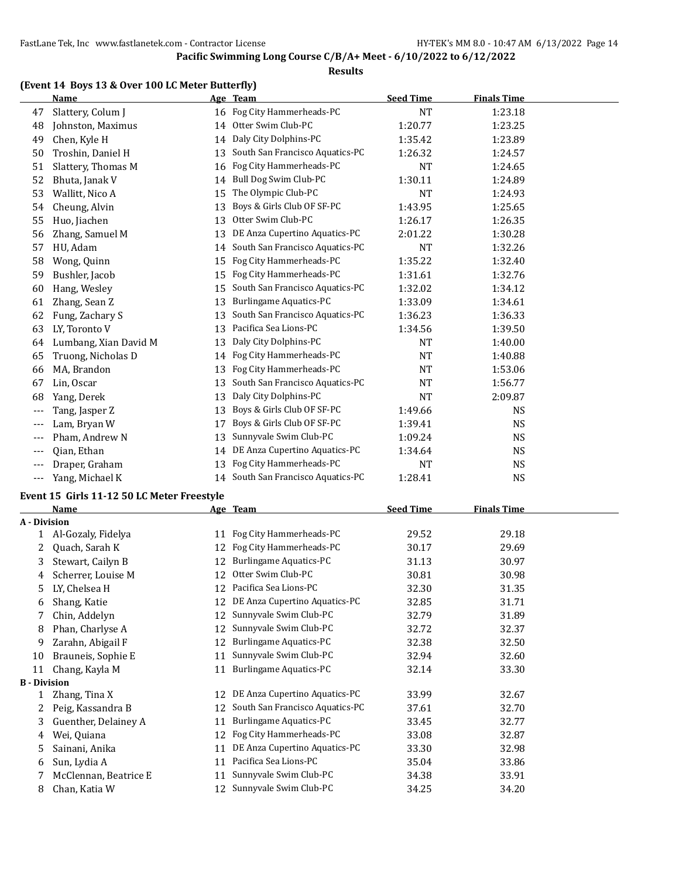#### **Results**

#### **(Event 14 Boys 13 & Over 100 LC Meter Butterfly)**

|       | <b>Name</b>           |    | Age Team                           | <b>Seed Time</b> | <b>Finals Time</b> |  |
|-------|-----------------------|----|------------------------------------|------------------|--------------------|--|
| 47    | Slattery, Colum J     |    | 16 Fog City Hammerheads-PC         | <b>NT</b>        | 1:23.18            |  |
| 48    | Johnston, Maximus     | 14 | Otter Swim Club-PC                 | 1:20.77          | 1:23.25            |  |
| 49    | Chen, Kyle H          | 14 | Daly City Dolphins-PC              | 1:35.42          | 1:23.89            |  |
| 50    | Troshin, Daniel H     | 13 | South San Francisco Aquatics-PC    | 1:26.32          | 1:24.57            |  |
| 51    | Slattery, Thomas M    | 16 | Fog City Hammerheads-PC            | <b>NT</b>        | 1:24.65            |  |
| 52    | Bhuta, Janak V        | 14 | Bull Dog Swim Club-PC              | 1:30.11          | 1:24.89            |  |
| 53    | Wallitt, Nico A       | 15 | The Olympic Club-PC                | <b>NT</b>        | 1:24.93            |  |
| 54    | Cheung, Alvin         | 13 | Boys & Girls Club OF SF-PC         | 1:43.95          | 1:25.65            |  |
| 55    | Huo, Jiachen          | 13 | Otter Swim Club-PC                 | 1:26.17          | 1:26.35            |  |
| 56    | Zhang, Samuel M       | 13 | DE Anza Cupertino Aquatics-PC      | 2:01.22          | 1:30.28            |  |
| 57    | HU, Adam              | 14 | South San Francisco Aquatics-PC    | <b>NT</b>        | 1:32.26            |  |
| 58    | Wong, Quinn           | 15 | Fog City Hammerheads-PC            | 1:35.22          | 1:32.40            |  |
| 59    | Bushler, Jacob        | 15 | Fog City Hammerheads-PC            | 1:31.61          | 1:32.76            |  |
| 60    | Hang, Wesley          | 15 | South San Francisco Aquatics-PC    | 1:32.02          | 1:34.12            |  |
| 61    | Zhang, Sean Z         | 13 | <b>Burlingame Aquatics-PC</b>      | 1:33.09          | 1:34.61            |  |
| 62    | Fung, Zachary S       | 13 | South San Francisco Aquatics-PC    | 1:36.23          | 1:36.33            |  |
| 63    | LY, Toronto V         | 13 | Pacifica Sea Lions-PC              | 1:34.56          | 1:39.50            |  |
| 64    | Lumbang, Xian David M | 13 | Daly City Dolphins-PC              | <b>NT</b>        | 1:40.00            |  |
| 65    | Truong, Nicholas D    | 14 | Fog City Hammerheads-PC            | <b>NT</b>        | 1:40.88            |  |
| 66    | MA, Brandon           | 13 | Fog City Hammerheads-PC            | <b>NT</b>        | 1:53.06            |  |
| 67    | Lin, Oscar            | 13 | South San Francisco Aquatics-PC    | <b>NT</b>        | 1:56.77            |  |
| 68    | Yang, Derek           | 13 | Daly City Dolphins-PC              | <b>NT</b>        | 2:09.87            |  |
| $---$ | Tang, Jasper Z        | 13 | Boys & Girls Club OF SF-PC         | 1:49.66          | <b>NS</b>          |  |
| $---$ | Lam, Bryan W          | 17 | Boys & Girls Club OF SF-PC         | 1:39.41          | <b>NS</b>          |  |
| $---$ | Pham, Andrew N        | 13 | Sunnyvale Swim Club-PC             | 1:09.24          | <b>NS</b>          |  |
| $---$ | Qian, Ethan           | 14 | DE Anza Cupertino Aquatics-PC      | 1:34.64          | <b>NS</b>          |  |
| $---$ | Draper, Graham        | 13 | Fog City Hammerheads-PC            | <b>NT</b>        | <b>NS</b>          |  |
| $---$ | Yang, Michael K       |    | 14 South San Francisco Aquatics-PC | 1:28.41          | <b>NS</b>          |  |

#### **Event 15 Girls 11-12 50 LC Meter Freestyle**

|                     | Name                  |    | Age Team                        | <b>Seed Time</b> | <b>Finals Time</b> |  |
|---------------------|-----------------------|----|---------------------------------|------------------|--------------------|--|
| A - Division        |                       |    |                                 |                  |                    |  |
|                     | Al-Gozaly, Fidelya    | 11 | Fog City Hammerheads-PC         | 29.52            | 29.18              |  |
| 2                   | Quach, Sarah K        | 12 | Fog City Hammerheads-PC         | 30.17            | 29.69              |  |
| 3                   | Stewart, Cailyn B     | 12 | <b>Burlingame Aquatics-PC</b>   | 31.13            | 30.97              |  |
| 4                   | Scherrer, Louise M    | 12 | Otter Swim Club-PC              | 30.81            | 30.98              |  |
| 5                   | LY, Chelsea H         | 12 | Pacifica Sea Lions-PC           | 32.30            | 31.35              |  |
| 6                   | Shang, Katie          | 12 | DE Anza Cupertino Aquatics-PC   | 32.85            | 31.71              |  |
| 7                   | Chin, Addelyn         | 12 | Sunnyvale Swim Club-PC          | 32.79            | 31.89              |  |
| 8                   | Phan, Charlyse A      | 12 | Sunnyvale Swim Club-PC          | 32.72            | 32.37              |  |
| 9                   | Zarahn, Abigail F     | 12 | <b>Burlingame Aquatics-PC</b>   | 32.38            | 32.50              |  |
| 10                  | Brauneis, Sophie E    | 11 | Sunnyvale Swim Club-PC          | 32.94            | 32.60              |  |
| 11                  | Chang, Kayla M        | 11 | <b>Burlingame Aquatics-PC</b>   | 32.14            | 33.30              |  |
| <b>B</b> - Division |                       |    |                                 |                  |                    |  |
|                     | Zhang, Tina X         | 12 | DE Anza Cupertino Aquatics-PC   | 33.99            | 32.67              |  |
| 2                   | Peig, Kassandra B     | 12 | South San Francisco Aquatics-PC | 37.61            | 32.70              |  |
| 3                   | Guenther, Delainey A  | 11 | Burlingame Aquatics-PC          | 33.45            | 32.77              |  |
| 4                   | Wei, Quiana           | 12 | Fog City Hammerheads-PC         | 33.08            | 32.87              |  |
| 5                   | Sainani, Anika        | 11 | DE Anza Cupertino Aquatics-PC   | 33.30            | 32.98              |  |
| 6                   | Sun, Lydia A          | 11 | Pacifica Sea Lions-PC           | 35.04            | 33.86              |  |
|                     | McClennan, Beatrice E | 11 | Sunnyvale Swim Club-PC          | 34.38            | 33.91              |  |
| 8                   | Chan, Katia W         | 12 | Sunnyvale Swim Club-PC          | 34.25            | 34.20              |  |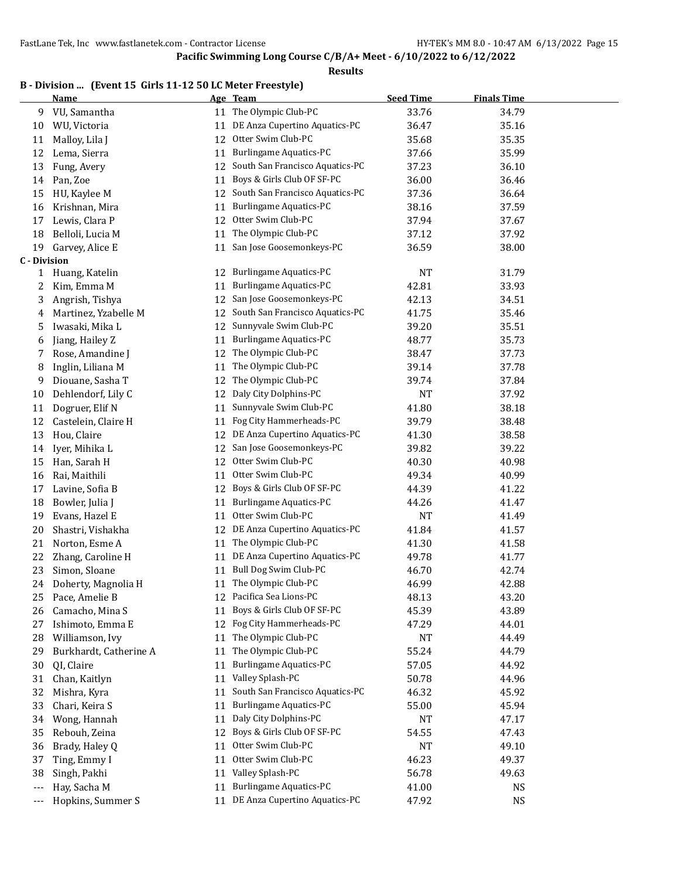| B - Division  (Event 15 Girls 11-12 50 LC Meter Freestyle) |  |  |  |  |
|------------------------------------------------------------|--|--|--|--|
|------------------------------------------------------------|--|--|--|--|

|                            | <b>Name</b>            |    | Age Team                        | <b>Seed Time</b> | <b>Finals Time</b> |  |
|----------------------------|------------------------|----|---------------------------------|------------------|--------------------|--|
| 9                          | VU, Samantha           |    | 11 The Olympic Club-PC          | 33.76            | 34.79              |  |
| 10                         | WU, Victoria           | 11 | DE Anza Cupertino Aquatics-PC   | 36.47            | 35.16              |  |
| 11                         | Malloy, Lila J         | 12 | Otter Swim Club-PC              | 35.68            | 35.35              |  |
| 12                         | Lema, Sierra           | 11 | <b>Burlingame Aquatics-PC</b>   | 37.66            | 35.99              |  |
| 13                         | Fung, Avery            | 12 | South San Francisco Aquatics-PC | 37.23            | 36.10              |  |
| 14                         | Pan, Zoe               | 11 | Boys & Girls Club OF SF-PC      | 36.00            | 36.46              |  |
| 15                         | HU, Kaylee M           | 12 | South San Francisco Aquatics-PC | 37.36            | 36.64              |  |
| 16                         | Krishnan, Mira         | 11 | <b>Burlingame Aquatics-PC</b>   | 38.16            | 37.59              |  |
| 17                         | Lewis, Clara P         | 12 | Otter Swim Club-PC              | 37.94            | 37.67              |  |
| 18                         | Belloli, Lucia M       | 11 | The Olympic Club-PC             | 37.12            | 37.92              |  |
| 19                         | Garvey, Alice E        | 11 | San Jose Goosemonkeys-PC        | 36.59            | 38.00              |  |
| <b>C</b> - Division        |                        |    |                                 |                  |                    |  |
| 1                          | Huang, Katelin         | 12 | <b>Burlingame Aquatics-PC</b>   | NT               | 31.79              |  |
| 2                          | Kim, Emma M            | 11 | <b>Burlingame Aquatics-PC</b>   | 42.81            | 33.93              |  |
| 3                          | Angrish, Tishya        | 12 | San Jose Goosemonkeys-PC        | 42.13            | 34.51              |  |
| 4                          | Martinez, Yzabelle M   | 12 | South San Francisco Aquatics-PC | 41.75            | 35.46              |  |
| 5                          | Iwasaki, Mika L        | 12 | Sunnyvale Swim Club-PC          | 39.20            | 35.51              |  |
| 6                          | Jiang, Hailey Z        | 11 | <b>Burlingame Aquatics-PC</b>   | 48.77            | 35.73              |  |
| 7                          | Rose, Amandine J       | 12 | The Olympic Club-PC             | 38.47            | 37.73              |  |
| 8                          | Inglin, Liliana M      | 11 | The Olympic Club-PC             | 39.14            | 37.78              |  |
| 9                          | Diouane, Sasha T       | 12 | The Olympic Club-PC             | 39.74            | 37.84              |  |
| 10                         | Dehlendorf, Lily C     | 12 | Daly City Dolphins-PC           | NT               | 37.92              |  |
| 11                         | Dogruer, Elif N        | 11 | Sunnyvale Swim Club-PC          | 41.80            | 38.18              |  |
| 12                         | Castelein, Claire H    | 11 | Fog City Hammerheads-PC         | 39.79            | 38.48              |  |
| 13                         | Hou, Claire            | 12 | DE Anza Cupertino Aquatics-PC   | 41.30            | 38.58              |  |
| 14                         | Iyer, Mihika L         | 12 | San Jose Goosemonkeys-PC        | 39.82            | 39.22              |  |
| 15                         | Han, Sarah H           | 12 | Otter Swim Club-PC              | 40.30            | 40.98              |  |
| 16                         | Rai, Maithili          | 11 | Otter Swim Club-PC              | 49.34            | 40.99              |  |
| 17                         | Lavine, Sofia B        | 12 | Boys & Girls Club OF SF-PC      | 44.39            | 41.22              |  |
| 18                         | Bowler, Julia J        | 11 | Burlingame Aquatics-PC          | 44.26            | 41.47              |  |
| 19                         | Evans, Hazel E         | 11 | Otter Swim Club-PC              | NT               | 41.49              |  |
| 20                         | Shastri, Vishakha      | 12 | DE Anza Cupertino Aquatics-PC   | 41.84            | 41.57              |  |
| 21                         | Norton, Esme A         | 11 | The Olympic Club-PC             | 41.30            | 41.58              |  |
| 22                         | Zhang, Caroline H      | 11 | DE Anza Cupertino Aquatics-PC   | 49.78            | 41.77              |  |
| 23                         | Simon, Sloane          | 11 | Bull Dog Swim Club-PC           | 46.70            | 42.74              |  |
| 24                         | Doherty, Magnolia H    | 11 | The Olympic Club-PC             | 46.99            | 42.88              |  |
| 25                         | Pace, Amelie B         | 12 | Pacifica Sea Lions-PC           | 48.13            | 43.20              |  |
| 26                         | Camacho, Mina S        | 11 | Boys & Girls Club OF SF-PC      | 45.39            | 43.89              |  |
| 27                         | Ishimoto, Emma E       | 12 | Fog City Hammerheads-PC         | 47.29            | 44.01              |  |
| 28                         | Williamson, Ivy        | 11 | The Olympic Club-PC             | NT               | 44.49              |  |
| 29                         | Burkhardt, Catherine A | 11 | The Olympic Club-PC             | 55.24            | 44.79              |  |
| 30                         | QI, Claire             | 11 | <b>Burlingame Aquatics-PC</b>   | 57.05            | 44.92              |  |
| 31                         | Chan, Kaitlyn          | 11 | Valley Splash-PC                | 50.78            | 44.96              |  |
| 32                         | Mishra, Kyra           | 11 | South San Francisco Aquatics-PC | 46.32            | 45.92              |  |
| 33                         | Chari, Keira S         | 11 | <b>Burlingame Aquatics-PC</b>   | 55.00            | 45.94              |  |
| 34                         | Wong, Hannah           | 11 | Daly City Dolphins-PC           | NT               | 47.17              |  |
| 35                         | Rebouh, Zeina          | 12 | Boys & Girls Club OF SF-PC      | 54.55            | 47.43              |  |
| 36                         | Brady, Haley Q         | 11 | Otter Swim Club-PC              | NT               | 49.10              |  |
| 37                         | Ting, Emmy I           | 11 | Otter Swim Club-PC              | 46.23            | 49.37              |  |
| 38                         | Singh, Pakhi           | 11 | Valley Splash-PC                | 56.78            | 49.63              |  |
| $\qquad \qquad - \qquad -$ | Hay, Sacha M           | 11 | <b>Burlingame Aquatics-PC</b>   | 41.00            | NS                 |  |
| $\hspace{0.05cm} \cdots$   | Hopkins, Summer S      | 11 | DE Anza Cupertino Aquatics-PC   | 47.92            | <b>NS</b>          |  |
|                            |                        |    |                                 |                  |                    |  |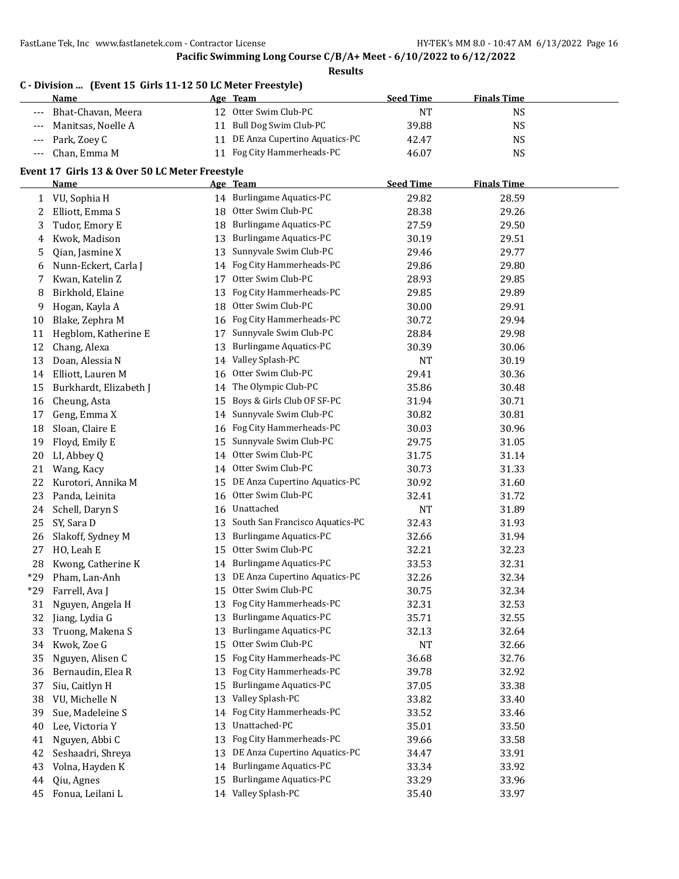## **Pacific Swimming Long Course C/B/A+ Meet - 6/10/2022 to 6/12/2022**

|                     | C - Division  (Event 15 Girls 11-12 50 LC Meter Freestyle)<br><b>Name</b> |    | Age Team                           | <b>Seed Time</b> | <b>Finals Time</b> |  |
|---------------------|---------------------------------------------------------------------------|----|------------------------------------|------------------|--------------------|--|
| $\qquad \qquad - -$ | Bhat-Chavan, Meera                                                        |    | 12 Otter Swim Club-PC              | $\rm{NT}$        | <b>NS</b>          |  |
| $---$               | Manitsas, Noelle A                                                        |    | 11 Bull Dog Swim Club-PC           | 39.88            | <b>NS</b>          |  |
| $---$               | Park, Zoey C                                                              |    | 11 DE Anza Cupertino Aquatics-PC   | 42.47            | <b>NS</b>          |  |
| $---$               | Chan, Emma M                                                              |    | 11 Fog City Hammerheads-PC         | 46.07            | <b>NS</b>          |  |
|                     | Event 17 Girls 13 & Over 50 LC Meter Freestyle                            |    |                                    |                  |                    |  |
|                     | Name                                                                      |    | Age Team                           | <b>Seed Time</b> | <b>Finals Time</b> |  |
| 1                   | VU, Sophia H                                                              |    | 14 Burlingame Aquatics-PC          | 29.82            | 28.59              |  |
| 2                   | Elliott, Emma S                                                           | 18 | Otter Swim Club-PC                 | 28.38            | 29.26              |  |
| 3                   | Tudor, Emory E                                                            | 18 | <b>Burlingame Aquatics-PC</b>      | 27.59            | 29.50              |  |
| 4                   | Kwok, Madison                                                             | 13 | <b>Burlingame Aquatics-PC</b>      | 30.19            | 29.51              |  |
| 5                   | Qian, Jasmine X                                                           | 13 | Sunnyvale Swim Club-PC             | 29.46            | 29.77              |  |
| 6                   | Nunn-Eckert, Carla J                                                      | 14 | Fog City Hammerheads-PC            | 29.86            | 29.80              |  |
| 7                   | Kwan, Katelin Z                                                           | 17 | Otter Swim Club-PC                 | 28.93            | 29.85              |  |
| 8                   | Birkhold, Elaine                                                          | 13 | Fog City Hammerheads-PC            | 29.85            | 29.89              |  |
| 9                   | Hogan, Kayla A                                                            | 18 | Otter Swim Club-PC                 | 30.00            | 29.91              |  |
| 10                  | Blake, Zephra M                                                           | 16 | Fog City Hammerheads-PC            | 30.72            | 29.94              |  |
| 11                  | Hegblom, Katherine E                                                      | 17 | Sunnyvale Swim Club-PC             | 28.84            | 29.98              |  |
| 12                  | Chang, Alexa                                                              | 13 | <b>Burlingame Aquatics-PC</b>      | 30.39            | 30.06              |  |
| 13                  | Doan, Alessia N                                                           | 14 | Valley Splash-PC                   | <b>NT</b>        | 30.19              |  |
| 14                  | Elliott, Lauren M                                                         | 16 | Otter Swim Club-PC                 | 29.41            | 30.36              |  |
| 15                  | Burkhardt, Elizabeth J                                                    | 14 | The Olympic Club-PC                | 35.86            | 30.48              |  |
| 16                  | Cheung, Asta                                                              | 15 | Boys & Girls Club OF SF-PC         | 31.94            | 30.71              |  |
| 17                  | Geng, Emma X                                                              | 14 | Sunnyvale Swim Club-PC             | 30.82            | 30.81              |  |
| 18                  | Sloan, Claire E                                                           | 16 | Fog City Hammerheads-PC            | 30.03            | 30.96              |  |
| 19                  | Floyd, Emily E                                                            | 15 | Sunnyvale Swim Club-PC             | 29.75            | 31.05              |  |
| 20                  | LI, Abbey Q                                                               | 14 | Otter Swim Club-PC                 | 31.75            | 31.14              |  |
| 21                  | Wang, Kacy                                                                | 14 | Otter Swim Club-PC                 | 30.73            | 31.33              |  |
| 22                  | Kurotori, Annika M                                                        | 15 | DE Anza Cupertino Aquatics-PC      | 30.92            | 31.60              |  |
| 23                  | Panda, Leinita                                                            | 16 | Otter Swim Club-PC                 | 32.41            | 31.72              |  |
| 24                  | Schell, Daryn S                                                           | 16 | Unattached                         | NT               | 31.89              |  |
| 25                  | SY, Sara D                                                                |    | 13 South San Francisco Aquatics-PC | 32.43            | 31.93              |  |
| 26                  | Slakoff, Sydney M                                                         | 13 | <b>Burlingame Aquatics-PC</b>      | 32.66            | 31.94              |  |
| 27                  | HO, Leah E                                                                | 15 | Otter Swim Club-PC                 | 32.21            | 32.23              |  |
| 28                  | Kwong, Catherine K                                                        |    | 14 Burlingame Aquatics-PC          | 33.53            | 32.31              |  |
| $*29$               | Pham, Lan-Anh                                                             |    | 13 DE Anza Cupertino Aquatics-PC   | 32.26            | 32.34              |  |
| $*29$               | Farrell, Ava J                                                            | 15 | Otter Swim Club-PC                 | 30.75            | 32.34              |  |
| 31                  | Nguyen, Angela H                                                          | 13 | Fog City Hammerheads-PC            | 32.31            | 32.53              |  |
| 32                  | Jiang, Lydia G                                                            | 13 | <b>Burlingame Aquatics-PC</b>      | 35.71            | 32.55              |  |
| 33                  | Truong, Makena S                                                          | 13 | <b>Burlingame Aquatics-PC</b>      | 32.13            | 32.64              |  |
| 34                  | Kwok, Zoe G                                                               | 15 | Otter Swim Club-PC                 | NT               | 32.66              |  |
| 35                  | Nguyen, Alisen C                                                          | 15 | Fog City Hammerheads-PC            | 36.68            | 32.76              |  |
| 36                  | Bernaudin, Elea R                                                         | 13 | Fog City Hammerheads-PC            | 39.78            | 32.92              |  |
| 37                  | Siu, Caitlyn H                                                            | 15 | <b>Burlingame Aquatics-PC</b>      | 37.05            | 33.38              |  |
| 38                  | VU, Michelle N                                                            | 13 | Valley Splash-PC                   | 33.82            | 33.40              |  |
| 39                  | Sue, Madeleine S                                                          | 14 | Fog City Hammerheads-PC            | 33.52            | 33.46              |  |
| 40                  | Lee, Victoria Y                                                           | 13 | Unattached-PC                      | 35.01            | 33.50              |  |
| 41                  | Nguyen, Abbi C                                                            | 13 | Fog City Hammerheads-PC            | 39.66            | 33.58              |  |
| 42                  | Seshaadri, Shreya                                                         | 13 | DE Anza Cupertino Aquatics-PC      | 34.47            | 33.91              |  |
| 43                  | Volna, Hayden K                                                           | 14 | <b>Burlingame Aquatics-PC</b>      | 33.34            | 33.92              |  |
| 44                  | Qiu, Agnes                                                                | 15 | <b>Burlingame Aquatics-PC</b>      | 33.29            | 33.96              |  |
|                     |                                                                           |    |                                    |                  |                    |  |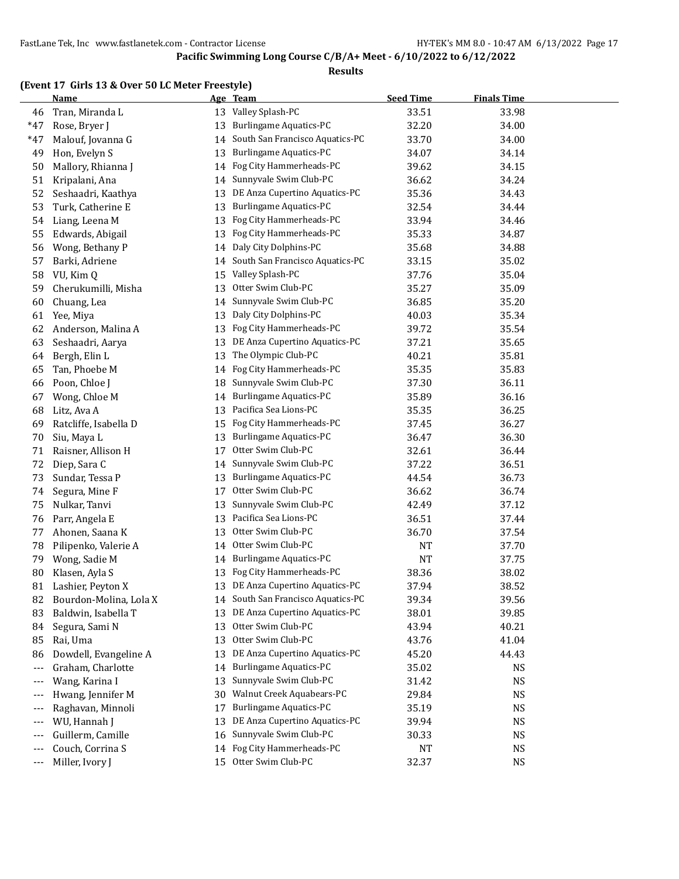#### **Results**

#### **(Event 17 Girls 13 & Over 50 LC Meter Freestyle)**

|       | <b>Name</b>            |    | Age Team                           | <b>Seed Time</b> | <b>Finals Time</b> |  |
|-------|------------------------|----|------------------------------------|------------------|--------------------|--|
| 46    | Tran, Miranda L        | 13 | Valley Splash-PC                   | 33.51            | 33.98              |  |
| $*47$ | Rose, Bryer J          | 13 | Burlingame Aquatics-PC             | 32.20            | 34.00              |  |
| $*47$ | Malouf, Jovanna G      | 14 | South San Francisco Aquatics-PC    | 33.70            | 34.00              |  |
| 49    | Hon, Evelyn S          | 13 | Burlingame Aquatics-PC             | 34.07            | 34.14              |  |
| 50    | Mallory, Rhianna J     | 14 | Fog City Hammerheads-PC            | 39.62            | 34.15              |  |
| 51    | Kripalani, Ana         | 14 | Sunnyvale Swim Club-PC             | 36.62            | 34.24              |  |
| 52    | Seshaadri, Kaathya     | 13 | DE Anza Cupertino Aquatics-PC      | 35.36            | 34.43              |  |
| 53    | Turk, Catherine E      | 13 | Burlingame Aquatics-PC             | 32.54            | 34.44              |  |
| 54    | Liang, Leena M         | 13 | Fog City Hammerheads-PC            | 33.94            | 34.46              |  |
| 55    | Edwards, Abigail       | 13 | Fog City Hammerheads-PC            | 35.33            | 34.87              |  |
| 56    | Wong, Bethany P        | 14 | Daly City Dolphins-PC              | 35.68            | 34.88              |  |
| 57    | Barki, Adriene         | 14 | South San Francisco Aquatics-PC    | 33.15            | 35.02              |  |
| 58    | VU, Kim Q              | 15 | Valley Splash-PC                   | 37.76            | 35.04              |  |
| 59    | Cherukumilli, Misha    | 13 | Otter Swim Club-PC                 | 35.27            | 35.09              |  |
| 60    | Chuang, Lea            | 14 | Sunnyvale Swim Club-PC             | 36.85            | 35.20              |  |
| 61    | Yee, Miya              | 13 | Daly City Dolphins-PC              | 40.03            | 35.34              |  |
| 62    | Anderson, Malina A     | 13 | Fog City Hammerheads-PC            | 39.72            | 35.54              |  |
| 63    | Seshaadri, Aarya       | 13 | DE Anza Cupertino Aquatics-PC      | 37.21            | 35.65              |  |
| 64    | Bergh, Elin L          | 13 | The Olympic Club-PC                | 40.21            | 35.81              |  |
| 65    | Tan, Phoebe M          | 14 | Fog City Hammerheads-PC            | 35.35            | 35.83              |  |
| 66    | Poon, Chloe J          | 18 | Sunnyvale Swim Club-PC             | 37.30            | 36.11              |  |
| 67    | Wong, Chloe M          | 14 | Burlingame Aquatics-PC             | 35.89            | 36.16              |  |
| 68    | Litz, Ava A            | 13 | Pacifica Sea Lions-PC              | 35.35            | 36.25              |  |
| 69    | Ratcliffe, Isabella D  | 15 | Fog City Hammerheads-PC            | 37.45            | 36.27              |  |
| 70    | Siu, Maya L            | 13 | Burlingame Aquatics-PC             | 36.47            | 36.30              |  |
| 71    | Raisner, Allison H     | 17 | Otter Swim Club-PC                 | 32.61            | 36.44              |  |
| 72    | Diep, Sara C           | 14 | Sunnyvale Swim Club-PC             | 37.22            | 36.51              |  |
| 73    | Sundar, Tessa P        | 13 | Burlingame Aquatics-PC             | 44.54            | 36.73              |  |
| 74    | Segura, Mine F         | 17 | Otter Swim Club-PC                 | 36.62            | 36.74              |  |
| 75    | Nulkar, Tanvi          | 13 | Sunnyvale Swim Club-PC             | 42.49            | 37.12              |  |
| 76    | Parr, Angela E         | 13 | Pacifica Sea Lions-PC              | 36.51            | 37.44              |  |
| 77    | Ahonen, Saana K        | 13 | Otter Swim Club-PC                 | 36.70            | 37.54              |  |
| 78    | Pilipenko, Valerie A   | 14 | Otter Swim Club-PC                 | NT               | 37.70              |  |
| 79    | Wong, Sadie M          | 14 | <b>Burlingame Aquatics-PC</b>      | NT               | 37.75              |  |
| 80    | Klasen, Ayla S         | 13 | Fog City Hammerheads-PC            | 38.36            | 38.02              |  |
| 81    | Lashier, Peyton X      |    | 13 DE Anza Cupertino Aquatics-PC   | 37.94            | 38.52              |  |
| 82    | Bourdon-Molina, Lola X |    | 14 South San Francisco Aquatics-PC | 39.34            | 39.56              |  |
| 83    | Baldwin, Isabella T    | 13 | DE Anza Cupertino Aquatics-PC      | 38.01            | 39.85              |  |
| 84    | Segura, Sami N         | 13 | Otter Swim Club-PC                 | 43.94            | 40.21              |  |
| 85    | Rai, Uma               | 13 | Otter Swim Club-PC                 | 43.76            | 41.04              |  |
| 86    | Dowdell, Evangeline A  | 13 | DE Anza Cupertino Aquatics-PC      | 45.20            | 44.43              |  |
| ---   | Graham, Charlotte      | 14 | <b>Burlingame Aquatics-PC</b>      | 35.02            | NS                 |  |
| ---   | Wang, Karina I         | 13 | Sunnyvale Swim Club-PC             | 31.42            | NS                 |  |
| ---   | Hwang, Jennifer M      | 30 | Walnut Creek Aquabears-PC          | 29.84            | NS                 |  |
| ---   | Raghavan, Minnoli      | 17 | <b>Burlingame Aquatics-PC</b>      | 35.19            | NS                 |  |
| ---   | WU, Hannah J           | 13 | DE Anza Cupertino Aquatics-PC      | 39.94            | NS                 |  |
| ---   | Guillerm, Camille      | 16 | Sunnyvale Swim Club-PC             | 30.33            | NS                 |  |
| $---$ | Couch, Corrina S       | 14 | Fog City Hammerheads-PC            | NT               | NS                 |  |
| $---$ | Miller, Ivory J        | 15 | Otter Swim Club-PC                 | 32.37            | NS                 |  |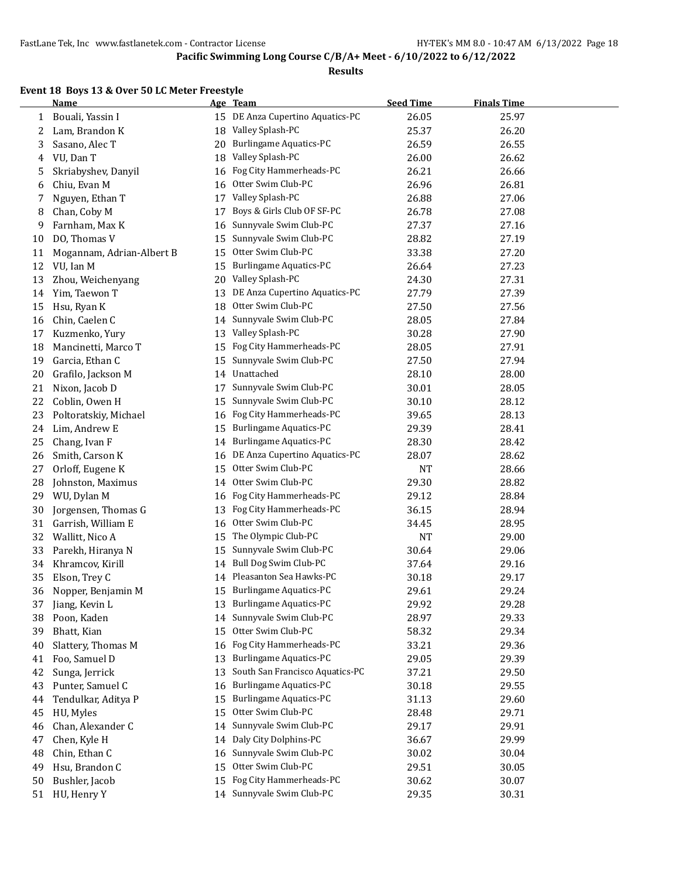#### **Results**

#### **Event 18 Boys 13 & Over 50 LC Meter Freestyle**

|    | <b>Name</b>               |    | Age Team                        | <b>Seed Time</b> | <b>Finals Time</b> |  |
|----|---------------------------|----|---------------------------------|------------------|--------------------|--|
| 1  | Bouali, Yassin I          | 15 | DE Anza Cupertino Aquatics-PC   | 26.05            | 25.97              |  |
| 2  | Lam, Brandon K            | 18 | Valley Splash-PC                | 25.37            | 26.20              |  |
| 3  | Sasano, Alec T            | 20 | Burlingame Aquatics-PC          | 26.59            | 26.55              |  |
| 4  | VU, Dan T                 | 18 | Valley Splash-PC                | 26.00            | 26.62              |  |
| 5  | Skriabyshev, Danyil       | 16 | Fog City Hammerheads-PC         | 26.21            | 26.66              |  |
| 6  | Chiu, Evan M              | 16 | Otter Swim Club-PC              | 26.96            | 26.81              |  |
| 7  | Nguyen, Ethan T           | 17 | Valley Splash-PC                | 26.88            | 27.06              |  |
| 8  | Chan, Coby M              | 17 | Boys & Girls Club OF SF-PC      | 26.78            | 27.08              |  |
| 9  | Farnham, Max K            | 16 | Sunnyvale Swim Club-PC          | 27.37            | 27.16              |  |
| 10 | DO, Thomas V              | 15 | Sunnyvale Swim Club-PC          | 28.82            | 27.19              |  |
| 11 | Mogannam, Adrian-Albert B | 15 | Otter Swim Club-PC              | 33.38            | 27.20              |  |
| 12 | VU, Ian M                 | 15 | <b>Burlingame Aquatics-PC</b>   | 26.64            | 27.23              |  |
| 13 | Zhou, Weichenyang         | 20 | Valley Splash-PC                | 24.30            | 27.31              |  |
| 14 | Yim, Taewon T             | 13 | DE Anza Cupertino Aquatics-PC   | 27.79            | 27.39              |  |
| 15 | Hsu, Ryan K               | 18 | Otter Swim Club-PC              | 27.50            | 27.56              |  |
| 16 | Chin, Caelen C            | 14 | Sunnyvale Swim Club-PC          | 28.05            | 27.84              |  |
| 17 | Kuzmenko, Yury            | 13 | Valley Splash-PC                | 30.28            | 27.90              |  |
| 18 | Mancinetti, Marco T       | 15 | Fog City Hammerheads-PC         | 28.05            | 27.91              |  |
| 19 | Garcia, Ethan C           | 15 | Sunnyvale Swim Club-PC          | 27.50            | 27.94              |  |
| 20 | Grafilo, Jackson M        | 14 | Unattached                      | 28.10            | 28.00              |  |
| 21 | Nixon, Jacob D            | 17 | Sunnyvale Swim Club-PC          | 30.01            | 28.05              |  |
| 22 | Coblin, Owen H            | 15 | Sunnyvale Swim Club-PC          | 30.10            | 28.12              |  |
| 23 | Poltoratskiy, Michael     | 16 | Fog City Hammerheads-PC         | 39.65            | 28.13              |  |
| 24 | Lim, Andrew E             | 15 | Burlingame Aquatics-PC          | 29.39            | 28.41              |  |
| 25 | Chang, Ivan F             | 14 | <b>Burlingame Aquatics-PC</b>   | 28.30            | 28.42              |  |
| 26 | Smith, Carson K           | 16 | DE Anza Cupertino Aquatics-PC   | 28.07            | 28.62              |  |
| 27 | Orloff, Eugene K          | 15 | Otter Swim Club-PC              | NT               | 28.66              |  |
| 28 | Johnston, Maximus         | 14 | Otter Swim Club-PC              | 29.30            | 28.82              |  |
| 29 | WU, Dylan M               | 16 | Fog City Hammerheads-PC         | 29.12            | 28.84              |  |
| 30 | Jorgensen, Thomas G       | 13 | Fog City Hammerheads-PC         | 36.15            | 28.94              |  |
| 31 | Garrish, William E        | 16 | Otter Swim Club-PC              | 34.45            | 28.95              |  |
| 32 | Wallitt, Nico A           | 15 | The Olympic Club-PC             | NT               | 29.00              |  |
| 33 | Parekh, Hiranya N         | 15 | Sunnyvale Swim Club-PC          | 30.64            | 29.06              |  |
| 34 | Khramcov, Kirill          | 14 | Bull Dog Swim Club-PC           | 37.64            | 29.16              |  |
| 35 | Elson, Trey C             | 14 | Pleasanton Sea Hawks-PC         | 30.18            | 29.17              |  |
| 36 | Nopper, Benjamin M        | 15 | <b>Burlingame Aquatics-PC</b>   | 29.61            | 29.24              |  |
| 37 | Jiang, Kevin L            |    | 13 Burlingame Aquatics-PC       | 29.92            | 29.28              |  |
| 38 | Poon, Kaden               | 14 | Sunnyvale Swim Club-PC          | 28.97            | 29.33              |  |
| 39 | Bhatt, Kian               | 15 | Otter Swim Club-PC              | 58.32            | 29.34              |  |
| 40 | Slattery, Thomas M        | 16 | Fog City Hammerheads-PC         | 33.21            | 29.36              |  |
| 41 | Foo, Samuel D             | 13 | <b>Burlingame Aquatics-PC</b>   | 29.05            | 29.39              |  |
| 42 | Sunga, Jerrick            | 13 | South San Francisco Aquatics-PC | 37.21            | 29.50              |  |
| 43 | Punter, Samuel C          | 16 | <b>Burlingame Aquatics-PC</b>   | 30.18            | 29.55              |  |
| 44 | Tendulkar, Aditya P       | 15 | <b>Burlingame Aquatics-PC</b>   | 31.13            | 29.60              |  |
| 45 | HU, Myles                 | 15 | Otter Swim Club-PC              | 28.48            | 29.71              |  |
| 46 | Chan, Alexander C         | 14 | Sunnyvale Swim Club-PC          | 29.17            | 29.91              |  |
| 47 | Chen, Kyle H              | 14 | Daly City Dolphins-PC           | 36.67            | 29.99              |  |
| 48 | Chin, Ethan C             | 16 | Sunnyvale Swim Club-PC          | 30.02            | 30.04              |  |
| 49 | Hsu, Brandon C            | 15 | Otter Swim Club-PC              | 29.51            | 30.05              |  |
| 50 | Bushler, Jacob            | 15 | Fog City Hammerheads-PC         | 30.62            | 30.07              |  |
| 51 | HU, Henry Y               |    | 14 Sunnyvale Swim Club-PC       | 29.35            | 30.31              |  |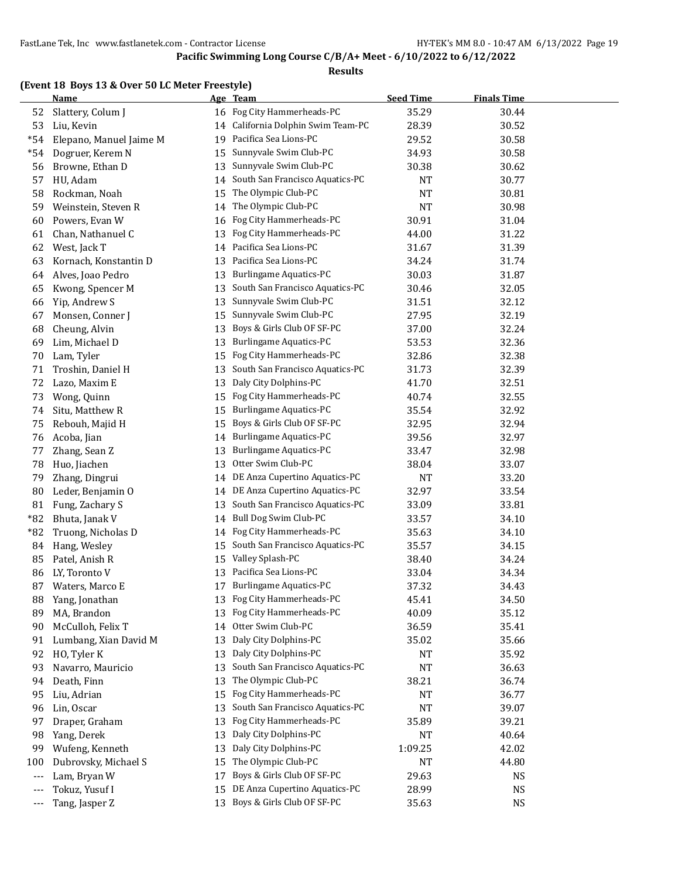#### **Results**

#### **(Event 18 Boys 13 & Over 50 LC Meter Freestyle)**

|       | <b>Name</b>             |    | Age Team                        | <b>Seed Time</b> | <b>Finals Time</b> |  |
|-------|-------------------------|----|---------------------------------|------------------|--------------------|--|
| 52    | Slattery, Colum J       | 16 | Fog City Hammerheads-PC         | 35.29            | 30.44              |  |
| 53    | Liu, Kevin              | 14 | California Dolphin Swim Team-PC | 28.39            | 30.52              |  |
| $*54$ | Elepano, Manuel Jaime M | 19 | Pacifica Sea Lions-PC           | 29.52            | 30.58              |  |
| $*54$ | Dogruer, Kerem N        | 15 | Sunnyvale Swim Club-PC          | 34.93            | 30.58              |  |
| 56    | Browne, Ethan D         | 13 | Sunnyvale Swim Club-PC          | 30.38            | 30.62              |  |
| 57    | HU, Adam                | 14 | South San Francisco Aquatics-PC | <b>NT</b>        | 30.77              |  |
| 58    | Rockman, Noah           | 15 | The Olympic Club-PC             | NT               | 30.81              |  |
| 59    | Weinstein, Steven R     | 14 | The Olympic Club-PC             | NT               | 30.98              |  |
| 60    | Powers, Evan W          | 16 | Fog City Hammerheads-PC         | 30.91            | 31.04              |  |
| 61    | Chan, Nathanuel C       | 13 | Fog City Hammerheads-PC         | 44.00            | 31.22              |  |
| 62    | West, Jack T            | 14 | Pacifica Sea Lions-PC           | 31.67            | 31.39              |  |
| 63    | Kornach, Konstantin D   | 13 | Pacifica Sea Lions-PC           | 34.24            | 31.74              |  |
| 64    | Alves, Joao Pedro       | 13 | <b>Burlingame Aquatics-PC</b>   | 30.03            | 31.87              |  |
| 65    | Kwong, Spencer M        | 13 | South San Francisco Aquatics-PC | 30.46            | 32.05              |  |
| 66    | Yip, Andrew S           | 13 | Sunnyvale Swim Club-PC          | 31.51            | 32.12              |  |
| 67    | Monsen, Conner J        | 15 | Sunnyvale Swim Club-PC          | 27.95            | 32.19              |  |
| 68    | Cheung, Alvin           | 13 | Boys & Girls Club OF SF-PC      | 37.00            | 32.24              |  |
| 69    | Lim, Michael D          | 13 | Burlingame Aquatics-PC          | 53.53            | 32.36              |  |
| 70    | Lam, Tyler              | 15 | Fog City Hammerheads-PC         | 32.86            | 32.38              |  |
| 71    | Troshin, Daniel H       | 13 | South San Francisco Aquatics-PC | 31.73            | 32.39              |  |
| 72    | Lazo, Maxim E           | 13 | Daly City Dolphins-PC           | 41.70            | 32.51              |  |
| 73    | Wong, Quinn             | 15 | Fog City Hammerheads-PC         | 40.74            | 32.55              |  |
| 74    | Situ, Matthew R         | 15 | <b>Burlingame Aquatics-PC</b>   | 35.54            | 32.92              |  |
| 75    | Rebouh, Majid H         | 15 | Boys & Girls Club OF SF-PC      | 32.95            | 32.94              |  |
| 76    | Acoba, Jian             | 14 | Burlingame Aquatics-PC          | 39.56            | 32.97              |  |
| 77    | Zhang, Sean Z           | 13 | <b>Burlingame Aquatics-PC</b>   | 33.47            | 32.98              |  |
| 78    | Huo, Jiachen            | 13 | Otter Swim Club-PC              | 38.04            | 33.07              |  |
| 79    | Zhang, Dingrui          | 14 | DE Anza Cupertino Aquatics-PC   | NT               | 33.20              |  |
| 80    | Leder, Benjamin O       | 14 | DE Anza Cupertino Aquatics-PC   | 32.97            | 33.54              |  |
| 81    | Fung, Zachary S         | 13 | South San Francisco Aquatics-PC | 33.09            | 33.81              |  |
| $*82$ | Bhuta, Janak V          | 14 | Bull Dog Swim Club-PC           | 33.57            | 34.10              |  |
| *82   | Truong, Nicholas D      | 14 | Fog City Hammerheads-PC         | 35.63            | 34.10              |  |
| 84    | Hang, Wesley            | 15 | South San Francisco Aquatics-PC | 35.57            | 34.15              |  |
| 85    | Patel, Anish R          | 15 | Valley Splash-PC                | 38.40            | 34.24              |  |
| 86    | LY, Toronto V           | 13 | Pacifica Sea Lions-PC           | 33.04            | 34.34              |  |
| 87    | Waters, Marco E         |    | 17 Burlingame Aquatics-PC       | 37.32            | 34.43              |  |
| 88    | Yang, Jonathan          |    | 13 Fog City Hammerheads-PC      | 45.41            | 34.50              |  |
| 89    | MA, Brandon             | 13 | Fog City Hammerheads-PC         | 40.09            | 35.12              |  |
| 90    | McCulloh, Felix T       | 14 | Otter Swim Club-PC              | 36.59            | 35.41              |  |
| 91    | Lumbang, Xian David M   | 13 | Daly City Dolphins-PC           | 35.02            | 35.66              |  |
| 92    | HO, Tyler K             | 13 | Daly City Dolphins-PC           | NT               | 35.92              |  |
| 93    | Navarro, Mauricio       | 13 | South San Francisco Aquatics-PC | <b>NT</b>        | 36.63              |  |
| 94    | Death, Finn             | 13 | The Olympic Club-PC             | 38.21            | 36.74              |  |
| 95    | Liu, Adrian             | 15 | Fog City Hammerheads-PC         | NT               | 36.77              |  |
| 96    | Lin, Oscar              | 13 | South San Francisco Aquatics-PC | NT               | 39.07              |  |
| 97    | Draper, Graham          | 13 | Fog City Hammerheads-PC         | 35.89            | 39.21              |  |
| 98    | Yang, Derek             | 13 | Daly City Dolphins-PC           | NT               | 40.64              |  |
| 99    | Wufeng, Kenneth         | 13 | Daly City Dolphins-PC           | 1:09.25          | 42.02              |  |
| 100   | Dubrovsky, Michael S    | 15 | The Olympic Club-PC             | NT               | 44.80              |  |
| ---   | Lam, Bryan W            | 17 | Boys & Girls Club OF SF-PC      | 29.63            | <b>NS</b>          |  |
| ---   | Tokuz, Yusuf I          | 15 | DE Anza Cupertino Aquatics-PC   | 28.99            | <b>NS</b>          |  |
| ---   | Tang, Jasper Z          | 13 | Boys & Girls Club OF SF-PC      | 35.63            | <b>NS</b>          |  |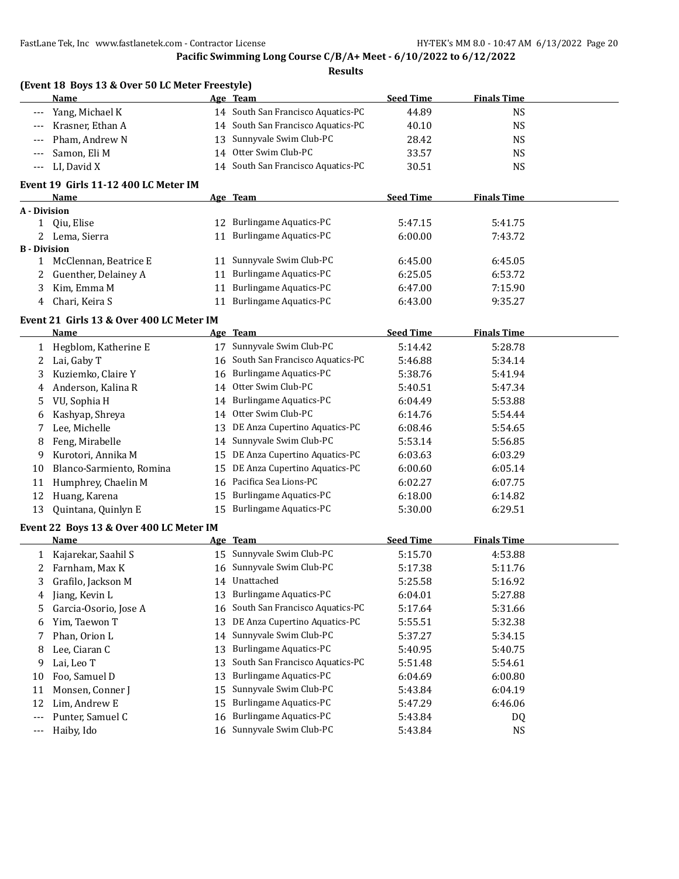#### **Pacific Swimming Long Course C/B/A+ Meet - 6/10/2022 to 6/12/2022**

#### **Results**

| (Event 18 Boys 13 & Over 50 LC Meter Freestyle) |    |                                    |                  |                    |  |
|-------------------------------------------------|----|------------------------------------|------------------|--------------------|--|
| Name                                            |    | Age Team                           | <b>Seed Time</b> | <b>Finals Time</b> |  |
| --- Yang, Michael K                             |    | 14 South San Francisco Aquatics-PC | 44.89            | NS                 |  |
| --- Krasner, Ethan A                            |    | 14 South San Francisco Aquatics-PC | 40.10            | NS                 |  |
| --- Pham, Andrew N                              |    | 13 Sunnyvale Swim Club-PC          | 28.42            | NS                 |  |
| --- Samon, Eli M                                | 14 | Otter Swim Club-PC                 | 33.57            | NS                 |  |
| $-LI$ , David X                                 |    | 14 South San Francisco Aquatics-PC | 30.51            | NS                 |  |

#### **Event 19 Girls 11-12 400 LC Meter IM**

|                     | Name                   |    | Age Team                      | <b>Seed Time</b> | <b>Finals Time</b> |  |
|---------------------|------------------------|----|-------------------------------|------------------|--------------------|--|
| A - Division        |                        |    |                               |                  |                    |  |
|                     | 0iu, Elise             | 12 | Burlingame Aquatics-PC        | 5:47.15          | 5:41.75            |  |
|                     | Lema, Sierra           | 11 | <b>Burlingame Aquatics-PC</b> | 6:00.00          | 7:43.72            |  |
| <b>B</b> - Division |                        |    |                               |                  |                    |  |
|                     | McClennan, Beatrice E  |    | 11 Sunnyvale Swim Club-PC     | 6:45.00          | 6:45.05            |  |
|                     | 2 Guenther, Delainey A | 11 | <b>Burlingame Aquatics-PC</b> | 6:25.05          | 6:53.72            |  |
| 3                   | Kim, Emma M            | 11 | Burlingame Aquatics-PC        | 6:47.00          | 7:15.90            |  |
| 4                   | Chari, Keira S         | 11 | <b>Burlingame Aquatics-PC</b> | 6:43.00          | 9:35.27            |  |

### **Event 21 Girls 13 & Over 400 LC Meter IM**

|    | Name                                    |     | Age Team                        | <b>Seed Time</b> | <b>Finals Time</b> |  |
|----|-----------------------------------------|-----|---------------------------------|------------------|--------------------|--|
| 1  | Hegblom, Katherine E                    | 17  | Sunnyvale Swim Club-PC          | 5:14.42          | 5:28.78            |  |
| 2  | Lai, Gaby T                             | 16  | South San Francisco Aquatics-PC | 5:46.88          | 5:34.14            |  |
| 3  | Kuziemko, Claire Y                      | 16  | <b>Burlingame Aquatics-PC</b>   | 5:38.76          | 5:41.94            |  |
| 4  | Anderson, Kalina R                      | 14  | Otter Swim Club-PC              | 5:40.51          | 5:47.34            |  |
| 5  | VU, Sophia H                            | 14  | <b>Burlingame Aquatics-PC</b>   | 6:04.49          | 5:53.88            |  |
| 6  | Kashyap, Shreya                         | 14  | Otter Swim Club-PC              | 6:14.76          | 5:54.44            |  |
| 7  | Lee, Michelle                           | 13  | DE Anza Cupertino Aquatics-PC   | 6:08.46          | 5:54.65            |  |
| 8  | Feng, Mirabelle                         | 14  | Sunnyvale Swim Club-PC          | 5:53.14          | 5:56.85            |  |
| 9  | Kurotori, Annika M                      | 15  | DE Anza Cupertino Aquatics-PC   | 6:03.63          | 6:03.29            |  |
| 10 | Blanco-Sarmiento, Romina                | 15  | DE Anza Cupertino Aquatics-PC   | 6:00.60          | 6:05.14            |  |
| 11 | Humphrey, Chaelin M                     | 16  | Pacifica Sea Lions-PC           | 6:02.27          | 6:07.75            |  |
| 12 | Huang, Karena                           | 15  | Burlingame Aquatics-PC          | 6:18.00          | 6:14.82            |  |
| 13 | Quintana, Quinlyn E                     | 15  | <b>Burlingame Aquatics-PC</b>   | 5:30.00          | 6:29.51            |  |
|    | Event 22 Boys 13 & Over 400 LC Meter IM |     |                                 |                  |                    |  |
|    |                                         |     |                                 |                  |                    |  |
|    | Name                                    | Age | <b>Team</b>                     | <b>Seed Time</b> | <b>Finals Time</b> |  |
| 1  | Kajarekar, Saahil S                     | 15  | Sunnyvale Swim Club-PC          | 5:15.70          | 4:53.88            |  |
| 2  | Farnham, Max K                          | 16  | Sunnyvale Swim Club-PC          | 5:17.38          | 5:11.76            |  |
| 3  | Grafilo, Jackson M                      | 14  | Unattached                      | 5:25.58          | 5:16.92            |  |
| 4  | Jiang, Kevin L                          | 13  | <b>Burlingame Aquatics-PC</b>   | 6:04.01          | 5:27.88            |  |
| 5  | Garcia-Osorio, Jose A                   | 16  | South San Francisco Aquatics-PC | 5:17.64          | 5:31.66            |  |
| 6  | Yim, Taewon T                           | 13  | DE Anza Cupertino Aquatics-PC   | 5:55.51          | 5:32.38            |  |
| 7  | Phan, Orion L                           | 14  | Sunnyvale Swim Club-PC          | 5:37.27          | 5:34.15            |  |
| 8  | Lee, Ciaran C                           | 13  | <b>Burlingame Aquatics-PC</b>   | 5:40.95          | 5:40.75            |  |
| 9  | Lai, Leo T                              | 13  | South San Francisco Aquatics-PC | 5:51.48          | 5:54.61            |  |
| 10 | Foo, Samuel D                           | 13  | <b>Burlingame Aquatics-PC</b>   | 6:04.69          | 6:00.80            |  |
| 11 | Monsen, Conner J                        | 15  | Sunnyvale Swim Club-PC          | 5:43.84          | 6:04.19            |  |
| 12 | Lim, Andrew E                           | 15  | <b>Burlingame Aquatics-PC</b>   | 5:47.29          | 6:46.06            |  |
|    | Punter, Samuel C                        | 16  | <b>Burlingame Aquatics-PC</b>   | 5:43.84          | DQ                 |  |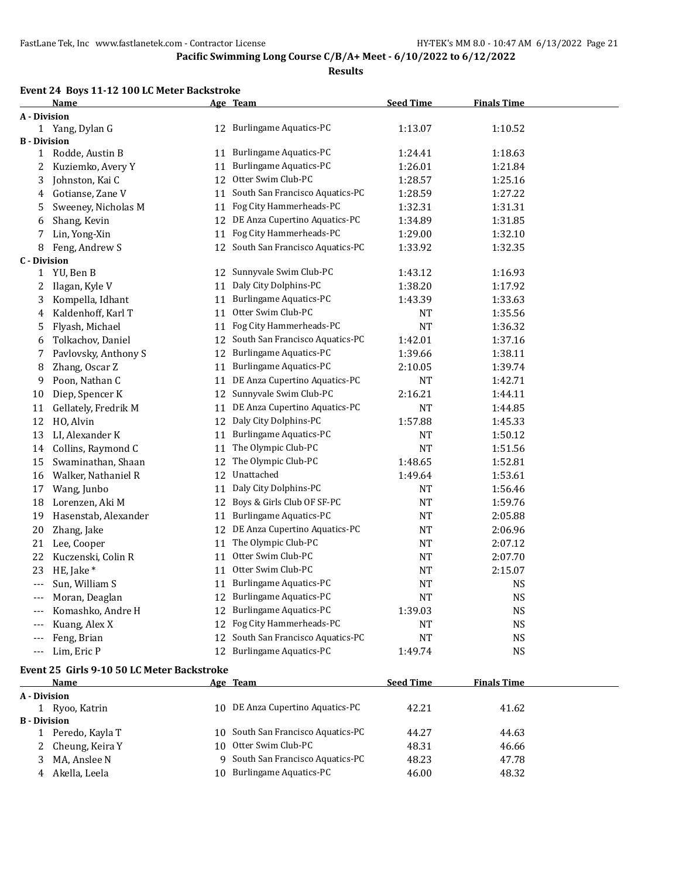#### **Results**

#### **Event 24 Boys 11-12 100 LC Meter Backstroke**

|                     | <b>Name</b>          |    | Age Team                         | <b>Seed Time</b> | <b>Finals Time</b> |  |
|---------------------|----------------------|----|----------------------------------|------------------|--------------------|--|
| A - Division        |                      |    |                                  |                  |                    |  |
|                     | 1 Yang, Dylan G      |    | 12 Burlingame Aquatics-PC        | 1:13.07          | 1:10.52            |  |
| <b>B</b> - Division |                      |    |                                  |                  |                    |  |
| 1                   | Rodde, Austin B      | 11 | <b>Burlingame Aquatics-PC</b>    | 1:24.41          | 1:18.63            |  |
| 2                   | Kuziemko, Avery Y    | 11 | <b>Burlingame Aquatics-PC</b>    | 1:26.01          | 1:21.84            |  |
| 3                   | Johnston, Kai C      | 12 | Otter Swim Club-PC               | 1:28.57          | 1:25.16            |  |
| 4                   | Gotianse, Zane V     | 11 | South San Francisco Aquatics-PC  | 1:28.59          | 1:27.22            |  |
| 5                   | Sweeney, Nicholas M  | 11 | Fog City Hammerheads-PC          | 1:32.31          | 1:31.31            |  |
| 6                   | Shang, Kevin         | 12 | DE Anza Cupertino Aquatics-PC    | 1:34.89          | 1:31.85            |  |
| 7                   | Lin, Yong-Xin        | 11 | Fog City Hammerheads-PC          | 1:29.00          | 1:32.10            |  |
| 8                   | Feng, Andrew S       | 12 | South San Francisco Aquatics-PC  | 1:33.92          | 1:32.35            |  |
| <b>C</b> - Division |                      |    |                                  |                  |                    |  |
| $\mathbf{1}$        | YU, Ben B            |    | 12 Sunnyvale Swim Club-PC        | 1:43.12          | 1:16.93            |  |
| 2                   | Ilagan, Kyle V       | 11 | Daly City Dolphins-PC            | 1:38.20          | 1:17.92            |  |
| 3                   | Kompella, Idhant     | 11 | <b>Burlingame Aquatics-PC</b>    | 1:43.39          | 1:33.63            |  |
| 4                   | Kaldenhoff, Karl T   | 11 | Otter Swim Club-PC               | NT               | 1:35.56            |  |
| 5                   | Flyash, Michael      | 11 | Fog City Hammerheads-PC          | NT               | 1:36.32            |  |
| 6                   | Tolkachov, Daniel    | 12 | South San Francisco Aquatics-PC  | 1:42.01          | 1:37.16            |  |
| 7                   | Pavlovsky, Anthony S | 12 | <b>Burlingame Aquatics-PC</b>    | 1:39.66          | 1:38.11            |  |
| 8                   | Zhang, Oscar Z       | 11 | <b>Burlingame Aquatics-PC</b>    | 2:10.05          | 1:39.74            |  |
| 9                   | Poon, Nathan C       |    | 11 DE Anza Cupertino Aquatics-PC | NT               | 1:42.71            |  |
| 10                  | Diep, Spencer K      | 12 | Sunnyvale Swim Club-PC           | 2:16.21          | 1:44.11            |  |
| 11                  | Gellately, Fredrik M | 11 | DE Anza Cupertino Aquatics-PC    | NT               | 1:44.85            |  |
| 12                  | HO, Alvin            | 12 | Daly City Dolphins-PC            | 1:57.88          | 1:45.33            |  |
| 13                  | LI, Alexander K      | 11 | <b>Burlingame Aquatics-PC</b>    | NT               | 1:50.12            |  |
| 14                  | Collins, Raymond C   |    | 11 The Olympic Club-PC           | <b>NT</b>        | 1:51.56            |  |
| 15                  | Swaminathan, Shaan   | 12 | The Olympic Club-PC              | 1:48.65          | 1:52.81            |  |
| 16                  | Walker, Nathaniel R  |    | 12 Unattached                    | 1:49.64          | 1:53.61            |  |
| 17                  | Wang, Junbo          | 11 | Daly City Dolphins-PC            | NT               | 1:56.46            |  |
| 18                  | Lorenzen, Aki M      | 12 | Boys & Girls Club OF SF-PC       | NT               | 1:59.76            |  |
| 19                  | Hasenstab, Alexander | 11 | Burlingame Aquatics-PC           | NT               | 2:05.88            |  |
| 20                  | Zhang, Jake          | 12 | DE Anza Cupertino Aquatics-PC    | NT               | 2:06.96            |  |
| 21                  | Lee, Cooper          | 11 | The Olympic Club-PC              | NT               | 2:07.12            |  |
| 22                  | Kuczenski, Colin R   | 11 | Otter Swim Club-PC               | NT               | 2:07.70            |  |
| 23                  | HE, Jake *           | 11 | Otter Swim Club-PC               | NT               | 2:15.07            |  |
| $---$               | Sun, William S       |    | 11 Burlingame Aquatics-PC        | NT               | <b>NS</b>          |  |
| $---$               | Moran, Deaglan       | 12 | Burlingame Aquatics-PC           | NT               | <b>NS</b>          |  |
| $---$               | Komashko, Andre H    | 12 | <b>Burlingame Aquatics-PC</b>    | 1:39.03          | <b>NS</b>          |  |
| $---$               | Kuang, Alex X        | 12 | Fog City Hammerheads-PC          | <b>NT</b>        | <b>NS</b>          |  |
| $---$               | Feng, Brian          | 12 | South San Francisco Aquatics-PC  | <b>NT</b>        | <b>NS</b>          |  |
| $---$               | Lim, Eric P          |    | 12 Burlingame Aquatics-PC        | 1:49.74          | <b>NS</b>          |  |
|                     |                      |    |                                  |                  |                    |  |

#### **Event 25 Girls 9-10 50 LC Meter Backstroke**

|                     | Name            |        | Age Team                           | <b>Seed Time</b> | <b>Finals Time</b> |  |
|---------------------|-----------------|--------|------------------------------------|------------------|--------------------|--|
| A - Division        |                 |        |                                    |                  |                    |  |
|                     | Ryoo, Katrin    |        | 10 DE Anza Cupertino Aquatics-PC   | 42.21            | 41.62              |  |
| <b>B</b> - Division |                 |        |                                    |                  |                    |  |
|                     | Peredo, Kayla T |        | 10 South San Francisco Aquatics-PC | 44.27            | 44.63              |  |
|                     | Cheung, Keira Y |        | 10 Otter Swim Club-PC              | 48.31            | 46.66              |  |
|                     | MA, Anslee N    | q.     | South San Francisco Aquatics-PC    | 48.23            | 47.78              |  |
|                     | Akella, Leela   | 1 () - | <b>Burlingame Aquatics-PC</b>      | 46.00            | 48.32              |  |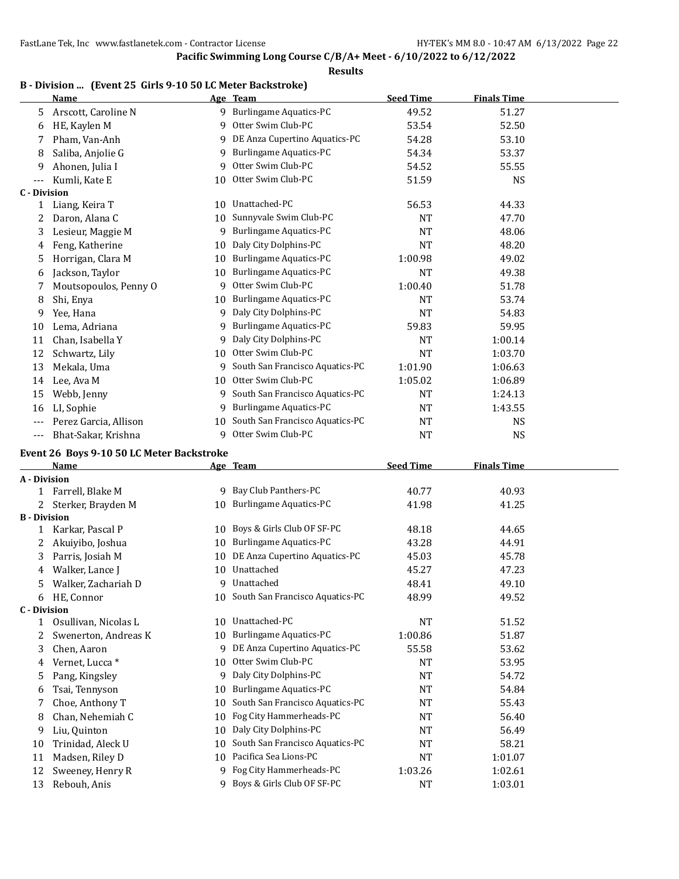|                     | B - Division  (Event 25 Girls 9-10 50 LC Meter Backstroke)<br>Name |         | Age Team                                         | <b>Seed Time</b>     | <b>Finals Time</b> |  |
|---------------------|--------------------------------------------------------------------|---------|--------------------------------------------------|----------------------|--------------------|--|
| 5                   | Arscott, Caroline N                                                |         | 9 Burlingame Aquatics-PC                         | 49.52                | 51.27              |  |
| 6                   | HE, Kaylen M                                                       | 9       | Otter Swim Club-PC                               | 53.54                | 52.50              |  |
| 7                   | Pham, Van-Anh                                                      | 9       | DE Anza Cupertino Aquatics-PC                    | 54.28                | 53.10              |  |
| 8                   | Saliba, Anjolie G                                                  | 9       | <b>Burlingame Aquatics-PC</b>                    | 54.34                | 53.37              |  |
| 9                   | Ahonen, Julia I                                                    | 9       | Otter Swim Club-PC                               | 54.52                | 55.55              |  |
| $---$               | Kumli, Kate E                                                      | 10      | Otter Swim Club-PC                               | 51.59                | <b>NS</b>          |  |
| <b>C</b> - Division |                                                                    |         |                                                  |                      |                    |  |
| $\mathbf{1}$        | Liang, Keira T                                                     | 10      | Unattached-PC                                    | 56.53                | 44.33              |  |
| 2                   | Daron, Alana C                                                     | 10      | Sunnyvale Swim Club-PC                           | NT                   | 47.70              |  |
| 3                   | Lesieur, Maggie M                                                  | 9       | <b>Burlingame Aquatics-PC</b>                    | <b>NT</b>            | 48.06              |  |
| 4                   | Feng, Katherine                                                    | 10      | Daly City Dolphins-PC                            | <b>NT</b>            | 48.20              |  |
| 5                   | Horrigan, Clara M                                                  | 10      | <b>Burlingame Aquatics-PC</b>                    | 1:00.98              | 49.02              |  |
| 6                   | Jackson, Taylor                                                    | 10      | <b>Burlingame Aquatics-PC</b>                    | NT                   | 49.38              |  |
| 7                   | Moutsopoulos, Penny O                                              | 9       | Otter Swim Club-PC                               | 1:00.40              | 51.78              |  |
| 8                   | Shi, Enya                                                          | 10      | <b>Burlingame Aquatics-PC</b>                    | NT                   | 53.74              |  |
| 9                   | Yee, Hana                                                          | 9       | Daly City Dolphins-PC                            | NT                   | 54.83              |  |
| 10                  | Lema, Adriana                                                      | 9       | <b>Burlingame Aquatics-PC</b>                    | 59.83                | 59.95              |  |
| 11                  | Chan, Isabella Y                                                   | 9       | Daly City Dolphins-PC                            | NT                   | 1:00.14            |  |
| 12                  | Schwartz, Lily                                                     | 10      | Otter Swim Club-PC                               | <b>NT</b>            | 1:03.70            |  |
| 13                  | Mekala, Uma                                                        | 9       | South San Francisco Aquatics-PC                  | 1:01.90              | 1:06.63            |  |
| 14                  | Lee, Ava M                                                         | 10      | Otter Swim Club-PC                               | 1:05.02              | 1:06.89            |  |
| 15                  | Webb, Jenny                                                        |         | 9 South San Francisco Aquatics-PC                | NT                   | 1:24.13            |  |
| 16                  | LI, Sophie                                                         | 9       | <b>Burlingame Aquatics-PC</b>                    | NT                   | 1:43.55            |  |
| $---$               | Perez Garcia, Allison                                              | 10      | South San Francisco Aquatics-PC                  | NT                   | <b>NS</b>          |  |
| $---$               | Bhat-Sakar, Krishna                                                | 9       | Otter Swim Club-PC                               | NT                   | <b>NS</b>          |  |
|                     |                                                                    |         |                                                  |                      |                    |  |
|                     | Event 26 Boys 9-10 50 LC Meter Backstroke                          |         |                                                  |                      |                    |  |
| A - Division        | Name                                                               |         | Age Team                                         | <b>Seed Time</b>     | <b>Finals Time</b> |  |
| 1                   | Farrell, Blake M                                                   |         | 9 Bay Club Panthers-PC                           | 40.77                | 40.93              |  |
| 2                   | Sterker, Brayden M                                                 |         | 10 Burlingame Aquatics-PC                        | 41.98                | 41.25              |  |
| <b>B</b> - Division |                                                                    |         |                                                  |                      |                    |  |
| 1                   | Karkar, Pascal P                                                   | 10      | Boys & Girls Club OF SF-PC                       | 48.18                | 44.65              |  |
| 2                   | Akuiyibo, Joshua                                                   | 10      | <b>Burlingame Aquatics-PC</b>                    | 43.28                | 44.91              |  |
| 3                   | Parris, Josiah M                                                   | 10      | DE Anza Cupertino Aquatics-PC                    | 45.03                | 45.78              |  |
| 4                   | Walker, Lance J                                                    |         | 10 Unattached                                    | 45.27                | 47.23              |  |
| 5                   | Walker, Zachariah D                                                |         | 9 Unattached                                     | 48.41                | 49.10              |  |
| 6                   | HE, Connor                                                         |         | 10 South San Francisco Aquatics-PC               | 48.99                | 49.52              |  |
| <b>C</b> - Division |                                                                    |         |                                                  |                      |                    |  |
| $\mathbf{1}$        | Osullivan, Nicolas L                                               | 10      | Unattached-PC                                    | NT                   | 51.52              |  |
| 2                   | Swenerton, Andreas K                                               | 10      | <b>Burlingame Aquatics-PC</b>                    | 1:00.86              | 51.87              |  |
| 3                   | Chen, Aaron                                                        | 9       | DE Anza Cupertino Aquatics-PC                    | 55.58                | 53.62              |  |
| 4                   | Vernet, Lucca*                                                     | 10      | Otter Swim Club-PC                               | NT                   | 53.95              |  |
| 5                   | Pang, Kingsley                                                     | 9       | Daly City Dolphins-PC                            | NT                   | 54.72              |  |
| 6                   | Tsai, Tennyson                                                     | 10      | <b>Burlingame Aquatics-PC</b>                    | NT                   | 54.84              |  |
|                     |                                                                    |         | South San Francisco Aquatics-PC                  | NT                   | 55.43              |  |
|                     |                                                                    |         |                                                  |                      |                    |  |
| 7                   | Choe, Anthony T                                                    | 10      |                                                  |                      |                    |  |
| 8                   | Chan, Nehemiah C                                                   | 10      | Fog City Hammerheads-PC                          | NT                   | 56.40              |  |
| 9                   | Liu, Quinton                                                       | 10      | Daly City Dolphins-PC                            | NT                   | 56.49              |  |
| 10                  | Trinidad, Aleck U                                                  | 10      | South San Francisco Aquatics-PC                  | <b>NT</b>            | 58.21              |  |
| 11<br>12            | Madsen, Riley D<br>Sweeney, Henry R                                | 10<br>9 | Pacifica Sea Lions-PC<br>Fog City Hammerheads-PC | <b>NT</b><br>1:03.26 | 1:01.07<br>1:02.61 |  |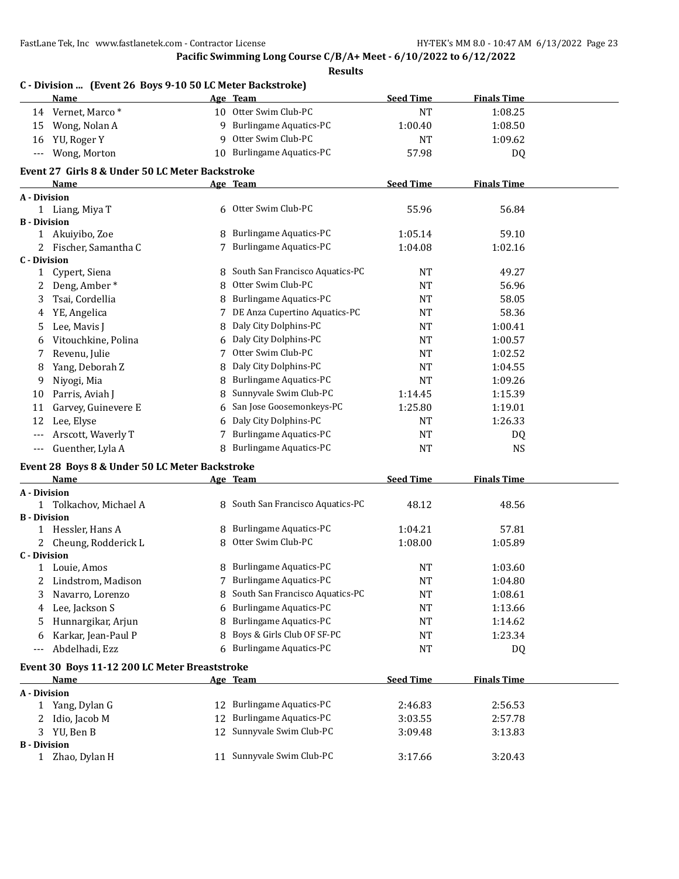|                      | C - Division  (Event 26 Boys 9-10 50 LC Meter Backstroke)<br>Name |    | Age Team                                             | <b>Seed Time</b> | <b>Finals Time</b> |  |
|----------------------|-------------------------------------------------------------------|----|------------------------------------------------------|------------------|--------------------|--|
|                      | 14 Vernet, Marco*                                                 |    | 10 Otter Swim Club-PC                                | <b>NT</b>        | 1:08.25            |  |
| 15                   | Wong, Nolan A                                                     |    | 9 Burlingame Aquatics-PC                             | 1:00.40          | 1:08.50            |  |
| 16                   | YU, Roger Y                                                       | 9  | Otter Swim Club-PC                                   | <b>NT</b>        | 1:09.62            |  |
| $\scriptstyle\cdots$ | Wong, Morton                                                      |    | 10 Burlingame Aquatics-PC                            | 57.98            | DQ                 |  |
|                      | Event 27 Girls 8 & Under 50 LC Meter Backstroke                   |    |                                                      |                  |                    |  |
|                      | Name                                                              |    | Age Team                                             | <b>Seed Time</b> | <b>Finals Time</b> |  |
| A - Division         |                                                                   |    |                                                      |                  |                    |  |
|                      | 1 Liang, Miya T                                                   |    | 6 Otter Swim Club-PC                                 | 55.96            | 56.84              |  |
| <b>B</b> - Division  |                                                                   |    |                                                      |                  |                    |  |
|                      | 1 Akuiyibo, Zoe                                                   | 8  | <b>Burlingame Aquatics-PC</b>                        | 1:05.14          | 59.10              |  |
|                      | 2 Fischer, Samantha C                                             |    | <b>Burlingame Aquatics-PC</b>                        | 1:04.08          | 1:02.16            |  |
| <b>C</b> - Division  |                                                                   |    |                                                      |                  |                    |  |
| 1                    | Cypert, Siena                                                     | 8  | South San Francisco Aquatics-PC                      | <b>NT</b>        | 49.27              |  |
| 2                    | Deng, Amber*                                                      | 8  | Otter Swim Club-PC                                   | <b>NT</b>        | 56.96              |  |
| 3                    | Tsai, Cordellia                                                   | 8  | <b>Burlingame Aquatics-PC</b>                        | <b>NT</b>        | 58.05              |  |
| 4                    | YE, Angelica                                                      | 7  | DE Anza Cupertino Aquatics-PC                        | <b>NT</b>        | 58.36              |  |
| 5                    | Lee, Mavis J                                                      | 8  | Daly City Dolphins-PC                                | <b>NT</b>        | 1:00.41            |  |
| 6                    | Vitouchkine, Polina                                               | 6  | Daly City Dolphins-PC                                | <b>NT</b>        | 1:00.57            |  |
| 7                    | Revenu, Julie                                                     | 7  | Otter Swim Club-PC                                   | <b>NT</b>        | 1:02.52            |  |
| 8                    | Yang, Deborah Z                                                   | 8  | Daly City Dolphins-PC                                | <b>NT</b>        | 1:04.55            |  |
| 9                    | Niyogi, Mia                                                       | 8  | <b>Burlingame Aquatics-PC</b>                        | <b>NT</b>        | 1:09.26            |  |
| 10                   | Parris, Aviah J                                                   | 8  | Sunnyvale Swim Club-PC                               | 1:14.45          | 1:15.39            |  |
| 11                   | Garvey, Guinevere E                                               | 6  | San Jose Goosemonkeys-PC                             | 1:25.80          | 1:19.01            |  |
| 12                   | Lee, Elyse                                                        | 6  | Daly City Dolphins-PC                                | <b>NT</b>        | 1:26.33            |  |
|                      | Arscott, Waverly T                                                | 7  | <b>Burlingame Aquatics-PC</b>                        | <b>NT</b>        | DQ                 |  |
| $---$                | Guenther, Lyla A                                                  | 8  | <b>Burlingame Aquatics-PC</b>                        | <b>NT</b>        | <b>NS</b>          |  |
|                      | Event 28 Boys 8 & Under 50 LC Meter Backstroke                    |    |                                                      |                  |                    |  |
|                      | Name                                                              |    | Age Team                                             | <b>Seed Time</b> | <b>Finals Time</b> |  |
| A - Division         |                                                                   |    |                                                      |                  |                    |  |
|                      | 1 Tolkachov, Michael A                                            |    | 8 South San Francisco Aquatics-PC                    | 48.12            | 48.56              |  |
| <b>B</b> - Division  |                                                                   |    |                                                      |                  |                    |  |
|                      | 1 Hessler, Hans A                                                 | 8  | <b>Burlingame Aquatics-PC</b>                        | 1:04.21          | 57.81              |  |
|                      | 2 Cheung, Rodderick L                                             | 8  | Otter Swim Club-PC                                   | 1:08.00          | 1:05.89            |  |
| <b>C</b> - Division  |                                                                   |    |                                                      |                  |                    |  |
|                      | 1 Louie, Amos                                                     |    | 8 Burlingame Aquatics-PC<br>7 Burlingame Aquatics-PC | <b>NT</b>        | 1:03.60            |  |
| 2                    | Lindstrom, Madison                                                |    |                                                      | <b>NT</b>        | 1:04.80            |  |
| 3                    | Navarro, Lorenzo                                                  | 8  | South San Francisco Aquatics-PC                      | <b>NT</b>        | 1:08.61            |  |
| 4                    | Lee, Jackson S                                                    | 6  | <b>Burlingame Aquatics-PC</b>                        | <b>NT</b>        | 1:13.66            |  |
| 5                    | Hunnargikar, Arjun                                                | 8  | <b>Burlingame Aquatics-PC</b>                        | NT               | 1:14.62            |  |
| 6                    | Karkar, Jean-Paul P                                               | 8  | Boys & Girls Club OF SF-PC                           | <b>NT</b>        | 1:23.34            |  |
| $---$                | Abdelhadi, Ezz                                                    | 6  | <b>Burlingame Aquatics-PC</b>                        | <b>NT</b>        | DQ                 |  |
|                      | Event 30 Boys 11-12 200 LC Meter Breaststroke                     |    |                                                      |                  |                    |  |
|                      | Name                                                              |    | Age Team                                             | <b>Seed Time</b> | <b>Finals Time</b> |  |
| A - Division         |                                                                   |    |                                                      |                  |                    |  |
| 1                    | Yang, Dylan G                                                     | 12 | <b>Burlingame Aquatics-PC</b>                        | 2:46.83          | 2:56.53            |  |
| 2                    | Idio, Jacob M                                                     | 12 | <b>Burlingame Aquatics-PC</b>                        | 3:03.55          | 2:57.78            |  |
| 3                    | YU, Ben B                                                         | 12 | Sunnyvale Swim Club-PC                               | 3:09.48          | 3:13.83            |  |
| <b>B</b> - Division  | 1 Zhao, Dylan H                                                   |    | 11 Sunnyvale Swim Club-PC                            | 3:17.66          | 3:20.43            |  |
|                      |                                                                   |    |                                                      |                  |                    |  |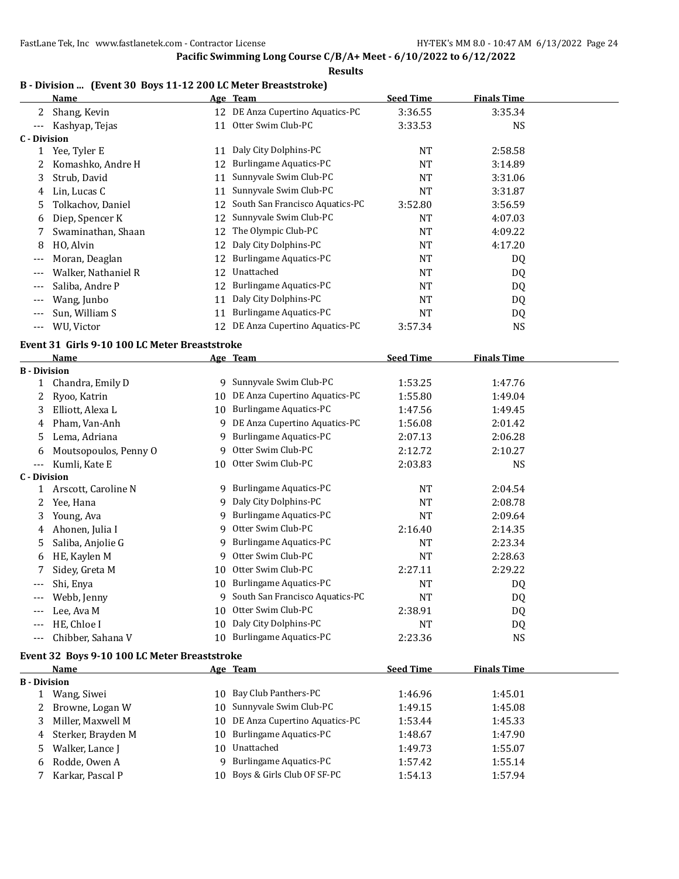#### **Results B - Division ... (Event 30 Boys 11-12 200 LC Meter Breaststroke)**

|                              | Proposition  The first only boys II-IZ 200 FC meter breasts true f<br><u>Name</u> |    | Age Team                          | <b>Seed Time</b> | <b>Finals Time</b> |  |
|------------------------------|-----------------------------------------------------------------------------------|----|-----------------------------------|------------------|--------------------|--|
|                              | 2 Shang, Kevin                                                                    |    | 12 DE Anza Cupertino Aquatics-PC  | 3:36.55          | 3:35.34            |  |
| $---$                        | Kashyap, Tejas                                                                    |    | 11 Otter Swim Club-PC             | 3:33.53          | <b>NS</b>          |  |
| <b>C</b> - Division          |                                                                                   |    |                                   |                  |                    |  |
| $\mathbf{1}$                 | Yee, Tyler E                                                                      |    | 11 Daly City Dolphins-PC          | NT               | 2:58.58            |  |
| 2                            | Komashko, Andre H                                                                 | 12 | <b>Burlingame Aquatics-PC</b>     | <b>NT</b>        | 3:14.89            |  |
| 3                            | Strub, David                                                                      | 11 | Sunnyvale Swim Club-PC            | NT               | 3:31.06            |  |
| 4                            | Lin, Lucas C                                                                      | 11 | Sunnyvale Swim Club-PC            | NT               | 3:31.87            |  |
| 5                            | Tolkachov, Daniel                                                                 | 12 | South San Francisco Aquatics-PC   | 3:52.80          | 3:56.59            |  |
| 6                            | Diep, Spencer K                                                                   | 12 | Sunnyvale Swim Club-PC            | <b>NT</b>        | 4:07.03            |  |
| 7                            | Swaminathan, Shaan                                                                | 12 | The Olympic Club-PC               | NT               | 4:09.22            |  |
| 8                            | HO, Alvin                                                                         | 12 | Daly City Dolphins-PC             | NT               | 4:17.20            |  |
| $---$                        | Moran, Deaglan                                                                    | 12 | <b>Burlingame Aquatics-PC</b>     | NT               | DQ                 |  |
| $---$                        | Walker, Nathaniel R                                                               | 12 | Unattached                        | NT               | DQ                 |  |
| $---$                        | Saliba, Andre P                                                                   | 12 | <b>Burlingame Aquatics-PC</b>     | NT               | DQ                 |  |
| $---$                        | Wang, Junbo                                                                       | 11 | Daly City Dolphins-PC             | NT               | DQ                 |  |
| $---$                        | Sun, William S                                                                    | 11 | <b>Burlingame Aquatics-PC</b>     | <b>NT</b>        | DQ                 |  |
| $---$                        | WU, Victor                                                                        |    | 12 DE Anza Cupertino Aquatics-PC  | 3:57.34          | <b>NS</b>          |  |
|                              |                                                                                   |    |                                   |                  |                    |  |
|                              | Event 31 Girls 9-10 100 LC Meter Breaststroke                                     |    |                                   |                  |                    |  |
|                              | Name                                                                              |    | Age Team                          | <b>Seed Time</b> | <b>Finals Time</b> |  |
| <b>B</b> - Division          |                                                                                   |    | 9 Sunnyvale Swim Club-PC          | 1:53.25          | 1:47.76            |  |
| $1 -$                        | Chandra, Emily D<br>Ryoo, Katrin                                                  | 10 | DE Anza Cupertino Aquatics-PC     | 1:55.80          | 1:49.04            |  |
| 2                            |                                                                                   |    | <b>Burlingame Aquatics-PC</b>     |                  |                    |  |
| 3                            | Elliott, Alexa L                                                                  | 10 | DE Anza Cupertino Aquatics-PC     | 1:47.56          | 1:49.45            |  |
| 4                            | Pham, Van-Anh                                                                     | 9  | <b>Burlingame Aquatics-PC</b>     | 1:56.08          | 2:01.42            |  |
| 5                            | Lema, Adriana                                                                     | 9  | Otter Swim Club-PC                | 2:07.13          | 2:06.28            |  |
| 6                            | Moutsopoulos, Penny O                                                             | 9  | Otter Swim Club-PC                | 2:12.72          | 2:10.27            |  |
| $---$<br><b>C</b> - Division | Kumli, Kate E                                                                     | 10 |                                   | 2:03.83          | <b>NS</b>          |  |
| $\mathbf{1}$                 | Arscott, Caroline N                                                               | 9. | <b>Burlingame Aquatics-PC</b>     | NT               | 2:04.54            |  |
| 2                            | Yee, Hana                                                                         | 9  | Daly City Dolphins-PC             | NT               | 2:08.78            |  |
| 3                            | Young, Ava                                                                        | 9  | <b>Burlingame Aquatics-PC</b>     | NT               | 2:09.64            |  |
| 4                            | Ahonen, Julia I                                                                   | 9  | Otter Swim Club-PC                | 2:16.40          | 2:14.35            |  |
| 5                            | Saliba, Anjolie G                                                                 | 9  | <b>Burlingame Aquatics-PC</b>     | NT               | 2:23.34            |  |
| 6                            | HE, Kaylen M                                                                      | 9  | Otter Swim Club-PC                | NT               | 2:28.63            |  |
| 7                            | Sidey, Greta M                                                                    | 10 | Otter Swim Club-PC                | 2:27.11          | 2:29.22            |  |
|                              | Shi, Enya                                                                         |    | 10 Burlingame Aquatics-PC         | <b>NT</b>        | DQ                 |  |
|                              | Webb, Jenny                                                                       |    | 9 South San Francisco Aquatics-PC | NT               | DQ                 |  |
|                              |                                                                                   | 10 | Otter Swim Club-PC                | 2:38.91          |                    |  |
|                              | Lee, Ava M<br>HE, Chloe I                                                         | 10 | Daly City Dolphins-PC             | NT               | DQ                 |  |
| $---$                        | Chibber, Sahana V                                                                 | 10 | <b>Burlingame Aquatics-PC</b>     | 2:23.36          | DQ<br><b>NS</b>    |  |
|                              |                                                                                   |    |                                   |                  |                    |  |
|                              | Event 32 Boys 9-10 100 LC Meter Breaststroke                                      |    |                                   |                  |                    |  |
|                              | Name                                                                              |    | Age Team                          | <b>Seed Time</b> | <b>Finals Time</b> |  |
| <b>B</b> - Division          |                                                                                   |    | Bay Club Panthers-PC              |                  |                    |  |
| $\mathbf{1}$                 | Wang, Siwei                                                                       | 10 | Sunnyvale Swim Club-PC            | 1:46.96          | 1:45.01            |  |
| 2                            | Browne, Logan W                                                                   | 10 | DE Anza Cupertino Aquatics-PC     | 1:49.15          | 1:45.08            |  |
| 3                            | Miller, Maxwell M                                                                 | 10 |                                   | 1:53.44          | 1:45.33            |  |
| 4                            | Sterker, Brayden M                                                                | 10 | <b>Burlingame Aquatics-PC</b>     | 1:48.67          | 1:47.90            |  |
| 5                            | Walker, Lance J                                                                   | 10 | Unattached                        | 1:49.73          | 1:55.07            |  |
| 6                            | Rodde, Owen A                                                                     | 9  | <b>Burlingame Aquatics-PC</b>     | 1:57.42          | 1:55.14            |  |
| 7.                           | Karkar, Pascal P                                                                  | 10 | Boys & Girls Club OF SF-PC        | 1:54.13          | 1:57.94            |  |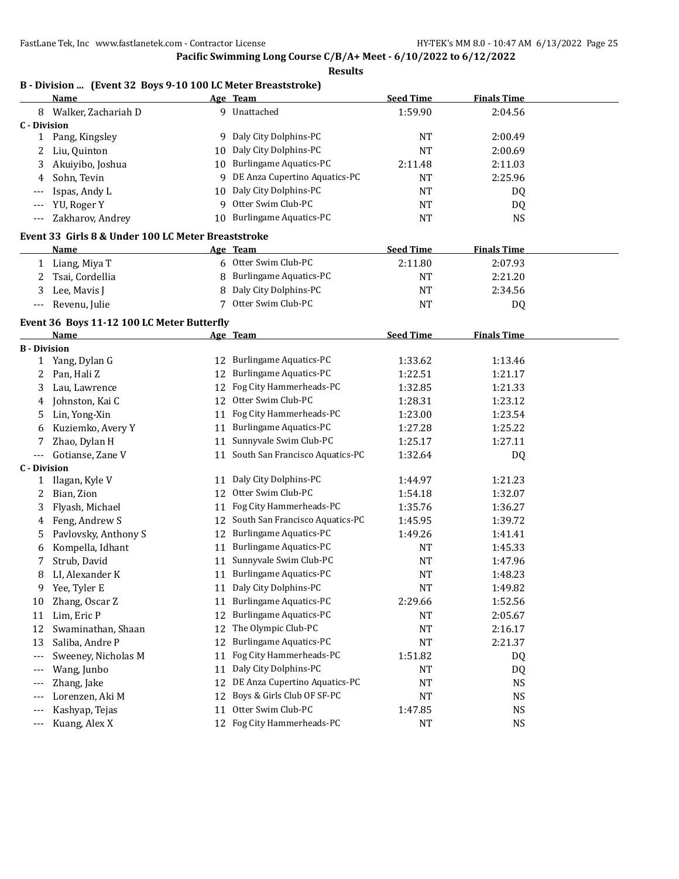#### **Pacific Swimming Long Course C/B/A+ Meet - 6/10/2022 to 6/12/2022**

|              | Name                                               |    | Age Team                      | <b>Seed Time</b> | <b>Finals Time</b> |
|--------------|----------------------------------------------------|----|-------------------------------|------------------|--------------------|
| 8            | Walker, Zachariah D                                | q  | Unattached                    | 1:59.90          | 2:04.56            |
| C - Division |                                                    |    |                               |                  |                    |
|              | Pang, Kingsley                                     | q  | Daly City Dolphins-PC         | <b>NT</b>        | 2:00.49            |
|              | Liu, Quinton                                       | 10 | Daly City Dolphins-PC         | <b>NT</b>        | 2:00.69            |
| 3            | Akuiyibo, Joshua                                   | 10 | Burlingame Aquatics-PC        | 2:11.48          | 2:11.03            |
| 4            | Sohn, Tevin                                        | 9  | DE Anza Cupertino Aquatics-PC | <b>NT</b>        | 2:25.96            |
| ---          | Ispas, Andy L                                      | 10 | Daly City Dolphins-PC         | <b>NT</b>        | <b>DQ</b>          |
| ---          | YU, Roger Y                                        | q  | Otter Swim Club-PC            | <b>NT</b>        | <b>DQ</b>          |
| ---          | Zakharov, Andrey                                   | 10 | Burlingame Aquatics-PC        | <b>NT</b>        | <b>NS</b>          |
|              | Event 33 Girls 8 & Under 100 LC Meter Breaststroke |    |                               |                  |                    |
|              | Name                                               |    | Age Team                      | <b>Seed Time</b> | <b>Finals Time</b> |
|              | Liang, Miya T                                      | 6  | Otter Swim Club-PC            | 2:11.80          | 2:07.93            |
|              | Tsai, Cordellia                                    | 8  | Burlingame Aquatics-PC        | <b>NT</b>        | 2:21.20            |
| 3            | Lee, Mavis J                                       | 8  | Daly City Dolphins-PC         | <b>NT</b>        | 2:34.56            |
| ---          | Revenu, Julie                                      |    | Otter Swim Club-PC            | <b>NT</b>        | DQ                 |

|                     | Event 36 Boys 11-12 100 LC Meter Butterfly |    |                                 |                  |                    |  |
|---------------------|--------------------------------------------|----|---------------------------------|------------------|--------------------|--|
|                     | <b>Name</b>                                |    | Age Team                        | <b>Seed Time</b> | <b>Finals Time</b> |  |
| <b>B</b> - Division |                                            |    |                                 |                  |                    |  |
| 1                   | Yang, Dylan G                              | 12 | <b>Burlingame Aquatics-PC</b>   | 1:33.62          | 1:13.46            |  |
| 2                   | Pan, Hali Z                                | 12 | <b>Burlingame Aquatics-PC</b>   | 1:22.51          | 1:21.17            |  |
| 3                   | Lau, Lawrence                              | 12 | Fog City Hammerheads-PC         | 1:32.85          | 1:21.33            |  |
| 4                   | Johnston, Kai C                            | 12 | Otter Swim Club-PC              | 1:28.31          | 1:23.12            |  |
| 5                   | Lin, Yong-Xin                              | 11 | Fog City Hammerheads-PC         | 1:23.00          | 1:23.54            |  |
| 6                   | Kuziemko, Avery Y                          | 11 | <b>Burlingame Aquatics-PC</b>   | 1:27.28          | 1:25.22            |  |
|                     | Zhao, Dylan H                              | 11 | Sunnyvale Swim Club-PC          | 1:25.17          | 1:27.11            |  |
| $---$               | Gotianse, Zane V                           | 11 | South San Francisco Aquatics-PC | 1:32.64          | DQ                 |  |
| <b>C</b> - Division |                                            |    |                                 |                  |                    |  |
| 1                   | Ilagan, Kyle V                             | 11 | Daly City Dolphins-PC           | 1:44.97          | 1:21.23            |  |
| 2                   | Bian, Zion                                 | 12 | Otter Swim Club-PC              | 1:54.18          | 1:32.07            |  |
| 3                   | Flyash, Michael                            | 11 | Fog City Hammerheads-PC         | 1:35.76          | 1:36.27            |  |
| 4                   | Feng, Andrew S                             | 12 | South San Francisco Aquatics-PC | 1:45.95          | 1:39.72            |  |
| 5                   | Pavlovsky, Anthony S                       | 12 | <b>Burlingame Aquatics-PC</b>   | 1:49.26          | 1:41.41            |  |
| 6                   | Kompella, Idhant                           | 11 | <b>Burlingame Aquatics-PC</b>   | <b>NT</b>        | 1:45.33            |  |
| 7                   | Strub, David                               | 11 | Sunnyvale Swim Club-PC          | <b>NT</b>        | 1:47.96            |  |
| 8                   | LI, Alexander K                            | 11 | <b>Burlingame Aquatics-PC</b>   | <b>NT</b>        | 1:48.23            |  |
| 9                   | Yee, Tyler E                               | 11 | Daly City Dolphins-PC           | <b>NT</b>        | 1:49.82            |  |
| 10                  | Zhang, Oscar Z                             | 11 | <b>Burlingame Aquatics-PC</b>   | 2:29.66          | 1:52.56            |  |
| 11                  | Lim, Eric P                                | 12 | <b>Burlingame Aquatics-PC</b>   | <b>NT</b>        | 2:05.67            |  |
| 12                  | Swaminathan, Shaan                         | 12 | The Olympic Club-PC             | <b>NT</b>        | 2:16.17            |  |
| 13                  | Saliba, Andre P                            | 12 | <b>Burlingame Aquatics-PC</b>   | <b>NT</b>        | 2:21.37            |  |
| $---$               | Sweeney, Nicholas M                        | 11 | Fog City Hammerheads-PC         | 1:51.82          | DQ                 |  |
| $---$               | Wang, Junbo                                | 11 | Daly City Dolphins-PC           | <b>NT</b>        | DQ                 |  |
| $---$               | Zhang, Jake                                | 12 | DE Anza Cupertino Aquatics-PC   | <b>NT</b>        | <b>NS</b>          |  |
| ---                 | Lorenzen, Aki M                            | 12 | Boys & Girls Club OF SF-PC      | <b>NT</b>        | <b>NS</b>          |  |
| $---$               | Kashyap, Tejas                             | 11 | Otter Swim Club-PC              | 1:47.85          | <b>NS</b>          |  |
| $---$               | Kuang, Alex X                              | 12 | Fog City Hammerheads-PC         | <b>NT</b>        | <b>NS</b>          |  |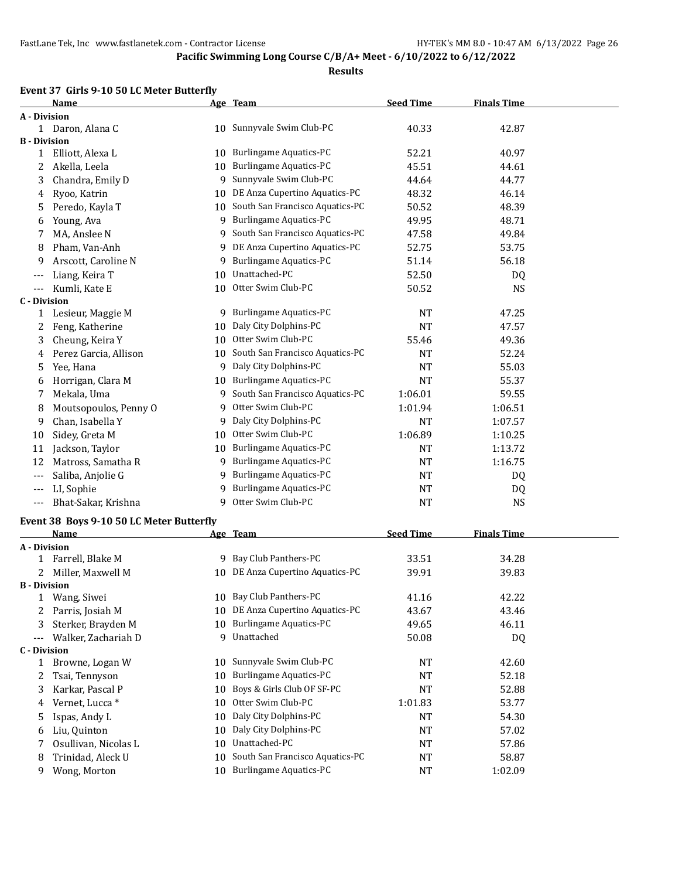#### **Results**

### **Event 37 Girls 9-10 50 LC Meter Butterfly**

|                     | Name                                     |    | Age Team                           | <b>Seed Time</b> | <b>Finals Time</b> |  |
|---------------------|------------------------------------------|----|------------------------------------|------------------|--------------------|--|
| A - Division        |                                          |    |                                    |                  |                    |  |
|                     | 1 Daron, Alana C                         |    | 10 Sunnyvale Swim Club-PC          | 40.33            | 42.87              |  |
| <b>B</b> - Division |                                          |    |                                    |                  |                    |  |
| 1                   | Elliott, Alexa L                         |    | 10 Burlingame Aquatics-PC          | 52.21            | 40.97              |  |
| 2                   | Akella, Leela                            | 10 | <b>Burlingame Aquatics-PC</b>      | 45.51            | 44.61              |  |
| 3                   | Chandra, Emily D                         | 9  | Sunnyvale Swim Club-PC             | 44.64            | 44.77              |  |
| 4                   | Ryoo, Katrin                             | 10 | DE Anza Cupertino Aquatics-PC      | 48.32            | 46.14              |  |
| 5                   | Peredo, Kayla T                          |    | 10 South San Francisco Aquatics-PC | 50.52            | 48.39              |  |
| 6                   | Young, Ava                               | 9  | <b>Burlingame Aquatics-PC</b>      | 49.95            | 48.71              |  |
| 7                   | MA, Anslee N                             | 9  | South San Francisco Aquatics-PC    | 47.58            | 49.84              |  |
| 8                   | Pham, Van-Anh                            | 9  | DE Anza Cupertino Aquatics-PC      | 52.75            | 53.75              |  |
| 9                   | Arscott, Caroline N                      | 9  | <b>Burlingame Aquatics-PC</b>      | 51.14            | 56.18              |  |
| ---                 | Liang, Keira T                           | 10 | Unattached-PC                      | 52.50            | DQ                 |  |
| $---$               | Kumli, Kate E                            | 10 | Otter Swim Club-PC                 | 50.52            | <b>NS</b>          |  |
| <b>C</b> - Division |                                          |    |                                    |                  |                    |  |
| 1                   | Lesieur, Maggie M                        | 9  | <b>Burlingame Aquatics-PC</b>      | <b>NT</b>        | 47.25              |  |
| 2                   | Feng, Katherine                          | 10 | Daly City Dolphins-PC              | <b>NT</b>        | 47.57              |  |
| 3                   | Cheung, Keira Y                          | 10 | Otter Swim Club-PC                 | 55.46            | 49.36              |  |
| 4                   | Perez Garcia, Allison                    |    | 10 South San Francisco Aquatics-PC | <b>NT</b>        | 52.24              |  |
| 5                   | Yee, Hana                                | 9  | Daly City Dolphins-PC              | <b>NT</b>        | 55.03              |  |
| 6                   | Horrigan, Clara M                        | 10 | <b>Burlingame Aquatics-PC</b>      | <b>NT</b>        | 55.37              |  |
| 7                   | Mekala, Uma                              | 9  | South San Francisco Aquatics-PC    | 1:06.01          | 59.55              |  |
| 8                   | Moutsopoulos, Penny O                    | 9  | Otter Swim Club-PC                 | 1:01.94          | 1:06.51            |  |
| 9                   | Chan, Isabella Y                         | 9  | Daly City Dolphins-PC              | <b>NT</b>        | 1:07.57            |  |
| 10                  | Sidey, Greta M                           | 10 | Otter Swim Club-PC                 | 1:06.89          | 1:10.25            |  |
|                     |                                          |    | Burlingame Aquatics-PC             |                  |                    |  |
| 11                  | Jackson, Taylor                          | 10 |                                    | <b>NT</b>        | 1:13.72            |  |
| 12                  | Matross, Samatha R                       | 9  | Burlingame Aquatics-PC             | <b>NT</b>        | 1:16.75            |  |
| ---                 | Saliba, Anjolie G                        | 9  | <b>Burlingame Aquatics-PC</b>      | NT               | DQ                 |  |
| $---$               | LI, Sophie                               | 9  | <b>Burlingame Aquatics-PC</b>      | NT               | DQ                 |  |
| $---$               | Bhat-Sakar, Krishna                      | 9  | Otter Swim Club-PC                 | <b>NT</b>        | NS                 |  |
|                     | Event 38 Boys 9-10 50 LC Meter Butterfly |    |                                    |                  |                    |  |
|                     | Name                                     |    | Age Team                           | <b>Seed Time</b> | <b>Finals Time</b> |  |
| A - Division        |                                          |    |                                    |                  |                    |  |
| $\mathbf{1}$        | Farrell, Blake M                         | 9  | Bay Club Panthers-PC               | 33.51            | 34.28              |  |
| 2                   | Miller, Maxwell M                        |    | 10 DE Anza Cupertino Aquatics-PC   | 39.91            | 39.83              |  |
| <b>B</b> - Division |                                          |    |                                    |                  |                    |  |
| 1                   | Wang, Siwei                              |    | 10 Bay Club Panthers-PC            | 41.16            | 42.22              |  |
| 2                   | Parris, Josiah M                         |    | 10 DE Anza Cupertino Aquatics-PC   | 43.67            | 43.46              |  |
| 3                   | Sterker, Brayden M                       | 10 | <b>Burlingame Aquatics-PC</b>      | 49.65            | 46.11              |  |
| $\qquad \qquad -$   | Walker, Zachariah D                      | 9  | Unattached                         | 50.08            | DQ                 |  |
| C - Division        |                                          |    |                                    |                  |                    |  |
| $\mathbf{1}$        | Browne, Logan W                          | 10 | Sunnyvale Swim Club-PC             | NT               | 42.60              |  |
| 2                   | Tsai, Tennyson                           | 10 | <b>Burlingame Aquatics-PC</b>      | <b>NT</b>        | 52.18              |  |
| 3                   | Karkar, Pascal P                         | 10 | Boys & Girls Club OF SF-PC         | NT               | 52.88              |  |
| 4                   | Vernet, Lucca *                          | 10 | Otter Swim Club-PC                 | 1:01.83          | 53.77              |  |
| 5                   | Ispas, Andy L                            | 10 | Daly City Dolphins-PC              | <b>NT</b>        | 54.30              |  |
| 6                   | Liu, Quinton                             | 10 | Daly City Dolphins-PC              | NT               | 57.02              |  |
| 7                   | Osullivan, Nicolas L                     | 10 | Unattached-PC                      | NT               | 57.86              |  |
| 8                   | Trinidad, Aleck U                        | 10 | South San Francisco Aquatics-PC    | NT               | 58.87              |  |
| 9                   | Wong, Morton                             | 10 | <b>Burlingame Aquatics-PC</b>      | NT               | 1:02.09            |  |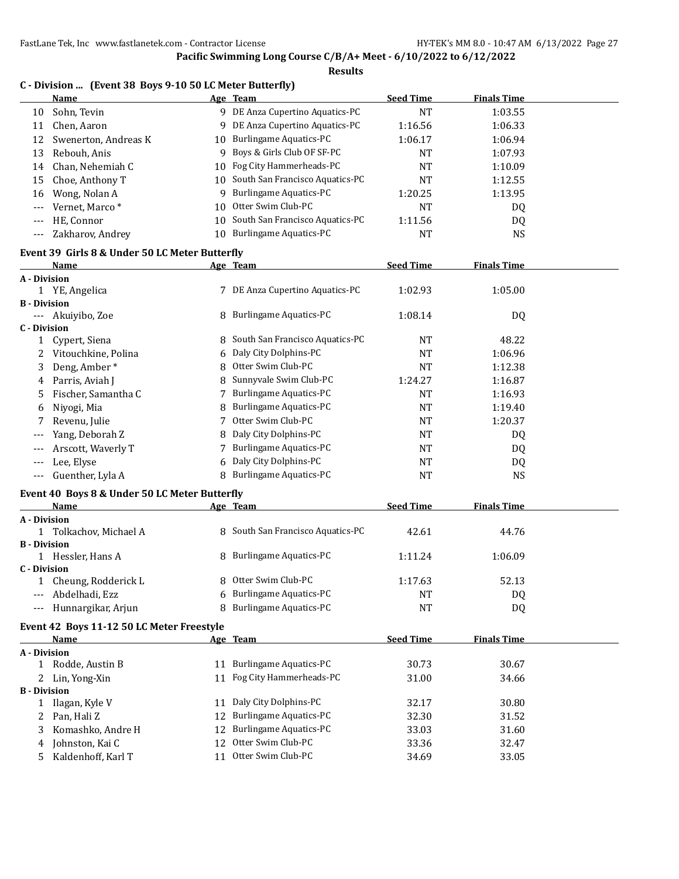|                     | C - Division  (Event 38 Boys 9-10 50 LC Meter Butterfly) |    |                                    |                  |                    |  |
|---------------------|----------------------------------------------------------|----|------------------------------------|------------------|--------------------|--|
|                     | Name                                                     |    | Age Team                           | <b>Seed Time</b> | <b>Finals Time</b> |  |
| 10                  | Sohn, Tevin                                              |    | 9 DE Anza Cupertino Aquatics-PC    | <b>NT</b>        | 1:03.55            |  |
| 11                  | Chen, Aaron                                              |    | 9 DE Anza Cupertino Aquatics-PC    | 1:16.56          | 1:06.33            |  |
| 12                  | Swenerton, Andreas K                                     |    | 10 Burlingame Aquatics-PC          | 1:06.17          | 1:06.94            |  |
| 13                  | Rebouh, Anis                                             | 9  | Boys & Girls Club OF SF-PC         | <b>NT</b>        | 1:07.93            |  |
| 14                  | Chan, Nehemiah C                                         | 10 | Fog City Hammerheads-PC            | <b>NT</b>        | 1:10.09            |  |
| 15                  | Choe, Anthony T                                          |    | 10 South San Francisco Aquatics-PC | <b>NT</b>        | 1:12.55            |  |
| 16                  | Wong, Nolan A                                            |    | 9 Burlingame Aquatics-PC           | 1:20.25          | 1:13.95            |  |
| $---$               | Vernet, Marco*                                           | 10 | Otter Swim Club-PC                 | <b>NT</b>        | DQ                 |  |
| $---$               | HE, Connor                                               | 10 | South San Francisco Aquatics-PC    | 1:11.56          | DQ                 |  |
| $---$               | Zakharov, Andrey                                         |    | 10 Burlingame Aquatics-PC          | <b>NT</b>        | <b>NS</b>          |  |
|                     | Event 39 Girls 8 & Under 50 LC Meter Butterfly           |    |                                    |                  |                    |  |
|                     | Name                                                     |    | Age Team                           | <b>Seed Time</b> | <b>Finals Time</b> |  |
| A - Division        |                                                          |    |                                    |                  |                    |  |
|                     | 1 YE, Angelica                                           |    | 7 DE Anza Cupertino Aquatics-PC    | 1:02.93          | 1:05.00            |  |
| <b>B</b> - Division |                                                          |    |                                    |                  |                    |  |
| $\cdots$            | Akuiyibo, Zoe                                            | 8  | <b>Burlingame Aquatics-PC</b>      | 1:08.14          | DQ                 |  |
| C - Division        |                                                          |    |                                    |                  |                    |  |
| 1                   | Cypert, Siena                                            |    | 8 South San Francisco Aquatics-PC  | <b>NT</b>        | 48.22              |  |
| 2                   | Vitouchkine, Polina                                      | 6  | Daly City Dolphins-PC              | <b>NT</b>        | 1:06.96            |  |
| 3                   | Deng, Amber*                                             | 8  | Otter Swim Club-PC                 | <b>NT</b>        | 1:12.38            |  |
| 4                   | Parris, Aviah J                                          | 8  | Sunnyvale Swim Club-PC             | 1:24.27          | 1:16.87            |  |
| 5                   | Fischer, Samantha C                                      | 7  | <b>Burlingame Aquatics-PC</b>      | <b>NT</b>        | 1:16.93            |  |
| 6                   | Niyogi, Mia                                              | 8  | <b>Burlingame Aquatics-PC</b>      | <b>NT</b>        | 1:19.40            |  |
| 7                   | Revenu, Julie                                            | 7  | Otter Swim Club-PC                 | NT               | 1:20.37            |  |
| $---$               | Yang, Deborah Z                                          | 8  | Daly City Dolphins-PC              | NT               | DQ                 |  |
| $---$               | Arscott, Waverly T                                       | 7  | <b>Burlingame Aquatics-PC</b>      | <b>NT</b>        | DQ                 |  |
| $---$               | Lee, Elyse                                               | 6  | Daly City Dolphins-PC              | NT               | DQ                 |  |
| $---$               | Guenther, Lyla A                                         | 8  | <b>Burlingame Aquatics-PC</b>      | <b>NT</b>        | <b>NS</b>          |  |
|                     | Event 40 Boys 8 & Under 50 LC Meter Butterfly            |    |                                    |                  |                    |  |
|                     | Name                                                     |    | Age Team                           | <b>Seed Time</b> | <b>Finals Time</b> |  |
| A - Division        |                                                          |    |                                    |                  |                    |  |
|                     | 1 Tolkachov, Michael A                                   |    | 8 South San Francisco Aquatics-PC  | 42.61            | 44.76              |  |
| <b>B</b> - Division |                                                          |    |                                    |                  |                    |  |
| <b>C</b> - Division | 1 Hessler, Hans A                                        | 8  | <b>Burlingame Aquatics-PC</b>      | 1:11.24          | 1:06.09            |  |
| 1                   | Cheung, Rodderick L                                      | 8  | Otter Swim Club-PC                 | 1:17.63          | 52.13              |  |
|                     | Abdelhadi, Ezz                                           | 6  | <b>Burlingame Aquatics-PC</b>      | <b>NT</b>        | DQ                 |  |
| $---$               | Hunnargikar, Arjun                                       | 8  | <b>Burlingame Aquatics-PC</b>      | NT               | DQ                 |  |
|                     |                                                          |    |                                    |                  |                    |  |
|                     | Event 42 Boys 11-12 50 LC Meter Freestyle<br>Name        |    |                                    | <b>Seed Time</b> | <b>Finals Time</b> |  |
| A - Division        |                                                          |    | Age Team                           |                  |                    |  |
|                     | 1 Rodde, Austin B                                        |    | 11 Burlingame Aquatics-PC          | 30.73            | 30.67              |  |
| 2                   | Lin, Yong-Xin                                            | 11 | Fog City Hammerheads-PC            | 31.00            | 34.66              |  |
| <b>B</b> - Division |                                                          |    |                                    |                  |                    |  |
| 1                   | Ilagan, Kyle V                                           | 11 | Daly City Dolphins-PC              | 32.17            | 30.80              |  |
| 2                   | Pan, Hali Z                                              | 12 | <b>Burlingame Aquatics-PC</b>      | 32.30            | 31.52              |  |
| 3                   | Komashko, Andre H                                        | 12 | <b>Burlingame Aquatics-PC</b>      | 33.03            | 31.60              |  |
| 4                   | Johnston, Kai C                                          | 12 | Otter Swim Club-PC                 | 33.36            | 32.47              |  |
| 5                   | Kaldenhoff, Karl T                                       | 11 | Otter Swim Club-PC                 | 34.69            | 33.05              |  |
|                     |                                                          |    |                                    |                  |                    |  |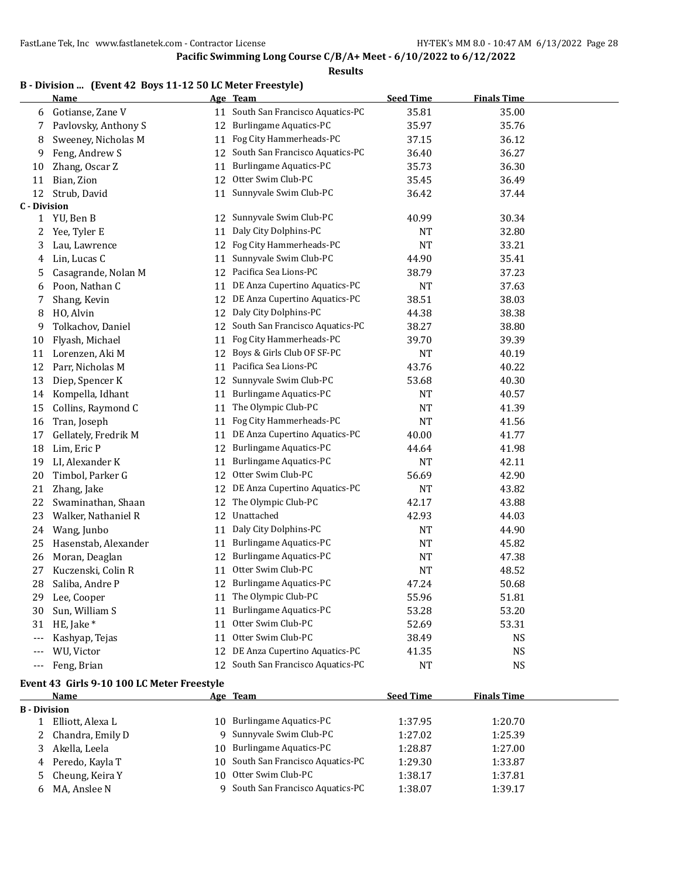#### **Results**

|                     | B - Division  (Event 42 Boys 11-12 50 LC Meter Freestyle)<br>Name |    | Age Team                        | <b>Seed Time</b> | <b>Finals Time</b> |
|---------------------|-------------------------------------------------------------------|----|---------------------------------|------------------|--------------------|
| 6                   | Gotianse, Zane V                                                  | 11 | South San Francisco Aquatics-PC | 35.81            | 35.00              |
| 7                   | Pavlovsky, Anthony S                                              | 12 | <b>Burlingame Aquatics-PC</b>   | 35.97            | 35.76              |
| 8                   | Sweeney, Nicholas M                                               | 11 | Fog City Hammerheads-PC         | 37.15            | 36.12              |
| 9                   | Feng, Andrew S                                                    | 12 | South San Francisco Aquatics-PC | 36.40            | 36.27              |
| 10                  | Zhang, Oscar Z                                                    | 11 | <b>Burlingame Aquatics-PC</b>   | 35.73            | 36.30              |
| 11                  | Bian, Zion                                                        | 12 | Otter Swim Club-PC              | 35.45            | 36.49              |
| 12                  | Strub, David                                                      | 11 | Sunnyvale Swim Club-PC          | 36.42            | 37.44              |
| <b>C</b> - Division |                                                                   |    |                                 |                  |                    |
| $\mathbf{1}$        | YU, Ben B                                                         | 12 | Sunnyvale Swim Club-PC          | 40.99            | 30.34              |
| 2                   | Yee, Tyler E                                                      | 11 | Daly City Dolphins-PC           | <b>NT</b>        | 32.80              |
| 3                   | Lau, Lawrence                                                     | 12 | Fog City Hammerheads-PC         | <b>NT</b>        | 33.21              |
| 4                   | Lin, Lucas C                                                      | 11 | Sunnyvale Swim Club-PC          | 44.90            | 35.41              |
| 5                   | Casagrande, Nolan M                                               | 12 | Pacifica Sea Lions-PC           | 38.79            | 37.23              |
| 6                   | Poon, Nathan C                                                    | 11 | DE Anza Cupertino Aquatics-PC   | <b>NT</b>        | 37.63              |
| 7                   | Shang, Kevin                                                      | 12 | DE Anza Cupertino Aquatics-PC   | 38.51            | 38.03              |
| 8                   | HO, Alvin                                                         | 12 | Daly City Dolphins-PC           | 44.38            | 38.38              |
| 9                   | Tolkachov, Daniel                                                 | 12 | South San Francisco Aquatics-PC | 38.27            | 38.80              |
| 10                  | Flyash, Michael                                                   | 11 | Fog City Hammerheads-PC         | 39.70            | 39.39              |
| 11                  | Lorenzen, Aki M                                                   | 12 | Boys & Girls Club OF SF-PC      | <b>NT</b>        | 40.19              |
| 12                  | Parr, Nicholas M                                                  | 11 | Pacifica Sea Lions-PC           | 43.76            | 40.22              |
| 13                  | Diep, Spencer K                                                   | 12 | Sunnyvale Swim Club-PC          | 53.68            | 40.30              |
| 14                  | Kompella, Idhant                                                  | 11 | Burlingame Aquatics-PC          | <b>NT</b>        | 40.57              |
| 15                  | Collins, Raymond C                                                | 11 | The Olympic Club-PC             | <b>NT</b>        | 41.39              |
| 16                  | Tran, Joseph                                                      | 11 | Fog City Hammerheads-PC         | <b>NT</b>        | 41.56              |
| 17                  | Gellately, Fredrik M                                              | 11 | DE Anza Cupertino Aquatics-PC   | 40.00            | 41.77              |
| 18                  | Lim, Eric P                                                       | 12 | <b>Burlingame Aquatics-PC</b>   | 44.64            | 41.98              |
| 19                  | LI, Alexander K                                                   | 11 | <b>Burlingame Aquatics-PC</b>   | <b>NT</b>        | 42.11              |
| 20                  | Timbol, Parker G                                                  | 12 | Otter Swim Club-PC              | 56.69            | 42.90              |
| 21                  | Zhang, Jake                                                       | 12 | DE Anza Cupertino Aquatics-PC   | <b>NT</b>        | 43.82              |
| 22                  | Swaminathan, Shaan                                                | 12 | The Olympic Club-PC             | 42.17            | 43.88              |
| 23                  | Walker, Nathaniel R                                               | 12 | Unattached                      | 42.93            | 44.03              |
| 24                  | Wang, Junbo                                                       | 11 | Daly City Dolphins-PC           | NT               | 44.90              |
| 25                  | Hasenstab, Alexander                                              | 11 | Burlingame Aquatics-PC          | <b>NT</b>        | 45.82              |
| 26                  | Moran, Deaglan                                                    | 12 | <b>Burlingame Aquatics-PC</b>   | NT               | 47.38              |
| 27                  | Kuczenski, Colin R                                                | 11 | Otter Swim Club-PC              | <b>NT</b>        | 48.52              |
| 28                  | Saliba, Andre P                                                   |    | 12 Burlingame Aquatics-PC       | 47.24            | 50.68              |
| 29                  | Lee, Cooper                                                       | 11 | The Olympic Club-PC             | 55.96            | 51.81              |
| 30                  | Sun, William S                                                    | 11 | <b>Burlingame Aquatics-PC</b>   | 53.28            | 53.20              |
| 31                  | HE, Jake *                                                        | 11 | Otter Swim Club-PC              | 52.69            | 53.31              |
| $---$               | Kashyap, Tejas                                                    | 11 | Otter Swim Club-PC              | 38.49            | <b>NS</b>          |
| $---$               | WU, Victor                                                        | 12 | DE Anza Cupertino Aquatics-PC   | 41.35            | NS                 |
| $---$               | Feng, Brian                                                       | 12 | South San Francisco Aquatics-PC | NT               | NS                 |

#### **Event 43 Girls 9-10 100 LC Meter Freestyle**

|                     | Name               | Age Team                           | <b>Seed Time</b> | <b>Finals Time</b> |  |
|---------------------|--------------------|------------------------------------|------------------|--------------------|--|
| <b>B</b> - Division |                    |                                    |                  |                    |  |
|                     | Elliott, Alexa L   | 10 Burlingame Aquatics-PC          | 1:37.95          | 1:20.70            |  |
|                     | 2 Chandra, Emily D | 9 Sunnyvale Swim Club-PC           | 1:27.02          | 1:25.39            |  |
|                     | Akella, Leela      | 10 Burlingame Aquatics-PC          | 1:28.87          | 1:27.00            |  |
|                     | 4 Peredo, Kayla T  | 10 South San Francisco Aquatics-PC | 1:29.30          | 1:33.87            |  |
|                     | 5 Cheung, Keira Y  | 10 Otter Swim Club-PC              | 1:38.17          | 1:37.81            |  |
|                     | 6 MA, Anslee N     | South San Francisco Aquatics-PC    | 1:38.07          | 1:39.17            |  |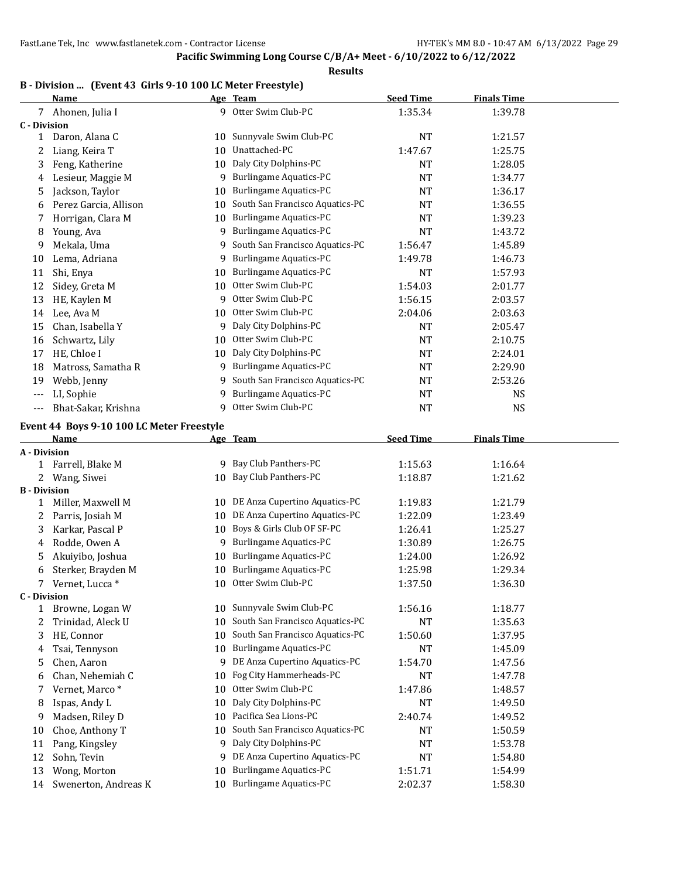**Results**

#### **B - Division ... (Event 43 Girls 9-10 100 LC Meter Freestyle)**

|                     | <b>Name</b>                               |    | Age Team                        | <b>Seed Time</b> | <b>Finals Time</b> |  |
|---------------------|-------------------------------------------|----|---------------------------------|------------------|--------------------|--|
|                     | 7 Ahonen, Julia I                         |    | 9 Otter Swim Club-PC            | 1:35.34          | 1:39.78            |  |
| <b>C</b> - Division |                                           |    |                                 |                  |                    |  |
| 1                   | Daron, Alana C                            | 10 | Sunnyvale Swim Club-PC          | <b>NT</b>        | 1:21.57            |  |
| 2                   | Liang, Keira T                            | 10 | Unattached-PC                   | 1:47.67          | 1:25.75            |  |
| 3                   | Feng, Katherine                           | 10 | Daly City Dolphins-PC           | <b>NT</b>        | 1:28.05            |  |
| 4                   | Lesieur, Maggie M                         | 9  | <b>Burlingame Aquatics-PC</b>   | <b>NT</b>        | 1:34.77            |  |
| 5                   | Jackson, Taylor                           | 10 | <b>Burlingame Aquatics-PC</b>   | <b>NT</b>        | 1:36.17            |  |
| 6                   | Perez Garcia, Allison                     | 10 | South San Francisco Aquatics-PC | <b>NT</b>        | 1:36.55            |  |
| 7                   | Horrigan, Clara M                         | 10 | <b>Burlingame Aquatics-PC</b>   | <b>NT</b>        | 1:39.23            |  |
| 8                   | Young, Ava                                | 9  | <b>Burlingame Aquatics-PC</b>   | <b>NT</b>        | 1:43.72            |  |
| 9                   | Mekala, Uma                               | 9  | South San Francisco Aquatics-PC | 1:56.47          | 1:45.89            |  |
| 10                  | Lema, Adriana                             | 9  | <b>Burlingame Aquatics-PC</b>   | 1:49.78          | 1:46.73            |  |
| 11                  | Shi, Enya                                 | 10 | <b>Burlingame Aquatics-PC</b>   | <b>NT</b>        | 1:57.93            |  |
| 12                  | Sidey, Greta M                            | 10 | Otter Swim Club-PC              | 1:54.03          | 2:01.77            |  |
| 13                  | HE, Kaylen M                              | 9  | Otter Swim Club-PC              | 1:56.15          | 2:03.57            |  |
| 14                  | Lee, Ava M                                | 10 | Otter Swim Club-PC              | 2:04.06          | 2:03.63            |  |
| 15                  | Chan, Isabella Y                          | 9  | Daly City Dolphins-PC           | <b>NT</b>        | 2:05.47            |  |
| 16                  | Schwartz, Lily                            | 10 | Otter Swim Club-PC              | <b>NT</b>        | 2:10.75            |  |
| 17                  | HE, Chloe I                               | 10 | Daly City Dolphins-PC           | <b>NT</b>        | 2:24.01            |  |
| 18                  | Matross, Samatha R                        | 9  | <b>Burlingame Aquatics-PC</b>   | <b>NT</b>        | 2:29.90            |  |
| 19                  | Webb, Jenny                               | 9  | South San Francisco Aquatics-PC | <b>NT</b>        | 2:53.26            |  |
| $---$               | LI, Sophie                                | 9  | <b>Burlingame Aquatics-PC</b>   | <b>NT</b>        | <b>NS</b>          |  |
| $---$               | Bhat-Sakar, Krishna                       | 9  | Otter Swim Club-PC              | <b>NT</b>        | <b>NS</b>          |  |
|                     | Event 44 Boys 9-10 100 LC Meter Freestyle |    |                                 |                  |                    |  |
|                     | Name                                      |    | Age Team                        | <b>Seed Time</b> | <b>Finals Time</b> |  |
| A - Division        |                                           |    |                                 |                  |                    |  |
| 1                   | Farrell, Blake M                          |    | 9 Bay Club Panthers-PC          | 1:15.63          | 1:16.64            |  |
| $2^{\circ}$         | Wang, Siwei                               |    | 10 Bay Club Panthers-PC         | 1:18.87          | 1:21.62            |  |
| <b>B</b> - Division |                                           |    |                                 |                  |                    |  |
| 1                   | Miller, Maxwell M                         | 10 | DE Anza Cupertino Aquatics-PC   | 1:19.83          | 1:21.79            |  |
| 2                   | Parris, Josiah M                          | 10 | DE Anza Cupertino Aquatics-PC   | 1:22.09          | 1:23.49            |  |
| 3                   | Karkar, Pascal P                          | 10 | Boys & Girls Club OF SF-PC      | 1:26.41          | 1:25.27            |  |
| 4                   | Rodde, Owen A                             | 9  | <b>Burlingame Aquatics-PC</b>   | 1:30.89          | 1:26.75            |  |
| 5                   | Akuiyibo, Joshua                          | 10 | <b>Burlingame Aquatics-PC</b>   | 1:24.00          | 1:26.92            |  |
| 6                   | Sterker, Brayden M                        | 10 | <b>Burlingame Aquatics-PC</b>   | 1:25.98          | 1:29.34            |  |
| 7                   | Vernet, Lucca *                           | 10 | Otter Swim Club-PC              | 1:37.50          | 1:36.30            |  |
| <b>C</b> - Division |                                           |    |                                 |                  |                    |  |
| $\mathbf{1}$        | Browne, Logan W                           | 10 | Sunnyvale Swim Club-PC          | 1:56.16          | 1:18.77            |  |
| 2                   | Trinidad, Aleck U                         | 10 | South San Francisco Aquatics-PC | NT               | 1:35.63            |  |
| 3                   | HE, Connor                                | 10 | South San Francisco Aquatics-PC | 1:50.60          | 1:37.95            |  |
| 4                   | Tsai, Tennyson                            | 10 | <b>Burlingame Aquatics-PC</b>   | NT               | 1:45.09            |  |
| 5                   | Chen, Aaron                               | 9  | DE Anza Cupertino Aquatics-PC   | 1:54.70          | 1:47.56            |  |
| 6                   | Chan, Nehemiah C                          | 10 | Fog City Hammerheads-PC         | <b>NT</b>        | 1:47.78            |  |
| 7                   | Vernet, Marco*                            | 10 | Otter Swim Club-PC              | 1:47.86          | 1:48.57            |  |
| 8                   | Ispas, Andy L                             | 10 | Daly City Dolphins-PC           | <b>NT</b>        | 1:49.50            |  |
| 9                   | Madsen, Riley D                           | 10 | Pacifica Sea Lions-PC           | 2:40.74          | 1:49.52            |  |
| 10                  | Choe, Anthony T                           | 10 | South San Francisco Aquatics-PC | <b>NT</b>        | 1:50.59            |  |
| 11                  | Pang, Kingsley                            | 9  | Daly City Dolphins-PC           | <b>NT</b>        | 1:53.78            |  |
| 12                  | Sohn, Tevin                               | 9  | DE Anza Cupertino Aquatics-PC   | <b>NT</b>        | 1:54.80            |  |
| 13                  | Wong, Morton                              | 10 | <b>Burlingame Aquatics-PC</b>   | 1:51.71          | 1:54.99            |  |
| 14                  | Swenerton, Andreas K                      |    | 10 Burlingame Aquatics-PC       | 2:02.37          | 1:58.30            |  |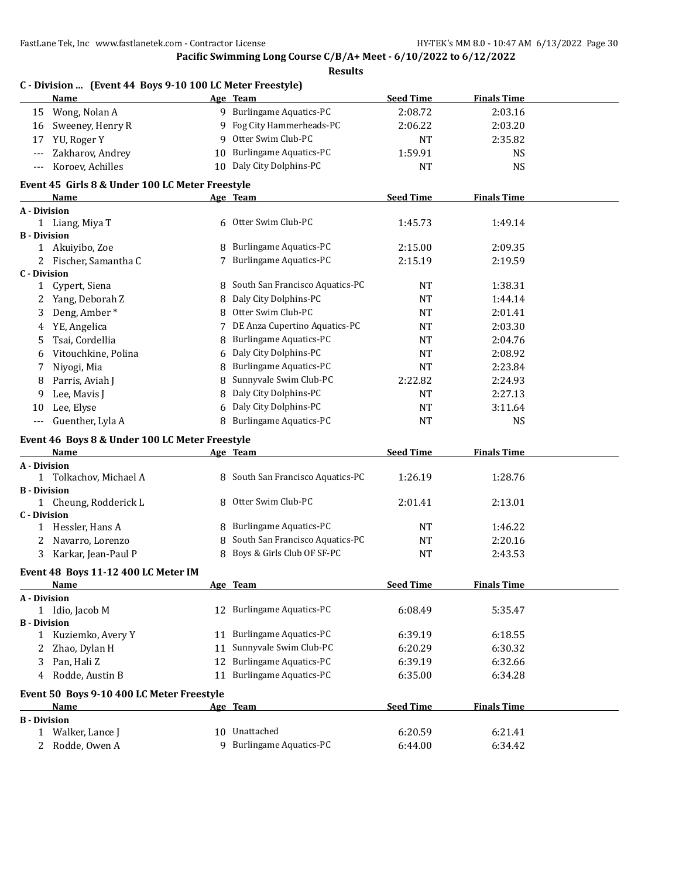**Pacific Swimming Long Course C/B/A+ Meet - 6/10/2022 to 6/12/2022**

| Results |
|---------|
|---------|

|                     | C - Division  (Event 44 Boys 9-10 100 LC Meter Freestyle) |    |                                   |                  |                    |  |
|---------------------|-----------------------------------------------------------|----|-----------------------------------|------------------|--------------------|--|
|                     | Name                                                      |    | Age Team                          | <b>Seed Time</b> | <b>Finals Time</b> |  |
| 15                  | Wong, Nolan A                                             |    | 9 Burlingame Aquatics-PC          | 2:08.72          | 2:03.16            |  |
| 16                  | Sweeney, Henry R                                          |    | 9 Fog City Hammerheads-PC         | 2:06.22          | 2:03.20            |  |
| 17                  | YU, Roger Y                                               |    | 9 Otter Swim Club-PC              | NT               | 2:35.82            |  |
| ---                 | Zakharov, Andrey                                          |    | 10 Burlingame Aquatics-PC         | 1:59.91          | <b>NS</b>          |  |
| $---$               | Koroev, Achilles                                          |    | 10 Daly City Dolphins-PC          | <b>NT</b>        | <b>NS</b>          |  |
|                     | Event 45 Girls 8 & Under 100 LC Meter Freestyle           |    |                                   |                  |                    |  |
|                     | <b>Name</b>                                               |    | Age Team                          | <b>Seed Time</b> | <b>Finals Time</b> |  |
| A - Division        |                                                           |    |                                   |                  |                    |  |
|                     | 1 Liang, Miya T                                           | 6  | Otter Swim Club-PC                | 1:45.73          | 1:49.14            |  |
| <b>B</b> - Division |                                                           |    |                                   |                  |                    |  |
|                     | 1 Akuiyibo, Zoe                                           |    | 8 Burlingame Aquatics-PC          | 2:15.00          | 2:09.35            |  |
|                     | 2 Fischer, Samantha C                                     |    | 7 Burlingame Aquatics-PC          | 2:15.19          | 2:19.59            |  |
| <b>C</b> - Division |                                                           |    |                                   |                  |                    |  |
| $\mathbf{1}$        | Cypert, Siena                                             |    | 8 South San Francisco Aquatics-PC | NT               | 1:38.31            |  |
| 2                   | Yang, Deborah Z                                           | 8  | Daly City Dolphins-PC             | NT               | 1:44.14            |  |
| 3                   | Deng, Amber*                                              | 8  | Otter Swim Club-PC                | <b>NT</b>        | 2:01.41            |  |
| 4                   | YE, Angelica                                              |    | 7 DE Anza Cupertino Aquatics-PC   | NT               | 2:03.30            |  |
| 5                   | Tsai, Cordellia                                           |    | 8 Burlingame Aquatics-PC          | NT               | 2:04.76            |  |
| 6                   | Vitouchkine, Polina                                       | 6  | Daly City Dolphins-PC             | NT               | 2:08.92            |  |
| 7                   | Niyogi, Mia                                               | 8  | <b>Burlingame Aquatics-PC</b>     | NT               | 2:23.84            |  |
| 8                   | Parris, Aviah J                                           | 8  | Sunnyvale Swim Club-PC            | 2:22.82          | 2:24.93            |  |
| 9                   | Lee, Mavis J                                              | 8  | Daly City Dolphins-PC             | NT               | 2:27.13            |  |
| 10                  | Lee, Elyse                                                | 6  | Daly City Dolphins-PC             | NT               | 3:11.64            |  |
| $---$               | Guenther, Lyla A                                          | 8  | <b>Burlingame Aquatics-PC</b>     | NT               | <b>NS</b>          |  |
|                     |                                                           |    |                                   |                  |                    |  |
|                     | Event 46 Boys 8 & Under 100 LC Meter Freestyle            |    |                                   |                  |                    |  |
| A - Division        | Name                                                      |    | Age Team                          | <b>Seed Time</b> | <b>Finals Time</b> |  |
|                     | 1 Tolkachov, Michael A                                    |    | 8 South San Francisco Aquatics-PC | 1:26.19          | 1:28.76            |  |
| <b>B</b> - Division |                                                           |    |                                   |                  |                    |  |
|                     | 1 Cheung, Rodderick L                                     | 8  | Otter Swim Club-PC                | 2:01.41          | 2:13.01            |  |
| <b>C</b> - Division |                                                           |    |                                   |                  |                    |  |
|                     | 1 Hessler, Hans A                                         |    | 8 Burlingame Aquatics-PC          | NT               | 1:46.22            |  |
| 2                   | Navarro, Lorenzo                                          | 8  | South San Francisco Aquatics-PC   | NT               | 2:20.16            |  |
| 3                   | Karkar, Jean-Paul P                                       |    | 8 Boys & Girls Club OF SF-PC      | <b>NT</b>        | 2:43.53            |  |
|                     | Event 48 Boys 11-12 400 LC Meter IM                       |    |                                   |                  |                    |  |
|                     | <u>Name</u>                                               |    | Age Team                          | <b>Seed Time</b> | <b>Finals Time</b> |  |
| A - Division        |                                                           |    |                                   |                  |                    |  |
|                     | 1 Idio, Jacob M                                           |    | 12 Burlingame Aquatics-PC         | 6:08.49          | 5:35.47            |  |
| <b>B</b> - Division |                                                           |    |                                   |                  |                    |  |
| $\mathbf{1}$        | Kuziemko, Avery Y                                         | 11 | <b>Burlingame Aquatics-PC</b>     | 6:39.19          | 6:18.55            |  |
| 2                   | Zhao, Dylan H                                             | 11 | Sunnyvale Swim Club-PC            | 6:20.29          | 6:30.32            |  |
| 3                   | Pan, Hali Z                                               | 12 | <b>Burlingame Aquatics-PC</b>     | 6:39.19          | 6:32.66            |  |
| 4                   | Rodde, Austin B                                           | 11 | <b>Burlingame Aquatics-PC</b>     | 6:35.00          | 6:34.28            |  |
|                     |                                                           |    |                                   |                  |                    |  |
|                     | Event 50 Boys 9-10 400 LC Meter Freestyle                 |    |                                   |                  |                    |  |
|                     | Name                                                      |    | <u>Age Team</u>                   | <b>Seed Time</b> | <b>Finals Time</b> |  |
| <b>B</b> - Division | 1 Walker, Lance J                                         |    | 10 Unattached                     | 6:20.59          | 6:21.41            |  |
|                     |                                                           |    | 9 Burlingame Aquatics-PC          |                  |                    |  |
| 2                   | Rodde, Owen A                                             |    |                                   | 6:44.00          | 6:34.42            |  |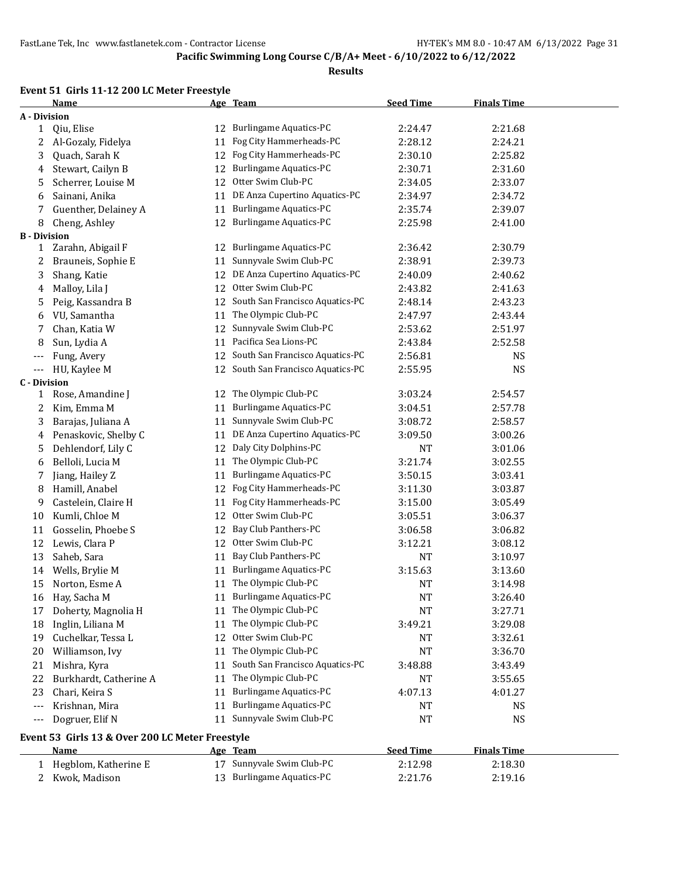#### **Results**

### **Event 51 Girls 11-12 200 LC Meter Freestyle**

|                     | Name                                            |    | Age Team                           | <b>Seed Time</b> | <b>Finals Time</b> |  |
|---------------------|-------------------------------------------------|----|------------------------------------|------------------|--------------------|--|
| A - Division        |                                                 |    |                                    |                  |                    |  |
| 1                   | Qiu, Elise                                      |    | 12 Burlingame Aquatics-PC          | 2:24.47          | 2:21.68            |  |
| 2                   | Al-Gozaly, Fidelya                              | 11 | Fog City Hammerheads-PC            | 2:28.12          | 2:24.21            |  |
| 3                   | Quach, Sarah K                                  | 12 | Fog City Hammerheads-PC            | 2:30.10          | 2:25.82            |  |
| 4                   | Stewart, Cailyn B                               |    | 12 Burlingame Aquatics-PC          | 2:30.71          | 2:31.60            |  |
| 5                   | Scherrer, Louise M                              | 12 | Otter Swim Club-PC                 | 2:34.05          | 2:33.07            |  |
| 6                   | Sainani, Anika                                  |    | 11 DE Anza Cupertino Aquatics-PC   | 2:34.97          | 2:34.72            |  |
| 7                   | Guenther, Delainey A                            | 11 | <b>Burlingame Aquatics-PC</b>      | 2:35.74          | 2:39.07            |  |
| 8                   | Cheng, Ashley                                   | 12 | <b>Burlingame Aquatics-PC</b>      | 2:25.98          | 2:41.00            |  |
| <b>B</b> - Division |                                                 |    |                                    |                  |                    |  |
| 1                   | Zarahn, Abigail F                               | 12 | <b>Burlingame Aquatics-PC</b>      | 2:36.42          | 2:30.79            |  |
| 2                   | Brauneis, Sophie E                              | 11 | Sunnyvale Swim Club-PC             | 2:38.91          | 2:39.73            |  |
| 3                   | Shang, Katie                                    | 12 | DE Anza Cupertino Aquatics-PC      | 2:40.09          | 2:40.62            |  |
| 4                   | Malloy, Lila J                                  |    | 12 Otter Swim Club-PC              | 2:43.82          | 2:41.63            |  |
| 5                   | Peig, Kassandra B                               |    | 12 South San Francisco Aquatics-PC | 2:48.14          | 2:43.23            |  |
| 6                   | VU, Samantha                                    | 11 | The Olympic Club-PC                | 2:47.97          | 2:43.44            |  |
| 7                   | Chan, Katia W                                   | 12 | Sunnyvale Swim Club-PC             | 2:53.62          | 2:51.97            |  |
| 8                   | Sun, Lydia A                                    | 11 | Pacifica Sea Lions-PC              | 2:43.84          | 2:52.58            |  |
| ---                 | Fung, Avery                                     |    | 12 South San Francisco Aquatics-PC | 2:56.81          | NS                 |  |
| ---                 | HU, Kaylee M                                    | 12 | South San Francisco Aquatics-PC    | 2:55.95          | NS                 |  |
| <b>C</b> - Division |                                                 |    |                                    |                  |                    |  |
| 1                   | Rose, Amandine J                                |    | 12 The Olympic Club-PC             | 3:03.24          | 2:54.57            |  |
| 2                   | Kim, Emma M                                     | 11 | Burlingame Aquatics-PC             | 3:04.51          | 2:57.78            |  |
| 3                   | Barajas, Juliana A                              | 11 | Sunnyvale Swim Club-PC             | 3:08.72          | 2:58.57            |  |
| 4                   | Penaskovic, Shelby C                            | 11 | DE Anza Cupertino Aquatics-PC      | 3:09.50          | 3:00.26            |  |
| 5                   | Dehlendorf, Lily C                              |    | 12 Daly City Dolphins-PC           | NT               | 3:01.06            |  |
| 6                   | Belloli, Lucia M                                | 11 | The Olympic Club-PC                | 3:21.74          | 3:02.55            |  |
| 7                   | Jiang, Hailey Z                                 | 11 | Burlingame Aquatics-PC             | 3:50.15          | 3:03.41            |  |
| 8                   | Hamill, Anabel                                  | 12 | Fog City Hammerheads-PC            | 3:11.30          | 3:03.87            |  |
| 9                   | Castelein, Claire H                             | 11 | Fog City Hammerheads-PC            | 3:15.00          | 3:05.49            |  |
| 10                  | Kumli, Chloe M                                  |    | 12 Otter Swim Club-PC              | 3:05.51          | 3:06.37            |  |
| 11                  | Gosselin, Phoebe S                              | 12 | Bay Club Panthers-PC               | 3:06.58          | 3:06.82            |  |
| 12                  | Lewis, Clara P                                  | 12 | Otter Swim Club-PC                 | 3:12.21          | 3:08.12            |  |
| 13                  | Saheb, Sara                                     | 11 | Bay Club Panthers-PC               | NT               | 3:10.97            |  |
| 14                  | Wells, Brylie M                                 | 11 | <b>Burlingame Aquatics-PC</b>      | 3:15.63          | 3:13.60            |  |
| 15                  | Norton, Esme A                                  |    | 11 The Olympic Club-PC             | <b>NT</b>        | 3:14.98            |  |
|                     | 16 Hay, Sacha M                                 |    | 11 Burlingame Aquatics-PC          | <b>NT</b>        | 3:26.40            |  |
| 17                  | Doherty, Magnolia H                             |    | 11 The Olympic Club-PC             | NT               | 3:27.71            |  |
| 18                  | Inglin, Liliana M                               |    | 11 The Olympic Club-PC             | 3:49.21          | 3:29.08            |  |
| 19                  | Cuchelkar, Tessa L                              |    | 12 Otter Swim Club-PC              | NT               | 3:32.61            |  |
| 20                  | Williamson, Ivy                                 |    | 11 The Olympic Club-PC             | NT               | 3:36.70            |  |
| 21                  | Mishra, Kyra                                    | 11 | South San Francisco Aquatics-PC    | 3:48.88          | 3:43.49            |  |
| 22                  | Burkhardt, Catherine A                          | 11 | The Olympic Club-PC                | NT               | 3:55.65            |  |
| 23                  | Chari, Keira S                                  | 11 | <b>Burlingame Aquatics-PC</b>      | 4:07.13          | 4:01.27            |  |
| ---                 | Krishnan, Mira                                  | 11 | <b>Burlingame Aquatics-PC</b>      | NT               | NS                 |  |
| ---                 | Dogruer, Elif N                                 | 11 | Sunnyvale Swim Club-PC             | NT               | NS                 |  |
|                     | Event 53 Girls 13 & Over 200 LC Meter Freestyle |    |                                    |                  |                    |  |
|                     | Name                                            |    | Age Team                           | <b>Seed Time</b> | <b>Finals Time</b> |  |
| 1                   | Hegblom, Katherine E                            |    | 17 Sunnyvale Swim Club-PC          | 2:12.98          | 2:18.30            |  |
|                     | 2 Kwok, Madison                                 |    | 13 Burlingame Aquatics-PC          | 2:21.76          | 2:19.16            |  |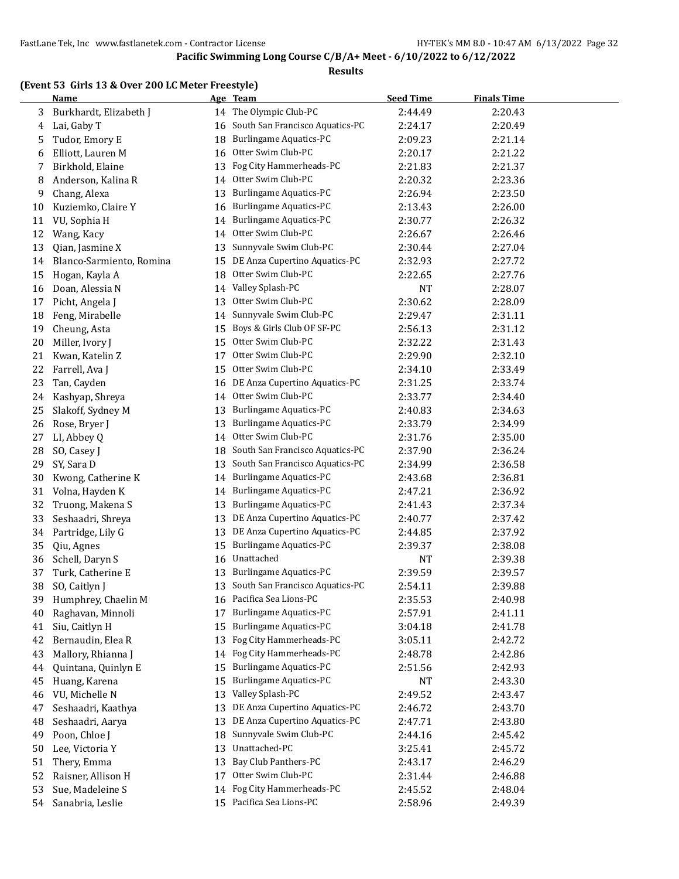#### **Results**

#### **(Event 53 Girls 13 & Over 200 LC Meter Freestyle)**

|    | <b>Name</b>              |    | Age Team                                     | <b>Seed Time</b> | <b>Finals Time</b> |  |
|----|--------------------------|----|----------------------------------------------|------------------|--------------------|--|
| 3  | Burkhardt, Elizabeth J   | 14 | The Olympic Club-PC                          | 2:44.49          | 2:20.43            |  |
| 4  | Lai, Gaby T              | 16 | South San Francisco Aquatics-PC              | 2:24.17          | 2:20.49            |  |
| 5  | Tudor, Emory E           | 18 | Burlingame Aquatics-PC                       | 2:09.23          | 2:21.14            |  |
| 6  | Elliott, Lauren M        | 16 | Otter Swim Club-PC                           | 2:20.17          | 2:21.22            |  |
| 7  | Birkhold, Elaine         | 13 | Fog City Hammerheads-PC                      | 2:21.83          | 2:21.37            |  |
| 8  | Anderson, Kalina R       | 14 | Otter Swim Club-PC                           | 2:20.32          | 2:23.36            |  |
| 9  | Chang, Alexa             | 13 | Burlingame Aquatics-PC                       | 2:26.94          | 2:23.50            |  |
| 10 | Kuziemko, Claire Y       | 16 | <b>Burlingame Aquatics-PC</b>                | 2:13.43          | 2:26.00            |  |
| 11 | VU, Sophia H             | 14 | <b>Burlingame Aquatics-PC</b>                | 2:30.77          | 2:26.32            |  |
| 12 | Wang, Kacy               | 14 | Otter Swim Club-PC                           | 2:26.67          | 2:26.46            |  |
| 13 | Qian, Jasmine X          | 13 | Sunnyvale Swim Club-PC                       | 2:30.44          | 2:27.04            |  |
| 14 | Blanco-Sarmiento, Romina | 15 | DE Anza Cupertino Aquatics-PC                | 2:32.93          | 2:27.72            |  |
| 15 | Hogan, Kayla A           | 18 | Otter Swim Club-PC                           | 2:22.65          | 2:27.76            |  |
| 16 | Doan, Alessia N          |    | 14 Valley Splash-PC                          | NT               | 2:28.07            |  |
| 17 | Picht, Angela J          | 13 | Otter Swim Club-PC                           | 2:30.62          | 2:28.09            |  |
| 18 | Feng, Mirabelle          | 14 | Sunnyvale Swim Club-PC                       | 2:29.47          | 2:31.11            |  |
| 19 | Cheung, Asta             | 15 | Boys & Girls Club OF SF-PC                   | 2:56.13          | 2:31.12            |  |
| 20 | Miller, Ivory J          | 15 | Otter Swim Club-PC                           | 2:32.22          | 2:31.43            |  |
| 21 | Kwan, Katelin Z          | 17 | Otter Swim Club-PC                           | 2:29.90          | 2:32.10            |  |
| 22 | Farrell, Ava J           | 15 | Otter Swim Club-PC                           | 2:34.10          | 2:33.49            |  |
|    | Tan, Cayden              |    | DE Anza Cupertino Aquatics-PC                |                  |                    |  |
| 23 |                          | 16 | Otter Swim Club-PC                           | 2:31.25          | 2:33.74            |  |
| 24 | Kashyap, Shreya          | 14 | <b>Burlingame Aquatics-PC</b>                | 2:33.77          | 2:34.40            |  |
| 25 | Slakoff, Sydney M        | 13 |                                              | 2:40.83          | 2:34.63            |  |
| 26 | Rose, Bryer J            | 13 | Burlingame Aquatics-PC<br>Otter Swim Club-PC | 2:33.79          | 2:34.99            |  |
| 27 | LI, Abbey Q              | 14 |                                              | 2:31.76          | 2:35.00            |  |
| 28 | SO, Casey J              | 18 | South San Francisco Aquatics-PC              | 2:37.90          | 2:36.24            |  |
| 29 | SY, Sara D               | 13 | South San Francisco Aquatics-PC              | 2:34.99          | 2:36.58            |  |
| 30 | Kwong, Catherine K       | 14 | Burlingame Aquatics-PC                       | 2:43.68          | 2:36.81            |  |
| 31 | Volna, Hayden K          | 14 | Burlingame Aquatics-PC                       | 2:47.21          | 2:36.92            |  |
| 32 | Truong, Makena S         | 13 | <b>Burlingame Aquatics-PC</b>                | 2:41.43          | 2:37.34            |  |
| 33 | Seshaadri, Shreya        | 13 | DE Anza Cupertino Aquatics-PC                | 2:40.77          | 2:37.42            |  |
| 34 | Partridge, Lily G        | 13 | DE Anza Cupertino Aquatics-PC                | 2:44.85          | 2:37.92            |  |
| 35 | Qiu, Agnes               | 15 | <b>Burlingame Aquatics-PC</b>                | 2:39.37          | 2:38.08            |  |
| 36 | Schell, Daryn S          | 16 | Unattached                                   | <b>NT</b>        | 2:39.38            |  |
| 37 | Turk, Catherine E        | 13 | <b>Burlingame Aquatics-PC</b>                | 2:39.59          | 2:39.57            |  |
| 38 | SO, Caitlyn J            | 13 | South San Francisco Aquatics-PC              | 2:54.11          | 2:39.88            |  |
| 39 | Humphrey, Chaelin M      |    | 16 Pacifica Sea Lions-PC                     | 2:35.53          | 2:40.98            |  |
| 40 | Raghavan, Minnoli        | 17 | <b>Burlingame Aquatics-PC</b>                | 2:57.91          | 2:41.11            |  |
| 41 | Siu, Caitlyn H           | 15 | <b>Burlingame Aquatics-PC</b>                | 3:04.18          | 2:41.78            |  |
| 42 | Bernaudin, Elea R        | 13 | Fog City Hammerheads-PC                      | 3:05.11          | 2:42.72            |  |
| 43 | Mallory, Rhianna J       | 14 | Fog City Hammerheads-PC                      | 2:48.78          | 2:42.86            |  |
| 44 | Quintana, Quinlyn E      | 15 | <b>Burlingame Aquatics-PC</b>                | 2:51.56          | 2:42.93            |  |
| 45 | Huang, Karena            | 15 | <b>Burlingame Aquatics-PC</b>                | NT               | 2:43.30            |  |
| 46 | VU, Michelle N           | 13 | Valley Splash-PC                             | 2:49.52          | 2:43.47            |  |
| 47 | Seshaadri, Kaathya       | 13 | DE Anza Cupertino Aquatics-PC                | 2:46.72          | 2:43.70            |  |
| 48 | Seshaadri, Aarya         | 13 | DE Anza Cupertino Aquatics-PC                | 2:47.71          | 2:43.80            |  |
| 49 | Poon, Chloe J            | 18 | Sunnyvale Swim Club-PC                       | 2:44.16          | 2:45.42            |  |
| 50 | Lee, Victoria Y          | 13 | Unattached-PC                                | 3:25.41          | 2:45.72            |  |
| 51 | Thery, Emma              | 13 | Bay Club Panthers-PC                         | 2:43.17          | 2:46.29            |  |
| 52 | Raisner, Allison H       | 17 | Otter Swim Club-PC                           | 2:31.44          | 2:46.88            |  |
| 53 | Sue, Madeleine S         | 14 | Fog City Hammerheads-PC                      | 2:45.52          | 2:48.04            |  |
| 54 | Sanabria, Leslie         |    | 15 Pacifica Sea Lions-PC                     | 2:58.96          | 2:49.39            |  |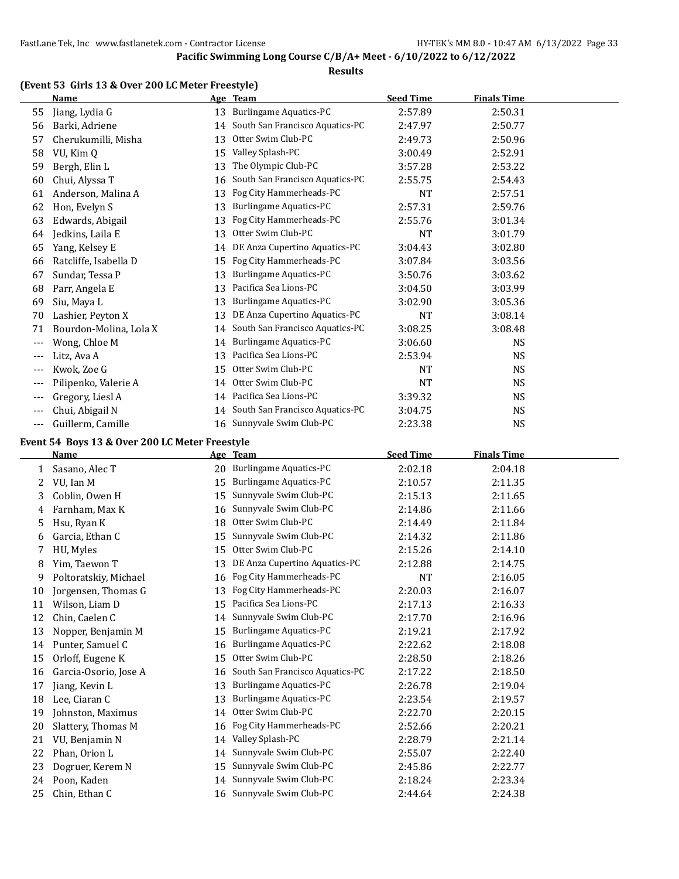#### **Results**

#### **(Event 53 Girls 13 & Over 200 LC Meter Freestyle)**

|       | <b>Name</b>            |    | Age Team                        | <b>Seed Time</b> | <u>Finals Time</u> |  |
|-------|------------------------|----|---------------------------------|------------------|--------------------|--|
| 55    | Jiang, Lydia G         | 13 | <b>Burlingame Aquatics-PC</b>   | 2:57.89          | 2:50.31            |  |
| 56    | Barki, Adriene         | 14 | South San Francisco Aquatics-PC | 2:47.97          | 2:50.77            |  |
| 57    | Cherukumilli, Misha    | 13 | Otter Swim Club-PC              | 2:49.73          | 2:50.96            |  |
| 58    | VU, Kim Q              | 15 | Valley Splash-PC                | 3:00.49          | 2:52.91            |  |
| 59    | Bergh, Elin L          | 13 | The Olympic Club-PC             | 3:57.28          | 2:53.22            |  |
| 60    | Chui, Alyssa T         | 16 | South San Francisco Aquatics-PC | 2:55.75          | 2:54.43            |  |
| 61    | Anderson, Malina A     | 13 | Fog City Hammerheads-PC         | <b>NT</b>        | 2:57.51            |  |
| 62    | Hon, Evelyn S          | 13 | <b>Burlingame Aquatics-PC</b>   | 2:57.31          | 2:59.76            |  |
| 63    | Edwards, Abigail       | 13 | Fog City Hammerheads-PC         | 2:55.76          | 3:01.34            |  |
| 64    | Jedkins, Laila E       | 13 | Otter Swim Club-PC              | <b>NT</b>        | 3:01.79            |  |
| 65    | Yang, Kelsey E         | 14 | DE Anza Cupertino Aquatics-PC   | 3:04.43          | 3:02.80            |  |
| 66    | Ratcliffe, Isabella D  | 15 | Fog City Hammerheads-PC         | 3:07.84          | 3:03.56            |  |
| 67    | Sundar, Tessa P        | 13 | <b>Burlingame Aquatics-PC</b>   | 3:50.76          | 3:03.62            |  |
| 68    | Parr, Angela E         | 13 | Pacifica Sea Lions-PC           | 3:04.50          | 3:03.99            |  |
| 69    | Siu, Maya L            | 13 | <b>Burlingame Aquatics-PC</b>   | 3:02.90          | 3:05.36            |  |
| 70    | Lashier, Peyton X      | 13 | DE Anza Cupertino Aquatics-PC   | <b>NT</b>        | 3:08.14            |  |
| 71    | Bourdon-Molina, Lola X | 14 | South San Francisco Aquatics-PC | 3:08.25          | 3:08.48            |  |
| $---$ | Wong, Chloe M          | 14 | <b>Burlingame Aquatics-PC</b>   | 3:06.60          | <b>NS</b>          |  |
| $---$ | Litz, Ava A            | 13 | Pacifica Sea Lions-PC           | 2:53.94          | <b>NS</b>          |  |
| $---$ | Kwok, Zoe G            | 15 | Otter Swim Club-PC              | NT               | <b>NS</b>          |  |
| $---$ | Pilipenko, Valerie A   | 14 | Otter Swim Club-PC              | NT               | <b>NS</b>          |  |
| $---$ | Gregory, Liesl A       | 14 | Pacifica Sea Lions-PC           | 3:39.32          | <b>NS</b>          |  |
| $---$ | Chui, Abigail N        | 14 | South San Francisco Aquatics-PC | 3:04.75          | <b>NS</b>          |  |
| ---   | Guillerm, Camille      |    | 16 Sunnyvale Swim Club-PC       | 2:23.38          | <b>NS</b>          |  |

#### **Event 54 Boys 13 & Over 200 LC Meter Freestyle**

|    | <b>Name</b>           |    | Age Team                        | <b>Seed Time</b> | <b>Finals Time</b> |
|----|-----------------------|----|---------------------------------|------------------|--------------------|
| 1  | Sasano, Alec T        | 20 | <b>Burlingame Aquatics-PC</b>   | 2:02.18          | 2:04.18            |
| 2  | VU, Ian M             | 15 | <b>Burlingame Aquatics-PC</b>   | 2:10.57          | 2:11.35            |
| 3  | Coblin, Owen H        | 15 | Sunnyvale Swim Club-PC          | 2:15.13          | 2:11.65            |
| 4  | Farnham, Max K        | 16 | Sunnyvale Swim Club-PC          | 2:14.86          | 2:11.66            |
| 5  | Hsu, Ryan K           | 18 | Otter Swim Club-PC              | 2:14.49          | 2:11.84            |
| 6  | Garcia, Ethan C       | 15 | Sunnyvale Swim Club-PC          | 2:14.32          | 2:11.86            |
| 7  | HU, Myles             | 15 | Otter Swim Club-PC              | 2:15.26          | 2:14.10            |
| 8  | Yim, Taewon T         | 13 | DE Anza Cupertino Aquatics-PC   | 2:12.88          | 2:14.75            |
| 9  | Poltoratskiy, Michael | 16 | Fog City Hammerheads-PC         | <b>NT</b>        | 2:16.05            |
| 10 | Jorgensen, Thomas G   | 13 | Fog City Hammerheads-PC         | 2:20.03          | 2:16.07            |
| 11 | Wilson, Liam D        | 15 | Pacifica Sea Lions-PC           | 2:17.13          | 2:16.33            |
| 12 | Chin, Caelen C        | 14 | Sunnyvale Swim Club-PC          | 2:17.70          | 2:16.96            |
| 13 | Nopper, Benjamin M    | 15 | Burlingame Aquatics-PC          | 2:19.21          | 2:17.92            |
| 14 | Punter, Samuel C      | 16 | <b>Burlingame Aquatics-PC</b>   | 2:22.62          | 2:18.08            |
| 15 | Orloff, Eugene K      | 15 | Otter Swim Club-PC              | 2:28.50          | 2:18.26            |
| 16 | Garcia-Osorio, Jose A | 16 | South San Francisco Aquatics-PC | 2:17.22          | 2:18.50            |
| 17 | Jiang, Kevin L        | 13 | Burlingame Aquatics-PC          | 2:26.78          | 2:19.04            |
| 18 | Lee, Ciaran C         | 13 | Burlingame Aquatics-PC          | 2:23.54          | 2:19.57            |
| 19 | Johnston, Maximus     | 14 | Otter Swim Club-PC              | 2:22.70          | 2:20.15            |
| 20 | Slattery, Thomas M    |    | 16 Fog City Hammerheads-PC      | 2:52.66          | 2:20.21            |
| 21 | VU, Benjamin N        | 14 | Valley Splash-PC                | 2:28.79          | 2:21.14            |
| 22 | Phan, Orion L         | 14 | Sunnyvale Swim Club-PC          | 2:55.07          | 2:22.40            |
| 23 | Dogruer, Kerem N      | 15 | Sunnyvale Swim Club-PC          | 2:45.86          | 2:22.77            |
| 24 | Poon, Kaden           | 14 | Sunnyvale Swim Club-PC          | 2:18.24          | 2:23.34            |
| 25 | Chin, Ethan C         |    | 16 Sunnyvale Swim Club-PC       | 2:44.64          | 2:24.38            |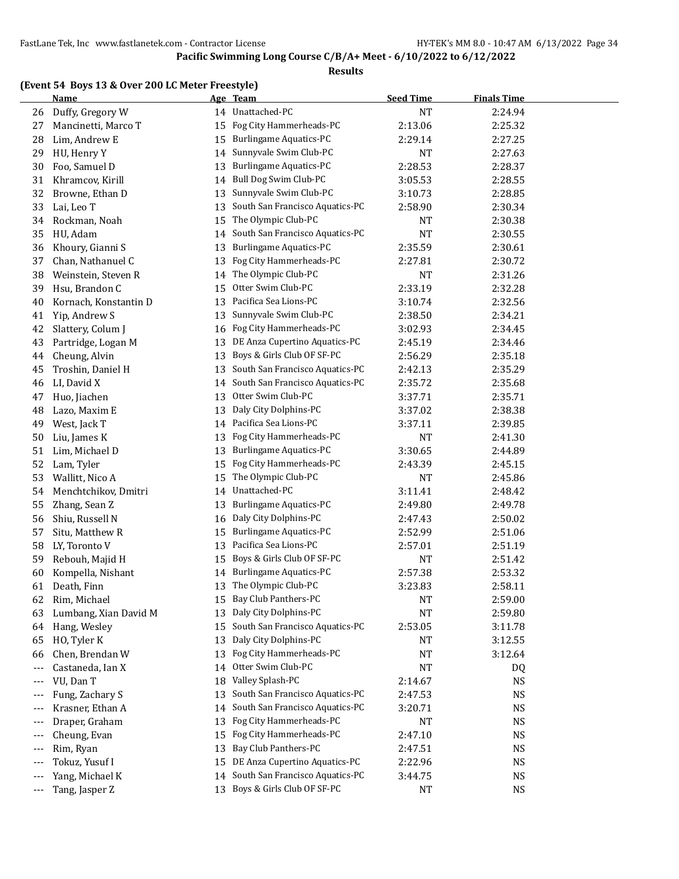|  | (Event 54 Boys 13 & Over 200 LC Meter Freestyle) |
|--|--------------------------------------------------|
|  |                                                  |

|            | (Event 54 Boys 13 & Over 200 LC Meter Freestyle)<br><b>Name</b> |          | Age Team                        | <b>Seed Time</b> | <b>Finals Time</b>     |
|------------|-----------------------------------------------------------------|----------|---------------------------------|------------------|------------------------|
| 26         | Duffy, Gregory W                                                |          | 14 Unattached-PC                | <b>NT</b>        | 2:24.94                |
| 27         | Mancinetti, Marco T                                             | 15       | Fog City Hammerheads-PC         | 2:13.06          | 2:25.32                |
| 28         | Lim, Andrew E                                                   | 15       | <b>Burlingame Aquatics-PC</b>   | 2:29.14          | 2:27.25                |
| 29         | HU, Henry Y                                                     | 14       | Sunnyvale Swim Club-PC          | <b>NT</b>        | 2:27.63                |
| 30         | Foo, Samuel D                                                   | 13       | <b>Burlingame Aquatics-PC</b>   | 2:28.53          | 2:28.37                |
| 31         | Khramcov, Kirill                                                | 14       | Bull Dog Swim Club-PC           | 3:05.53          | 2:28.55                |
| 32         | Browne, Ethan D                                                 | 13       | Sunnyvale Swim Club-PC          | 3:10.73          | 2:28.85                |
| 33         | Lai, Leo T                                                      | 13       | South San Francisco Aquatics-PC | 2:58.90          | 2:30.34                |
| 34         | Rockman, Noah                                                   | 15       | The Olympic Club-PC             | NT               | 2:30.38                |
| 35         | HU, Adam                                                        | 14       | South San Francisco Aquatics-PC | <b>NT</b>        | 2:30.55                |
| 36         | Khoury, Gianni S                                                | 13       | <b>Burlingame Aquatics-PC</b>   | 2:35.59          | 2:30.61                |
| 37         | Chan, Nathanuel C                                               | 13       | Fog City Hammerheads-PC         | 2:27.81          | 2:30.72                |
| 38         | Weinstein, Steven R                                             | 14       | The Olympic Club-PC             | NT               | 2:31.26                |
| 39         | Hsu, Brandon C                                                  | 15       | Otter Swim Club-PC              | 2:33.19          | 2:32.28                |
| 40         | Kornach, Konstantin D                                           | 13       | Pacifica Sea Lions-PC           | 3:10.74          | 2:32.56                |
| 41         | Yip, Andrew S                                                   | 13       | Sunnyvale Swim Club-PC          | 2:38.50          | 2:34.21                |
| 42         | Slattery, Colum J                                               | 16       | Fog City Hammerheads-PC         | 3:02.93          | 2:34.45                |
| 43         | Partridge, Logan M                                              | 13       | DE Anza Cupertino Aquatics-PC   | 2:45.19          | 2:34.46                |
| 44         | Cheung, Alvin                                                   | 13       | Boys & Girls Club OF SF-PC      | 2:56.29          | 2:35.18                |
| 45         | Troshin, Daniel H                                               | 13       | South San Francisco Aquatics-PC | 2:42.13          | 2:35.29                |
| 46         | LI, David X                                                     | 14       | South San Francisco Aquatics-PC | 2:35.72          | 2:35.68                |
| 47         | Huo, Jiachen                                                    | 13       | Otter Swim Club-PC              | 3:37.71          | 2:35.71                |
| 48         | Lazo, Maxim E                                                   | 13       | Daly City Dolphins-PC           | 3:37.02          | 2:38.38                |
| 49         | West, Jack T                                                    |          | 14 Pacifica Sea Lions-PC        | 3:37.11          | 2:39.85                |
| 50         | Liu, James K                                                    | 13       | Fog City Hammerheads-PC         | <b>NT</b>        | 2:41.30                |
| 51         | Lim, Michael D                                                  | 13       | <b>Burlingame Aquatics-PC</b>   | 3:30.65          | 2:44.89                |
| 52         | Lam, Tyler                                                      | 15       | Fog City Hammerheads-PC         | 2:43.39          | 2:45.15                |
| 53         | Wallitt, Nico A                                                 | 15       | The Olympic Club-PC             | NT               | 2:45.86                |
| 54         | Menchtchikov, Dmitri                                            | 14       | Unattached-PC                   | 3:11.41          | 2:48.42                |
| 55         | Zhang, Sean Z                                                   | 13       | <b>Burlingame Aquatics-PC</b>   | 2:49.80          | 2:49.78                |
| 56         | Shiu, Russell N                                                 | 16       | Daly City Dolphins-PC           | 2:47.43          | 2:50.02                |
| 57         | Situ, Matthew R                                                 | 15       | <b>Burlingame Aquatics-PC</b>   | 2:52.99          | 2:51.06                |
| 58         | LY, Toronto V                                                   | 13       | Pacifica Sea Lions-PC           | 2:57.01          | 2:51.19                |
| 59         | Rebouh, Majid H                                                 | 15       | Boys & Girls Club OF SF-PC      | <b>NT</b>        | 2:51.42                |
| 60         | Kompella, Nishant                                               |          | 14 Burlingame Aquatics-PC       | 2:57.38          | 2:53.32                |
| 61         | Death, Finn                                                     | 13       | The Olympic Club-PC             | 3:23.83          | 2:58.11                |
| 62         | Rim, Michael                                                    | 15       | Bay Club Panthers-PC            | NT               | 2:59.00                |
| 63         | Lumbang, Xian David M                                           | 13       | Daly City Dolphins-PC           | NT               | 2:59.80                |
| 64         | Hang, Wesley                                                    | 15       | South San Francisco Aquatics-PC | 2:53.05          | 3:11.78                |
| 65         | HO, Tyler K                                                     | 13       | Daly City Dolphins-PC           | <b>NT</b>        | 3:12.55                |
| 66         | Chen, Brendan W                                                 | 13       | Fog City Hammerheads-PC         | NT               | 3:12.64                |
| ---        | Castaneda, Ian X                                                | 14       | Otter Swim Club-PC              | NT               | DQ                     |
| ---        | VU, Dan T                                                       | 18       | Valley Splash-PC                | 2:14.67          | <b>NS</b>              |
|            | Fung, Zachary S                                                 | 13       | South San Francisco Aquatics-PC | 2:47.53          | <b>NS</b>              |
| ---        | Krasner, Ethan A                                                | 14       | South San Francisco Aquatics-PC | 3:20.71          | <b>NS</b>              |
|            | Draper, Graham                                                  | 13       | Fog City Hammerheads-PC         | NT               | <b>NS</b>              |
| ---<br>--- | Cheung, Evan                                                    | 15       | Fog City Hammerheads-PC         | 2:47.10          | <b>NS</b>              |
|            |                                                                 | 13       | Bay Club Panthers-PC            | 2:47.51          |                        |
| ---        | Rim, Ryan<br>Tokuz, Yusuf I                                     |          | DE Anza Cupertino Aquatics-PC   |                  | <b>NS</b>              |
| ---        | Yang, Michael K                                                 | 15<br>14 | South San Francisco Aquatics-PC | 2:22.96          | <b>NS</b>              |
| ---        | Tang, Jasper Z                                                  |          | 13 Boys & Girls Club OF SF-PC   | 3:44.75<br>NT    | <b>NS</b><br><b>NS</b> |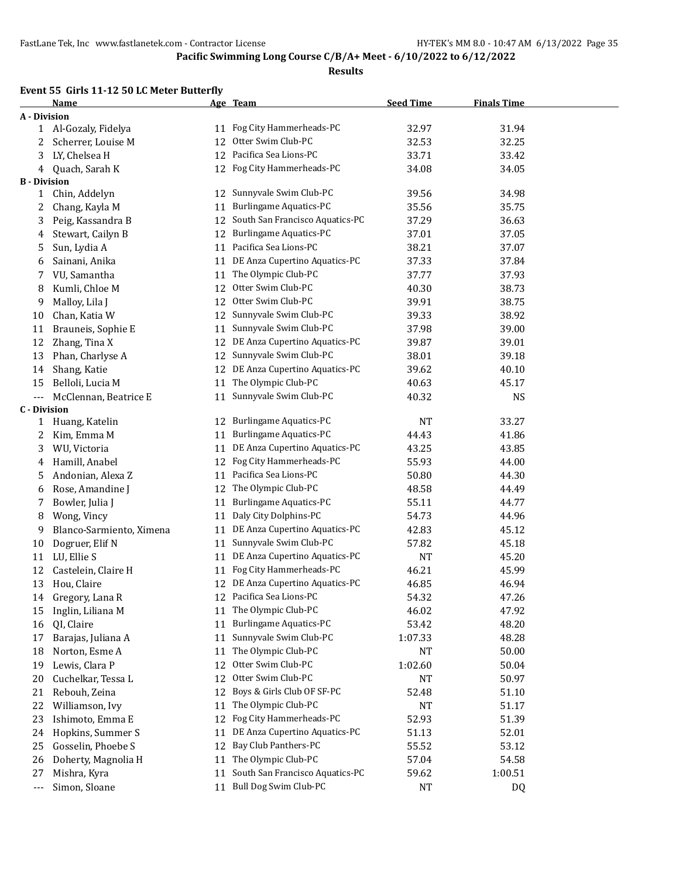#### **Results**

### **Event 55 Girls 11-12 50 LC Meter Butterfly**

|                     | <b>Name</b>              |    | Age Team                         | <b>Seed Time</b> | <b>Finals Time</b> |  |
|---------------------|--------------------------|----|----------------------------------|------------------|--------------------|--|
| <b>A</b> - Division |                          |    |                                  |                  |                    |  |
|                     | 1 Al-Gozaly, Fidelya     |    | 11 Fog City Hammerheads-PC       | 32.97            | 31.94              |  |
| 2                   | Scherrer, Louise M       | 12 | Otter Swim Club-PC               | 32.53            | 32.25              |  |
| 3                   | LY, Chelsea H            |    | 12 Pacifica Sea Lions-PC         | 33.71            | 33.42              |  |
| 4                   | Quach, Sarah K           |    | 12 Fog City Hammerheads-PC       | 34.08            | 34.05              |  |
| <b>B</b> - Division |                          |    |                                  |                  |                    |  |
| 1                   | Chin, Addelyn            | 12 | Sunnyvale Swim Club-PC           | 39.56            | 34.98              |  |
| 2                   | Chang, Kayla M           | 11 | Burlingame Aquatics-PC           | 35.56            | 35.75              |  |
| 3                   | Peig, Kassandra B        | 12 | South San Francisco Aquatics-PC  | 37.29            | 36.63              |  |
| 4                   | Stewart, Cailyn B        | 12 | Burlingame Aquatics-PC           | 37.01            | 37.05              |  |
| 5                   | Sun, Lydia A             | 11 | Pacifica Sea Lions-PC            | 38.21            | 37.07              |  |
| 6                   | Sainani, Anika           |    | 11 DE Anza Cupertino Aquatics-PC | 37.33            | 37.84              |  |
| 7                   | VU, Samantha             | 11 | The Olympic Club-PC              | 37.77            | 37.93              |  |
| 8                   | Kumli, Chloe M           | 12 | Otter Swim Club-PC               | 40.30            | 38.73              |  |
| 9                   | Malloy, Lila J           | 12 | Otter Swim Club-PC               | 39.91            | 38.75              |  |
| 10                  | Chan, Katia W            | 12 | Sunnyvale Swim Club-PC           | 39.33            | 38.92              |  |
| 11                  | Brauneis, Sophie E       | 11 | Sunnyvale Swim Club-PC           | 37.98            | 39.00              |  |
| 12                  | Zhang, Tina X            | 12 | DE Anza Cupertino Aquatics-PC    | 39.87            | 39.01              |  |
| 13                  | Phan, Charlyse A         | 12 | Sunnyvale Swim Club-PC           | 38.01            | 39.18              |  |
| 14                  | Shang, Katie             | 12 | DE Anza Cupertino Aquatics-PC    | 39.62            | 40.10              |  |
| 15                  | Belloli, Lucia M         | 11 | The Olympic Club-PC              | 40.63            | 45.17              |  |
| ---                 | McClennan, Beatrice E    | 11 | Sunnyvale Swim Club-PC           | 40.32            | <b>NS</b>          |  |
| <b>C</b> - Division |                          |    |                                  |                  |                    |  |
| 1                   | Huang, Katelin           | 12 | <b>Burlingame Aquatics-PC</b>    | <b>NT</b>        | 33.27              |  |
| 2                   | Kim, Emma M              | 11 | Burlingame Aquatics-PC           | 44.43            | 41.86              |  |
| 3                   | WU, Victoria             | 11 | DE Anza Cupertino Aquatics-PC    | 43.25            | 43.85              |  |
| 4                   | Hamill, Anabel           | 12 | Fog City Hammerheads-PC          | 55.93            | 44.00              |  |
| 5                   | Andonian, Alexa Z        | 11 | Pacifica Sea Lions-PC            | 50.80            | 44.30              |  |
| 6                   | Rose, Amandine J         | 12 | The Olympic Club-PC              | 48.58            | 44.49              |  |
| 7                   | Bowler, Julia J          | 11 | <b>Burlingame Aquatics-PC</b>    | 55.11            | 44.77              |  |
| 8                   | Wong, Vincy              | 11 | Daly City Dolphins-PC            | 54.73            | 44.96              |  |
| 9                   | Blanco-Sarmiento, Ximena | 11 | DE Anza Cupertino Aquatics-PC    | 42.83            | 45.12              |  |
| 10                  | Dogruer, Elif N          | 11 | Sunnyvale Swim Club-PC           | 57.82            | 45.18              |  |
| 11                  | LU, Ellie S              | 11 | DE Anza Cupertino Aquatics-PC    | <b>NT</b>        | 45.20              |  |
| 12                  | Castelein, Claire H      | 11 | Fog City Hammerheads-PC          | 46.21            | 45.99              |  |
| 13                  | Hou, Claire              |    | 12 DE Anza Cupertino Aquatics-PC | 46.85            | 46.94              |  |
| 14                  | Gregory, Lana R          |    | 12 Pacifica Sea Lions-PC         | 54.32            | 47.26              |  |
| 15                  | Inglin, Liliana M        | 11 | The Olympic Club-PC              | 46.02            | 47.92              |  |
| 16                  | QI, Claire               | 11 | <b>Burlingame Aquatics-PC</b>    | 53.42            | 48.20              |  |
| 17                  | Barajas, Juliana A       | 11 | Sunnyvale Swim Club-PC           | 1:07.33          | 48.28              |  |
| 18                  | Norton, Esme A           | 11 | The Olympic Club-PC              | NT               | 50.00              |  |
| 19                  | Lewis, Clara P           | 12 | Otter Swim Club-PC               | 1:02.60          | 50.04              |  |
| 20                  | Cuchelkar, Tessa L       | 12 | Otter Swim Club-PC               | NT               | 50.97              |  |
| 21                  | Rebouh, Zeina            | 12 | Boys & Girls Club OF SF-PC       | 52.48            | 51.10              |  |
| 22                  | Williamson, Ivy          | 11 | The Olympic Club-PC              | NT               | 51.17              |  |
| 23                  | Ishimoto, Emma E         | 12 | Fog City Hammerheads-PC          | 52.93            | 51.39              |  |
| 24                  | Hopkins, Summer S        | 11 | DE Anza Cupertino Aquatics-PC    | 51.13            | 52.01              |  |
| 25                  | Gosselin, Phoebe S       | 12 | Bay Club Panthers-PC             | 55.52            | 53.12              |  |
| 26                  | Doherty, Magnolia H      | 11 | The Olympic Club-PC              | 57.04            | 54.58              |  |
| 27                  | Mishra, Kyra             | 11 | South San Francisco Aquatics-PC  | 59.62            | 1:00.51            |  |
| $\cdots$            | Simon, Sloane            | 11 | Bull Dog Swim Club-PC            | NT               | DQ                 |  |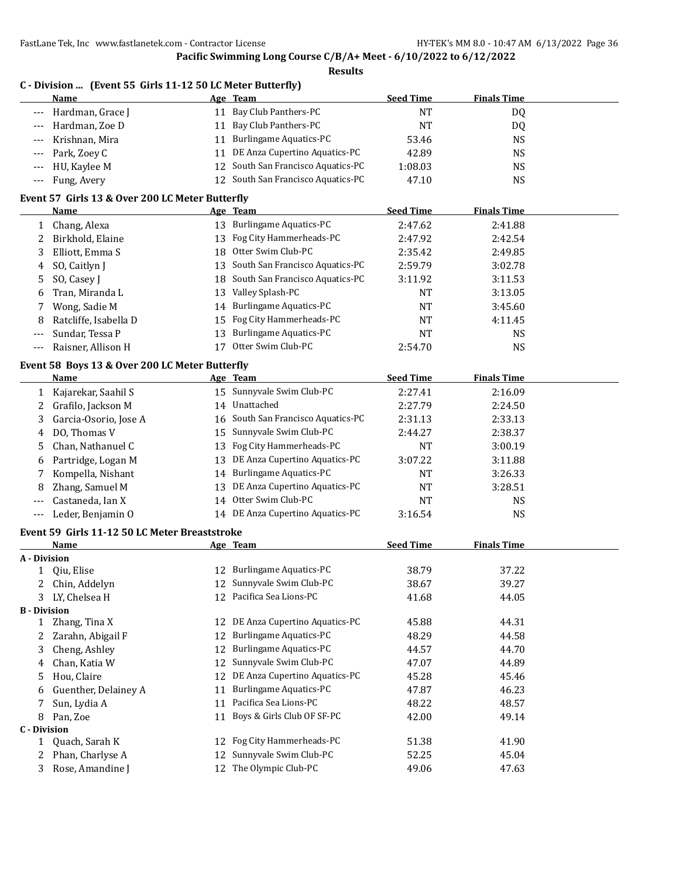|                          | FastLane Tek, Inc www.fastlanetek.com - Contractor License |    | Pacific Swimming Long Course C/B/A+ Meet - 6/10/2022 to 6/12/2022 |                  | HY-TEK's MM 8.0 - 10:47 AM 6/13/2022 Page 36 |  |
|--------------------------|------------------------------------------------------------|----|-------------------------------------------------------------------|------------------|----------------------------------------------|--|
|                          |                                                            |    | <b>Results</b>                                                    |                  |                                              |  |
|                          | C - Division  (Event 55 Girls 11-12 50 LC Meter Butterfly) |    |                                                                   |                  |                                              |  |
|                          | Name                                                       |    | Age Team                                                          | <b>Seed Time</b> | <b>Finals Time</b>                           |  |
| $---$                    | Hardman, Grace J                                           |    | 11 Bay Club Panthers-PC                                           | <b>NT</b>        | DQ                                           |  |
| $---$                    | Hardman, Zoe D                                             |    | 11 Bay Club Panthers-PC                                           | <b>NT</b>        | DQ                                           |  |
|                          | Krishnan, Mira                                             |    | 11 Burlingame Aquatics-PC                                         | 53.46            | <b>NS</b>                                    |  |
| $---$                    | Park, Zoey C                                               |    | 11 DE Anza Cupertino Aquatics-PC                                  | 42.89            | <b>NS</b>                                    |  |
| $---$                    | HU, Kaylee M                                               |    | 12 South San Francisco Aquatics-PC                                | 1:08.03          | <b>NS</b>                                    |  |
| $---$                    | Fung, Avery                                                |    | 12 South San Francisco Aquatics-PC                                | 47.10            | <b>NS</b>                                    |  |
|                          |                                                            |    |                                                                   |                  |                                              |  |
|                          | Event 57 Girls 13 & Over 200 LC Meter Butterfly            |    |                                                                   |                  |                                              |  |
|                          | Name                                                       |    | Age Team                                                          | <b>Seed Time</b> | <b>Finals Time</b>                           |  |
|                          | 1 Chang, Alexa                                             |    | 13 Burlingame Aquatics-PC                                         | 2:47.62          | 2:41.88                                      |  |
| 2                        | Birkhold, Elaine                                           |    | 13 Fog City Hammerheads-PC                                        | 2:47.92          | 2:42.54                                      |  |
| 3                        | Elliott, Emma S                                            |    | 18 Otter Swim Club-PC                                             | 2:35.42          | 2:49.85                                      |  |
| 4                        | SO, Caitlyn J                                              |    | 13 South San Francisco Aquatics-PC                                | 2:59.79          | 3:02.78                                      |  |
| 5                        | SO, Casey J                                                |    | 18 South San Francisco Aquatics-PC                                | 3:11.92          | 3:11.53                                      |  |
| 6                        | Tran, Miranda L                                            |    | 13 Valley Splash-PC                                               | <b>NT</b>        | 3:13.05                                      |  |
| 7                        | Wong, Sadie M                                              |    | 14 Burlingame Aquatics-PC                                         | <b>NT</b>        | 3:45.60                                      |  |
| 8                        | Ratcliffe, Isabella D                                      | 15 | Fog City Hammerheads-PC                                           | NT               | 4:11.45                                      |  |
| $---$                    | Sundar, Tessa P                                            |    | 13 Burlingame Aquatics-PC                                         | <b>NT</b>        | <b>NS</b>                                    |  |
| $---$                    | Raisner, Allison H                                         |    | 17 Otter Swim Club-PC                                             | 2:54.70          | <b>NS</b>                                    |  |
|                          | Event 58 Boys 13 & Over 200 LC Meter Butterfly             |    |                                                                   |                  |                                              |  |
|                          | <b>Name</b>                                                |    | Age Team                                                          | <b>Seed Time</b> | <b>Finals Time</b>                           |  |
| 1                        | Kajarekar, Saahil S                                        |    | 15 Sunnyvale Swim Club-PC                                         | 2:27.41          | 2:16.09                                      |  |
| 2                        | Grafilo, Jackson M                                         |    | 14 Unattached                                                     | 2:27.79          | 2:24.50                                      |  |
| 3                        | Garcia-Osorio, Jose A                                      |    | 16 South San Francisco Aquatics-PC                                | 2:31.13          | 2:33.13                                      |  |
| 4                        | DO, Thomas V                                               |    | 15 Sunnyvale Swim Club-PC                                         | 2:44.27          | 2:38.37                                      |  |
| 5                        | Chan, Nathanuel C                                          |    | 13 Fog City Hammerheads-PC                                        | NT               | 3:00.19                                      |  |
| 6                        | Partridge, Logan M                                         |    | 13 DE Anza Cupertino Aquatics-PC                                  | 3:07.22          | 3:11.88                                      |  |
| 7                        | Kompella, Nishant                                          |    | 14 Burlingame Aquatics-PC                                         | <b>NT</b>        | 3:26.33                                      |  |
| 8                        | Zhang, Samuel M                                            |    | 13 DE Anza Cupertino Aquatics-PC                                  | <b>NT</b>        | 3:28.51                                      |  |
| $---$                    | Castaneda, Ian X                                           |    | 14 Otter Swim Club-PC                                             | NT               | <b>NS</b>                                    |  |
| $---$                    | Leder, Benjamin O                                          |    | 14 DE Anza Cupertino Aquatics-PC                                  | 3:16.54          | <b>NS</b>                                    |  |
|                          |                                                            |    |                                                                   |                  |                                              |  |
|                          | Event 59 Girls 11-12 50 LC Meter Breaststroke              |    |                                                                   |                  |                                              |  |
|                          | <b>Name</b>                                                |    | Age Team                                                          | <b>Seed Time</b> | <b>Finals Time</b>                           |  |
| A - Division             |                                                            |    |                                                                   |                  |                                              |  |
| $\mathbf{1}$             | Qiu, Elise                                                 |    | 12 Burlingame Aquatics-PC<br>Sunnyvale Swim Club-PC               | 38.79            | 37.22                                        |  |
| 2                        | Chin, Addelyn                                              | 12 | Pacifica Sea Lions-PC                                             | 38.67            | 39.27                                        |  |
| 3<br><b>B</b> - Division | LY, Chelsea H                                              | 12 |                                                                   | 41.68            | 44.05                                        |  |
| $\mathbf{1}$             | Zhang, Tina X                                              | 12 | DE Anza Cupertino Aquatics-PC                                     | 45.88            | 44.31                                        |  |
| 2                        | Zarahn, Abigail F                                          | 12 | <b>Burlingame Aquatics-PC</b>                                     | 48.29            | 44.58                                        |  |
| 3                        | Cheng, Ashley                                              | 12 | <b>Burlingame Aquatics-PC</b>                                     | 44.57            | 44.70                                        |  |
|                          | Chan, Katia W                                              | 12 | Sunnyvale Swim Club-PC                                            | 47.07            | 44.89                                        |  |
| 4                        | Hou, Claire                                                | 12 | DE Anza Cupertino Aquatics-PC                                     | 45.28            | 45.46                                        |  |
| 5                        |                                                            |    | <b>Burlingame Aquatics-PC</b>                                     | 47.87            | 46.23                                        |  |
| 6                        | Guenther, Delainey A                                       | 11 | Pacifica Sea Lions-PC                                             |                  |                                              |  |
| 7                        | Sun, Lydia A                                               | 11 |                                                                   | 48.22            | 48.57                                        |  |
| 8<br><b>C</b> - Division | Pan, Zoe                                                   | 11 | Boys & Girls Club OF SF-PC                                        | 42.00            | 49.14                                        |  |
| 1                        | Quach, Sarah K                                             | 12 | Fog City Hammerheads-PC                                           | 51.38            | 41.90                                        |  |
| 2                        | Phan, Charlyse A                                           | 12 | Sunnyvale Swim Club-PC                                            | 52.25            | 45.04                                        |  |
| 3                        | Rose, Amandine J                                           | 12 | The Olympic Club-PC                                               | 49.06            | 47.63                                        |  |
|                          |                                                            |    |                                                                   |                  |                                              |  |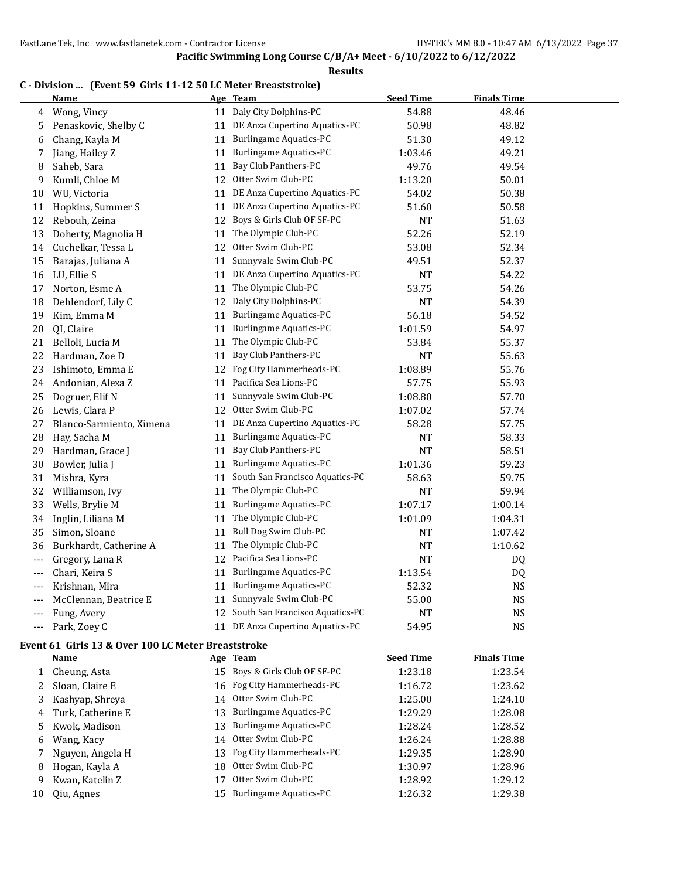#### **Results**

#### **C - Division ... (Event 59 Girls 11-12 50 LC Meter Breaststroke)**

|                | Name                     |    | Age Team                           | <b>Seed Time</b> | <b>Finals Time</b> |  |
|----------------|--------------------------|----|------------------------------------|------------------|--------------------|--|
| 4              | Wong, Vincy              |    | 11 Daly City Dolphins-PC           | 54.88            | 48.46              |  |
| 5              | Penaskovic, Shelby C     |    | 11 DE Anza Cupertino Aquatics-PC   | 50.98            | 48.82              |  |
| 6              | Chang, Kayla M           | 11 | <b>Burlingame Aquatics-PC</b>      | 51.30            | 49.12              |  |
| 7              | Jiang, Hailey Z          | 11 | Burlingame Aquatics-PC             | 1:03.46          | 49.21              |  |
| 8              | Saheb, Sara              | 11 | Bay Club Panthers-PC               | 49.76            | 49.54              |  |
| 9              | Kumli, Chloe M           | 12 | Otter Swim Club-PC                 | 1:13.20          | 50.01              |  |
| 10             | WU, Victoria             | 11 | DE Anza Cupertino Aquatics-PC      | 54.02            | 50.38              |  |
| 11             | Hopkins, Summer S        |    | 11 DE Anza Cupertino Aquatics-PC   | 51.60            | 50.58              |  |
| 12             | Rebouh, Zeina            | 12 | Boys & Girls Club OF SF-PC         | NT               | 51.63              |  |
| 13             | Doherty, Magnolia H      |    | 11 The Olympic Club-PC             | 52.26            | 52.19              |  |
| 14             | Cuchelkar, Tessa L       | 12 | Otter Swim Club-PC                 | 53.08            | 52.34              |  |
| 15             | Barajas, Juliana A       | 11 | Sunnyvale Swim Club-PC             | 49.51            | 52.37              |  |
| 16             | LU, Ellie S              | 11 | DE Anza Cupertino Aquatics-PC      | <b>NT</b>        | 54.22              |  |
| 17             | Norton, Esme A           | 11 | The Olympic Club-PC                | 53.75            | 54.26              |  |
| 18             | Dehlendorf, Lily C       | 12 | Daly City Dolphins-PC              | <b>NT</b>        | 54.39              |  |
| 19             | Kim, Emma M              | 11 | <b>Burlingame Aquatics-PC</b>      | 56.18            | 54.52              |  |
| 20             | QI, Claire               | 11 | <b>Burlingame Aquatics-PC</b>      | 1:01.59          | 54.97              |  |
| 21             | Belloli, Lucia M         | 11 | The Olympic Club-PC                | 53.84            | 55.37              |  |
| 22             | Hardman, Zoe D           | 11 | Bay Club Panthers-PC               | <b>NT</b>        | 55.63              |  |
| 23             | Ishimoto, Emma E         | 12 | Fog City Hammerheads-PC            | 1:08.89          | 55.76              |  |
| 24             | Andonian, Alexa Z        | 11 | Pacifica Sea Lions-PC              | 57.75            | 55.93              |  |
| 25             | Dogruer, Elif N          | 11 | Sunnyvale Swim Club-PC             | 1:08.80          | 57.70              |  |
| 26             | Lewis, Clara P           | 12 | Otter Swim Club-PC                 | 1:07.02          | 57.74              |  |
| 27             | Blanco-Sarmiento, Ximena | 11 | DE Anza Cupertino Aquatics-PC      | 58.28            | 57.75              |  |
| 28             | Hay, Sacha M             | 11 | <b>Burlingame Aquatics-PC</b>      | NT               | 58.33              |  |
| 29             | Hardman, Grace J         | 11 | Bay Club Panthers-PC               | <b>NT</b>        | 58.51              |  |
| 30             | Bowler, Julia J          | 11 | Burlingame Aquatics-PC             | 1:01.36          | 59.23              |  |
| 31             | Mishra, Kyra             | 11 | South San Francisco Aquatics-PC    | 58.63            | 59.75              |  |
| 32             | Williamson, Ivy          | 11 | The Olympic Club-PC                | <b>NT</b>        | 59.94              |  |
| 33             | Wells, Brylie M          | 11 | <b>Burlingame Aquatics-PC</b>      | 1:07.17          | 1:00.14            |  |
| 34             | Inglin, Liliana M        | 11 | The Olympic Club-PC                | 1:01.09          | 1:04.31            |  |
| 35             | Simon, Sloane            | 11 | Bull Dog Swim Club-PC              | <b>NT</b>        | 1:07.42            |  |
| 36             | Burkhardt, Catherine A   | 11 | The Olympic Club-PC                | <b>NT</b>        | 1:10.62            |  |
| $---$          | Gregory, Lana R          |    | 12 Pacifica Sea Lions-PC           | NT               | DQ                 |  |
| $\overline{a}$ | Chari, Keira S           | 11 | <b>Burlingame Aquatics-PC</b>      | 1:13.54          | DQ                 |  |
| $---$          | Krishnan, Mira           | 11 | <b>Burlingame Aquatics-PC</b>      | 52.32            | <b>NS</b>          |  |
| $---$          | McClennan, Beatrice E    | 11 | Sunnyvale Swim Club-PC             | 55.00            | <b>NS</b>          |  |
| ---            | Fung, Avery              |    | 12 South San Francisco Aquatics-PC | <b>NT</b>        | <b>NS</b>          |  |
| ---            | Park, Zoey C             |    | 11 DE Anza Cupertino Aquatics-PC   | 54.95            | <b>NS</b>          |  |

#### **Event 61 Girls 13 & Over 100 LC Meter Breaststroke**

|    | Name              |     | Age Team                      | <b>Seed Time</b> | <b>Finals Time</b> |  |
|----|-------------------|-----|-------------------------------|------------------|--------------------|--|
|    | Cheung, Asta      |     | 15 Boys & Girls Club OF SF-PC | 1:23.18          | 1:23.54            |  |
|    | Sloan, Claire E   |     | 16 Fog City Hammerheads-PC    | 1:16.72          | 1:23.62            |  |
| 3  | Kashyap, Shreya   | 14  | Otter Swim Club-PC            | 1:25.00          | 1:24.10            |  |
| 4  | Turk, Catherine E |     | 13 Burlingame Aquatics-PC     | 1:29.29          | 1:28.08            |  |
| 5  | Kwok, Madison     |     | 13 Burlingame Aquatics-PC     | 1:28.24          | 1:28.52            |  |
| 6  | Wang, Kacy        |     | 14 Otter Swim Club-PC         | 1:26.24          | 1:28.88            |  |
|    | Nguyen, Angela H  |     | 13 Fog City Hammerheads-PC    | 1:29.35          | 1:28.90            |  |
| 8  | Hogan, Kayla A    | 18. | Otter Swim Club-PC            | 1:30.97          | 1:28.96            |  |
| 9  | Kwan, Katelin Z   | 17  | Otter Swim Club-PC            | 1:28.92          | 1:29.12            |  |
| 10 | Qiu, Agnes        | 15. | Burlingame Aquatics-PC        | 1:26.32          | 1:29.38            |  |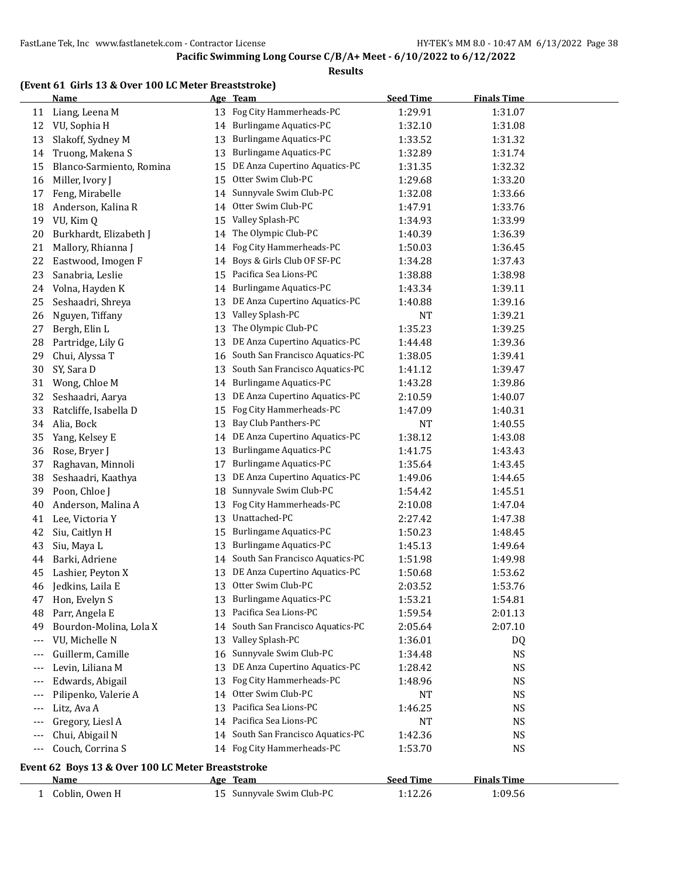|          | <b>Name</b>                                       |    | Age Team                           | <b>Seed Time</b>   | <b>Finals Time</b> |  |
|----------|---------------------------------------------------|----|------------------------------------|--------------------|--------------------|--|
| 11       | Liang, Leena M                                    | 13 | Fog City Hammerheads-PC            | 1:29.91            | 1:31.07            |  |
| 12       | VU, Sophia H                                      | 14 | <b>Burlingame Aquatics-PC</b>      | 1:32.10            | 1:31.08            |  |
| 13       | Slakoff, Sydney M                                 | 13 | Burlingame Aquatics-PC             | 1:33.52            | 1:31.32            |  |
| 14       | Truong, Makena S                                  | 13 | <b>Burlingame Aquatics-PC</b>      | 1:32.89            | 1:31.74            |  |
| 15       | Blanco-Sarmiento, Romina                          | 15 | DE Anza Cupertino Aquatics-PC      | 1:31.35            | 1:32.32            |  |
| 16       | Miller, Ivory J                                   | 15 | Otter Swim Club-PC                 | 1:29.68            | 1:33.20            |  |
| 17       | Feng, Mirabelle                                   | 14 | Sunnyvale Swim Club-PC             | 1:32.08            | 1:33.66            |  |
| 18       | Anderson, Kalina R                                | 14 | Otter Swim Club-PC                 | 1:47.91            | 1:33.76            |  |
| 19       | VU, Kim Q                                         | 15 | Valley Splash-PC                   | 1:34.93            | 1:33.99            |  |
| 20       | Burkhardt, Elizabeth J                            | 14 | The Olympic Club-PC                | 1:40.39            | 1:36.39            |  |
| 21       | Mallory, Rhianna J                                | 14 | Fog City Hammerheads-PC            | 1:50.03            | 1:36.45            |  |
| 22       | Eastwood, Imogen F                                | 14 | Boys & Girls Club OF SF-PC         | 1:34.28            | 1:37.43            |  |
| 23       | Sanabria, Leslie                                  | 15 | Pacifica Sea Lions-PC              | 1:38.88            | 1:38.98            |  |
| 24       | Volna, Hayden K                                   | 14 | <b>Burlingame Aquatics-PC</b>      | 1:43.34            | 1:39.11            |  |
| 25       | Seshaadri, Shreya                                 | 13 | DE Anza Cupertino Aquatics-PC      | 1:40.88            | 1:39.16            |  |
| 26       | Nguyen, Tiffany                                   | 13 | Valley Splash-PC                   | <b>NT</b>          | 1:39.21            |  |
| 27       | Bergh, Elin L                                     | 13 | The Olympic Club-PC                | 1:35.23            | 1:39.25            |  |
| 28       | Partridge, Lily G                                 | 13 | DE Anza Cupertino Aquatics-PC      | 1:44.48            | 1:39.36            |  |
| 29       | Chui, Alyssa T                                    | 16 | South San Francisco Aquatics-PC    | 1:38.05            | 1:39.41            |  |
| 30       | SY, Sara D                                        | 13 | South San Francisco Aquatics-PC    | 1:41.12            | 1:39.47            |  |
| 31       | Wong, Chloe M                                     | 14 | <b>Burlingame Aquatics-PC</b>      | 1:43.28            | 1:39.86            |  |
| 32       | Seshaadri, Aarya                                  | 13 | DE Anza Cupertino Aquatics-PC      | 2:10.59            | 1:40.07            |  |
| 33       | Ratcliffe, Isabella D                             | 15 | Fog City Hammerheads-PC            | 1:47.09            | 1:40.31            |  |
| 34       | Alia, Bock                                        | 13 | Bay Club Panthers-PC               | <b>NT</b>          | 1:40.55            |  |
| 35       | Yang, Kelsey E                                    | 14 | DE Anza Cupertino Aquatics-PC      | 1:38.12            | 1:43.08            |  |
| 36       | Rose, Bryer J                                     | 13 | <b>Burlingame Aquatics-PC</b>      | 1:41.75            | 1:43.43            |  |
| 37       | Raghavan, Minnoli                                 | 17 | <b>Burlingame Aquatics-PC</b>      | 1:35.64            | 1:43.45            |  |
| 38       | Seshaadri, Kaathya                                | 13 | DE Anza Cupertino Aquatics-PC      | 1:49.06            | 1:44.65            |  |
| 39       | Poon, Chloe J                                     | 18 | Sunnyvale Swim Club-PC             | 1:54.42            | 1:45.51            |  |
| 40       | Anderson, Malina A                                | 13 | Fog City Hammerheads-PC            | 2:10.08            | 1:47.04            |  |
| 41       | Lee, Victoria Y                                   | 13 | Unattached-PC                      | 2:27.42            | 1:47.38            |  |
| 42       | Siu, Caitlyn H                                    | 15 | <b>Burlingame Aquatics-PC</b>      | 1:50.23            | 1:48.45            |  |
| 43       | Siu, Maya L                                       | 13 | <b>Burlingame Aquatics-PC</b>      | 1:45.13            | 1:49.64            |  |
| 44       | Barki, Adriene                                    | 14 | South San Francisco Aquatics-PC    | 1:51.98            | 1:49.98            |  |
| 45       | Lashier, Peyton X                                 | 13 | DE Anza Cupertino Aquatics-PC      | 1:50.68            | 1:53.62            |  |
| 46       | Jedkins, Laila E                                  | 13 | Otter Swim Club-PC                 | 2:03.52            | 1:53.76            |  |
|          | Hon, Evelyn S                                     |    | 13 Burlingame Aquatics-PC          | 1:53.21            | 1:54.81            |  |
| 47<br>48 | Parr, Angela E                                    | 13 | Pacifica Sea Lions-PC              | 1:59.54            | 2:01.13            |  |
| 49       | Bourdon-Molina, Lola X                            | 14 | South San Francisco Aquatics-PC    | 2:05.64            | 2:07.10            |  |
|          | VU, Michelle N                                    | 13 | Valley Splash-PC                   | 1:36.01            |                    |  |
| $---$    | Guillerm, Camille                                 | 16 | Sunnyvale Swim Club-PC             |                    | DQ<br><b>NS</b>    |  |
| ---      | Levin, Liliana M                                  | 13 | DE Anza Cupertino Aquatics-PC      | 1:34.48<br>1:28.42 | <b>NS</b>          |  |
| ---      | Edwards, Abigail                                  | 13 | Fog City Hammerheads-PC            |                    | <b>NS</b>          |  |
| $---$    |                                                   |    | Otter Swim Club-PC                 | 1:48.96            |                    |  |
| $---$    | Pilipenko, Valerie A                              | 14 | Pacifica Sea Lions-PC              | NT                 | <b>NS</b>          |  |
| $---$    | Litz, Ava A                                       | 13 |                                    | 1:46.25            | <b>NS</b>          |  |
| $--$     | Gregory, Liesl A                                  | 14 | Pacifica Sea Lions-PC              | <b>NT</b>          | <b>NS</b>          |  |
| $---$    | Chui, Abigail N                                   |    | 14 South San Francisco Aquatics-PC | 1:42.36            | <b>NS</b>          |  |
| $---$    | Couch, Corrina S                                  |    | 14 Fog City Hammerheads-PC         | 1:53.70            | <b>NS</b>          |  |
|          | Event 62 Boys 13 & Over 100 LC Meter Breaststroke |    |                                    |                    |                    |  |
|          | <u>Name</u>                                       |    | Age Team                           | <b>Seed Time</b>   | <b>Finals Time</b> |  |
|          | 1 Coblin, Owen H                                  |    | 15 Sunnyvale Swim Club-PC          | 1:12.26            | 1:09.56            |  |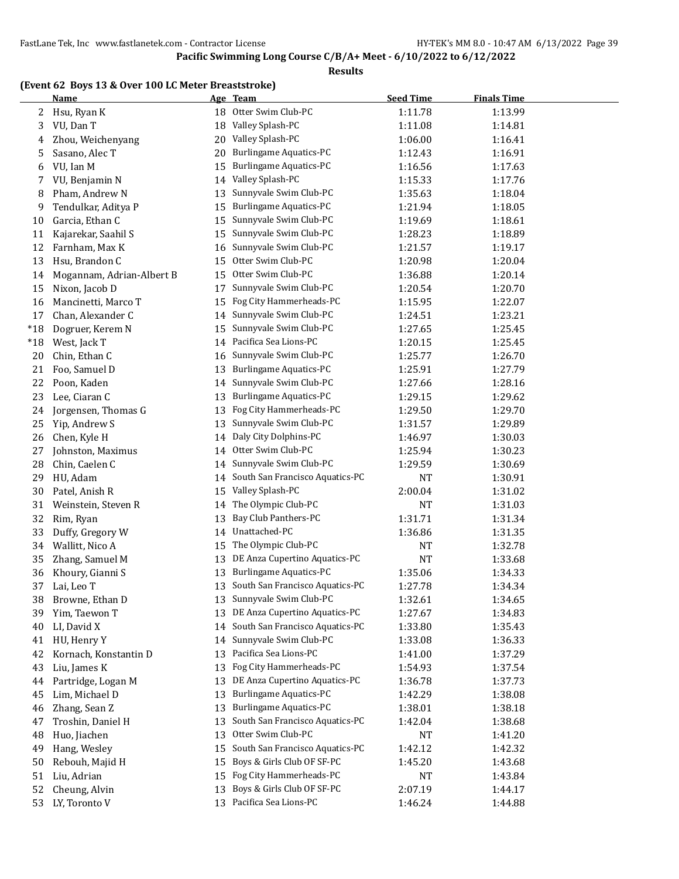**Results**

#### **(Event 62 Boys 13 & Over 100 LC Meter Breaststroke)**

|       | <b>Name</b>               |    | Age Team                        | <b>Seed Time</b> | <b>Finals Time</b> |  |
|-------|---------------------------|----|---------------------------------|------------------|--------------------|--|
| 2     | Hsu, Ryan K               |    | 18 Otter Swim Club-PC           | 1:11.78          | 1:13.99            |  |
| 3     | VU, Dan T                 | 18 | Valley Splash-PC                | 1:11.08          | 1:14.81            |  |
| 4     | Zhou, Weichenyang         | 20 | Valley Splash-PC                | 1:06.00          | 1:16.41            |  |
| 5     | Sasano, Alec T            | 20 | <b>Burlingame Aquatics-PC</b>   | 1:12.43          | 1:16.91            |  |
| 6     | VU, Ian M                 | 15 | <b>Burlingame Aquatics-PC</b>   | 1:16.56          | 1:17.63            |  |
| 7     | VU, Benjamin N            | 14 | Valley Splash-PC                | 1:15.33          | 1:17.76            |  |
| 8     | Pham, Andrew N            | 13 | Sunnyvale Swim Club-PC          | 1:35.63          | 1:18.04            |  |
| 9     | Tendulkar, Aditya P       | 15 | <b>Burlingame Aquatics-PC</b>   | 1:21.94          | 1:18.05            |  |
| 10    | Garcia, Ethan C           | 15 | Sunnyvale Swim Club-PC          | 1:19.69          | 1:18.61            |  |
| 11    | Kajarekar, Saahil S       | 15 | Sunnyvale Swim Club-PC          | 1:28.23          | 1:18.89            |  |
| 12    | Farnham, Max K            | 16 | Sunnyvale Swim Club-PC          | 1:21.57          | 1:19.17            |  |
| 13    | Hsu, Brandon C            | 15 | Otter Swim Club-PC              | 1:20.98          | 1:20.04            |  |
| 14    | Mogannam, Adrian-Albert B | 15 | Otter Swim Club-PC              | 1:36.88          | 1:20.14            |  |
| 15    | Nixon, Jacob D            | 17 | Sunnyvale Swim Club-PC          | 1:20.54          | 1:20.70            |  |
| 16    | Mancinetti, Marco T       | 15 | Fog City Hammerheads-PC         | 1:15.95          | 1:22.07            |  |
| 17    | Chan, Alexander C         | 14 | Sunnyvale Swim Club-PC          | 1:24.51          | 1:23.21            |  |
| $*18$ | Dogruer, Kerem N          | 15 | Sunnyvale Swim Club-PC          | 1:27.65          | 1:25.45            |  |
| $*18$ | West, Jack T              | 14 | Pacifica Sea Lions-PC           | 1:20.15          | 1:25.45            |  |
| 20    | Chin, Ethan C             | 16 | Sunnyvale Swim Club-PC          | 1:25.77          | 1:26.70            |  |
| 21    | Foo, Samuel D             | 13 | <b>Burlingame Aquatics-PC</b>   | 1:25.91          | 1:27.79            |  |
| 22    | Poon, Kaden               | 14 | Sunnyvale Swim Club-PC          | 1:27.66          | 1:28.16            |  |
| 23    | Lee, Ciaran C             | 13 | <b>Burlingame Aquatics-PC</b>   | 1:29.15          | 1:29.62            |  |
| 24    | Jorgensen, Thomas G       | 13 | Fog City Hammerheads-PC         | 1:29.50          | 1:29.70            |  |
| 25    | Yip, Andrew S             | 13 | Sunnyvale Swim Club-PC          | 1:31.57          | 1:29.89            |  |
| 26    | Chen, Kyle H              | 14 | Daly City Dolphins-PC           | 1:46.97          | 1:30.03            |  |
| 27    | Johnston, Maximus         | 14 | Otter Swim Club-PC              | 1:25.94          | 1:30.23            |  |
| 28    | Chin, Caelen C            | 14 | Sunnyvale Swim Club-PC          | 1:29.59          | 1:30.69            |  |
| 29    | HU, Adam                  | 14 | South San Francisco Aquatics-PC | <b>NT</b>        | 1:30.91            |  |
| 30    | Patel, Anish R            | 15 | Valley Splash-PC                | 2:00.04          | 1:31.02            |  |
| 31    | Weinstein, Steven R       | 14 | The Olympic Club-PC             | <b>NT</b>        | 1:31.03            |  |
| 32    | Rim, Ryan                 | 13 | Bay Club Panthers-PC            | 1:31.71          | 1:31.34            |  |
| 33    | Duffy, Gregory W          | 14 | Unattached-PC                   | 1:36.86          | 1:31.35            |  |
| 34    | Wallitt, Nico A           | 15 | The Olympic Club-PC             | <b>NT</b>        | 1:32.78            |  |
| 35    | Zhang, Samuel M           | 13 | DE Anza Cupertino Aquatics-PC   | NT               | 1:33.68            |  |
| 36    | Khoury, Gianni S          | 13 | <b>Burlingame Aquatics-PC</b>   | 1:35.06          | 1:34.33            |  |
| 37    | Lai, Leo T                | 13 | South San Francisco Aquatics-PC | 1:27.78          | 1:34.34            |  |
| 38    | Browne, Ethan D           | 13 | Sunnyvale Swim Club-PC          | 1:32.61          | 1:34.65            |  |
| 39    | Yim, Taewon T             | 13 | DE Anza Cupertino Aquatics-PC   | 1:27.67          | 1:34.83            |  |
| 40    | LI, David X               | 14 | South San Francisco Aquatics-PC | 1:33.80          | 1:35.43            |  |
| 41    | HU, Henry Y               | 14 | Sunnyvale Swim Club-PC          | 1:33.08          | 1:36.33            |  |
| 42    | Kornach, Konstantin D     | 13 | Pacifica Sea Lions-PC           | 1:41.00          | 1:37.29            |  |
| 43    | Liu, James K              | 13 | Fog City Hammerheads-PC         | 1:54.93          | 1:37.54            |  |
| 44    | Partridge, Logan M        | 13 | DE Anza Cupertino Aquatics-PC   | 1:36.78          | 1:37.73            |  |
| 45    | Lim, Michael D            | 13 | <b>Burlingame Aquatics-PC</b>   | 1:42.29          | 1:38.08            |  |
| 46    | Zhang, Sean Z             | 13 | <b>Burlingame Aquatics-PC</b>   | 1:38.01          | 1:38.18            |  |
| 47    | Troshin, Daniel H         | 13 | South San Francisco Aquatics-PC | 1:42.04          | 1:38.68            |  |
| 48    | Huo, Jiachen              | 13 | Otter Swim Club-PC              | NT               | 1:41.20            |  |
| 49    | Hang, Wesley              | 15 | South San Francisco Aquatics-PC | 1:42.12          | 1:42.32            |  |
| 50    | Rebouh, Majid H           | 15 | Boys & Girls Club OF SF-PC      | 1:45.20          | 1:43.68            |  |
| 51    | Liu, Adrian               | 15 | Fog City Hammerheads-PC         | NT               | 1:43.84            |  |
| 52    | Cheung, Alvin             | 13 | Boys & Girls Club OF SF-PC      | 2:07.19          | 1:44.17            |  |
| 53    | LY, Toronto V             |    | 13 Pacifica Sea Lions-PC        | 1:46.24          | 1:44.88            |  |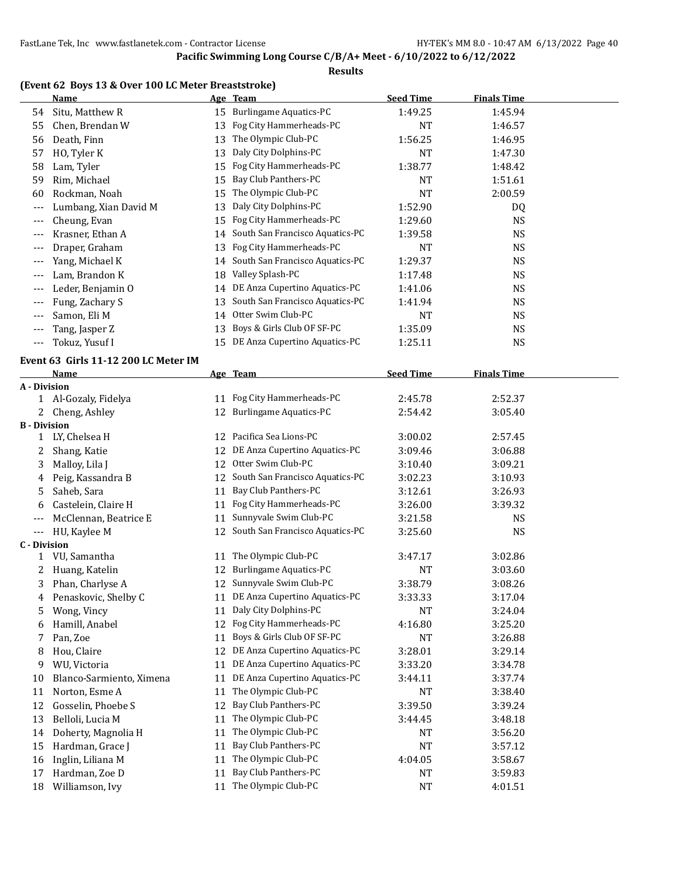#### **Results**

#### **(Event 62 Boys 13 & Over 100 LC Meter Breaststroke)**

|                     | <b>Name</b>                          |    | Age Team                           | <b>Seed Time</b> | <b>Finals Time</b> |  |
|---------------------|--------------------------------------|----|------------------------------------|------------------|--------------------|--|
| 54                  | Situ, Matthew R                      |    | 15 Burlingame Aquatics-PC          | 1:49.25          | 1:45.94            |  |
| 55                  | Chen, Brendan W                      | 13 | Fog City Hammerheads-PC            | <b>NT</b>        | 1:46.57            |  |
| 56                  | Death, Finn                          | 13 | The Olympic Club-PC                | 1:56.25          | 1:46.95            |  |
| 57                  | HO, Tyler K                          | 13 | Daly City Dolphins-PC              | <b>NT</b>        | 1:47.30            |  |
| 58                  | Lam, Tyler                           | 15 | Fog City Hammerheads-PC            | 1:38.77          | 1:48.42            |  |
| 59                  | Rim, Michael                         | 15 | Bay Club Panthers-PC               | <b>NT</b>        | 1:51.61            |  |
| 60                  | Rockman, Noah                        | 15 | The Olympic Club-PC                | NT               | 2:00.59            |  |
| $---$               | Lumbang, Xian David M                | 13 | Daly City Dolphins-PC              | 1:52.90          | DQ                 |  |
| $---$               | Cheung, Evan                         | 15 | Fog City Hammerheads-PC            | 1:29.60          | <b>NS</b>          |  |
| $---$               | Krasner, Ethan A                     |    | 14 South San Francisco Aquatics-PC | 1:39.58          | <b>NS</b>          |  |
| ---                 | Draper, Graham                       | 13 | Fog City Hammerheads-PC            | NT               | <b>NS</b>          |  |
| ---                 | Yang, Michael K                      |    | 14 South San Francisco Aquatics-PC | 1:29.37          | <b>NS</b>          |  |
| $---$               | Lam, Brandon K                       | 18 | Valley Splash-PC                   | 1:17.48          | <b>NS</b>          |  |
| ---                 | Leder, Benjamin O                    |    | 14 DE Anza Cupertino Aquatics-PC   | 1:41.06          | <b>NS</b>          |  |
| $---$               | Fung, Zachary S                      | 13 | South San Francisco Aquatics-PC    | 1:41.94          | <b>NS</b>          |  |
| $---$               | Samon, Eli M                         | 14 | Otter Swim Club-PC                 | <b>NT</b>        | <b>NS</b>          |  |
| $---$               | Tang, Jasper Z                       | 13 | Boys & Girls Club OF SF-PC         | 1:35.09          | <b>NS</b>          |  |
| $\qquad \qquad -$   | Tokuz, Yusuf I                       | 15 | DE Anza Cupertino Aquatics-PC      | 1:25.11          | <b>NS</b>          |  |
|                     |                                      |    |                                    |                  |                    |  |
|                     | Event 63 Girls 11-12 200 LC Meter IM |    |                                    |                  |                    |  |
|                     | Name                                 |    | Age Team                           | <b>Seed Time</b> | <b>Finals Time</b> |  |
| A - Division<br>1   | Al-Gozaly, Fidelya                   | 11 | Fog City Hammerheads-PC            | 2:45.78          | 2:52.37            |  |
| 2                   | Cheng, Ashley                        |    | 12 Burlingame Aquatics-PC          | 2:54.42          | 3:05.40            |  |
| <b>B</b> - Division |                                      |    |                                    |                  |                    |  |
| 1                   | LY, Chelsea H                        |    | 12 Pacifica Sea Lions-PC           | 3:00.02          | 2:57.45            |  |
| 2                   | Shang, Katie                         |    | 12 DE Anza Cupertino Aquatics-PC   | 3:09.46          | 3:06.88            |  |
| 3                   | Malloy, Lila J                       |    | 12 Otter Swim Club-PC              | 3:10.40          | 3:09.21            |  |
| 4                   | Peig, Kassandra B                    |    | 12 South San Francisco Aquatics-PC | 3:02.23          | 3:10.93            |  |
| 5                   | Saheb, Sara                          | 11 | Bay Club Panthers-PC               | 3:12.61          | 3:26.93            |  |
| 6                   | Castelein, Claire H                  | 11 | Fog City Hammerheads-PC            | 3:26.00          | 3:39.32            |  |
| ---                 | McClennan, Beatrice E                | 11 | Sunnyvale Swim Club-PC             | 3:21.58          | <b>NS</b>          |  |
| $---$               | HU, Kaylee M                         | 12 | South San Francisco Aquatics-PC    | 3:25.60          | <b>NS</b>          |  |
| <b>C</b> - Division |                                      |    |                                    |                  |                    |  |
| 1                   | VU, Samantha                         | 11 | The Olympic Club-PC                | 3:47.17          | 3:02.86            |  |
| 2                   | Huang, Katelin                       |    | 12 Burlingame Aquatics-PC          | NT               | 3:03.60            |  |
| 3                   | Phan, Charlyse A                     |    | 12 Sunnyvale Swim Club-PC          | 3:38.79          | 3:08.26            |  |
| 4                   | Penaskovic, Shelby C                 |    | 11 DE Anza Cupertino Aquatics-PC   | 3:33.33          | 3:17.04            |  |
| 5                   | Wong, Vincy                          | 11 | Daly City Dolphins-PC              | <b>NT</b>        | 3:24.04            |  |
| 6                   | Hamill, Anabel                       | 12 | Fog City Hammerheads-PC            | 4:16.80          | 3:25.20            |  |
| 7                   | Pan, Zoe                             | 11 | Boys & Girls Club OF SF-PC         | <b>NT</b>        | 3:26.88            |  |
| 8                   | Hou, Claire                          | 12 | DE Anza Cupertino Aquatics-PC      | 3:28.01          | 3:29.14            |  |
| 9                   | WU, Victoria                         | 11 | DE Anza Cupertino Aquatics-PC      | 3:33.20          | 3:34.78            |  |
| 10                  | Blanco-Sarmiento, Ximena             | 11 | DE Anza Cupertino Aquatics-PC      | 3:44.11          | 3:37.74            |  |
| 11                  | Norton, Esme A                       | 11 | The Olympic Club-PC                | NT               | 3:38.40            |  |
| 12                  | Gosselin, Phoebe S                   | 12 | Bay Club Panthers-PC               | 3:39.50          | 3:39.24            |  |
| 13                  | Belloli, Lucia M                     | 11 | The Olympic Club-PC                | 3:44.45          | 3:48.18            |  |
| 14                  | Doherty, Magnolia H                  | 11 | The Olympic Club-PC                | NT               | 3:56.20            |  |
| 15                  | Hardman, Grace J                     | 11 | Bay Club Panthers-PC               | <b>NT</b>        | 3:57.12            |  |
| 16                  | Inglin, Liliana M                    | 11 | The Olympic Club-PC                | 4:04.05          | 3:58.67            |  |
| 17                  | Hardman, Zoe D                       | 11 | Bay Club Panthers-PC               | NT               | 3:59.83            |  |
| 18                  | Williamson, Ivy                      | 11 | The Olympic Club-PC                | NT               | 4:01.51            |  |
|                     |                                      |    |                                    |                  |                    |  |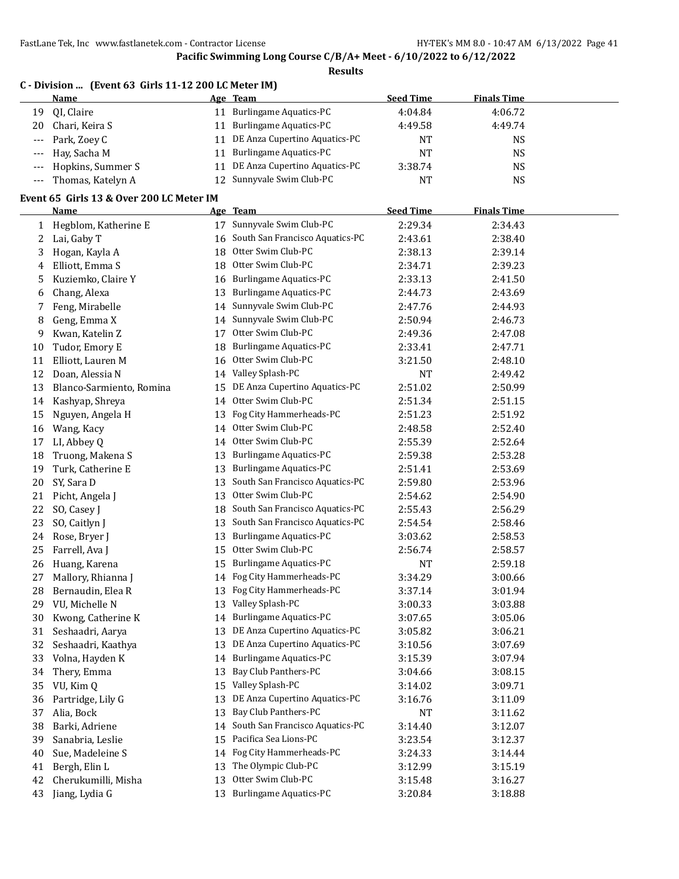**Pacific Swimming Long Course C/B/A+ Meet - 6/10/2022 to 6/12/2022**

**Results**

| C - Division  (Event 63 Girls 11-12 200 LC Meter IM) |                       |    |                               |                  |                    |  |  |  |
|------------------------------------------------------|-----------------------|----|-------------------------------|------------------|--------------------|--|--|--|
|                                                      | Name                  |    | Age Team                      | <b>Seed Time</b> | <b>Finals Time</b> |  |  |  |
| 19                                                   | OI, Claire            | 11 | <b>Burlingame Aquatics-PC</b> | 4:04.84          | 4:06.72            |  |  |  |
| 20                                                   | Chari, Keira S        | 11 | <b>Burlingame Aquatics-PC</b> | 4:49.58          | 4:49.74            |  |  |  |
|                                                      | --- Park, Zoey C      | 11 | DE Anza Cupertino Aquatics-PC | NT               | NS                 |  |  |  |
|                                                      | --- Hay, Sacha M      | 11 | <b>Burlingame Aquatics-PC</b> | <b>NT</b>        | <b>NS</b>          |  |  |  |
|                                                      | --- Hopkins, Summer S | 11 | DE Anza Cupertino Aquatics-PC | 3:38.74          | NS                 |  |  |  |
|                                                      | --- Thomas, Katelyn A |    | 12 Sunnyvale Swim Club-PC     | <b>NT</b>        | NS                 |  |  |  |

#### **Event 65 Girls 13 & Over 200 LC Meter IM**

|                         | Name                     |    | Age Team                         | <b>Seed Time</b> | <b>Finals Time</b> |  |
|-------------------------|--------------------------|----|----------------------------------|------------------|--------------------|--|
| 1                       | Hegblom, Katherine E     | 17 | Sunnyvale Swim Club-PC           | 2:29.34          | 2:34.43            |  |
| $\overline{\mathbf{c}}$ | Lai, Gaby T              | 16 | South San Francisco Aquatics-PC  | 2:43.61          | 2:38.40            |  |
| 3                       | Hogan, Kayla A           | 18 | Otter Swim Club-PC               | 2:38.13          | 2:39.14            |  |
| 4                       | Elliott, Emma S          | 18 | Otter Swim Club-PC               | 2:34.71          | 2:39.23            |  |
| 5                       | Kuziemko, Claire Y       | 16 | <b>Burlingame Aquatics-PC</b>    | 2:33.13          | 2:41.50            |  |
| 6                       | Chang, Alexa             | 13 | Burlingame Aquatics-PC           | 2:44.73          | 2:43.69            |  |
| 7                       | Feng, Mirabelle          | 14 | Sunnyvale Swim Club-PC           | 2:47.76          | 2:44.93            |  |
| 8                       | Geng, Emma X             | 14 | Sunnyvale Swim Club-PC           | 2:50.94          | 2:46.73            |  |
| 9                       | Kwan, Katelin Z          | 17 | Otter Swim Club-PC               | 2:49.36          | 2:47.08            |  |
| 10                      | Tudor, Emory E           | 18 | <b>Burlingame Aquatics-PC</b>    | 2:33.41          | 2:47.71            |  |
| 11                      | Elliott, Lauren M        | 16 | Otter Swim Club-PC               | 3:21.50          | 2:48.10            |  |
| 12                      | Doan, Alessia N          | 14 | Valley Splash-PC                 | NT               | 2:49.42            |  |
| 13                      | Blanco-Sarmiento, Romina | 15 | DE Anza Cupertino Aquatics-PC    | 2:51.02          | 2:50.99            |  |
| 14                      | Kashyap, Shreya          | 14 | Otter Swim Club-PC               | 2:51.34          | 2:51.15            |  |
| 15                      | Nguyen, Angela H         | 13 | Fog City Hammerheads-PC          | 2:51.23          | 2:51.92            |  |
| 16                      | Wang, Kacy               | 14 | Otter Swim Club-PC               | 2:48.58          | 2:52.40            |  |
| 17                      | LI, Abbey Q              | 14 | Otter Swim Club-PC               | 2:55.39          | 2:52.64            |  |
| 18                      | Truong, Makena S         | 13 | <b>Burlingame Aquatics-PC</b>    | 2:59.38          | 2:53.28            |  |
| 19                      | Turk, Catherine E        | 13 | <b>Burlingame Aquatics-PC</b>    | 2:51.41          | 2:53.69            |  |
| 20                      | SY, Sara D               | 13 | South San Francisco Aquatics-PC  | 2:59.80          | 2:53.96            |  |
| 21                      | Picht, Angela J          | 13 | Otter Swim Club-PC               | 2:54.62          | 2:54.90            |  |
| 22                      | SO, Casey J              | 18 | South San Francisco Aquatics-PC  | 2:55.43          | 2:56.29            |  |
| 23                      | SO, Caitlyn J            | 13 | South San Francisco Aquatics-PC  | 2:54.54          | 2:58.46            |  |
| 24                      | Rose, Bryer J            | 13 | <b>Burlingame Aquatics-PC</b>    | 3:03.62          | 2:58.53            |  |
| 25                      | Farrell, Ava J           | 15 | Otter Swim Club-PC               | 2:56.74          | 2:58.57            |  |
| 26                      | Huang, Karena            | 15 | <b>Burlingame Aquatics-PC</b>    | NT               | 2:59.18            |  |
| 27                      | Mallory, Rhianna J       | 14 | Fog City Hammerheads-PC          | 3:34.29          | 3:00.66            |  |
| 28                      | Bernaudin, Elea R        | 13 | Fog City Hammerheads-PC          | 3:37.14          | 3:01.94            |  |
| 29                      | VU, Michelle N           | 13 | Valley Splash-PC                 | 3:00.33          | 3:03.88            |  |
| 30                      | Kwong, Catherine K       | 14 | Burlingame Aquatics-PC           | 3:07.65          | 3:05.06            |  |
| 31                      | Seshaadri, Aarya         | 13 | DE Anza Cupertino Aquatics-PC    | 3:05.82          | 3:06.21            |  |
| 32                      | Seshaadri, Kaathya       | 13 | DE Anza Cupertino Aquatics-PC    | 3:10.56          | 3:07.69            |  |
| 33                      | Volna, Hayden K          | 14 | <b>Burlingame Aquatics-PC</b>    | 3:15.39          | 3:07.94            |  |
| 34                      | Thery, Emma              | 13 | Bay Club Panthers-PC             | 3:04.66          | 3:08.15            |  |
| 35                      | VU, Kim Q                | 15 | Valley Splash-PC                 | 3:14.02          | 3:09.71            |  |
| 36                      | Partridge, Lily G        |    | 13 DE Anza Cupertino Aquatics-PC | 3:16.76          | 3:11.09            |  |
| 37                      | Alia, Bock               |    | 13 Bay Club Panthers-PC          | NT               | 3:11.62            |  |
| 38                      | Barki, Adriene           | 14 | South San Francisco Aquatics-PC  | 3:14.40          | 3:12.07            |  |
| 39                      | Sanabria, Leslie         | 15 | Pacifica Sea Lions-PC            | 3:23.54          | 3:12.37            |  |
| 40                      | Sue, Madeleine S         |    | 14 Fog City Hammerheads-PC       | 3:24.33          | 3:14.44            |  |
| 41                      | Bergh, Elin L            | 13 | The Olympic Club-PC              | 3:12.99          | 3:15.19            |  |
| 42                      | Cherukumilli, Misha      | 13 | Otter Swim Club-PC               | 3:15.48          | 3:16.27            |  |
| 43                      | Jiang, Lydia G           |    | 13 Burlingame Aquatics-PC        | 3:20.84          | 3:18.88            |  |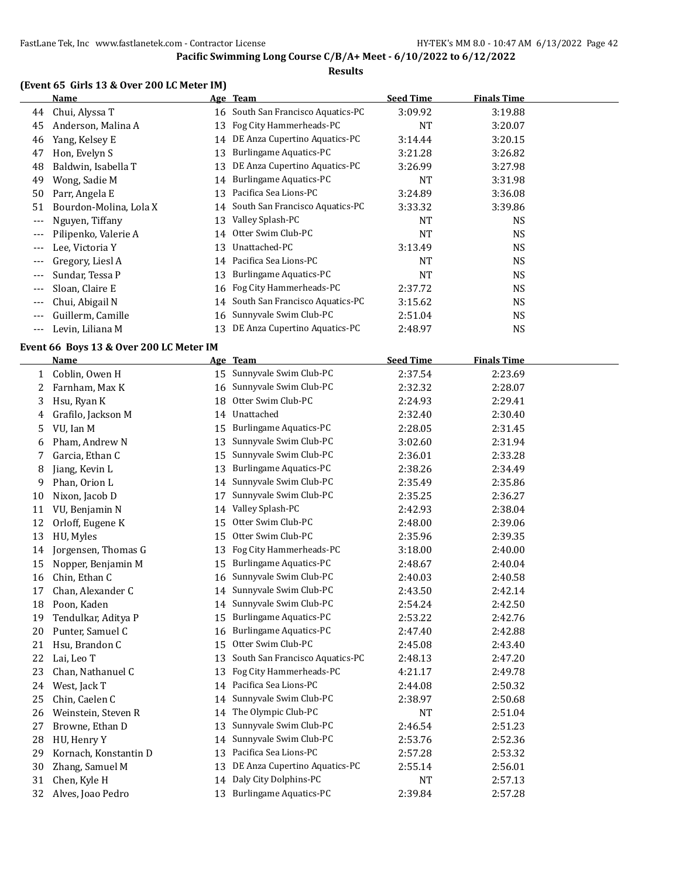#### **Results**

| (Event 65 Girls 13 & Over 200 LC Meter IM) |
|--------------------------------------------|
|--------------------------------------------|

|       | Name                   |    | Age Team                           | <b>Seed Time</b> | <b>Finals Time</b> |  |
|-------|------------------------|----|------------------------------------|------------------|--------------------|--|
| 44    | Chui, Alyssa T         |    | 16 South San Francisco Aquatics-PC | 3:09.92          | 3:19.88            |  |
| 45    | Anderson, Malina A     |    | 13 Fog City Hammerheads-PC         | NT               | 3:20.07            |  |
| 46    | Yang, Kelsey E         |    | 14 DE Anza Cupertino Aquatics-PC   | 3:14.44          | 3:20.15            |  |
| 47    | Hon, Evelyn S          | 13 | <b>Burlingame Aquatics-PC</b>      | 3:21.28          | 3:26.82            |  |
| 48    | Baldwin, Isabella T    | 13 | DE Anza Cupertino Aquatics-PC      | 3:26.99          | 3:27.98            |  |
| 49    | Wong, Sadie M          | 14 | Burlingame Aquatics-PC             | NT               | 3:31.98            |  |
| 50    | Parr, Angela E         | 13 | Pacifica Sea Lions-PC              | 3:24.89          | 3:36.08            |  |
| 51    | Bourdon-Molina, Lola X |    | 14 South San Francisco Aquatics-PC | 3:33.32          | 3:39.86            |  |
| $---$ | Nguyen, Tiffany        | 13 | Valley Splash-PC                   | NT               | <b>NS</b>          |  |
| ---   | Pilipenko, Valerie A   |    | 14 Otter Swim Club-PC              | <b>NT</b>        | NS.                |  |
|       | Lee, Victoria Y        | 13 | Unattached-PC                      | 3:13.49          | <b>NS</b>          |  |
| $---$ | Gregory, Liesl A       | 14 | Pacifica Sea Lions-PC              | NT               | <b>NS</b>          |  |
| $---$ | Sundar, Tessa P        | 13 | Burlingame Aquatics-PC             | NT               | <b>NS</b>          |  |
| $---$ | Sloan, Claire E        | 16 | Fog City Hammerheads-PC            | 2:37.72          | NS.                |  |
| $---$ | Chui, Abigail N        |    | 14 South San Francisco Aquatics-PC | 3:15.62          | <b>NS</b>          |  |
| $---$ | Guillerm, Camille      |    | 16 Sunnyvale Swim Club-PC          | 2:51.04          | <b>NS</b>          |  |
| ---   | Levin, Liliana M       |    | DE Anza Cupertino Aquatics-PC      | 2:48.97          | <b>NS</b>          |  |

#### **Event 66 Boys 13 & Over 200 LC Meter IM**

|    | Name                  |    | Age Team                        | <b>Seed Time</b> | <b>Finals Time</b> |  |
|----|-----------------------|----|---------------------------------|------------------|--------------------|--|
| 1  | Coblin, Owen H        | 15 | Sunnyvale Swim Club-PC          | 2:37.54          | 2:23.69            |  |
| 2  | Farnham, Max K        | 16 | Sunnyvale Swim Club-PC          | 2:32.32          | 2:28.07            |  |
| 3  | Hsu, Ryan K           | 18 | Otter Swim Club-PC              | 2:24.93          | 2:29.41            |  |
| 4  | Grafilo, Jackson M    | 14 | Unattached                      | 2:32.40          | 2:30.40            |  |
| 5  | VU, Ian M             | 15 | <b>Burlingame Aquatics-PC</b>   | 2:28.05          | 2:31.45            |  |
| 6  | Pham, Andrew N        | 13 | Sunnyvale Swim Club-PC          | 3:02.60          | 2:31.94            |  |
| 7  | Garcia, Ethan C       | 15 | Sunnyvale Swim Club-PC          | 2:36.01          | 2:33.28            |  |
| 8  | Jiang, Kevin L        | 13 | <b>Burlingame Aquatics-PC</b>   | 2:38.26          | 2:34.49            |  |
| 9  | Phan, Orion L         | 14 | Sunnyvale Swim Club-PC          | 2:35.49          | 2:35.86            |  |
| 10 | Nixon, Jacob D        | 17 | Sunnyvale Swim Club-PC          | 2:35.25          | 2:36.27            |  |
| 11 | VU, Benjamin N        | 14 | Valley Splash-PC                | 2:42.93          | 2:38.04            |  |
| 12 | Orloff, Eugene K      | 15 | Otter Swim Club-PC              | 2:48.00          | 2:39.06            |  |
| 13 | HU, Myles             | 15 | Otter Swim Club-PC              | 2:35.96          | 2:39.35            |  |
| 14 | Jorgensen, Thomas G   | 13 | Fog City Hammerheads-PC         | 3:18.00          | 2:40.00            |  |
| 15 | Nopper, Benjamin M    | 15 | <b>Burlingame Aquatics-PC</b>   | 2:48.67          | 2:40.04            |  |
| 16 | Chin, Ethan C         | 16 | Sunnyvale Swim Club-PC          | 2:40.03          | 2:40.58            |  |
| 17 | Chan, Alexander C     | 14 | Sunnyvale Swim Club-PC          | 2:43.50          | 2:42.14            |  |
| 18 | Poon, Kaden           | 14 | Sunnyvale Swim Club-PC          | 2:54.24          | 2:42.50            |  |
| 19 | Tendulkar, Aditya P   | 15 | <b>Burlingame Aquatics-PC</b>   | 2:53.22          | 2:42.76            |  |
| 20 | Punter, Samuel C      | 16 | <b>Burlingame Aquatics-PC</b>   | 2:47.40          | 2:42.88            |  |
| 21 | Hsu, Brandon C        | 15 | Otter Swim Club-PC              | 2:45.08          | 2:43.40            |  |
| 22 | Lai, Leo T            | 13 | South San Francisco Aquatics-PC | 2:48.13          | 2:47.20            |  |
| 23 | Chan, Nathanuel C     | 13 | Fog City Hammerheads-PC         | 4:21.17          | 2:49.78            |  |
| 24 | West, Jack T          | 14 | Pacifica Sea Lions-PC           | 2:44.08          | 2:50.32            |  |
| 25 | Chin, Caelen C        | 14 | Sunnyvale Swim Club-PC          | 2:38.97          | 2:50.68            |  |
| 26 | Weinstein, Steven R   | 14 | The Olympic Club-PC             | <b>NT</b>        | 2:51.04            |  |
| 27 | Browne, Ethan D       | 13 | Sunnyvale Swim Club-PC          | 2:46.54          | 2:51.23            |  |
| 28 | HU, Henry Y           | 14 | Sunnyvale Swim Club-PC          | 2:53.76          | 2:52.36            |  |
| 29 | Kornach, Konstantin D | 13 | Pacifica Sea Lions-PC           | 2:57.28          | 2:53.32            |  |
| 30 | Zhang, Samuel M       | 13 | DE Anza Cupertino Aquatics-PC   | 2:55.14          | 2:56.01            |  |
| 31 | Chen, Kyle H          | 14 | Daly City Dolphins-PC           | <b>NT</b>        | 2:57.13            |  |
| 32 | Alves, Joao Pedro     | 13 | <b>Burlingame Aquatics-PC</b>   | 2:39.84          | 2:57.28            |  |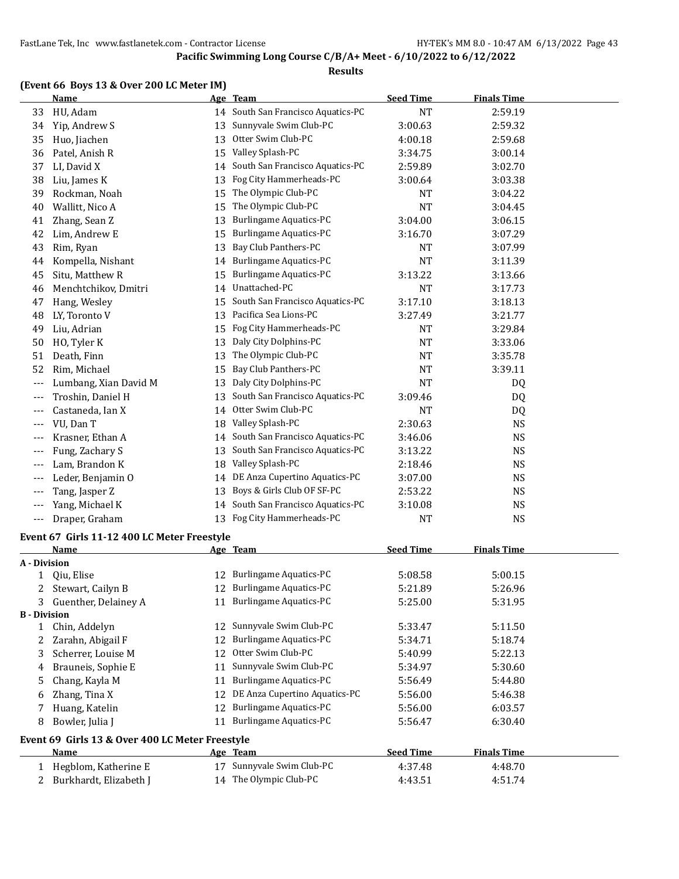#### **Results**

|  | (Event 66 Boys 13 & Over 200 LC Meter IM) |
|--|-------------------------------------------|
|--|-------------------------------------------|

 $\overline{a}$ 

| <b>Name</b>           |                                                                                                                                                                                |                                 | <b>Seed Time</b>                                                                                                                                                                                                                                                                                                                                                                                              | <b>Finals Time</b>                                |                                                                                                            |
|-----------------------|--------------------------------------------------------------------------------------------------------------------------------------------------------------------------------|---------------------------------|---------------------------------------------------------------------------------------------------------------------------------------------------------------------------------------------------------------------------------------------------------------------------------------------------------------------------------------------------------------------------------------------------------------|---------------------------------------------------|------------------------------------------------------------------------------------------------------------|
| HU, Adam              |                                                                                                                                                                                |                                 | <b>NT</b>                                                                                                                                                                                                                                                                                                                                                                                                     | 2:59.19                                           |                                                                                                            |
| Yip, Andrew S         | 13                                                                                                                                                                             | Sunnyvale Swim Club-PC          | 3:00.63                                                                                                                                                                                                                                                                                                                                                                                                       | 2:59.32                                           |                                                                                                            |
| Huo, Jiachen          | 13                                                                                                                                                                             | Otter Swim Club-PC              | 4:00.18                                                                                                                                                                                                                                                                                                                                                                                                       | 2:59.68                                           |                                                                                                            |
| Patel, Anish R        | 15                                                                                                                                                                             | Valley Splash-PC                | 3:34.75                                                                                                                                                                                                                                                                                                                                                                                                       | 3:00.14                                           |                                                                                                            |
| LI, David X           | 14                                                                                                                                                                             | South San Francisco Aquatics-PC | 2:59.89                                                                                                                                                                                                                                                                                                                                                                                                       | 3:02.70                                           |                                                                                                            |
| Liu, James K          | 13                                                                                                                                                                             | Fog City Hammerheads-PC         | 3:00.64                                                                                                                                                                                                                                                                                                                                                                                                       | 3:03.38                                           |                                                                                                            |
| Rockman, Noah         | 15                                                                                                                                                                             | The Olympic Club-PC             | NT                                                                                                                                                                                                                                                                                                                                                                                                            | 3:04.22                                           |                                                                                                            |
| Wallitt, Nico A       | 15                                                                                                                                                                             | The Olympic Club-PC             | <b>NT</b>                                                                                                                                                                                                                                                                                                                                                                                                     | 3:04.45                                           |                                                                                                            |
| Zhang, Sean Z         | 13                                                                                                                                                                             | <b>Burlingame Aquatics-PC</b>   | 3:04.00                                                                                                                                                                                                                                                                                                                                                                                                       | 3:06.15                                           |                                                                                                            |
| Lim, Andrew E         | 15                                                                                                                                                                             | <b>Burlingame Aquatics-PC</b>   | 3:16.70                                                                                                                                                                                                                                                                                                                                                                                                       | 3:07.29                                           |                                                                                                            |
| Rim, Ryan             | 13                                                                                                                                                                             | Bay Club Panthers-PC            | NT                                                                                                                                                                                                                                                                                                                                                                                                            | 3:07.99                                           |                                                                                                            |
| Kompella, Nishant     | 14                                                                                                                                                                             | <b>Burlingame Aquatics-PC</b>   | NT                                                                                                                                                                                                                                                                                                                                                                                                            | 3:11.39                                           |                                                                                                            |
| Situ, Matthew R       | 15                                                                                                                                                                             | Burlingame Aquatics-PC          | 3:13.22                                                                                                                                                                                                                                                                                                                                                                                                       | 3:13.66                                           |                                                                                                            |
| Menchtchikov, Dmitri  | 14                                                                                                                                                                             | Unattached-PC                   | NT                                                                                                                                                                                                                                                                                                                                                                                                            | 3:17.73                                           |                                                                                                            |
| Hang, Wesley          | 15                                                                                                                                                                             | South San Francisco Aquatics-PC | 3:17.10                                                                                                                                                                                                                                                                                                                                                                                                       | 3:18.13                                           |                                                                                                            |
| LY, Toronto V         | 13                                                                                                                                                                             | Pacifica Sea Lions-PC           | 3:27.49                                                                                                                                                                                                                                                                                                                                                                                                       | 3:21.77                                           |                                                                                                            |
| Liu, Adrian           | 15                                                                                                                                                                             |                                 | NT                                                                                                                                                                                                                                                                                                                                                                                                            | 3:29.84                                           |                                                                                                            |
| HO, Tyler K           | 13                                                                                                                                                                             | Daly City Dolphins-PC           | <b>NT</b>                                                                                                                                                                                                                                                                                                                                                                                                     | 3:33.06                                           |                                                                                                            |
| Death, Finn           | 13                                                                                                                                                                             | The Olympic Club-PC             | NT                                                                                                                                                                                                                                                                                                                                                                                                            | 3:35.78                                           |                                                                                                            |
| Rim, Michael          | 15                                                                                                                                                                             | Bay Club Panthers-PC            | NT                                                                                                                                                                                                                                                                                                                                                                                                            | 3:39.11                                           |                                                                                                            |
| Lumbang, Xian David M | 13                                                                                                                                                                             | Daly City Dolphins-PC           | NT                                                                                                                                                                                                                                                                                                                                                                                                            | DQ                                                |                                                                                                            |
| Troshin, Daniel H     | 13                                                                                                                                                                             | South San Francisco Aquatics-PC | 3:09.46                                                                                                                                                                                                                                                                                                                                                                                                       | DQ                                                |                                                                                                            |
| Castaneda, Ian X      | 14                                                                                                                                                                             | Otter Swim Club-PC              | <b>NT</b>                                                                                                                                                                                                                                                                                                                                                                                                     | DQ                                                |                                                                                                            |
| VU, Dan T             | 18                                                                                                                                                                             |                                 | 2:30.63                                                                                                                                                                                                                                                                                                                                                                                                       | <b>NS</b>                                         |                                                                                                            |
| Krasner, Ethan A      | 14                                                                                                                                                                             |                                 | 3:46.06                                                                                                                                                                                                                                                                                                                                                                                                       | NS                                                |                                                                                                            |
| Fung, Zachary S       | 13                                                                                                                                                                             |                                 | 3:13.22                                                                                                                                                                                                                                                                                                                                                                                                       | NS                                                |                                                                                                            |
| Lam, Brandon K        | 18                                                                                                                                                                             | Valley Splash-PC                | 2:18.46                                                                                                                                                                                                                                                                                                                                                                                                       | NS                                                |                                                                                                            |
| Leder, Benjamin O     | 14                                                                                                                                                                             | DE Anza Cupertino Aquatics-PC   | 3:07.00                                                                                                                                                                                                                                                                                                                                                                                                       | <b>NS</b>                                         |                                                                                                            |
| Tang, Jasper Z        | 13                                                                                                                                                                             | Boys & Girls Club OF SF-PC      | 2:53.22                                                                                                                                                                                                                                                                                                                                                                                                       | NS                                                |                                                                                                            |
| Yang, Michael K       | 14                                                                                                                                                                             | South San Francisco Aquatics-PC | 3:10.08                                                                                                                                                                                                                                                                                                                                                                                                       | NS                                                |                                                                                                            |
|                       | 13                                                                                                                                                                             |                                 | <b>NT</b>                                                                                                                                                                                                                                                                                                                                                                                                     | <b>NS</b>                                         |                                                                                                            |
|                       |                                                                                                                                                                                |                                 |                                                                                                                                                                                                                                                                                                                                                                                                               |                                                   |                                                                                                            |
|                       |                                                                                                                                                                                |                                 |                                                                                                                                                                                                                                                                                                                                                                                                               |                                                   |                                                                                                            |
|                       |                                                                                                                                                                                |                                 |                                                                                                                                                                                                                                                                                                                                                                                                               |                                                   |                                                                                                            |
|                       |                                                                                                                                                                                |                                 |                                                                                                                                                                                                                                                                                                                                                                                                               |                                                   |                                                                                                            |
|                       |                                                                                                                                                                                |                                 |                                                                                                                                                                                                                                                                                                                                                                                                               |                                                   |                                                                                                            |
|                       |                                                                                                                                                                                |                                 |                                                                                                                                                                                                                                                                                                                                                                                                               |                                                   |                                                                                                            |
|                       |                                                                                                                                                                                |                                 |                                                                                                                                                                                                                                                                                                                                                                                                               |                                                   |                                                                                                            |
| Chin, Addelyn         |                                                                                                                                                                                |                                 | 5:33.47                                                                                                                                                                                                                                                                                                                                                                                                       | 5:11.50                                           |                                                                                                            |
|                       | 12                                                                                                                                                                             | <b>Burlingame Aquatics-PC</b>   | 5:34.71                                                                                                                                                                                                                                                                                                                                                                                                       | 5:18.74                                           |                                                                                                            |
|                       | 12                                                                                                                                                                             | Otter Swim Club-PC              | 5:40.99                                                                                                                                                                                                                                                                                                                                                                                                       |                                                   |                                                                                                            |
|                       |                                                                                                                                                                                |                                 |                                                                                                                                                                                                                                                                                                                                                                                                               |                                                   |                                                                                                            |
|                       |                                                                                                                                                                                |                                 |                                                                                                                                                                                                                                                                                                                                                                                                               |                                                   |                                                                                                            |
|                       | Draper, Graham<br><b>Name</b><br>A - Division<br>Qiu, Elise<br>2 Stewart, Cailyn B<br>3 Guenther, Delainey A<br><b>B</b> - Division<br>Zarahn, Abigail F<br>Scherrer, Louise M |                                 | Age Team<br>14 South San Francisco Aquatics-PC<br>Fog City Hammerheads-PC<br>Valley Splash-PC<br>South San Francisco Aquatics-PC<br>South San Francisco Aquatics-PC<br>Fog City Hammerheads-PC<br>Event 67 Girls 11-12 400 LC Meter Freestyle<br>Age Team<br>12 Burlingame Aquatics-PC<br>12 Burlingame Aquatics-PC<br>11 Burlingame Aquatics-PC<br>12 Sunnyvale Swim Club-PC<br>Sunnyvale Swim Club-PC<br>11 | <b>Seed Time</b><br>5:08.58<br>5:21.89<br>5:25.00 | <b>Finals Time</b><br>5:00.15<br>5:26.96<br>5:31.95<br>5:22.13<br>Brauneis, Sophie E<br>5:34.97<br>5:30.60 |

|   | Huang, Katelin                                   | 12. | Burlingame Aquatics-PC        | 5:56.00          | 6:03.57            |  |
|---|--------------------------------------------------|-----|-------------------------------|------------------|--------------------|--|
| 8 | Bowler, Julia J                                  | 11  | <b>Burlingame Aquatics-PC</b> | 5:56.47          | 6:30.40            |  |
|   | Event 69  Girls 13 & Over 400 LC Meter Freestyle |     |                               |                  |                    |  |
|   |                                                  |     |                               |                  |                    |  |
|   | <b>Name</b>                                      |     | Age Team                      | <b>Seed Time</b> | <b>Finals Time</b> |  |
|   | Hegblom, Katherine E                             | 17  | Sunnyvale Swim Club-PC        | 4:37.48          | 4:48.70            |  |

6 Zhang, Tina X 12 DE Anza Cupertino Aquatics-PC 5:56.00 5:46.38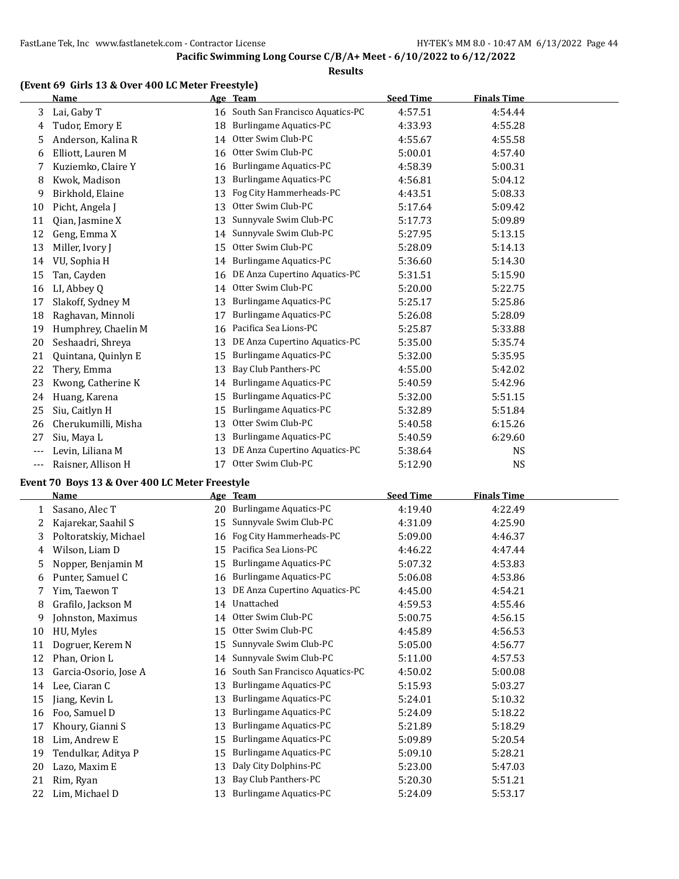#### **Results**

#### **(Event 69 Girls 13 & Over 400 LC Meter Freestyle)**

|       | <b>Name</b>         |    | Age Team                           | <b>Seed Time</b> | <b>Finals Time</b> |  |
|-------|---------------------|----|------------------------------------|------------------|--------------------|--|
| 3     | Lai, Gaby T         |    | 16 South San Francisco Aquatics-PC | 4:57.51          | 4:54.44            |  |
| 4     | Tudor, Emory E      | 18 | <b>Burlingame Aquatics-PC</b>      | 4:33.93          | 4:55.28            |  |
| 5     | Anderson, Kalina R  | 14 | Otter Swim Club-PC                 | 4:55.67          | 4:55.58            |  |
| 6     | Elliott, Lauren M   | 16 | Otter Swim Club-PC                 | 5:00.01          | 4:57.40            |  |
|       | Kuziemko, Claire Y  | 16 | <b>Burlingame Aquatics-PC</b>      | 4:58.39          | 5:00.31            |  |
| 8     | Kwok, Madison       | 13 | <b>Burlingame Aquatics-PC</b>      | 4:56.81          | 5:04.12            |  |
| 9     | Birkhold, Elaine    | 13 | Fog City Hammerheads-PC            | 4:43.51          | 5:08.33            |  |
| 10    | Picht, Angela J     | 13 | Otter Swim Club-PC                 | 5:17.64          | 5:09.42            |  |
| 11    | Qian, Jasmine X     | 13 | Sunnyvale Swim Club-PC             | 5:17.73          | 5:09.89            |  |
| 12    | Geng, Emma X        | 14 | Sunnyvale Swim Club-PC             | 5:27.95          | 5:13.15            |  |
| 13    | Miller, Ivory J     | 15 | Otter Swim Club-PC                 | 5:28.09          | 5:14.13            |  |
| 14    | VU, Sophia H        | 14 | <b>Burlingame Aquatics-PC</b>      | 5:36.60          | 5:14.30            |  |
| 15    | Tan, Cayden         | 16 | DE Anza Cupertino Aquatics-PC      | 5:31.51          | 5:15.90            |  |
| 16    | LI, Abbey Q         | 14 | Otter Swim Club-PC                 | 5:20.00          | 5:22.75            |  |
| 17    | Slakoff, Sydney M   | 13 | <b>Burlingame Aquatics-PC</b>      | 5:25.17          | 5:25.86            |  |
| 18    | Raghavan, Minnoli   | 17 | Burlingame Aquatics-PC             | 5:26.08          | 5:28.09            |  |
| 19    | Humphrey, Chaelin M | 16 | Pacifica Sea Lions-PC              | 5:25.87          | 5:33.88            |  |
| 20    | Seshaadri, Shreya   | 13 | DE Anza Cupertino Aquatics-PC      | 5:35.00          | 5:35.74            |  |
| 21    | Quintana, Quinlyn E | 15 | <b>Burlingame Aquatics-PC</b>      | 5:32.00          | 5:35.95            |  |
| 22    | Thery, Emma         | 13 | Bay Club Panthers-PC               | 4:55.00          | 5:42.02            |  |
| 23    | Kwong, Catherine K  | 14 | <b>Burlingame Aquatics-PC</b>      | 5:40.59          | 5:42.96            |  |
| 24    | Huang, Karena       | 15 | <b>Burlingame Aquatics-PC</b>      | 5:32.00          | 5:51.15            |  |
| 25    | Siu, Caitlyn H      | 15 | Burlingame Aquatics-PC             | 5:32.89          | 5:51.84            |  |
| 26    | Cherukumilli, Misha | 13 | Otter Swim Club-PC                 | 5:40.58          | 6:15.26            |  |
| 27    | Siu, Maya L         | 13 | <b>Burlingame Aquatics-PC</b>      | 5:40.59          | 6:29.60            |  |
| $---$ | Levin, Liliana M    | 13 | DE Anza Cupertino Aquatics-PC      | 5:38.64          | <b>NS</b>          |  |
| $---$ | Raisner, Allison H  | 17 | Otter Swim Club-PC                 | 5:12.90          | <b>NS</b>          |  |

#### **Event 70 Boys 13 & Over 400 LC Meter Freestyle**

|    | Name                  |    | Age Team                        | <b>Seed Time</b> | <b>Finals Time</b> |
|----|-----------------------|----|---------------------------------|------------------|--------------------|
| 1  | Sasano, Alec T        | 20 | Burlingame Aquatics-PC          | 4:19.40          | 4:22.49            |
| 2  | Kajarekar, Saahil S   | 15 | Sunnyvale Swim Club-PC          | 4:31.09          | 4:25.90            |
| 3  | Poltoratskiy, Michael | 16 | Fog City Hammerheads-PC         | 5:09.00          | 4:46.37            |
| 4  | Wilson, Liam D        | 15 | Pacifica Sea Lions-PC           | 4:46.22          | 4:47.44            |
| 5  | Nopper, Benjamin M    | 15 | <b>Burlingame Aquatics-PC</b>   | 5:07.32          | 4:53.83            |
| 6  | Punter, Samuel C      | 16 | <b>Burlingame Aquatics-PC</b>   | 5:06.08          | 4:53.86            |
| 7  | Yim, Taewon T         | 13 | DE Anza Cupertino Aquatics-PC   | 4:45.00          | 4:54.21            |
| 8  | Grafilo, Jackson M    | 14 | Unattached                      | 4:59.53          | 4:55.46            |
| 9  | Johnston, Maximus     | 14 | Otter Swim Club-PC              | 5:00.75          | 4:56.15            |
| 10 | HU, Myles             | 15 | Otter Swim Club-PC              | 4:45.89          | 4:56.53            |
| 11 | Dogruer, Kerem N      | 15 | Sunnyvale Swim Club-PC          | 5:05.00          | 4:56.77            |
| 12 | Phan, Orion L         | 14 | Sunnyvale Swim Club-PC          | 5:11.00          | 4:57.53            |
| 13 | Garcia-Osorio, Jose A | 16 | South San Francisco Aquatics-PC | 4:50.02          | 5:00.08            |
| 14 | Lee, Ciaran C         | 13 | <b>Burlingame Aquatics-PC</b>   | 5:15.93          | 5:03.27            |
| 15 | Jiang, Kevin L        | 13 | <b>Burlingame Aquatics-PC</b>   | 5:24.01          | 5:10.32            |
| 16 | Foo, Samuel D         | 13 | <b>Burlingame Aquatics-PC</b>   | 5:24.09          | 5:18.22            |
| 17 | Khoury, Gianni S      | 13 | <b>Burlingame Aquatics-PC</b>   | 5:21.89          | 5:18.29            |
| 18 | Lim, Andrew E         | 15 | Burlingame Aquatics-PC          | 5:09.89          | 5:20.54            |
| 19 | Tendulkar, Aditya P   | 15 | <b>Burlingame Aquatics-PC</b>   | 5:09.10          | 5:28.21            |
| 20 | Lazo, Maxim E         | 13 | Daly City Dolphins-PC           | 5:23.00          | 5:47.03            |
| 21 | Rim, Ryan             | 13 | Bay Club Panthers-PC            | 5:20.30          | 5:51.21            |
| 22 | Lim, Michael D        | 13 | <b>Burlingame Aquatics-PC</b>   | 5:24.09          | 5:53.17            |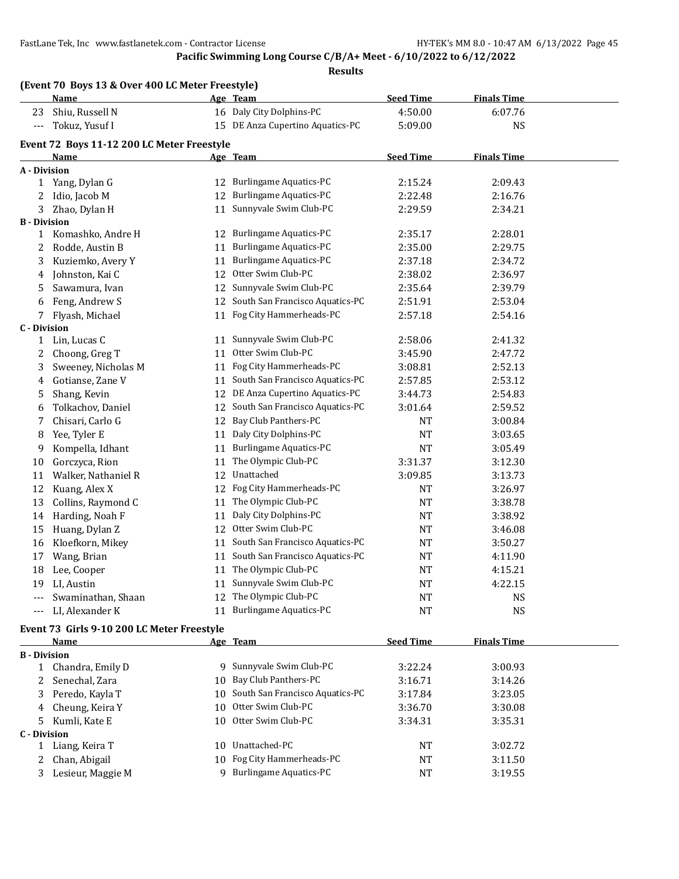#### **Pacific Swimming Long Course C/B/A+ Meet - 6/10/2022 to 6/12/2022**

**Results**

|                      | (Event 70 Boys 13 & Over 400 LC Meter Freestyle) |    |                                    |                  |                    |  |  |
|----------------------|--------------------------------------------------|----|------------------------------------|------------------|--------------------|--|--|
|                      | Name                                             |    | Age Team                           | <b>Seed Time</b> | <b>Finals Time</b> |  |  |
| 23                   | Shiu, Russell N                                  |    | 16 Daly City Dolphins-PC           | 4:50.00          | 6:07.76            |  |  |
| $\scriptstyle\cdots$ | Tokuz, Yusuf I                                   |    | 15 DE Anza Cupertino Aquatics-PC   | 5:09.00          | <b>NS</b>          |  |  |
|                      | Event 72 Boys 11-12 200 LC Meter Freestyle       |    |                                    |                  |                    |  |  |
|                      | Name                                             |    | Age Team                           | <b>Seed Time</b> | <b>Finals Time</b> |  |  |
| A - Division         |                                                  |    |                                    |                  |                    |  |  |
|                      | 1 Yang, Dylan G                                  |    | 12 Burlingame Aquatics-PC          | 2:15.24          | 2:09.43            |  |  |
| 2                    | Idio, Jacob M                                    | 12 | <b>Burlingame Aquatics-PC</b>      | 2:22.48          | 2:16.76            |  |  |
| 3                    | Zhao, Dylan H                                    |    | 11 Sunnyvale Swim Club-PC          | 2:29.59          | 2:34.21            |  |  |
| <b>B</b> - Division  |                                                  |    |                                    |                  |                    |  |  |
|                      | 1 Komashko, Andre H                              |    | 12 Burlingame Aquatics-PC          | 2:35.17          | 2:28.01            |  |  |
| 2                    | Rodde, Austin B                                  | 11 | <b>Burlingame Aquatics-PC</b>      | 2:35.00          | 2:29.75            |  |  |
| 3                    | Kuziemko, Avery Y                                | 11 | <b>Burlingame Aquatics-PC</b>      | 2:37.18          | 2:34.72            |  |  |
| 4                    | Johnston, Kai C                                  | 12 | Otter Swim Club-PC                 | 2:38.02          | 2:36.97            |  |  |
| 5                    | Sawamura, Ivan                                   | 12 | Sunnyvale Swim Club-PC             | 2:35.64          | 2:39.79            |  |  |
| 6                    | Feng, Andrew S                                   |    | 12 South San Francisco Aquatics-PC | 2:51.91          | 2:53.04            |  |  |
| 7                    | Flyash, Michael                                  |    | 11 Fog City Hammerheads-PC         | 2:57.18          | 2:54.16            |  |  |
| C - Division         |                                                  |    |                                    |                  |                    |  |  |
| $\mathbf{1}$         | Lin, Lucas C                                     | 11 | Sunnyvale Swim Club-PC             | 2:58.06          | 2:41.32            |  |  |
| 2                    | Choong, Greg T                                   | 11 | Otter Swim Club-PC                 | 3:45.90          | 2:47.72            |  |  |
| 3                    | Sweeney, Nicholas M                              |    | 11 Fog City Hammerheads-PC         | 3:08.81          | 2:52.13            |  |  |
| 4                    | Gotianse, Zane V                                 | 11 | South San Francisco Aquatics-PC    | 2:57.85          | 2:53.12            |  |  |
| 5                    | Shang, Kevin                                     | 12 | DE Anza Cupertino Aquatics-PC      | 3:44.73          | 2:54.83            |  |  |
| 6                    | Tolkachov, Daniel                                | 12 | South San Francisco Aquatics-PC    | 3:01.64          | 2:59.52            |  |  |
| 7                    | Chisari, Carlo G                                 | 12 | Bay Club Panthers-PC               | <b>NT</b>        | 3:00.84            |  |  |
| 8                    | Yee, Tyler E                                     | 11 | Daly City Dolphins-PC              | <b>NT</b>        | 3:03.65            |  |  |
| 9                    | Kompella, Idhant                                 | 11 | <b>Burlingame Aquatics-PC</b>      | <b>NT</b>        | 3:05.49            |  |  |
| 10                   | Gorczyca, Rion                                   | 11 | The Olympic Club-PC                | 3:31.37          | 3:12.30            |  |  |
| 11                   | Walker, Nathaniel R                              | 12 | Unattached                         | 3:09.85          | 3:13.73            |  |  |
| 12                   | Kuang, Alex X                                    | 12 | Fog City Hammerheads-PC            | <b>NT</b>        | 3:26.97            |  |  |
| 13                   | Collins, Raymond C                               | 11 | The Olympic Club-PC                | <b>NT</b>        | 3:38.78            |  |  |
| 14                   | Harding, Noah F                                  | 11 | Daly City Dolphins-PC              | <b>NT</b>        | 3:38.92            |  |  |
| 15                   | Huang, Dylan Z                                   | 12 | Otter Swim Club-PC                 | <b>NT</b>        | 3:46.08            |  |  |
| 16                   | Kloefkorn, Mikey                                 | 11 | South San Francisco Aquatics-PC    | NT               | 3:50.27            |  |  |
| 17                   | Wang, Brian                                      | 11 | South San Francisco Aquatics-PC    | <b>NT</b>        | 4:11.90            |  |  |
| 18                   | Lee, Cooper                                      | 11 | The Olympic Club-PC                | NT               | 4:15.21            |  |  |
| 19                   | LI, Austin                                       | 11 | Sunnyvale Swim Club-PC             | <b>NT</b>        | 4:22.15            |  |  |
| $\overline{a}$       | Swaminathan, Shaan                               | 12 | The Olympic Club-PC                | <b>NT</b>        | <b>NS</b>          |  |  |
| $\scriptstyle\cdots$ | LI, Alexander K                                  |    | 11 Burlingame Aquatics-PC          | <b>NT</b>        | <b>NS</b>          |  |  |
|                      |                                                  |    |                                    |                  |                    |  |  |

# **Event 73 Girls 9-10 200 LC Meter Freestyle**

| Name                |   |                        | <b>Seed Time</b>                                                                                                                                                        | <b>Finals Time</b> |  |
|---------------------|---|------------------------|-------------------------------------------------------------------------------------------------------------------------------------------------------------------------|--------------------|--|
| <b>B</b> - Division |   |                        |                                                                                                                                                                         |                    |  |
| Chandra, Emily D    |   | Sunnyvale Swim Club-PC | 3:22.24                                                                                                                                                                 | 3:00.93            |  |
| 2 Senechal, Zara    |   |                        | 3:16.71                                                                                                                                                                 | 3:14.26            |  |
| 3 Peredo, Kayla T   |   |                        | 3:17.84                                                                                                                                                                 | 3:23.05            |  |
| 4 Cheung, Keira Y   |   |                        | 3:36.70                                                                                                                                                                 | 3:30.08            |  |
| 5 Kumli, Kate E     |   |                        | 3:34.31                                                                                                                                                                 | 3:35.31            |  |
| C - Division        |   |                        |                                                                                                                                                                         |                    |  |
| Liang, Keira T      |   | Unattached-PC          | <b>NT</b>                                                                                                                                                               | 3:02.72            |  |
| 2 Chan, Abigail     |   |                        | NT                                                                                                                                                                      | 3:11.50            |  |
| Lesieur, Maggie M   | q | Burlingame Aquatics-PC | NT                                                                                                                                                                      | 3:19.55            |  |
|                     |   |                        | Age Team<br>-9.<br>10 Bay Club Panthers-PC<br>10 South San Francisco Aquatics-PC<br>10 Otter Swim Club-PC<br>10 Otter Swim Club-PC<br>10.<br>10 Fog City Hammerheads-PC |                    |  |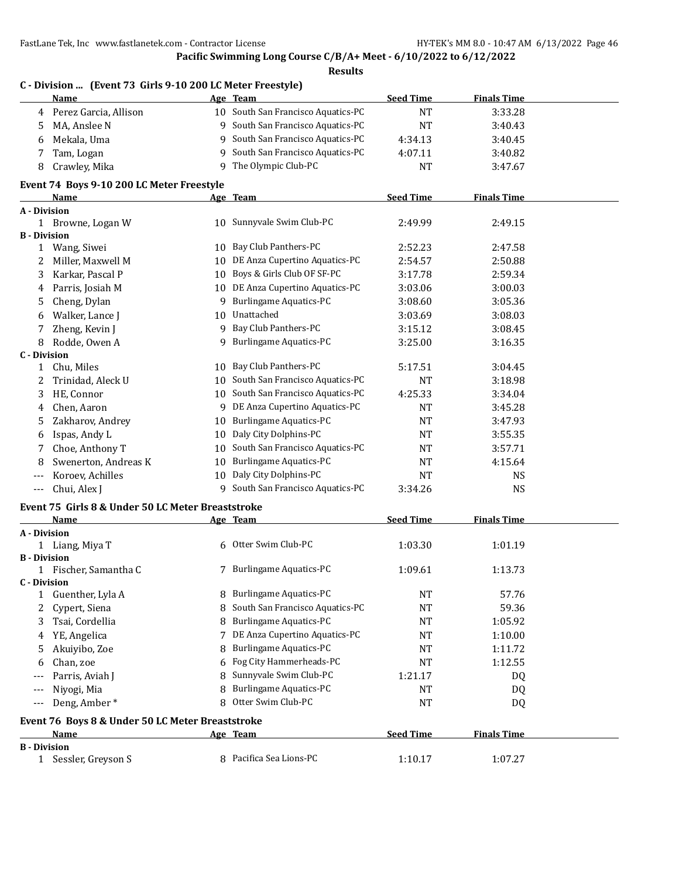**Pacific Swimming Long Course C/B/A+ Meet - 6/10/2022 to 6/12/2022**

|              | C - Division  (Event 73 Girls 9-10 200 LC Meter Freestyle)<br>Name |    | Age Team                           | <b>Seed Time</b> | <b>Finals Time</b> |  |
|--------------|--------------------------------------------------------------------|----|------------------------------------|------------------|--------------------|--|
|              |                                                                    |    | 10 South San Francisco Aquatics-PC |                  |                    |  |
| 4            | Perez Garcia, Allison                                              |    |                                    | <b>NT</b>        | 3:33.28            |  |
| 5            | MA, Anslee N                                                       |    | 9 South San Francisco Aquatics-PC  | <b>NT</b>        | 3:40.43            |  |
| 6            | Mekala, Uma                                                        |    | 9 South San Francisco Aquatics-PC  | 4:34.13          | 3:40.45            |  |
| 7            | Tam, Logan                                                         |    | 9 South San Francisco Aquatics-PC  | 4:07.11          | 3:40.82            |  |
| 8            | Crawley, Mika                                                      |    | 9 The Olympic Club-PC              | <b>NT</b>        | 3:47.67            |  |
|              | Event 74 Boys 9-10 200 LC Meter Freestyle                          |    |                                    |                  |                    |  |
|              | Name                                                               |    | Age Team                           | <b>Seed Time</b> | <b>Finals Time</b> |  |
|              | A - Division                                                       |    | 10 Sunnyvale Swim Club-PC          | 2:49.99          | 2:49.15            |  |
|              | 1 Browne, Logan W<br><b>B</b> - Division                           |    |                                    |                  |                    |  |
| $\mathbf{1}$ | Wang, Siwei                                                        |    | 10 Bay Club Panthers-PC            | 2:52.23          | 2:47.58            |  |
| 2            | Miller, Maxwell M                                                  | 10 | DE Anza Cupertino Aquatics-PC      | 2:54.57          | 2:50.88            |  |
| 3            | Karkar, Pascal P                                                   |    | 10 Boys & Girls Club OF SF-PC      | 3:17.78          | 2:59.34            |  |
| 4            | Parris, Josiah M                                                   |    | 10 DE Anza Cupertino Aquatics-PC   | 3:03.06          | 3:00.03            |  |
|              |                                                                    |    | 9 Burlingame Aquatics-PC           |                  |                    |  |
| 5            | Cheng, Dylan                                                       |    | 10 Unattached                      | 3:08.60          | 3:05.36            |  |
| 6            | Walker, Lance J                                                    |    | 9 Bay Club Panthers-PC             | 3:03.69          | 3:08.03            |  |
| 7            | Zheng, Kevin J                                                     |    |                                    | 3:15.12          | 3:08.45            |  |
| 8            | Rodde, Owen A                                                      |    | 9 Burlingame Aquatics-PC           | 3:25.00          | 3:16.35            |  |
|              | <b>C</b> - Division                                                |    | 10 Bay Club Panthers-PC            |                  | 3:04.45            |  |
| 1            | Chu, Miles                                                         |    |                                    | 5:17.51          |                    |  |
| 2            | Trinidad, Aleck U                                                  |    | 10 South San Francisco Aquatics-PC | <b>NT</b>        | 3:18.98            |  |
| 3            | HE, Connor                                                         |    | 10 South San Francisco Aquatics-PC | 4:25.33          | 3:34.04            |  |
| 4            | Chen, Aaron                                                        |    | 9 DE Anza Cupertino Aquatics-PC    | <b>NT</b>        | 3:45.28            |  |
| 5            | Zakharov, Andrey                                                   | 10 | <b>Burlingame Aquatics-PC</b>      | NT               | 3:47.93            |  |
| 6            | Ispas, Andy L                                                      | 10 | Daly City Dolphins-PC              | NT               | 3:55.35            |  |
| 7            | Choe, Anthony T                                                    | 10 | South San Francisco Aquatics-PC    | NT               | 3:57.71            |  |
| 8            | Swenerton, Andreas K                                               | 10 | <b>Burlingame Aquatics-PC</b>      | NT               | 4:15.64            |  |
| ---          | Koroev, Achilles                                                   | 10 | Daly City Dolphins-PC              | <b>NT</b>        | <b>NS</b>          |  |
| $---$        | Chui, Alex J                                                       |    | 9 South San Francisco Aquatics-PC  | 3:34.26          | <b>NS</b>          |  |
|              | Event 75 Girls 8 & Under 50 LC Meter Breaststroke                  |    |                                    |                  |                    |  |
|              | Name                                                               |    | Age Team                           | <b>Seed Time</b> | <b>Finals Time</b> |  |
|              | A - Division                                                       |    |                                    |                  |                    |  |
|              | 1 Liang, Miya T                                                    | 6  | Otter Swim Club-PC                 | 1:03.30          | 1:01.19            |  |
|              | <b>B</b> - Division                                                |    |                                    |                  |                    |  |
|              | 1 Fischer, Samantha C                                              |    | 7 Burlingame Aquatics-PC           | 1:09.61          | 1:13.73            |  |
|              | <b>C</b> - Division                                                |    |                                    |                  |                    |  |
| 1            | Guenther, Lyla A                                                   |    | 8 Burlingame Aquatics-PC           | <b>NT</b>        | 57.76              |  |
| 2            | Cypert, Siena                                                      | 8  | South San Francisco Aquatics-PC    | <b>NT</b>        | 59.36              |  |
| 3            | Tsai, Cordellia                                                    | 8  | <b>Burlingame Aquatics-PC</b>      | <b>NT</b>        | 1:05.92            |  |
| 4            | YE, Angelica                                                       | 7  | DE Anza Cupertino Aquatics-PC      | NT               | 1:10.00            |  |
| 5            | Akuiyibo, Zoe                                                      | 8  | <b>Burlingame Aquatics-PC</b>      | NT               | 1:11.72            |  |
| 6            | Chan, zoe                                                          | 6  | Fog City Hammerheads-PC            | <b>NT</b>        | 1:12.55            |  |
|              | Parris, Aviah J                                                    | 8  | Sunnyvale Swim Club-PC             | 1:21.17          | DQ                 |  |
| $---$        | Niyogi, Mia                                                        | 8  | <b>Burlingame Aquatics-PC</b>      | <b>NT</b>        | DQ                 |  |
| $---$        | Deng, Amber*                                                       | 8  | Otter Swim Club-PC                 | <b>NT</b>        | DQ                 |  |
|              | Event 76 Boys 8 & Under 50 LC Meter Breaststroke                   |    |                                    |                  |                    |  |
|              | Name                                                               |    | Age Team                           | <b>Seed Time</b> | <b>Finals Time</b> |  |
|              | <b>B</b> - Division                                                |    |                                    |                  |                    |  |
| 1            | Sessler, Greyson S                                                 |    | 8 Pacifica Sea Lions-PC            | 1:10.17          | 1:07.27            |  |
|              |                                                                    |    |                                    |                  |                    |  |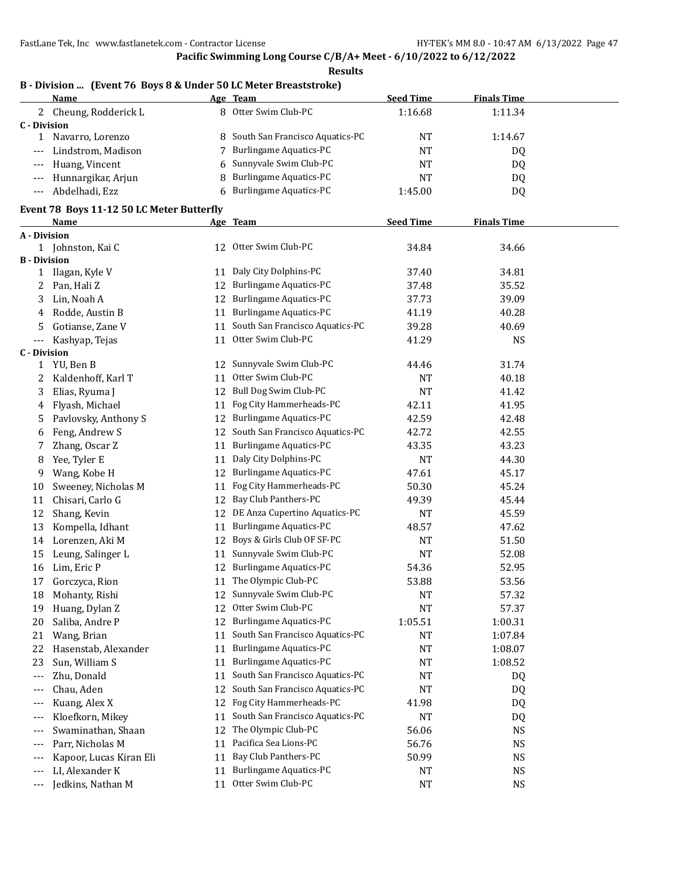**Results**

#### **B - Division ... (Event 76 Boys 8 & Under 50 LC Meter Breaststroke)**

|              | Name                   |    | Age Team                          | <b>Seed Time</b> | <b>Finals Time</b> |  |
|--------------|------------------------|----|-----------------------------------|------------------|--------------------|--|
|              | 2 Cheung, Rodderick L  |    | 8 Otter Swim Club-PC              | 1:16.68          | 1:11.34            |  |
| C - Division |                        |    |                                   |                  |                    |  |
|              | Navarro, Lorenzo       |    | 8 South San Francisco Aquatics-PC | NT               | 1:14.67            |  |
|              | --- Lindstrom, Madison |    | <b>Burlingame Aquatics-PC</b>     | ΝT               | DQ                 |  |
|              | --- Huang, Vincent     |    | 6 Sunnyvale Swim Club-PC          | NΤ               | DQ                 |  |
|              | --- Hunnargikar, Arjun | 8  | <b>Burlingame Aquatics-PC</b>     | ΝT               | DQ                 |  |
|              | Abdelhadi, Ezz         | 6. | <b>Burlingame Aquatics-PC</b>     | 1:45.00          | DQ                 |  |

#### **Event 78 Boys 11-12 50 LC Meter Butterfly**

|                     | Event 70 Doys II-IZ 50 EC Meter Dutterny<br><b>Name</b> |    | Age Team                           | <b>Seed Time</b> | <b>Finals Time</b> |  |
|---------------------|---------------------------------------------------------|----|------------------------------------|------------------|--------------------|--|
| <b>A</b> - Division |                                                         |    |                                    |                  |                    |  |
|                     | 1 Johnston, Kai C                                       |    | 12 Otter Swim Club-PC              | 34.84            | 34.66              |  |
| <b>B</b> - Division |                                                         |    |                                    |                  |                    |  |
| $\mathbf{1}$        | Ilagan, Kyle V                                          | 11 | Daly City Dolphins-PC              | 37.40            | 34.81              |  |
| 2                   | Pan, Hali Z                                             |    | 12 Burlingame Aquatics-PC          | 37.48            | 35.52              |  |
| 3                   | Lin, Noah A                                             | 12 | Burlingame Aquatics-PC             | 37.73            | 39.09              |  |
| 4                   | Rodde, Austin B                                         | 11 | <b>Burlingame Aquatics-PC</b>      | 41.19            | 40.28              |  |
| 5                   | Gotianse, Zane V                                        | 11 | South San Francisco Aquatics-PC    | 39.28            | 40.69              |  |
| ---                 | Kashyap, Tejas                                          | 11 | Otter Swim Club-PC                 | 41.29            | NS                 |  |
| <b>C</b> - Division |                                                         |    |                                    |                  |                    |  |
| $\mathbf{1}$        | YU, Ben B                                               | 12 | Sunnyvale Swim Club-PC             | 44.46            | 31.74              |  |
| 2                   | Kaldenhoff, Karl T                                      | 11 | Otter Swim Club-PC                 | NΤ               | 40.18              |  |
| 3                   | Elias, Ryuma J                                          | 12 | Bull Dog Swim Club-PC              | NT               | 41.42              |  |
| 4                   | Flyash, Michael                                         | 11 | Fog City Hammerheads-PC            | 42.11            | 41.95              |  |
| 5                   | Pavlovsky, Anthony S                                    |    | 12 Burlingame Aquatics-PC          | 42.59            | 42.48              |  |
| 6                   | Feng, Andrew S                                          |    | 12 South San Francisco Aquatics-PC | 42.72            | 42.55              |  |
| 7                   | Zhang, Oscar Z                                          | 11 | Burlingame Aquatics-PC             | 43.35            | 43.23              |  |
| 8                   | Yee, Tyler E                                            | 11 | Daly City Dolphins-PC              | NT               | 44.30              |  |
| 9                   | Wang, Kobe H                                            |    | 12 Burlingame Aquatics-PC          | 47.61            | 45.17              |  |
| 10                  | Sweeney, Nicholas M                                     | 11 | Fog City Hammerheads-PC            | 50.30            | 45.24              |  |
| 11                  | Chisari, Carlo G                                        | 12 | Bay Club Panthers-PC               | 49.39            | 45.44              |  |
| 12                  | Shang, Kevin                                            | 12 | DE Anza Cupertino Aquatics-PC      | NT               | 45.59              |  |
| 13                  | Kompella, Idhant                                        | 11 | Burlingame Aquatics-PC             | 48.57            | 47.62              |  |
| 14                  | Lorenzen, Aki M                                         |    | 12 Boys & Girls Club OF SF-PC      | <b>NT</b>        | 51.50              |  |
| 15                  | Leung, Salinger L                                       | 11 | Sunnyvale Swim Club-PC             | NT               | 52.08              |  |
| 16                  | Lim, Eric P                                             |    | 12 Burlingame Aquatics-PC          | 54.36            | 52.95              |  |
| 17                  | Gorczyca, Rion                                          | 11 | The Olympic Club-PC                | 53.88            | 53.56              |  |
| 18                  | Mohanty, Rishi                                          |    | 12 Sunnyvale Swim Club-PC          | NT               | 57.32              |  |
| 19                  | Huang, Dylan Z                                          | 12 | Otter Swim Club-PC                 | NT               | 57.37              |  |
| 20                  | Saliba, Andre P                                         | 12 | Burlingame Aquatics-PC             | 1:05.51          | 1:00.31            |  |
| 21                  | Wang, Brian                                             | 11 | South San Francisco Aquatics-PC    | NT               | 1:07.84            |  |
| 22                  | Hasenstab, Alexander                                    |    | 11 Burlingame Aquatics-PC          | NΤ               | 1:08.07            |  |
| 23                  | Sun, William S                                          | 11 | Burlingame Aquatics-PC             | NT               | 1:08.52            |  |
| $---$               | Zhu, Donald                                             | 11 | South San Francisco Aquatics-PC    | NT               | DQ                 |  |
| ---                 | Chau, Aden                                              |    | 12 South San Francisco Aquatics-PC | NT               | DQ                 |  |
| $---$               | Kuang, Alex X                                           |    | 12 Fog City Hammerheads-PC         | 41.98            | DQ                 |  |
| ---                 | Kloefkorn, Mikey                                        | 11 | South San Francisco Aquatics-PC    | NT               | DQ                 |  |
| $---$               | Swaminathan, Shaan                                      |    | 12 The Olympic Club-PC             | 56.06            | NS                 |  |
| ---                 | Parr, Nicholas M                                        | 11 | Pacifica Sea Lions-PC              | 56.76            | NS                 |  |
| $---$               | Kapoor, Lucas Kiran Eli                                 |    | 11 Bay Club Panthers-PC            | 50.99            | <b>NS</b>          |  |
| ---                 | LI, Alexander K                                         | 11 | Burlingame Aquatics-PC             | NT               | <b>NS</b>          |  |
| $---$               | Jedkins, Nathan M                                       |    | 11 Otter Swim Club-PC              | <b>NT</b>        | <b>NS</b>          |  |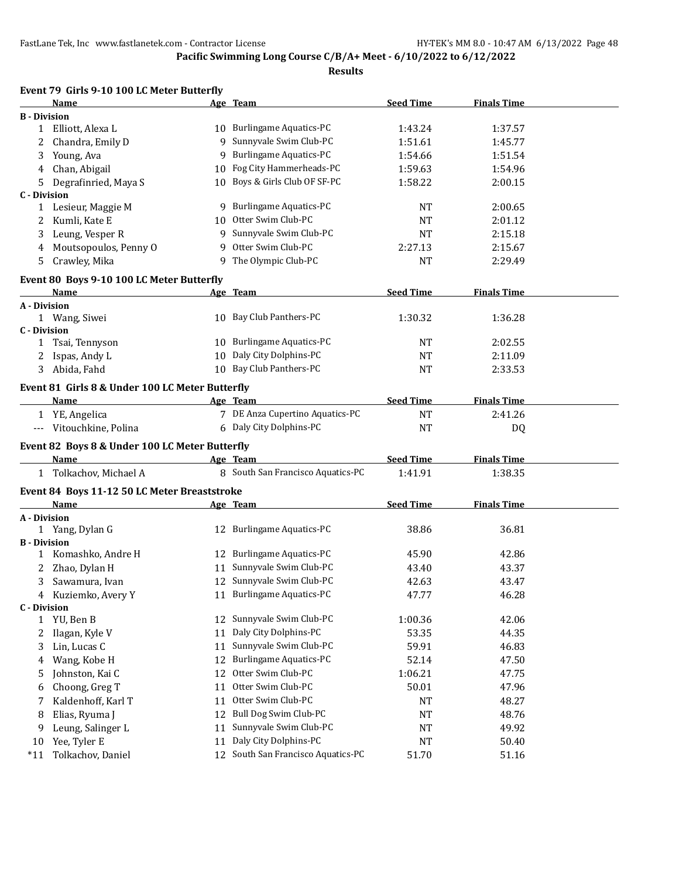|                     | Event 79 Girls 9-10 100 LC Meter Butterfly      |    |                                    |                  |                    |  |
|---------------------|-------------------------------------------------|----|------------------------------------|------------------|--------------------|--|
|                     | Name                                            |    | Age Team                           | <b>Seed Time</b> | <b>Finals Time</b> |  |
| <b>B</b> - Division |                                                 |    |                                    |                  |                    |  |
| $\mathbf{1}$        | Elliott, Alexa L                                |    | 10 Burlingame Aquatics-PC          | 1:43.24          | 1:37.57            |  |
| 2                   | Chandra, Emily D                                |    | 9 Sunnyvale Swim Club-PC           | 1:51.61          | 1:45.77            |  |
| 3                   | Young, Ava                                      | 9  | <b>Burlingame Aquatics-PC</b>      | 1:54.66          | 1:51.54            |  |
| 4                   | Chan, Abigail                                   |    | 10 Fog City Hammerheads-PC         | 1:59.63          | 1:54.96            |  |
| 5.                  | Degrafinried, Maya S                            |    | 10 Boys & Girls Club OF SF-PC      | 1:58.22          | 2:00.15            |  |
| <b>C</b> - Division |                                                 |    |                                    |                  |                    |  |
|                     | 1 Lesieur, Maggie M                             |    | 9 Burlingame Aquatics-PC           | NT               | 2:00.65            |  |
| 2                   | Kumli, Kate E                                   | 10 | Otter Swim Club-PC                 | <b>NT</b>        | 2:01.12            |  |
| 3                   | Leung, Vesper R                                 |    | 9 Sunnyvale Swim Club-PC           | <b>NT</b>        | 2:15.18            |  |
| 4                   | Moutsopoulos, Penny O                           | 9  | Otter Swim Club-PC                 | 2:27.13          | 2:15.67            |  |
| 5                   | Crawley, Mika                                   |    | 9 The Olympic Club-PC              | <b>NT</b>        | 2:29.49            |  |
|                     | Event 80 Boys 9-10 100 LC Meter Butterfly       |    |                                    |                  |                    |  |
|                     | Name                                            |    | Age Team                           | <b>Seed Time</b> | <b>Finals Time</b> |  |
| A - Division        |                                                 |    |                                    |                  |                    |  |
|                     | 1 Wang, Siwei                                   |    | 10 Bay Club Panthers-PC            | 1:30.32          | 1:36.28            |  |
| <b>C</b> - Division |                                                 |    |                                    |                  |                    |  |
| 1                   | Tsai, Tennyson                                  |    | 10 Burlingame Aquatics-PC          | <b>NT</b>        | 2:02.55            |  |
|                     | Ispas, Andy L                                   |    | 10 Daly City Dolphins-PC           | NT               | 2:11.09            |  |
|                     | 3 Abida, Fahd                                   |    | 10 Bay Club Panthers-PC            | <b>NT</b>        | 2:33.53            |  |
|                     | Event 81 Girls 8 & Under 100 LC Meter Butterfly |    |                                    |                  |                    |  |
|                     | Name                                            |    | Age Team                           | <b>Seed Time</b> | <b>Finals Time</b> |  |
|                     | 1 YE, Angelica                                  |    | 7 DE Anza Cupertino Aquatics-PC    | <b>NT</b>        | 2:41.26            |  |
|                     | --- Vitouchkine, Polina                         |    | 6 Daly City Dolphins-PC            | <b>NT</b>        | DQ                 |  |
|                     |                                                 |    |                                    |                  |                    |  |
|                     | Event 82 Boys 8 & Under 100 LC Meter Butterfly  |    |                                    |                  |                    |  |
|                     | Name                                            |    | Age Team                           | <b>Seed Time</b> | <b>Finals Time</b> |  |
|                     | 1 Tolkachov, Michael A                          |    | 8 South San Francisco Aquatics-PC  | 1:41.91          | 1:38.35            |  |
|                     | Event 84 Boys 11-12 50 LC Meter Breaststroke    |    |                                    |                  |                    |  |
|                     | Name                                            |    | Age Team                           | <b>Seed Time</b> | <b>Finals Time</b> |  |
| A - Division        |                                                 |    |                                    |                  |                    |  |
|                     | 1 Yang, Dylan G                                 |    | 12 Burlingame Aquatics-PC          | 38.86            | 36.81              |  |
| <b>B</b> - Division |                                                 |    |                                    |                  |                    |  |
|                     | 1 Komashko, Andre H                             |    | 12 Burlingame Aquatics-PC          | 45.90            | 42.86              |  |
|                     | Zhao, Dylan H                                   |    | 11 Sunnyvale Swim Club-PC          | 43.40            | 43.37              |  |
|                     | 3 Sawamura, Ivan                                |    | 12 Sunnyvale Swim Club-PC          | 42.63            | 43.47              |  |
| 4                   | Kuziemko, Avery Y                               |    | 11 Burlingame Aquatics-PC          | 47.77            | 46.28              |  |
| <b>C</b> - Division |                                                 |    |                                    |                  |                    |  |
|                     | 1 YU, Ben B                                     |    | 12 Sunnyvale Swim Club-PC          | 1:00.36          | 42.06              |  |
| 2                   | Ilagan, Kyle V                                  | 11 | Daly City Dolphins-PC              | 53.35            | 44.35              |  |
| 3                   | Lin, Lucas C                                    | 11 | Sunnyvale Swim Club-PC             | 59.91            | 46.83              |  |
| 4                   | Wang, Kobe H                                    | 12 | Burlingame Aquatics-PC             | 52.14            | 47.50              |  |
| 5                   | Johnston, Kai C                                 | 12 | Otter Swim Club-PC                 | 1:06.21          | 47.75              |  |
| 6                   | Choong, Greg T                                  | 11 | Otter Swim Club-PC                 | 50.01            | 47.96              |  |
| 7                   | Kaldenhoff, Karl T                              | 11 | Otter Swim Club-PC                 | NT               | 48.27              |  |
| 8                   | Elias, Ryuma J                                  | 12 | Bull Dog Swim Club-PC              | NT               | 48.76              |  |
| 9                   | Leung, Salinger L                               | 11 | Sunnyvale Swim Club-PC             | NT               | 49.92              |  |
| 10                  | Yee, Tyler E                                    | 11 | Daly City Dolphins-PC              | NT               | 50.40              |  |
| $*11$               | Tolkachov, Daniel                               |    | 12 South San Francisco Aquatics-PC | 51.70            | 51.16              |  |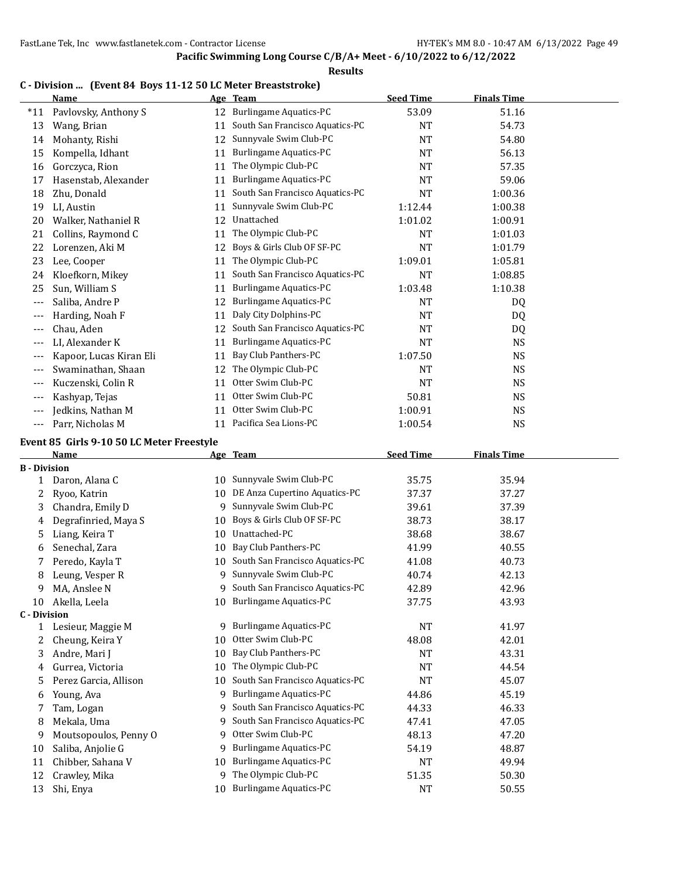#### **Results**

### **C - Division ... (Event 84 Boys 11-12 50 LC Meter Breaststroke)**

|       | Name                    | Age | <b>Team</b>                     | <b>Seed Time</b> | <b>Finals Time</b> |  |
|-------|-------------------------|-----|---------------------------------|------------------|--------------------|--|
| $*11$ | Pavlovsky, Anthony S    | 12  | Burlingame Aquatics-PC          | 53.09            | 51.16              |  |
| 13    | Wang, Brian             | 11  | South San Francisco Aquatics-PC | <b>NT</b>        | 54.73              |  |
| 14    | Mohanty, Rishi          | 12  | Sunnyvale Swim Club-PC          | <b>NT</b>        | 54.80              |  |
| 15    | Kompella, Idhant        | 11  | <b>Burlingame Aquatics-PC</b>   | <b>NT</b>        | 56.13              |  |
| 16    | Gorczyca, Rion          | 11  | The Olympic Club-PC             | <b>NT</b>        | 57.35              |  |
| 17    | Hasenstab, Alexander    | 11  | Burlingame Aquatics-PC          | <b>NT</b>        | 59.06              |  |
| 18    | Zhu, Donald             | 11  | South San Francisco Aquatics-PC | <b>NT</b>        | 1:00.36            |  |
| 19    | LI, Austin              | 11  | Sunnyvale Swim Club-PC          | 1:12.44          | 1:00.38            |  |
| 20    | Walker, Nathaniel R     | 12  | Unattached                      | 1:01.02          | 1:00.91            |  |
| 21    | Collins, Raymond C      | 11  | The Olympic Club-PC             | <b>NT</b>        | 1:01.03            |  |
| 22    | Lorenzen, Aki M         | 12  | Boys & Girls Club OF SF-PC      | <b>NT</b>        | 1:01.79            |  |
| 23    | Lee, Cooper             | 11  | The Olympic Club-PC             | 1:09.01          | 1:05.81            |  |
| 24    | Kloefkorn, Mikey        | 11  | South San Francisco Aquatics-PC | NT               | 1:08.85            |  |
| 25    | Sun, William S          | 11  | Burlingame Aquatics-PC          | 1:03.48          | 1:10.38            |  |
| ---   | Saliba, Andre P         | 12  | <b>Burlingame Aquatics-PC</b>   | <b>NT</b>        | DQ                 |  |
| $---$ | Harding, Noah F         | 11  | Daly City Dolphins-PC           | <b>NT</b>        | DQ                 |  |
| $---$ | Chau, Aden              | 12  | South San Francisco Aquatics-PC | <b>NT</b>        | DQ                 |  |
| $---$ | LI, Alexander K         | 11  | <b>Burlingame Aquatics-PC</b>   | NT               | <b>NS</b>          |  |
| $---$ | Kapoor, Lucas Kiran Eli | 11  | Bay Club Panthers-PC            | 1:07.50          | <b>NS</b>          |  |
| ---   | Swaminathan, Shaan      | 12  | The Olympic Club-PC             | <b>NT</b>        | <b>NS</b>          |  |
| $---$ | Kuczenski, Colin R      | 11  | Otter Swim Club-PC              | <b>NT</b>        | <b>NS</b>          |  |
| $---$ | Kashyap, Tejas          | 11  | Otter Swim Club-PC              | 50.81            | <b>NS</b>          |  |
| $---$ | Jedkins, Nathan M       | 11  | Otter Swim Club-PC              | 1:00.91          | <b>NS</b>          |  |
| ---   | Parr, Nicholas M        | 11  | Pacifica Sea Lions-PC           | 1:00.54          | <b>NS</b>          |  |

#### **Event 85 Girls 9-10 50 LC Meter Freestyle**

|                     | Name                  |    | Age Team                        | <b>Seed Time</b> | <b>Finals Time</b> |  |
|---------------------|-----------------------|----|---------------------------------|------------------|--------------------|--|
| <b>B</b> - Division |                       |    |                                 |                  |                    |  |
|                     | Daron, Alana C        | 10 | Sunnyvale Swim Club-PC          | 35.75            | 35.94              |  |
| 2                   | Ryoo, Katrin          | 10 | DE Anza Cupertino Aquatics-PC   | 37.37            | 37.27              |  |
| 3                   | Chandra, Emily D      | 9  | Sunnyvale Swim Club-PC          | 39.61            | 37.39              |  |
| 4                   | Degrafinried, Maya S  | 10 | Boys & Girls Club OF SF-PC      | 38.73            | 38.17              |  |
| 5                   | Liang, Keira T        | 10 | Unattached-PC                   | 38.68            | 38.67              |  |
| 6                   | Senechal, Zara        | 10 | Bay Club Panthers-PC            | 41.99            | 40.55              |  |
| 7                   | Peredo, Kayla T       | 10 | South San Francisco Aquatics-PC | 41.08            | 40.73              |  |
| 8                   | Leung, Vesper R       | 9  | Sunnyvale Swim Club-PC          | 40.74            | 42.13              |  |
| 9                   | MA, Anslee N          | 9  | South San Francisco Aquatics-PC | 42.89            | 42.96              |  |
| 10                  | Akella, Leela         | 10 | <b>Burlingame Aquatics-PC</b>   | 37.75            | 43.93              |  |
| <b>C</b> - Division |                       |    |                                 |                  |                    |  |
|                     | Lesieur, Maggie M     | 9  | <b>Burlingame Aquatics-PC</b>   | <b>NT</b>        | 41.97              |  |
| 2                   | Cheung, Keira Y       | 10 | Otter Swim Club-PC              | 48.08            | 42.01              |  |
| 3                   | Andre, Mari J         | 10 | Bay Club Panthers-PC            | <b>NT</b>        | 43.31              |  |
| 4                   | Gurrea, Victoria      | 10 | The Olympic Club-PC             | <b>NT</b>        | 44.54              |  |
| 5                   | Perez Garcia, Allison | 10 | South San Francisco Aquatics-PC | <b>NT</b>        | 45.07              |  |
| 6                   | Young, Ava            | 9  | <b>Burlingame Aquatics-PC</b>   | 44.86            | 45.19              |  |
| 7                   | Tam, Logan            | 9  | South San Francisco Aquatics-PC | 44.33            | 46.33              |  |
| 8                   | Mekala, Uma           | 9  | South San Francisco Aquatics-PC | 47.41            | 47.05              |  |
| 9                   | Moutsopoulos, Penny O | 9  | Otter Swim Club-PC              | 48.13            | 47.20              |  |
| 10                  | Saliba, Anjolie G     | 9  | <b>Burlingame Aquatics-PC</b>   | 54.19            | 48.87              |  |
| 11                  | Chibber, Sahana V     | 10 | <b>Burlingame Aquatics-PC</b>   | <b>NT</b>        | 49.94              |  |
| 12                  | Crawley, Mika         | 9  | The Olympic Club-PC             | 51.35            | 50.30              |  |
| 13                  | Shi, Enya             | 10 | <b>Burlingame Aquatics-PC</b>   | <b>NT</b>        | 50.55              |  |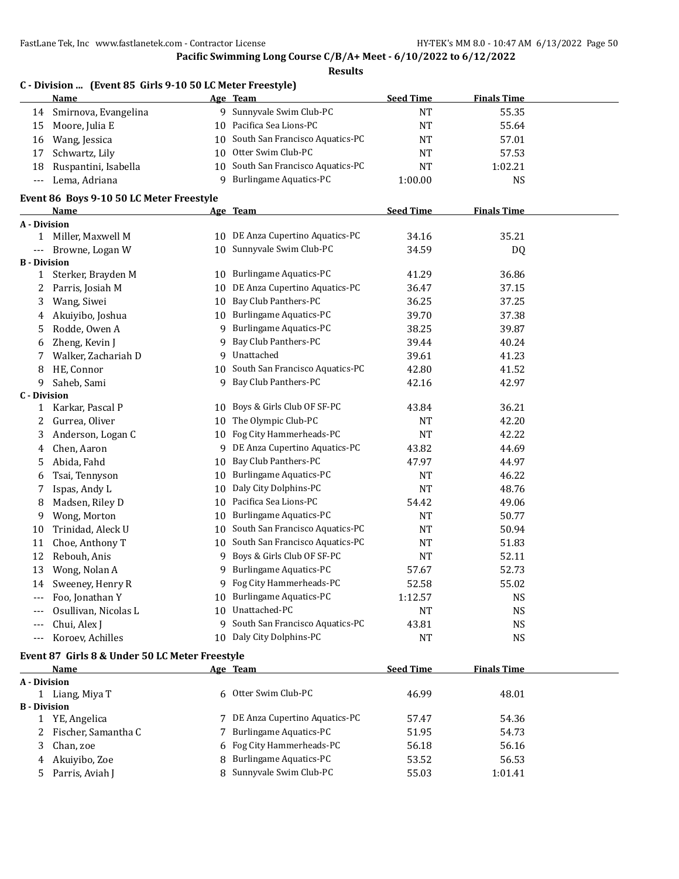**Pacific Swimming Long Course C/B/A+ Meet - 6/10/2022 to 6/12/2022**

|                      | C - Division  (Event 85 Girls 9-10 50 LC Meter Freestyle) |                 |                                    |                  |                    |  |
|----------------------|-----------------------------------------------------------|-----------------|------------------------------------|------------------|--------------------|--|
|                      | <u>Name</u>                                               |                 | Age Team                           | <b>Seed Time</b> | <b>Finals Time</b> |  |
| 14                   | Smirnova, Evangelina                                      |                 | 9 Sunnyvale Swim Club-PC           | <b>NT</b>        | 55.35              |  |
| 15                   | Moore, Julia E                                            |                 | 10 Pacifica Sea Lions-PC           | <b>NT</b>        | 55.64              |  |
| 16                   | Wang, Jessica                                             | 10              | South San Francisco Aquatics-PC    | NT               | 57.01              |  |
| 17                   | Schwartz, Lily                                            |                 | 10 Otter Swim Club-PC              | NT               | 57.53              |  |
| 18                   | Ruspantini, Isabella                                      |                 | 10 South San Francisco Aquatics-PC | <b>NT</b>        | 1:02.21            |  |
| $\scriptstyle\cdots$ | Lema, Adriana                                             |                 | 9 Burlingame Aquatics-PC           | 1:00.00          | <b>NS</b>          |  |
|                      | Event 86 Boys 9-10 50 LC Meter Freestyle                  |                 |                                    |                  |                    |  |
|                      | Name                                                      |                 | Age Team                           | <b>Seed Time</b> | <b>Finals Time</b> |  |
| A - Division         |                                                           |                 |                                    |                  |                    |  |
| 1                    | Miller, Maxwell M                                         |                 | 10 DE Anza Cupertino Aquatics-PC   | 34.16            | 35.21              |  |
| ---                  | Browne, Logan W                                           |                 | 10 Sunnyvale Swim Club-PC          | 34.59            | DQ                 |  |
| <b>B</b> - Division  |                                                           |                 |                                    |                  |                    |  |
| $\mathbf{1}$         | Sterker, Brayden M                                        | 10              | <b>Burlingame Aquatics-PC</b>      | 41.29            | 36.86              |  |
| 2                    | Parris, Josiah M                                          |                 | 10 DE Anza Cupertino Aquatics-PC   | 36.47            | 37.15              |  |
| 3                    | Wang, Siwei                                               |                 | 10 Bay Club Panthers-PC            | 36.25            | 37.25              |  |
| 4                    | Akuiyibo, Joshua                                          |                 | 10 Burlingame Aquatics-PC          | 39.70            | 37.38              |  |
| 5                    | Rodde, Owen A                                             | 9               | <b>Burlingame Aquatics-PC</b>      | 38.25            | 39.87              |  |
| 6                    | Zheng, Kevin J                                            | 9               | Bay Club Panthers-PC               | 39.44            | 40.24              |  |
| 7                    | Walker, Zachariah D                                       |                 | 9 Unattached                       | 39.61            | 41.23              |  |
| 8                    | HE, Connor                                                |                 | 10 South San Francisco Aquatics-PC | 42.80            | 41.52              |  |
| 9                    | Saheb, Sami                                               | 9               | Bay Club Panthers-PC               | 42.16            | 42.97              |  |
| <b>C</b> - Division  |                                                           |                 |                                    |                  |                    |  |
| $\mathbf{1}$         | Karkar, Pascal P                                          | 10              | Boys & Girls Club OF SF-PC         | 43.84            | 36.21              |  |
| 2                    | Gurrea, Oliver                                            | 10              | The Olympic Club-PC                | <b>NT</b>        | 42.20              |  |
| 3                    | Anderson, Logan C                                         | 10 <sup>1</sup> | Fog City Hammerheads-PC            | <b>NT</b>        | 42.22              |  |
| 4                    | Chen, Aaron                                               |                 | 9 DE Anza Cupertino Aquatics-PC    | 43.82            | 44.69              |  |
| 5                    | Abida, Fahd                                               | 10              | Bay Club Panthers-PC               | 47.97            | 44.97              |  |
| 6                    | Tsai, Tennyson                                            | 10              | <b>Burlingame Aquatics-PC</b>      | <b>NT</b>        | 46.22              |  |
| 7                    | Ispas, Andy L                                             | 10              | Daly City Dolphins-PC              | <b>NT</b>        | 48.76              |  |
| 8                    | Madsen, Riley D                                           |                 | 10 Pacifica Sea Lions-PC           | 54.42            | 49.06              |  |
| 9                    | Wong, Morton                                              | 10              | <b>Burlingame Aquatics-PC</b>      | NT               | 50.77              |  |
| 10                   | Trinidad, Aleck U                                         |                 | 10 South San Francisco Aquatics-PC | <b>NT</b>        | 50.94              |  |
| 11                   | Choe, Anthony T                                           |                 | 10 South San Francisco Aquatics-PC | <b>NT</b>        | 51.83              |  |
| 12                   | Rebouh, Anis                                              |                 | Boys & Girls Club OF SF-PC         | <b>NT</b>        | 52.11              |  |
| 13                   | Wong, Nolan A                                             | 9               | <b>Burlingame Aquatics-PC</b>      | 57.67            | 52.73              |  |
| 14                   | Sweeney, Henry R                                          |                 | 9 Fog City Hammerheads-PC          | 52.58            | 55.02              |  |
| $---$                | Foo, Jonathan Y                                           | 10              | <b>Burlingame Aquatics-PC</b>      | 1:12.57          | <b>NS</b>          |  |
| ---                  | Osullivan, Nicolas L                                      | 10              | Unattached-PC                      | NT               | <b>NS</b>          |  |
| ---                  | Chui, Alex J                                              | 9.              | South San Francisco Aquatics-PC    | 43.81            | <b>NS</b>          |  |
| ---                  | Koroev, Achilles                                          | 10              | Daly City Dolphins-PC              | <b>NT</b>        | <b>NS</b>          |  |
|                      | Event 87 Girls 8 & Under 50 LC Meter Freestyle            |                 |                                    |                  |                    |  |
|                      | Name                                                      |                 | Age Team                           | <b>Seed Time</b> | <b>Finals Time</b> |  |
| A - Division         |                                                           |                 |                                    |                  |                    |  |
|                      | 1 Liang, Miya T                                           |                 | 6 Otter Swim Club-PC               | 46.99            | 48.01              |  |
| <b>B</b> - Division  |                                                           |                 |                                    |                  |                    |  |
|                      | 1 YE, Angelica                                            |                 | 7 DE Anza Cupertino Aquatics-PC    | 57.47            | 54.36              |  |
| 2                    | Fischer, Samantha C                                       | 7               | <b>Burlingame Aquatics-PC</b>      | 51.95            | 54.73              |  |
| 3                    | Chan, zoe                                                 | 6               | Fog City Hammerheads-PC            | 56.18            | 56.16              |  |
| 4                    | Akuiyibo, Zoe                                             | 8               | <b>Burlingame Aquatics-PC</b>      | 53.52            | 56.53              |  |
| 5                    | Parris, Aviah J                                           | 8               | Sunnyvale Swim Club-PC             | 55.03            | 1:01.41            |  |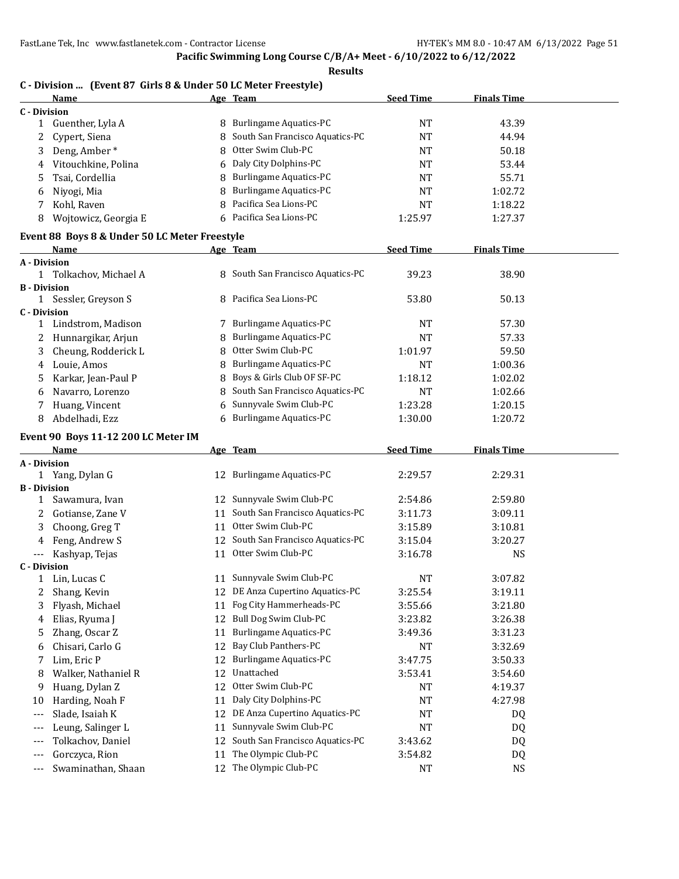| <b>Results</b>      |                                                                |    |                                                                |                  |                    |  |
|---------------------|----------------------------------------------------------------|----|----------------------------------------------------------------|------------------|--------------------|--|
|                     | C - Division  (Event 87 Girls 8 & Under 50 LC Meter Freestyle) |    |                                                                |                  |                    |  |
|                     | Name                                                           |    | Age Team                                                       | <b>Seed Time</b> | <b>Finals Time</b> |  |
| <b>C</b> - Division | 1 Guenther, Lyla A                                             |    | 8 Burlingame Aquatics-PC                                       | <b>NT</b>        | 43.39              |  |
|                     |                                                                | 8  | South San Francisco Aquatics-PC                                | NT               | 44.94              |  |
| 2                   | Cypert, Siena                                                  |    | Otter Swim Club-PC                                             |                  |                    |  |
| 3                   | Deng, Amber*                                                   | 8  | Daly City Dolphins-PC                                          | NT               | 50.18              |  |
| 4                   | Vitouchkine, Polina                                            | 6  |                                                                | NT               | 53.44              |  |
| 5                   | Tsai, Cordellia                                                | 8  | <b>Burlingame Aquatics-PC</b><br><b>Burlingame Aquatics-PC</b> | NT               | 55.71              |  |
| 6                   | Niyogi, Mia                                                    | 8  |                                                                | <b>NT</b>        | 1:02.72            |  |
| 7                   | Kohl, Raven                                                    | 8  | Pacifica Sea Lions-PC                                          | <b>NT</b>        | 1:18.22            |  |
| 8                   | Wojtowicz, Georgia E                                           |    | 6 Pacifica Sea Lions-PC                                        | 1:25.97          | 1:27.37            |  |
|                     | Event 88 Boys 8 & Under 50 LC Meter Freestyle                  |    |                                                                |                  |                    |  |
|                     | Name                                                           |    | Age Team                                                       | <b>Seed Time</b> | <b>Finals Time</b> |  |
| A - Division        |                                                                |    |                                                                |                  |                    |  |
| $\mathbf{1}$        | Tolkachov, Michael A                                           |    | 8 South San Francisco Aquatics-PC                              | 39.23            | 38.90              |  |
| <b>B</b> - Division | 1 Sessler, Greyson S                                           |    | 8 Pacifica Sea Lions-PC                                        | 53.80            | 50.13              |  |
| <b>C</b> - Division |                                                                |    |                                                                |                  |                    |  |
| 1                   | Lindstrom, Madison                                             |    | 7 Burlingame Aquatics-PC                                       | NT               | 57.30              |  |
| 2                   | Hunnargikar, Arjun                                             | 8  | <b>Burlingame Aquatics-PC</b>                                  | <b>NT</b>        | 57.33              |  |
| 3                   | Cheung, Rodderick L                                            | 8  | Otter Swim Club-PC                                             | 1:01.97          | 59.50              |  |
| 4                   | Louie, Amos                                                    | 8  | <b>Burlingame Aquatics-PC</b>                                  | <b>NT</b>        | 1:00.36            |  |
| 5                   | Karkar, Jean-Paul P                                            | 8  | Boys & Girls Club OF SF-PC                                     | 1:18.12          | 1:02.02            |  |
| 6                   | Navarro, Lorenzo                                               | 8  | South San Francisco Aquatics-PC                                | <b>NT</b>        | 1:02.66            |  |
| 7                   | Huang, Vincent                                                 | 6  | Sunnyvale Swim Club-PC                                         | 1:23.28          | 1:20.15            |  |
| 8                   | Abdelhadi, Ezz                                                 | 6  | <b>Burlingame Aquatics-PC</b>                                  | 1:30.00          | 1:20.72            |  |
|                     |                                                                |    |                                                                |                  |                    |  |
|                     | Event 90 Boys 11-12 200 LC Meter IM                            |    |                                                                |                  |                    |  |
|                     | Name                                                           |    | Age Team                                                       | <b>Seed Time</b> | <b>Finals Time</b> |  |
| A - Division        |                                                                |    |                                                                |                  |                    |  |
| <b>B</b> - Division | 1 Yang, Dylan G                                                |    | 12 Burlingame Aquatics-PC                                      | 2:29.57          | 2:29.31            |  |
| $\mathbf{1}$        | Sawamura, Ivan                                                 |    | 12 Sunnyvale Swim Club-PC                                      | 2:54.86          | 2:59.80            |  |
| 2                   | Gotianse, Zane V                                               |    | 11 South San Francisco Aquatics-PC                             | 3:11.73          | 3:09.11            |  |
| 3                   | Choong, Greg T                                                 |    | 11 Otter Swim Club-PC                                          | 3:15.89          | 3:10.81            |  |
| 4                   | Feng, Andrew S                                                 |    | 12 South San Francisco Aquatics-PC                             | 3:15.04          | 3:20.27            |  |
| $---$               | Kashyap, Tejas                                                 |    | 11 Otter Swim Club-PC                                          | 3:16.78          | <b>NS</b>          |  |
| <b>C</b> - Division |                                                                |    |                                                                |                  |                    |  |
|                     | 1 Lin, Lucas C                                                 |    | 11 Sunnyvale Swim Club-PC                                      | <b>NT</b>        | 3:07.82            |  |
| 2                   | Shang, Kevin                                                   |    | 12 DE Anza Cupertino Aquatics-PC                               | 3:25.54          | 3:19.11            |  |
| 3                   | Flyash, Michael                                                | 11 | Fog City Hammerheads-PC                                        | 3:55.66          | 3:21.80            |  |
| 4                   | Elias, Ryuma J                                                 |    | 12 Bull Dog Swim Club-PC                                       | 3:23.82          | 3:26.38            |  |
| 5                   | Zhang, Oscar Z                                                 | 11 | <b>Burlingame Aquatics-PC</b>                                  | 3:49.36          | 3:31.23            |  |
| 6                   | Chisari, Carlo G                                               |    | 12 Bay Club Panthers-PC                                        | <b>NT</b>        | 3:32.69            |  |
| 7                   | Lim, Eric P                                                    | 12 | <b>Burlingame Aquatics-PC</b>                                  | 3:47.75          | 3:50.33            |  |
| 8                   | Walker, Nathaniel R                                            |    | 12 Unattached                                                  | 3:53.41          | 3:54.60            |  |
| 9                   | Huang, Dylan Z                                                 | 12 | Otter Swim Club-PC                                             | NT               | 4:19.37            |  |
| 10                  | Harding, Noah F                                                | 11 | Daly City Dolphins-PC                                          | <b>NT</b>        | 4:27.98            |  |
|                     | Slade, Isaiah K                                                | 12 | DE Anza Cupertino Aquatics-PC                                  | <b>NT</b>        | DQ                 |  |
| ---                 |                                                                | 11 | Sunnyvale Swim Club-PC                                         | <b>NT</b>        |                    |  |
| $---$               | Leung, Salinger L                                              | 12 | South San Francisco Aquatics-PC                                | 3:43.62          | DQ                 |  |
| ---                 | Tolkachov, Daniel                                              |    | 11 The Olympic Club-PC                                         |                  | DQ                 |  |
| $---$               | Gorczyca, Rion                                                 |    |                                                                | 3:54.82          | DQ                 |  |

--- Swaminathan, Shaan 12 The Olympic Club-PC NT NS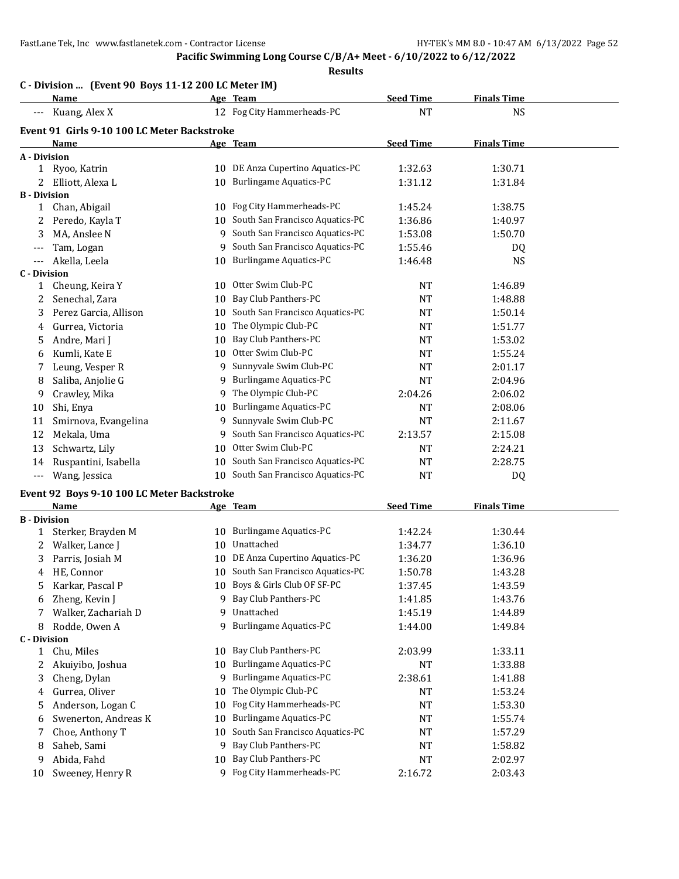## **Pacific Swimming Long Course C/B/A+ Meet - 6/10/2022 to 6/12/2022**

|                     | C - Division  (Event 90 Boys 11-12 200 LC Meter IM) |    |                                    |                  |                    |  |
|---------------------|-----------------------------------------------------|----|------------------------------------|------------------|--------------------|--|
|                     | <u>Name</u>                                         |    | Age Team                           | <b>Seed Time</b> | <b>Finals Time</b> |  |
| ---                 | Kuang, Alex X                                       |    | 12 Fog City Hammerheads-PC         | <b>NT</b>        | <b>NS</b>          |  |
|                     | Event 91 Girls 9-10 100 LC Meter Backstroke         |    |                                    |                  |                    |  |
|                     | <b>Name</b>                                         |    | Age Team                           | <b>Seed Time</b> | <b>Finals Time</b> |  |
| A - Division        |                                                     |    |                                    |                  |                    |  |
|                     | 1 Ryoo, Katrin                                      |    | 10 DE Anza Cupertino Aquatics-PC   | 1:32.63          | 1:30.71            |  |
| 2                   | Elliott, Alexa L                                    |    | 10 Burlingame Aquatics-PC          | 1:31.12          | 1:31.84            |  |
| <b>B</b> - Division |                                                     |    |                                    |                  |                    |  |
| $\mathbf{1}$        | Chan, Abigail                                       |    | 10 Fog City Hammerheads-PC         | 1:45.24          | 1:38.75            |  |
| 2                   | Peredo, Kayla T                                     |    | 10 South San Francisco Aquatics-PC | 1:36.86          | 1:40.97            |  |
| 3                   | MA, Anslee N                                        |    | 9 South San Francisco Aquatics-PC  | 1:53.08          | 1:50.70            |  |
| ---                 | Tam, Logan                                          |    | 9 South San Francisco Aquatics-PC  | 1:55.46          | DQ                 |  |
| ---                 | Akella, Leela                                       |    | 10 Burlingame Aquatics-PC          | 1:46.48          | <b>NS</b>          |  |
| <b>C</b> - Division |                                                     |    |                                    |                  |                    |  |
| 1                   | Cheung, Keira Y                                     |    | 10 Otter Swim Club-PC              | NT               | 1:46.89            |  |
| 2                   | Senechal, Zara                                      | 10 | Bay Club Panthers-PC               | NT               | 1:48.88            |  |
| 3                   | Perez Garcia, Allison                               |    | 10 South San Francisco Aquatics-PC | NT               | 1:50.14            |  |
| 4                   | Gurrea, Victoria                                    | 10 | The Olympic Club-PC                | NT               | 1:51.77            |  |
| 5                   | Andre, Mari J                                       | 10 | Bay Club Panthers-PC               | NT               | 1:53.02            |  |
| 6                   | Kumli, Kate E                                       |    | 10 Otter Swim Club-PC              | NT               | 1:55.24            |  |
| 7                   | Leung, Vesper R                                     |    | 9 Sunnyvale Swim Club-PC           | <b>NT</b>        | 2:01.17            |  |
| 8                   | Saliba, Anjolie G                                   | 9. | <b>Burlingame Aquatics-PC</b>      | NT               | 2:04.96            |  |
| 9                   | Crawley, Mika                                       |    | 9 The Olympic Club-PC              | 2:04.26          | 2:06.02            |  |
| 10                  | Shi, Enya                                           | 10 | <b>Burlingame Aquatics-PC</b>      | NT               | 2:08.06            |  |
| 11                  | Smirnova, Evangelina                                |    | 9 Sunnyvale Swim Club-PC           | <b>NT</b>        | 2:11.67            |  |
| 12                  | Mekala, Uma                                         | 9. | South San Francisco Aquatics-PC    | 2:13.57          | 2:15.08            |  |
| 13                  | Schwartz, Lily                                      | 10 | Otter Swim Club-PC                 | NT               | 2:24.21            |  |
| 14                  | Ruspantini, Isabella                                |    | 10 South San Francisco Aquatics-PC | NT               | 2:28.75            |  |
| $\cdots$            | Wang, Jessica                                       |    | 10 South San Francisco Aquatics-PC | NT               | DQ                 |  |
|                     | Event 92 Boys 9-10 100 LC Meter Backstroke          |    |                                    |                  |                    |  |
|                     | Name                                                |    | Age Team                           | <b>Seed Time</b> | <b>Finals Time</b> |  |
| <b>B</b> - Division |                                                     |    |                                    |                  |                    |  |
| 1                   | Sterker, Brayden M                                  |    | 10 Burlingame Aquatics-PC          | 1:42.24          | 1:30.44            |  |
| 2                   | Walker, Lance J                                     |    | 10 Unattached                      | 1:34.77          | 1:36.10            |  |
| 3                   | Parris, Josiah M                                    |    | 10 DE Anza Cupertino Aquatics-PC   | 1:36.20          | 1:36.96            |  |
| 4                   | HE. Connor                                          |    | 10 South San Francisco Aquatics-PC | 1:50.78          | 1:43.28            |  |
| 5                   | Karkar, Pascal P                                    |    | 10 Boys & Girls Club OF SF-PC      | 1:37.45          | 1:43.59            |  |
| 6                   | Zheng, Kevin J                                      |    | 9 Bay Club Panthers-PC             | 1:41.85          | 1:43.76            |  |
| 7                   | Walker, Zachariah D                                 | 9  | Unattached                         | 1:45.19          | 1:44.89            |  |
| 8                   | Rodde, Owen A                                       | 9  | <b>Burlingame Aquatics-PC</b>      | 1:44.00          | 1:49.84            |  |
| <b>C</b> - Division |                                                     |    |                                    |                  |                    |  |
| 1                   | Chu, Miles                                          | 10 | Bay Club Panthers-PC               | 2:03.99          | 1:33.11            |  |
| 2                   | Akuiyibo, Joshua                                    | 10 | <b>Burlingame Aquatics-PC</b>      | NT               | 1:33.88            |  |
| 3                   | Cheng, Dylan                                        | 9  | <b>Burlingame Aquatics-PC</b>      | 2:38.61          | 1:41.88            |  |
| 4                   | Gurrea, Oliver                                      | 10 | The Olympic Club-PC                | NT               | 1:53.24            |  |
| 5                   | Anderson, Logan C                                   | 10 | Fog City Hammerheads-PC            | NT               | 1:53.30            |  |
| 6                   | Swenerton, Andreas K                                | 10 | <b>Burlingame Aquatics-PC</b>      | NT               | 1:55.74            |  |
| 7                   | Choe, Anthony T                                     | 10 | South San Francisco Aquatics-PC    | NT               | 1:57.29            |  |
| 8                   | Saheb, Sami                                         | 9  | Bay Club Panthers-PC               | NT               | 1:58.82            |  |
| 9                   | Abida, Fahd                                         | 10 | Bay Club Panthers-PC               | NT               | 2:02.97            |  |
| 10                  | Sweeney, Henry R                                    |    | 9 Fog City Hammerheads-PC          | 2:16.72          | 2:03.43            |  |
|                     |                                                     |    |                                    |                  |                    |  |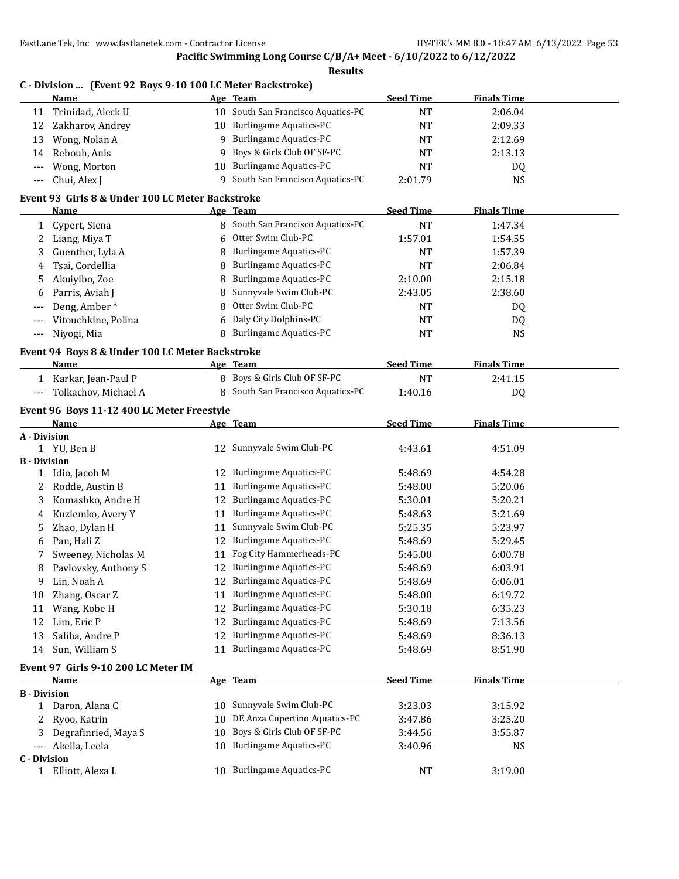### **Pacific Swimming Long Course C/B/A+ Meet - 6/10/2022 to 6/12/2022 Results**

|                     | Name                                             |    | Age Team                           | <b>Seed Time</b> | <b>Finals Time</b> |  |
|---------------------|--------------------------------------------------|----|------------------------------------|------------------|--------------------|--|
| 11                  | Trinidad, Aleck U                                |    | 10 South San Francisco Aquatics-PC | <b>NT</b>        | 2:06.04            |  |
| 12                  | Zakharov, Andrey                                 | 10 | <b>Burlingame Aquatics-PC</b>      | <b>NT</b>        | 2:09.33            |  |
| 13                  | Wong, Nolan A                                    | 9  | <b>Burlingame Aquatics-PC</b>      | <b>NT</b>        | 2:12.69            |  |
| 14                  | Rebouh, Anis                                     | 9  | Boys & Girls Club OF SF-PC         | <b>NT</b>        | 2:13.13            |  |
|                     | Wong, Morton                                     | 10 | <b>Burlingame Aquatics-PC</b>      | <b>NT</b>        | DQ                 |  |
| ---                 | Chui, Alex J                                     | 9  | South San Francisco Aquatics-PC    | 2:01.79          | <b>NS</b>          |  |
|                     | Event 93 Girls 8 & Under 100 LC Meter Backstroke |    |                                    |                  |                    |  |
|                     | Name                                             |    | Age Team                           | <b>Seed Time</b> | <b>Finals Time</b> |  |
| 1                   | Cypert, Siena                                    |    | 8 South San Francisco Aquatics-PC  | <b>NT</b>        | 1:47.34            |  |
| 2                   | Liang, Miya T                                    | 6  | Otter Swim Club-PC                 | 1:57.01          | 1:54.55            |  |
| 3                   | Guenther, Lyla A                                 | 8  | <b>Burlingame Aquatics-PC</b>      | <b>NT</b>        | 1:57.39            |  |
| 4                   | Tsai, Cordellia                                  | 8  | <b>Burlingame Aquatics-PC</b>      | <b>NT</b>        | 2:06.84            |  |
| 5                   | Akuiyibo, Zoe                                    | 8  | <b>Burlingame Aquatics-PC</b>      | 2:10.00          | 2:15.18            |  |
| 6                   | Parris, Aviah J                                  | 8  | Sunnyvale Swim Club-PC             | 2:43.05          | 2:38.60            |  |
|                     | Deng, Amber*                                     | 8  | Otter Swim Club-PC                 | NT               | DQ                 |  |
| $---$               | Vitouchkine, Polina                              | 6  | Daly City Dolphins-PC              | NT               | DQ                 |  |
| $---$               | Niyogi, Mia                                      | 8  | <b>Burlingame Aquatics-PC</b>      | <b>NT</b>        | <b>NS</b>          |  |
|                     |                                                  |    |                                    |                  |                    |  |
|                     | Event 94 Boys 8 & Under 100 LC Meter Backstroke  |    |                                    |                  |                    |  |
|                     | Name                                             |    | Age Team                           | <b>Seed Time</b> | <b>Finals Time</b> |  |
|                     | 1 Karkar, Jean-Paul P                            |    | 8 Boys & Girls Club OF SF-PC       | <b>NT</b>        | 2:41.15            |  |
| $---$               | Tolkachov, Michael A                             |    | 8 South San Francisco Aquatics-PC  | 1:40.16          | DQ                 |  |
|                     | Event 96 Boys 11-12 400 LC Meter Freestyle       |    |                                    |                  |                    |  |
|                     | Name                                             |    | <u>Age Team</u>                    | <b>Seed Time</b> | <b>Finals Time</b> |  |
| A - Division        |                                                  |    |                                    |                  |                    |  |
|                     | 1 YU, Ben B                                      |    | 12 Sunnyvale Swim Club-PC          | 4:43.61          | 4:51.09            |  |
| <b>B</b> - Division |                                                  |    |                                    |                  |                    |  |
| 1                   | Idio, Jacob M                                    | 12 | <b>Burlingame Aquatics-PC</b>      | 5:48.69          | 4:54.28            |  |
| 2                   | Rodde, Austin B                                  | 11 | <b>Burlingame Aquatics-PC</b>      | 5:48.00          | 5:20.06            |  |
| 3                   | Komashko, Andre H                                | 12 | <b>Burlingame Aquatics-PC</b>      | 5:30.01          | 5:20.21            |  |
| 4                   | Kuziemko, Avery Y                                | 11 | <b>Burlingame Aquatics-PC</b>      | 5:48.63          | 5:21.69            |  |
| 5                   | Zhao, Dylan H                                    | 11 | Sunnyvale Swim Club-PC             | 5:25.35          | 5:23.97            |  |
| 6                   | Pan, Hali Z                                      | 12 | <b>Burlingame Aquatics-PC</b>      | 5:48.69          | 5:29.45            |  |
| 7                   | Sweeney, Nicholas M                              | 11 | Fog City Hammerheads-PC            | 5:45.00          | 6:00.78            |  |
| 8                   | Pavlovsky, Anthony S                             |    | 12 Burlingame Aquatics-PC          | 5:48.69          | 6:03.91            |  |
| 9                   | Lin, Noah A                                      |    | 12 Burlingame Aquatics-PC          | 5:48.69          | 6:06.01            |  |
| 10                  | Zhang, Oscar Z                                   | 11 | Burlingame Aquatics-PC             | 5:48.00          | 6:19.72            |  |
| 11                  | Wang, Kobe H                                     | 12 | <b>Burlingame Aquatics-PC</b>      | 5:30.18          | 6:35.23            |  |
| 12                  | Lim, Eric P                                      | 12 | <b>Burlingame Aquatics-PC</b>      | 5:48.69          | 7:13.56            |  |
| 13                  | Saliba, Andre P                                  | 12 | <b>Burlingame Aquatics-PC</b>      | 5:48.69          | 8:36.13            |  |
| 14                  | Sun, William S                                   | 11 | <b>Burlingame Aquatics-PC</b>      | 5:48.69          | 8:51.90            |  |
|                     | Event 97 Girls 9-10 200 LC Meter IM              |    |                                    |                  |                    |  |
|                     | Name                                             |    | Age Team                           | <b>Seed Time</b> | <b>Finals Time</b> |  |
|                     | <b>B</b> - Division                              |    |                                    |                  |                    |  |
| $\mathbf{1}$        | Daron, Alana C                                   | 10 | Sunnyvale Swim Club-PC             | 3:23.03          | 3:15.92            |  |
| 2                   | Ryoo, Katrin                                     | 10 | DE Anza Cupertino Aquatics-PC      | 3:47.86          | 3:25.20            |  |
| 3                   | Degrafinried, Maya S                             | 10 | Boys & Girls Club OF SF-PC         | 3:44.56          | 3:55.87            |  |
| $---$               | Akella, Leela                                    | 10 | <b>Burlingame Aquatics-PC</b>      | 3:40.96          | <b>NS</b>          |  |
| <b>C</b> - Division |                                                  |    |                                    |                  |                    |  |
|                     | 1 Elliott, Alexa L                               | 10 | <b>Burlingame Aquatics-PC</b>      | NT               | 3:19.00            |  |